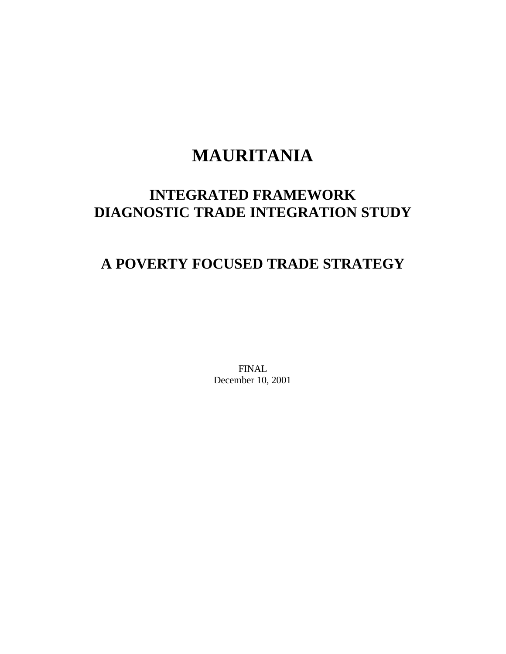# **MAURITANIA**

## **INTEGRATED FRAMEWORK DIAGNOSTIC TRADE INTEGRATION STUDY**

## **A POVERTY FOCUSED TRADE STRATEGY**

FINAL December 10, 2001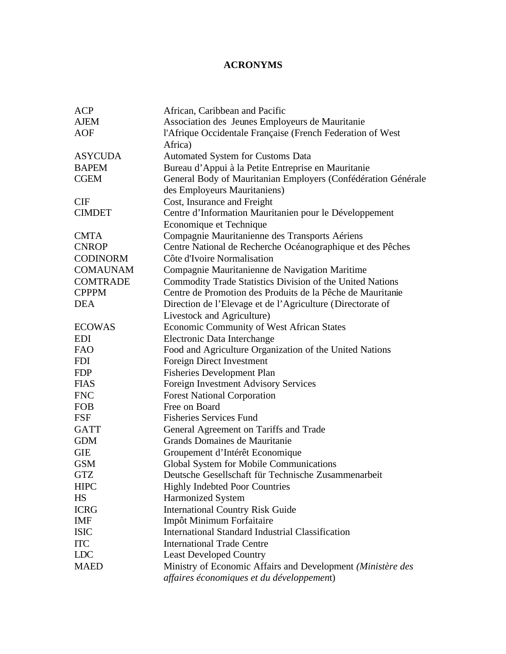## **ACRONYMS**

| <b>ACP</b>      | African, Caribbean and Pacific                                |
|-----------------|---------------------------------------------------------------|
| <b>AJEM</b>     | Association des Jeunes Employeurs de Mauritanie               |
| <b>AOF</b>      | l'Afrique Occidentale Française (French Federation of West    |
|                 | Africa)                                                       |
| <b>ASYCUDA</b>  | <b>Automated System for Customs Data</b>                      |
| <b>BAPEM</b>    | Bureau d'Appui à la Petite Entreprise en Mauritanie           |
| <b>CGEM</b>     | General Body of Mauritanian Employers (Confédération Générale |
|                 | des Employeurs Mauritaniens)                                  |
| <b>CIF</b>      | Cost, Insurance and Freight                                   |
| <b>CIMDET</b>   | Centre d'Information Mauritanien pour le Développement        |
|                 | Economique et Technique                                       |
| <b>CMTA</b>     | Compagnie Mauritanienne des Transports Aériens                |
| <b>CNROP</b>    | Centre National de Recherche Océanographique et des Pêches    |
| <b>CODINORM</b> | Côte d'Ivoire Normalisation                                   |
| <b>COMAUNAM</b> | Compagnie Mauritanienne de Navigation Maritime                |
| <b>COMTRADE</b> | Commodity Trade Statistics Division of the United Nations     |
| <b>CPPPM</b>    | Centre de Promotion des Produits de la Pêche de Mauritanie    |
| <b>DEA</b>      | Direction de l'Elevage et de l'Agriculture (Directorate of    |
|                 | Livestock and Agriculture)                                    |
| <b>ECOWAS</b>   | <b>Economic Community of West African States</b>              |
| <b>EDI</b>      | Electronic Data Interchange                                   |
| <b>FAO</b>      | Food and Agriculture Organization of the United Nations       |
| <b>FDI</b>      | Foreign Direct Investment                                     |
| <b>FDP</b>      | <b>Fisheries Development Plan</b>                             |
| <b>FIAS</b>     | Foreign Investment Advisory Services                          |
| <b>FNC</b>      | <b>Forest National Corporation</b>                            |
| <b>FOB</b>      | Free on Board                                                 |
| <b>FSF</b>      | <b>Fisheries Services Fund</b>                                |
| <b>GATT</b>     | General Agreement on Tariffs and Trade                        |
| <b>GDM</b>      | Grands Domaines de Mauritanie                                 |
| <b>GIE</b>      | Groupement d'Intérêt Economique                               |
| <b>GSM</b>      | Global System for Mobile Communications                       |
| <b>GTZ</b>      | Deutsche Gesellschaft für Technische Zusammenarbeit           |
| <b>HIPC</b>     | Highly Indebted Poor Countries                                |
| HS              | <b>Harmonized System</b>                                      |
| <b>ICRG</b>     | <b>International Country Risk Guide</b>                       |
| <b>IMF</b>      | Impôt Minimum Forfaitaire                                     |
| <b>ISIC</b>     | <b>International Standard Industrial Classification</b>       |
| <b>ITC</b>      | <b>International Trade Centre</b>                             |
| <b>LDC</b>      | <b>Least Developed Country</b>                                |
| <b>MAED</b>     | Ministry of Economic Affairs and Development (Ministère des   |
|                 | affaires économiques et du développement)                     |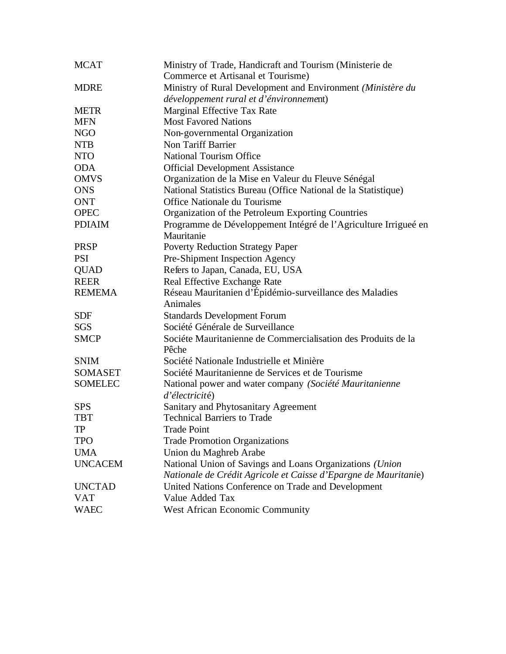| <b>MCAT</b>    | Ministry of Trade, Handicraft and Tourism (Ministerie de                                               |
|----------------|--------------------------------------------------------------------------------------------------------|
|                | Commerce et Artisanal et Tourisme)                                                                     |
| <b>MDRE</b>    | Ministry of Rural Development and Environment (Ministère du<br>développement rural et d'énvironnement) |
| <b>METR</b>    | Marginal Effective Tax Rate                                                                            |
| <b>MFN</b>     | <b>Most Favored Nations</b>                                                                            |
| <b>NGO</b>     | Non-governmental Organization                                                                          |
| <b>NTB</b>     | Non Tariff Barrier                                                                                     |
| <b>NTO</b>     | <b>National Tourism Office</b>                                                                         |
| <b>ODA</b>     | <b>Official Development Assistance</b>                                                                 |
| <b>OMVS</b>    | Organization de la Mise en Valeur du Fleuve Sénégal                                                    |
| <b>ONS</b>     | National Statistics Bureau (Office National de la Statistique)                                         |
| <b>ONT</b>     | Office Nationale du Tourisme                                                                           |
| <b>OPEC</b>    | Organization of the Petroleum Exporting Countries                                                      |
| <b>PDIAIM</b>  | Programme de Développement Intégré de l'Agriculture Irrigueé en<br>Mauritanie                          |
| <b>PRSP</b>    | <b>Poverty Reduction Strategy Paper</b>                                                                |
| <b>PSI</b>     | Pre-Shipment Inspection Agency                                                                         |
| <b>QUAD</b>    | Refers to Japan, Canada, EU, USA                                                                       |
| <b>REER</b>    | Real Effective Exchange Rate                                                                           |
| <b>REMEMA</b>  | Réseau Mauritanien d'Épidémio-surveillance des Maladies<br>Animales                                    |
| <b>SDF</b>     | <b>Standards Development Forum</b>                                                                     |
| <b>SGS</b>     | Société Générale de Surveillance                                                                       |
| <b>SMCP</b>    | Sociéte Mauritanienne de Commercialisation des Produits de la<br>Pêche                                 |
| <b>SNIM</b>    | Société Nationale Industrielle et Minière                                                              |
| <b>SOMASET</b> | Société Mauritanienne de Services et de Tourisme                                                       |
| <b>SOMELEC</b> | National power and water company (Société Mauritanienne                                                |
|                | d'électricité)                                                                                         |
| <b>SPS</b>     | Sanitary and Phytosanitary Agreement                                                                   |
| <b>TBT</b>     | <b>Technical Barriers to Trade</b>                                                                     |
| ${\rm TP}$     | Trade Point                                                                                            |
| <b>TPO</b>     | <b>Trade Promotion Organizations</b>                                                                   |
| <b>UMA</b>     | Union du Maghreb Arabe                                                                                 |
| <b>UNCACEM</b> | National Union of Savings and Loans Organizations (Union                                               |
|                | Nationale de Crédit Agricole et Caisse d'Epargne de Mauritanie)                                        |
| <b>UNCTAD</b>  | United Nations Conference on Trade and Development                                                     |
| <b>VAT</b>     | Value Added Tax                                                                                        |
| <b>WAEC</b>    | West African Economic Community                                                                        |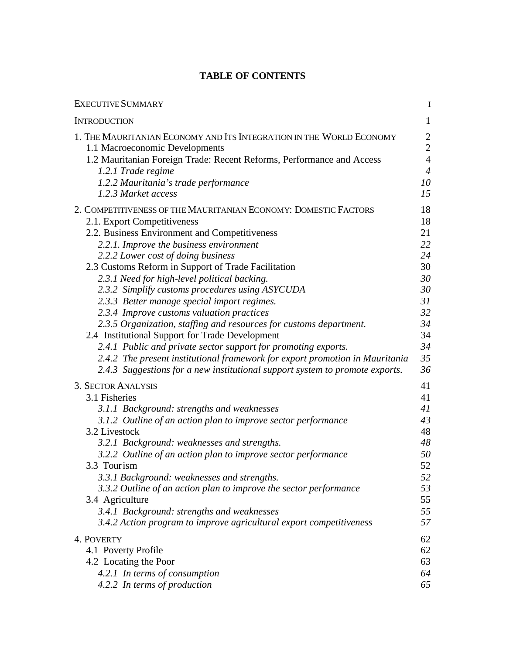## **TABLE OF CONTENTS**

| <b>EXECUTIVE SUMMARY</b>                                                     | $\mathbf I$    |
|------------------------------------------------------------------------------|----------------|
| <b>INTRODUCTION</b>                                                          | $\mathbf{1}$   |
| 1. THE MAURITANIAN ECONOMY AND ITS INTEGRATION IN THE WORLD ECONOMY          | $\overline{2}$ |
| 1.1 Macroeconomic Developments                                               | $\overline{2}$ |
| 1.2 Mauritanian Foreign Trade: Recent Reforms, Performance and Access        | $\overline{4}$ |
| 1.2.1 Trade regime                                                           | $\overline{4}$ |
| 1.2.2 Mauritania's trade performance                                         | 10             |
| 1.2.3 Market access                                                          | 15             |
| 2. COMPETITIVENESS OF THE MAURITANIAN ECONOMY: DOMESTIC FACTORS              | 18             |
| 2.1. Export Competitiveness                                                  | 18             |
| 2.2. Business Environment and Competitiveness                                | 21             |
| 2.2.1. Improve the business environment                                      | 22             |
| 2.2.2 Lower cost of doing business                                           | 24             |
| 2.3 Customs Reform in Support of Trade Facilitation                          | 30             |
| 2.3.1 Need for high-level political backing.                                 | 30             |
| 2.3.2 Simplify customs procedures using ASYCUDA                              | 30             |
| 2.3.3 Better manage special import regimes.                                  | 31             |
| 2.3.4 Improve customs valuation practices                                    | 32             |
| 2.3.5 Organization, staffing and resources for customs department.           | 34             |
| 2.4 Institutional Support for Trade Development                              | 34             |
| 2.4.1 Public and private sector support for promoting exports.               | 34             |
| 2.4.2 The present institutional framework for export promotion in Mauritania | 35             |
| 2.4.3 Suggestions for a new institutional support system to promote exports. | 36             |
| <b>3. SECTOR ANALYSIS</b>                                                    | 41             |
| 3.1 Fisheries                                                                | 41             |
| 3.1.1 Background: strengths and weaknesses                                   | 41             |
| 3.1.2 Outline of an action plan to improve sector performance                | 43             |
| 3.2 Livestock                                                                | 48             |
| 3.2.1 Background: weaknesses and strengths.                                  | 48             |
| 3.2.2 Outline of an action plan to improve sector performance                | 50             |
| 3.3 Tourism                                                                  | 52             |
| 3.3.1 Background: weaknesses and strengths.                                  | 52             |
| 3.3.2 Outline of an action plan to improve the sector performance            | 53             |
| 3.4 Agriculture                                                              | 55             |
| 3.4.1 Background: strengths and weaknesses                                   | 55             |
| 3.4.2 Action program to improve agricultural export competitiveness          | 57             |
| 4. POVERTY                                                                   | 62             |
| 4.1 Poverty Profile                                                          | 62             |
| 4.2 Locating the Poor                                                        | 63             |
| 4.2.1 In terms of consumption                                                | 64             |
| 4.2.2 In terms of production                                                 | 65             |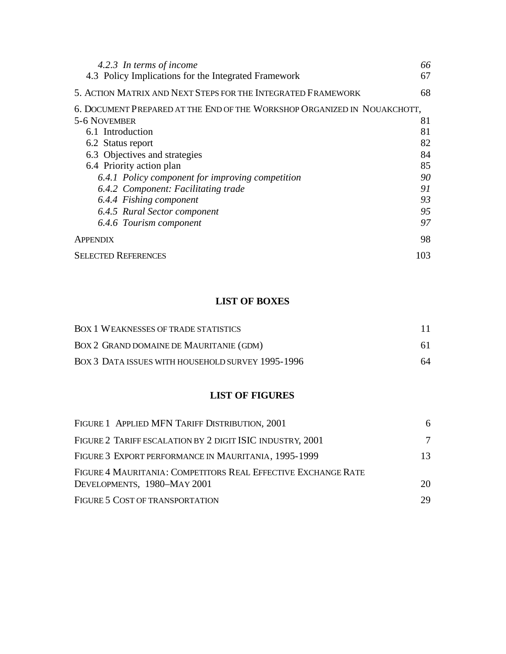| 4.2.3 In terms of income                                                 | 66  |
|--------------------------------------------------------------------------|-----|
| 4.3 Policy Implications for the Integrated Framework                     | 67  |
| 5. ACTION MATRIX AND NEXT STEPS FOR THE INTEGRATED FRAMEWORK             | 68  |
| 6. DOCUMENT PREPARED AT THE END OF THE WORKSHOP ORGANIZED IN NOUAKCHOTT, |     |
| 5-6 NOVEMBER                                                             | 81  |
| 6.1 Introduction                                                         | 81  |
| 6.2 Status report                                                        | 82  |
| 6.3 Objectives and strategies                                            | 84  |
| 6.4 Priority action plan                                                 | 85  |
| 6.4.1 Policy component for improving competition                         | 90  |
| 6.4.2 Component: Facilitating trade                                      | 91  |
| 6.4.4 Fishing component                                                  | 93  |
| 6.4.5 Rural Sector component                                             | 95  |
| 6.4.6 Tourism component                                                  | 97  |
| <b>APPENDIX</b>                                                          | 98  |
| <b>SELECTED REFERENCES</b>                                               | 103 |

## **LIST OF BOXES**

| <b>BOX 1 WEAKNESSES OF TRADE STATISTICS</b>       | 11. |
|---------------------------------------------------|-----|
| BOX 2 GRAND DOMAINE DE MAURITANIE (GDM)           | 61. |
| BOX 3 DATA ISSUES WITH HOUSEHOLD SURVEY 1995-1996 | 64  |

## **LIST OF FIGURES**

| FIGURE 1 APPLIED MFN TARIFF DISTRIBUTION, 2001                                               | 6  |
|----------------------------------------------------------------------------------------------|----|
| FIGURE 2 TARIFF ESCALATION BY 2 DIGIT ISIC INDUSTRY, 2001                                    | 7  |
| FIGURE 3 EXPORT PERFORMANCE IN MAURITANIA, 1995-1999                                         | 13 |
| FIGURE 4 MAURITANIA: COMPETITORS REAL EFFECTIVE EXCHANGE RATE<br>DEVELOPMENTS, 1980-MAY 2001 | 20 |
| FIGURE 5 COST OF TRANSPORTATION                                                              | 29 |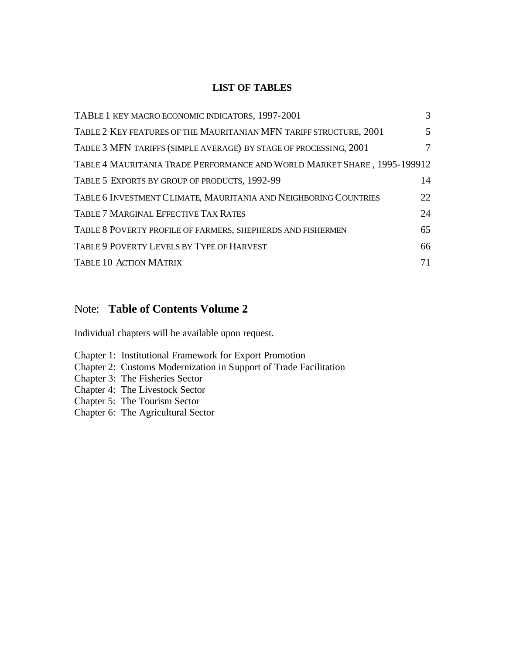## **LIST OF TABLES**

| TABLE 1 KEY MACRO ECONOMIC INDICATORS, 1997-2001                         | 3  |
|--------------------------------------------------------------------------|----|
| TABLE 2 KEY FEATURES OF THE MAURITANIAN MFN TARIFF STRUCTURE, 2001       | 5  |
| TABLE 3 MFN TARIFFS (SIMPLE AVERAGE) BY STAGE OF PROCESSING, 2001        | 7  |
| TABLE 4 MAURITANIA TRADE PERFORMANCE AND WORLD MARKET SHARE, 1995-199912 |    |
| TABLE 5 EXPORTS BY GROUP OF PRODUCTS, 1992-99                            | 14 |
| TABLE 6 INVESTMENT CLIMATE, MAURITANIA AND NEIGHBORING COUNTRIES         | 22 |
| <b>TABLE 7 MARGINAL EFFECTIVE TAX RATES</b>                              | 24 |
| TABLE 8 POVERTY PROFILE OF FARMERS, SHEPHERDS AND FISHERMEN              | 65 |
| TABLE 9 POVERTY LEVELS BY TYPE OF HARVEST                                | 66 |
| TABLE 10 ACTION MATRIX                                                   | 71 |

## Note: **Table of Contents Volume 2**

Individual chapters will be available upon request.

- Chapter 1: Institutional Framework for Export Promotion
- Chapter 2: Customs Modernization in Support of Trade Facilitation
- Chapter 3: The Fisheries Sector
- Chapter 4: The Livestock Sector
- Chapter 5: The Tourism Sector
- Chapter 6: The Agricultural Sector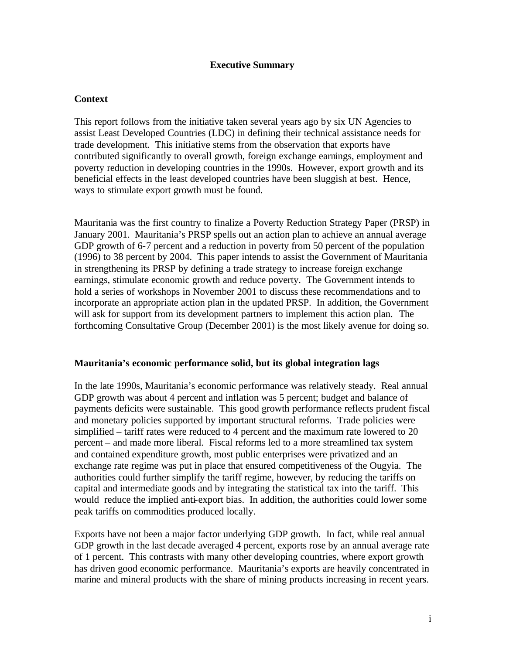#### **Executive Summary**

#### **Context**

This report follows from the initiative taken several years ago by six UN Agencies to assist Least Developed Countries (LDC) in defining their technical assistance needs for trade development. This initiative stems from the observation that exports have contributed significantly to overall growth, foreign exchange earnings, employment and poverty reduction in developing countries in the 1990s. However, export growth and its beneficial effects in the least developed countries have been sluggish at best. Hence, ways to stimulate export growth must be found.

Mauritania was the first country to finalize a Poverty Reduction Strategy Paper (PRSP) in January 2001. Mauritania's PRSP spells out an action plan to achieve an annual average GDP growth of 6-7 percent and a reduction in poverty from 50 percent of the population (1996) to 38 percent by 2004. This paper intends to assist the Government of Mauritania in strengthening its PRSP by defining a trade strategy to increase foreign exchange earnings, stimulate economic growth and reduce poverty. The Government intends to hold a series of workshops in November 2001 to discuss these recommendations and to incorporate an appropriate action plan in the updated PRSP. In addition, the Government will ask for support from its development partners to implement this action plan. The forthcoming Consultative Group (December 2001) is the most likely avenue for doing so.

#### **Mauritania's economic performance solid, but its global integration lags**

In the late 1990s, Mauritania's economic performance was relatively steady. Real annual GDP growth was about 4 percent and inflation was 5 percent; budget and balance of payments deficits were sustainable. This good growth performance reflects prudent fiscal and monetary policies supported by important structural reforms. Trade policies were simplified – tariff rates were reduced to 4 percent and the maximum rate lowered to 20 percent – and made more liberal. Fiscal reforms led to a more streamlined tax system and contained expenditure growth, most public enterprises were privatized and an exchange rate regime was put in place that ensured competitiveness of the Ougyia. The authorities could further simplify the tariff regime, however, by reducing the tariffs on capital and intermediate goods and by integrating the statistical tax into the tariff. This would reduce the implied anti-export bias. In addition, the authorities could lower some peak tariffs on commodities produced locally.

Exports have not been a major factor underlying GDP growth. In fact, while real annual GDP growth in the last decade averaged 4 percent, exports rose by an annual average rate of 1 percent. This contrasts with many other developing countries, where export growth has driven good economic performance. Mauritania's exports are heavily concentrated in marine and mineral products with the share of mining products increasing in recent years.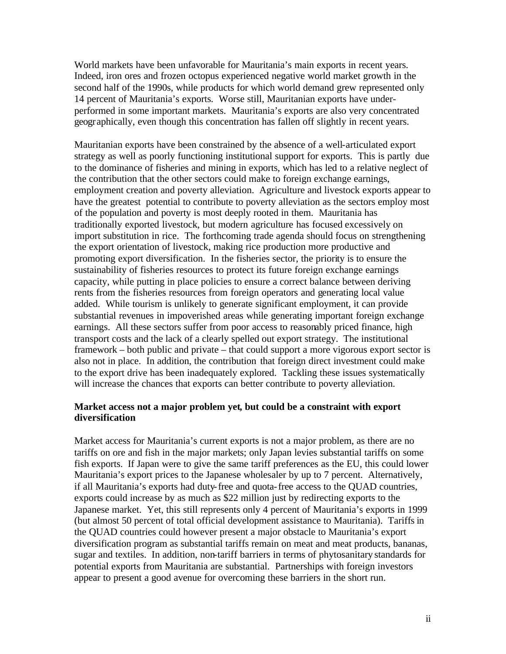World markets have been unfavorable for Mauritania's main exports in recent years. Indeed, iron ores and frozen octopus experienced negative world market growth in the second half of the 1990s, while products for which world demand grew represented only 14 percent of Mauritania's exports. Worse still, Mauritanian exports have underperformed in some important markets. Mauritania's exports are also very concentrated geographically, even though this concentration has fallen off slightly in recent years.

Mauritanian exports have been constrained by the absence of a well-articulated export strategy as well as poorly functioning institutional support for exports. This is partly due to the dominance of fisheries and mining in exports, which has led to a relative neglect of the contribution that the other sectors could make to foreign exchange earnings, employment creation and poverty alleviation. Agriculture and livestock exports appear to have the greatest potential to contribute to poverty alleviation as the sectors employ most of the population and poverty is most deeply rooted in them. Mauritania has traditionally exported livestock, but modern agriculture has focused excessively on import substitution in rice. The forthcoming trade agenda should focus on strengthening the export orientation of livestock, making rice production more productive and promoting export diversification. In the fisheries sector, the priority is to ensure the sustainability of fisheries resources to protect its future foreign exchange earnings capacity, while putting in place policies to ensure a correct balance between deriving rents from the fisheries resources from foreign operators and generating local value added. While tourism is unlikely to generate significant employment, it can provide substantial revenues in impoverished areas while generating important foreign exchange earnings. All these sectors suffer from poor access to reasonably priced finance, high transport costs and the lack of a clearly spelled out export strategy. The institutional framework – both public and private – that could support a more vigorous export sector is also not in place. In addition, the contribution that foreign direct investment could make to the export drive has been inadequately explored. Tackling these issues systematically will increase the chances that exports can better contribute to poverty alleviation.

#### **Market access not a major problem yet, but could be a constraint with export diversification**

Market access for Mauritania's current exports is not a major problem, as there are no tariffs on ore and fish in the major markets; only Japan levies substantial tariffs on some fish exports. If Japan were to give the same tariff preferences as the EU, this could lower Mauritania's export prices to the Japanese wholesaler by up to 7 percent. Alternatively, if all Mauritania's exports had duty-free and quota-free access to the QUAD countries, exports could increase by as much as \$22 million just by redirecting exports to the Japanese market. Yet, this still represents only 4 percent of Mauritania's exports in 1999 (but almost 50 percent of total official development assistance to Mauritania). Tariffs in the QUAD countries could however present a major obstacle to Mauritania's export diversification program as substantial tariffs remain on meat and meat products, bananas, sugar and textiles. In addition, non-tariff barriers in terms of phytosanitary standards for potential exports from Mauritania are substantial. Partnerships with foreign investors appear to present a good avenue for overcoming these barriers in the short run.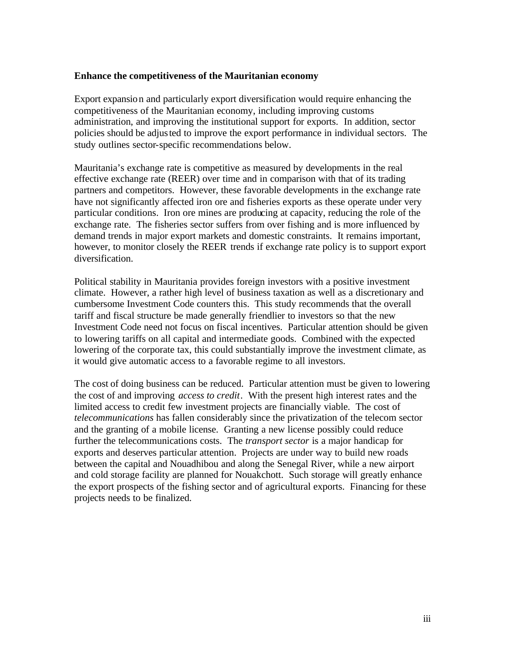#### **Enhance the competitiveness of the Mauritanian economy**

Export expansion and particularly export diversification would require enhancing the competitiveness of the Mauritanian economy, including improving customs administration, and improving the institutional support for exports. In addition, sector policies should be adjusted to improve the export performance in individual sectors. The study outlines sector-specific recommendations below.

Mauritania's exchange rate is competitive as measured by developments in the real effective exchange rate (REER) over time and in comparison with that of its trading partners and competitors. However, these favorable developments in the exchange rate have not significantly affected iron ore and fisheries exports as these operate under very particular conditions. Iron ore mines are producing at capacity, reducing the role of the exchange rate. The fisheries sector suffers from over fishing and is more influenced by demand trends in major export markets and domestic constraints. It remains important, however, to monitor closely the REER trends if exchange rate policy is to support export diversification.

Political stability in Mauritania provides foreign investors with a positive investment climate. However, a rather high level of business taxation as well as a discretionary and cumbersome Investment Code counters this. This study recommends that the overall tariff and fiscal structure be made generally friendlier to investors so that the new Investment Code need not focus on fiscal incentives. Particular attention should be given to lowering tariffs on all capital and intermediate goods. Combined with the expected lowering of the corporate tax, this could substantially improve the investment climate, as it would give automatic access to a favorable regime to all investors.

The cost of doing business can be reduced. Particular attention must be given to lowering the cost of and improving *access to credit*. With the present high interest rates and the limited access to credit few investment projects are financially viable. The cost of *telecommunications* has fallen considerably since the privatization of the telecom sector and the granting of a mobile license. Granting a new license possibly could reduce further the telecommunications costs. The *transport sector* is a major handicap for exports and deserves particular attention. Projects are under way to build new roads between the capital and Nouadhibou and along the Senegal River, while a new airport and cold storage facility are planned for Nouakchott. Such storage will greatly enhance the export prospects of the fishing sector and of agricultural exports. Financing for these projects needs to be finalized.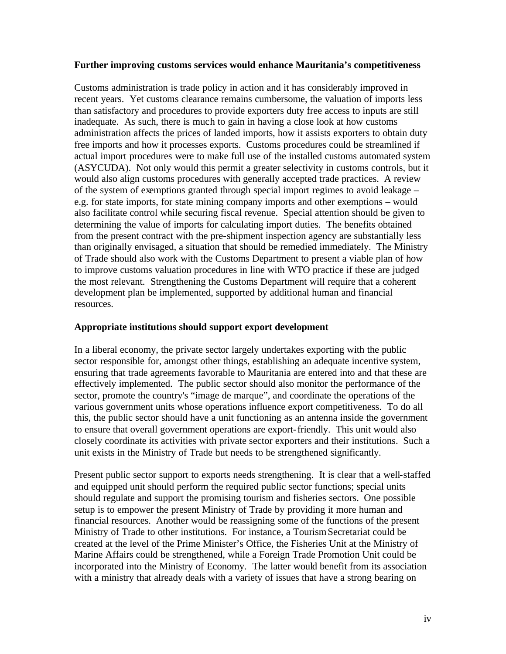#### **Further improving customs services would enhance Mauritania's competitiveness**

Customs administration is trade policy in action and it has considerably improved in recent years. Yet customs clearance remains cumbersome, the valuation of imports less than satisfactory and procedures to provide exporters duty free access to inputs are still inadequate. As such, there is much to gain in having a close look at how customs administration affects the prices of landed imports, how it assists exporters to obtain duty free imports and how it processes exports. Customs procedures could be streamlined if actual import procedures were to make full use of the installed customs automated system (ASYCUDA). Not only would this permit a greater selectivity in customs controls, but it would also align customs procedures with generally accepted trade practices. A review of the system of exemptions granted through special import regimes to avoid leakage – e.g. for state imports, for state mining company imports and other exemptions – would also facilitate control while securing fiscal revenue. Special attention should be given to determining the value of imports for calculating import duties. The benefits obtained from the present contract with the pre-shipment inspection agency are substantially less than originally envisaged, a situation that should be remedied immediately. The Ministry of Trade should also work with the Customs Department to present a viable plan of how to improve customs valuation procedures in line with WTO practice if these are judged the most relevant. Strengthening the Customs Department will require that a coherent development plan be implemented, supported by additional human and financial resources.

#### **Appropriate institutions should support export development**

In a liberal economy, the private sector largely undertakes exporting with the public sector responsible for, amongst other things, establishing an adequate incentive system, ensuring that trade agreements favorable to Mauritania are entered into and that these are effectively implemented. The public sector should also monitor the performance of the sector, promote the country's "image de marque", and coordinate the operations of the various government units whose operations influence export competitiveness. To do all this, the public sector should have a unit functioning as an antenna inside the government to ensure that overall government operations are export-friendly. This unit would also closely coordinate its activities with private sector exporters and their institutions. Such a unit exists in the Ministry of Trade but needs to be strengthened significantly.

Present public sector support to exports needs strengthening. It is clear that a well-staffed and equipped unit should perform the required public sector functions; special units should regulate and support the promising tourism and fisheries sectors. One possible setup is to empower the present Ministry of Trade by providing it more human and financial resources. Another would be reassigning some of the functions of the present Ministry of Trade to other institutions. For instance, a Tourism Secretariat could be created at the level of the Prime Minister's Office, the Fisheries Unit at the Ministry of Marine Affairs could be strengthened, while a Foreign Trade Promotion Unit could be incorporated into the Ministry of Economy. The latter would benefit from its association with a ministry that already deals with a variety of issues that have a strong bearing on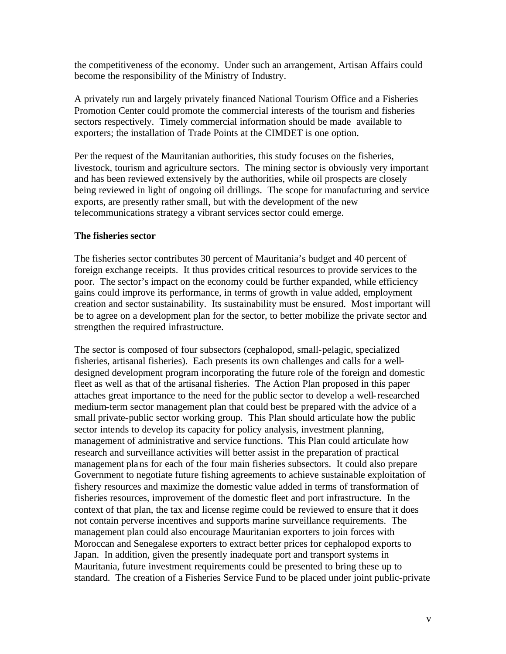the competitiveness of the economy. Under such an arrangement, Artisan Affairs could become the responsibility of the Ministry of Industry.

A privately run and largely privately financed National Tourism Office and a Fisheries Promotion Center could promote the commercial interests of the tourism and fisheries sectors respectively. Timely commercial information should be made available to exporters; the installation of Trade Points at the CIMDET is one option.

Per the request of the Mauritanian authorities, this study focuses on the fisheries, livestock, tourism and agriculture sectors. The mining sector is obviously very important and has been reviewed extensively by the authorities, while oil prospects are closely being reviewed in light of ongoing oil drillings. The scope for manufacturing and service exports, are presently rather small, but with the development of the new telecommunications strategy a vibrant services sector could emerge.

#### **The fisheries sector**

The fisheries sector contributes 30 percent of Mauritania's budget and 40 percent of foreign exchange receipts. It thus provides critical resources to provide services to the poor. The sector's impact on the economy could be further expanded, while efficiency gains could improve its performance, in terms of growth in value added, employment creation and sector sustainability. Its sustainability must be ensured. Most important will be to agree on a development plan for the sector, to better mobilize the private sector and strengthen the required infrastructure.

The sector is composed of four subsectors (cephalopod, small-pelagic, specialized fisheries, artisanal fisheries). Each presents its own challenges and calls for a welldesigned development program incorporating the future role of the foreign and domestic fleet as well as that of the artisanal fisheries. The Action Plan proposed in this paper attaches great importance to the need for the public sector to develop a well-researched medium-term sector management plan that could best be prepared with the advice of a small private-public sector working group. This Plan should articulate how the public sector intends to develop its capacity for policy analysis, investment planning, management of administrative and service functions. This Plan could articulate how research and surveillance activities will better assist in the preparation of practical management plans for each of the four main fisheries subsectors. It could also prepare Government to negotiate future fishing agreements to achieve sustainable exploitation of fishery resources and maximize the domestic value added in terms of transformation of fisheries resources, improvement of the domestic fleet and port infrastructure. In the context of that plan, the tax and license regime could be reviewed to ensure that it does not contain perverse incentives and supports marine surveillance requirements. The management plan could also encourage Mauritanian exporters to join forces with Moroccan and Senegalese exporters to extract better prices for cephalopod exports to Japan. In addition, given the presently inadequate port and transport systems in Mauritania, future investment requirements could be presented to bring these up to standard. The creation of a Fisheries Service Fund to be placed under joint public-private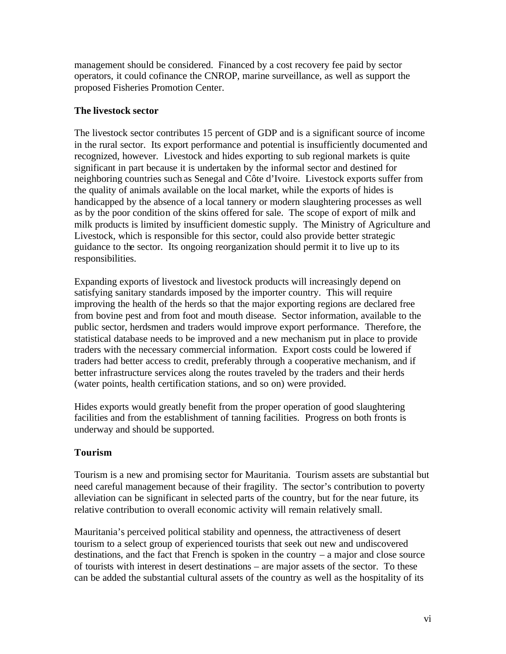management should be considered. Financed by a cost recovery fee paid by sector operators, it could cofinance the CNROP, marine surveillance, as well as support the proposed Fisheries Promotion Center.

## **The livestock sector**

The livestock sector contributes 15 percent of GDP and is a significant source of income in the rural sector. Its export performance and potential is insufficiently documented and recognized, however. Livestock and hides exporting to sub regional markets is quite significant in part because it is undertaken by the informal sector and destined for neighboring countries such as Senegal and Côte d'Ivoire. Livestock exports suffer from the quality of animals available on the local market, while the exports of hides is handicapped by the absence of a local tannery or modern slaughtering processes as well as by the poor condition of the skins offered for sale. The scope of export of milk and milk products is limited by insufficient domestic supply. The Ministry of Agriculture and Livestock, which is responsible for this sector, could also provide better strategic guidance to the sector. Its ongoing reorganization should permit it to live up to its responsibilities.

Expanding exports of livestock and livestock products will increasingly depend on satisfying sanitary standards imposed by the importer country. This will require improving the health of the herds so that the major exporting regions are declared free from bovine pest and from foot and mouth disease. Sector information, available to the public sector, herdsmen and traders would improve export performance. Therefore, the statistical database needs to be improved and a new mechanism put in place to provide traders with the necessary commercial information. Export costs could be lowered if traders had better access to credit, preferably through a cooperative mechanism, and if better infrastructure services along the routes traveled by the traders and their herds (water points, health certification stations, and so on) were provided.

Hides exports would greatly benefit from the proper operation of good slaughtering facilities and from the establishment of tanning facilities. Progress on both fronts is underway and should be supported.

## **Tourism**

Tourism is a new and promising sector for Mauritania. Tourism assets are substantial but need careful management because of their fragility. The sector's contribution to poverty alleviation can be significant in selected parts of the country, but for the near future, its relative contribution to overall economic activity will remain relatively small.

Mauritania's perceived political stability and openness, the attractiveness of desert tourism to a select group of experienced tourists that seek out new and undiscovered destinations, and the fact that French is spoken in the country – a major and close source of tourists with interest in desert destinations – are major assets of the sector. To these can be added the substantial cultural assets of the country as well as the hospitality of its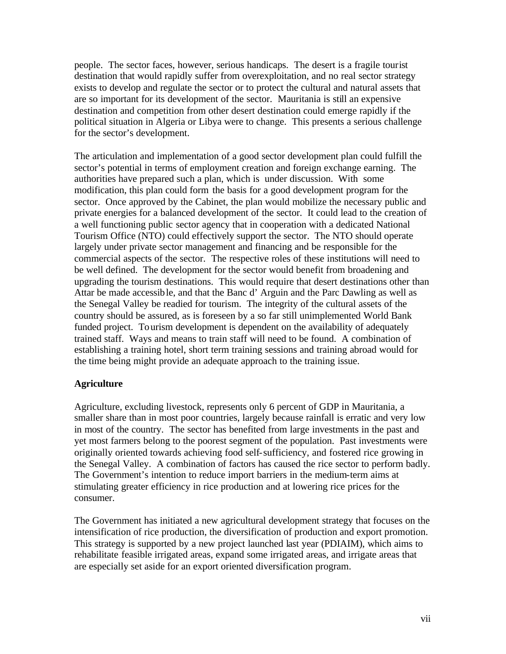people. The sector faces, however, serious handicaps. The desert is a fragile tourist destination that would rapidly suffer from overexploitation, and no real sector strategy exists to develop and regulate the sector or to protect the cultural and natural assets that are so important for its development of the sector. Mauritania is still an expensive destination and competition from other desert destination could emerge rapidly if the political situation in Algeria or Libya were to change. This presents a serious challenge for the sector's development.

The articulation and implementation of a good sector development plan could fulfill the sector's potential in terms of employment creation and foreign exchange earning. The authorities have prepared such a plan, which is under discussion. With some modification, this plan could form the basis for a good development program for the sector. Once approved by the Cabinet, the plan would mobilize the necessary public and private energies for a balanced development of the sector. It could lead to the creation of a well functioning public sector agency that in cooperation with a dedicated National Tourism Office (NTO) could effectively support the sector. The NTO should operate largely under private sector management and financing and be responsible for the commercial aspects of the sector. The respective roles of these institutions will need to be well defined. The development for the sector would benefit from broadening and upgrading the tourism destinations. This would require that desert destinations other than Attar be made accessible, and that the Banc d' Arguin and the Parc Dawling as well as the Senegal Valley be readied for tourism. The integrity of the cultural assets of the country should be assured, as is foreseen by a so far still unimplemented World Bank funded project. Tourism development is dependent on the availability of adequately trained staff. Ways and means to train staff will need to be found. A combination of establishing a training hotel, short term training sessions and training abroad would for the time being might provide an adequate approach to the training issue.

#### **Agriculture**

Agriculture, excluding livestock, represents only 6 percent of GDP in Mauritania, a smaller share than in most poor countries, largely because rainfall is erratic and very low in most of the country. The sector has benefited from large investments in the past and yet most farmers belong to the poorest segment of the population. Past investments were originally oriented towards achieving food self-sufficiency, and fostered rice growing in the Senegal Valley. A combination of factors has caused the rice sector to perform badly. The Government's intention to reduce import barriers in the medium-term aims at stimulating greater efficiency in rice production and at lowering rice prices for the consumer.

The Government has initiated a new agricultural development strategy that focuses on the intensification of rice production, the diversification of production and export promotion. This strategy is supported by a new project launched last year (PDIAIM), which aims to rehabilitate feasible irrigated areas, expand some irrigated areas, and irrigate areas that are especially set aside for an export oriented diversification program.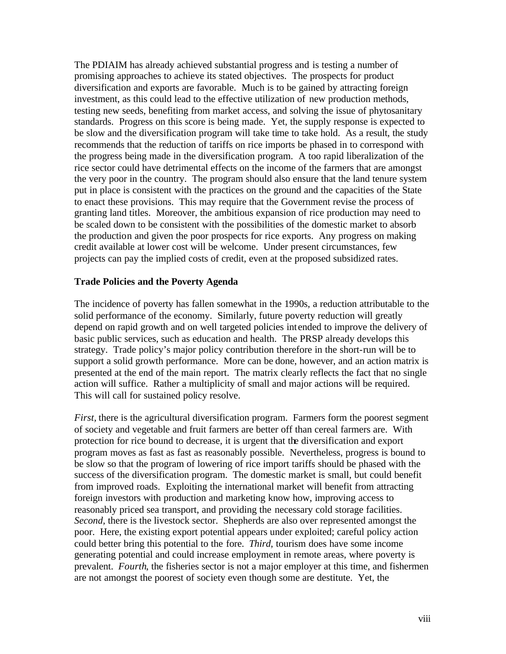The PDIAIM has already achieved substantial progress and is testing a number of promising approaches to achieve its stated objectives. The prospects for product diversification and exports are favorable. Much is to be gained by attracting foreign investment, as this could lead to the effective utilization of new production methods, testing new seeds, benefiting from market access, and solving the issue of phytosanitary standards. Progress on this score is being made. Yet, the supply response is expected to be slow and the diversification program will take time to take hold. As a result, the study recommends that the reduction of tariffs on rice imports be phased in to correspond with the progress being made in the diversification program. A too rapid liberalization of the rice sector could have detrimental effects on the income of the farmers that are amongst the very poor in the country. The program should also ensure that the land tenure system put in place is consistent with the practices on the ground and the capacities of the State to enact these provisions. This may require that the Government revise the process of granting land titles. Moreover, the ambitious expansion of rice production may need to be scaled down to be consistent with the possibilities of the domestic market to absorb the production and given the poor prospects for rice exports. Any progress on making credit available at lower cost will be welcome. Under present circumstances, few projects can pay the implied costs of credit, even at the proposed subsidized rates.

#### **Trade Policies and the Poverty Agenda**

The incidence of poverty has fallen somewhat in the 1990s, a reduction attributable to the solid performance of the economy. Similarly, future poverty reduction will greatly depend on rapid growth and on well targeted policies int ended to improve the delivery of basic public services, such as education and health. The PRSP already develops this strategy. Trade policy's major policy contribution therefore in the short-run will be to support a solid growth performance. More can be done, however, and an action matrix is presented at the end of the main report. The matrix clearly reflects the fact that no single action will suffice. Rather a multiplicity of small and major actions will be required. This will call for sustained policy resolve.

*First,* there is the agricultural diversification program. Farmers form the poorest segment of society and vegetable and fruit farmers are better off than cereal farmers are. With protection for rice bound to decrease, it is urgent that the diversification and export program moves as fast as fast as reasonably possible. Nevertheless, progress is bound to be slow so that the program of lowering of rice import tariffs should be phased with the success of the diversification program. The domestic market is small, but could benefit from improved roads. Exploiting the international market will benefit from attracting foreign investors with production and marketing know how, improving access to reasonably priced sea transport, and providing the necessary cold storage facilities. *Second,* there is the livestock sector. Shepherds are also over represented amongst the poor. Here, the existing export potential appears under exploited; careful policy action could better bring this potential to the fore. *Third*, tourism does have some income generating potential and could increase employment in remote areas, where poverty is prevalent. *Fourth*, the fisheries sector is not a major employer at this time, and fishermen are not amongst the poorest of society even though some are destitute. Yet, the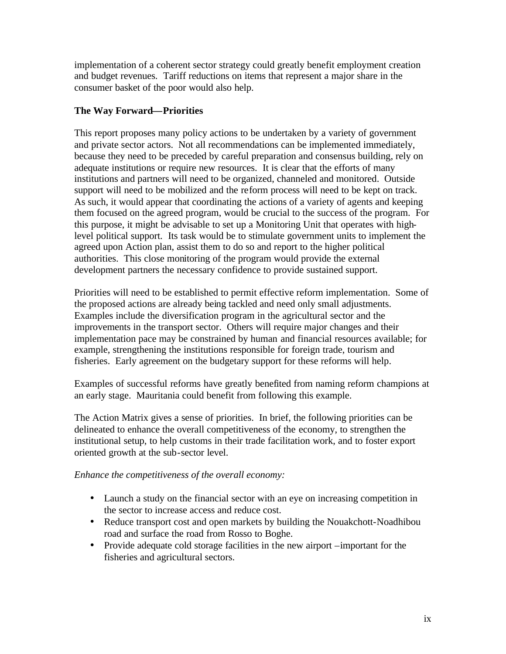implementation of a coherent sector strategy could greatly benefit employment creation and budget revenues. Tariff reductions on items that represent a major share in the consumer basket of the poor would also help.

## **The Way Forward—Priorities**

This report proposes many policy actions to be undertaken by a variety of government and private sector actors. Not all recommendations can be implemented immediately, because they need to be preceded by careful preparation and consensus building, rely on adequate institutions or require new resources. It is clear that the efforts of many institutions and partners will need to be organized, channeled and monitored. Outside support will need to be mobilized and the reform process will need to be kept on track. As such, it would appear that coordinating the actions of a variety of agents and keeping them focused on the agreed program, would be crucial to the success of the program. For this purpose, it might be advisable to set up a Monitoring Unit that operates with highlevel political support. Its task would be to stimulate government units to implement the agreed upon Action plan, assist them to do so and report to the higher political authorities. This close monitoring of the program would provide the external development partners the necessary confidence to provide sustained support.

Priorities will need to be established to permit effective reform implementation. Some of the proposed actions are already being tackled and need only small adjustments. Examples include the diversification program in the agricultural sector and the improvements in the transport sector. Others will require major changes and their implementation pace may be constrained by human and financial resources available; for example, strengthening the institutions responsible for foreign trade, tourism and fisheries. Early agreement on the budgetary support for these reforms will help.

Examples of successful reforms have greatly benefited from naming reform champions at an early stage. Mauritania could benefit from following this example.

The Action Matrix gives a sense of priorities. In brief, the following priorities can be delineated to enhance the overall competitiveness of the economy, to strengthen the institutional setup, to help customs in their trade facilitation work, and to foster export oriented growth at the sub-sector level.

## *Enhance the competitiveness of the overall economy:*

- Launch a study on the financial sector with an eye on increasing competition in the sector to increase access and reduce cost.
- Reduce transport cost and open markets by building the Nouakchott-Noadhibou road and surface the road from Rosso to Boghe.
- Provide adequate cold storage facilities in the new airport –important for the fisheries and agricultural sectors.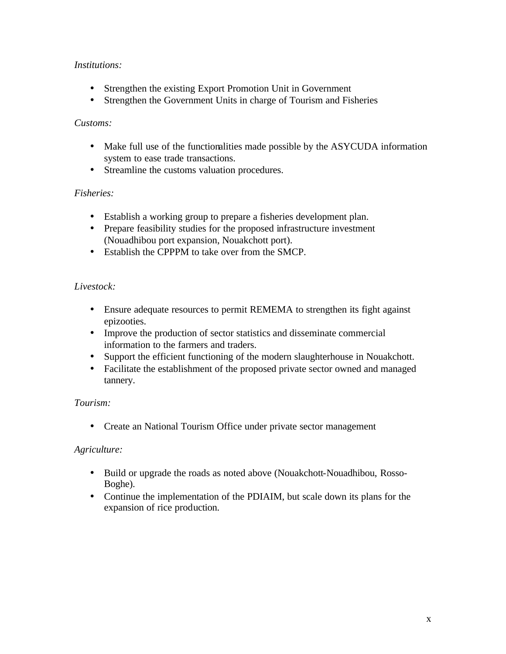## *Institutions:*

- Strengthen the existing Export Promotion Unit in Government
- Strengthen the Government Units in charge of Tourism and Fisheries

### *Customs:*

- Make full use of the functionalities made possible by the ASYCUDA information system to ease trade transactions.
- Streamline the customs valuation procedures.

## *Fisheries:*

- Establish a working group to prepare a fisheries development plan.
- Prepare feasibility studies for the proposed infrastructure investment (Nouadhibou port expansion, Nouakchott port).
- Establish the CPPPM to take over from the SMCP.

## *Livestock:*

- Ensure adequate resources to permit REMEMA to strengthen its fight against epizooties.
- Improve the production of sector statistics and disseminate commercial information to the farmers and traders.
- Support the efficient functioning of the modern slaughterhouse in Nouakchott.
- Facilitate the establishment of the proposed private sector owned and managed tannery.

## *Tourism:*

• Create an National Tourism Office under private sector management

## *Agriculture:*

- Build or upgrade the roads as noted above (Nouakchott-Nouadhibou, Rosso-Boghe).
- Continue the implementation of the PDIAIM, but scale down its plans for the expansion of rice production.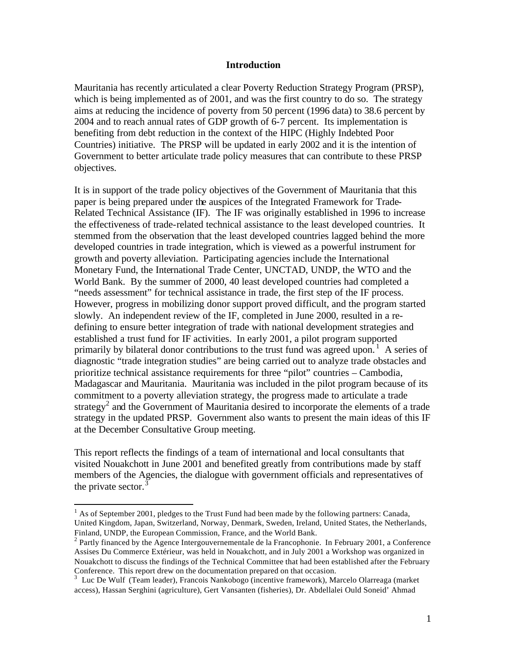#### **Introduction**

Mauritania has recently articulated a clear Poverty Reduction Strategy Program (PRSP), which is being implemented as of 2001, and was the first country to do so. The strategy aims at reducing the incidence of poverty from 50 percent (1996 data) to 38.6 percent by 2004 and to reach annual rates of GDP growth of 6-7 percent. Its implementation is benefiting from debt reduction in the context of the HIPC (Highly Indebted Poor Countries) initiative. The PRSP will be updated in early 2002 and it is the intention of Government to better articulate trade policy measures that can contribute to these PRSP objectives.

It is in support of the trade policy objectives of the Government of Mauritania that this paper is being prepared under the auspices of the Integrated Framework for Trade-Related Technical Assistance (IF). The IF was originally established in 1996 to increase the effectiveness of trade-related technical assistance to the least developed countries. It stemmed from the observation that the least developed countries lagged behind the more developed countries in trade integration, which is viewed as a powerful instrument for growth and poverty alleviation. Participating agencies include the International Monetary Fund, the International Trade Center, UNCTAD, UNDP, the WTO and the World Bank. By the summer of 2000, 40 least developed countries had completed a "needs assessment" for technical assistance in trade, the first step of the IF process. However, progress in mobilizing donor support proved difficult, and the program started slowly. An independent review of the IF, completed in June 2000, resulted in a redefining to ensure better integration of trade with national development strategies and established a trust fund for IF activities. In early 2001, a pilot program supported primarily by bilateral donor contributions to the trust fund was agreed upon.<sup>1</sup> A series of diagnostic "trade integration studies" are being carried out to analyze trade obstacles and prioritize technical assistance requirements for three "pilot" countries – Cambodia, Madagascar and Mauritania. Mauritania was included in the pilot program because of its commitment to a poverty alleviation strategy, the progress made to articulate a trade strategy<sup>2</sup> and the Government of Mauritania desired to incorporate the elements of a trade strategy in the updated PRSP. Government also wants to present the main ideas of this IF at the December Consultative Group meeting.

This report reflects the findings of a team of international and local consultants that visited Nouakchott in June 2001 and benefited greatly from contributions made by staff members of the Agencies, the dialogue with government officials and representatives of the private sector. $3$ 

 $<sup>1</sup>$  As of September 2001, pledges to the Trust Fund had been made by the following partners: Canada,</sup> United Kingdom, Japan, Switzerland, Norway, Denmark, Sweden, Ireland, United States, the Netherlands, Finland, UNDP, the European Commission, France, and the World Bank.

 $2$  Partly financed by the Agence Intergouvernementale de la Francophonie. In February 2001, a Conference Assises Du Commerce Extérieur, was held in Nouakchott, and in July 2001 a Workshop was organized in Nouakchott to discuss the findings of the Technical Committee that had been established after the February Conference. This report drew on the documentation prepared on that occasion.

<sup>3</sup> Luc De Wulf (Team leader), Francois Nankobogo (incentive framework), Marcelo Olarreaga (market access), Hassan Serghini (agriculture), Gert Vansanten (fisheries), Dr. Abdellalei Ould Soneid' Ahmad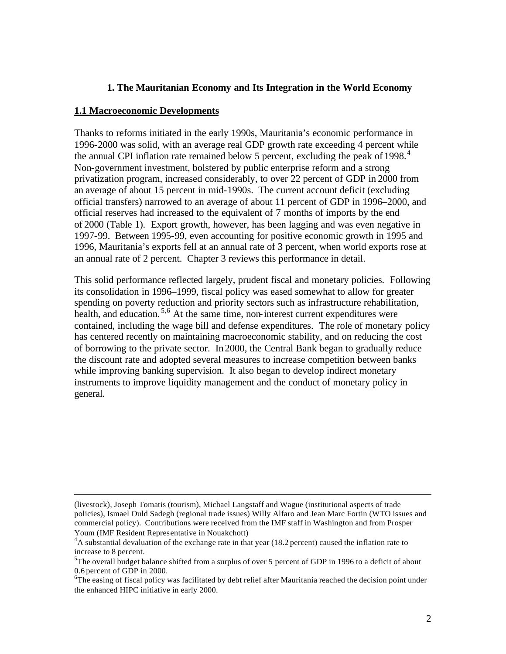### **1. The Mauritanian Economy and Its Integration in the World Economy**

#### **1.1 Macroeconomic Developments**

 $\overline{a}$ 

Thanks to reforms initiated in the early 1990s, Mauritania's economic performance in 1996-2000 was solid, with an average real GDP growth rate exceeding 4 percent while the annual CPI inflation rate remained below 5 percent, excluding the peak of 1998. $4$ Non-government investment, bolstered by public enterprise reform and a strong privatization program, increased considerably, to over 22 percent of GDP in 2000 from an average of about 15 percent in mid-1990s. The current account deficit (excluding official transfers) narrowed to an average of about 11 percent of GDP in 1996–2000, and official reserves had increased to the equivalent of 7 months of imports by the end of 2000 (Table 1). Export growth, however, has been lagging and was even negative in 1997-99. Between 1995-99, even accounting for positive economic growth in 1995 and 1996, Mauritania's exports fell at an annual rate of 3 percent, when world exports rose at an annual rate of 2 percent. Chapter 3 reviews this performance in detail.

This solid performance reflected largely, prudent fiscal and monetary policies. Following its consolidation in 1996–1999, fiscal policy was eased somewhat to allow for greater spending on poverty reduction and priority sectors such as infrastructure rehabilitation, health, and education.<sup>5,6</sup> At the same time, non-interest current expenditures were contained, including the wage bill and defense expenditures.The role of monetary policy has centered recently on maintaining macroeconomic stability, and on reducing the cost of borrowing to the private sector. In2000, the Central Bank began to gradually reduce the discount rate and adopted several measures to increase competition between banks while improving banking supervision. It also began to develop indirect monetary instruments to improve liquidity management and the conduct of monetary policy in general.

<sup>(</sup>livestock), Joseph Tomatis (tourism), Michael Langstaff and Wague (institutional aspects of trade policies), Ismael Ould Sadegh (regional trade issues) Willy Alfaro and Jean Marc Fortin (WTO issues and commercial policy). Contributions were received from the IMF staff in Washington and from Prosper Youm (IMF Resident Representative in Nouakchott)

 $4A$  substantial devaluation of the exchange rate in that year (18.2 percent) caused the inflation rate to increase to 8 percent.

<sup>&</sup>lt;sup>5</sup>The overall budget balance shifted from a surplus of over 5 percent of GDP in 1996 to a deficit of about 0.6 percent of GDP in 2000.

<sup>&</sup>lt;sup>6</sup>The easing of fiscal policy was facilitated by debt relief after Mauritania reached the decision point under the enhanced HIPC initiative in early 2000.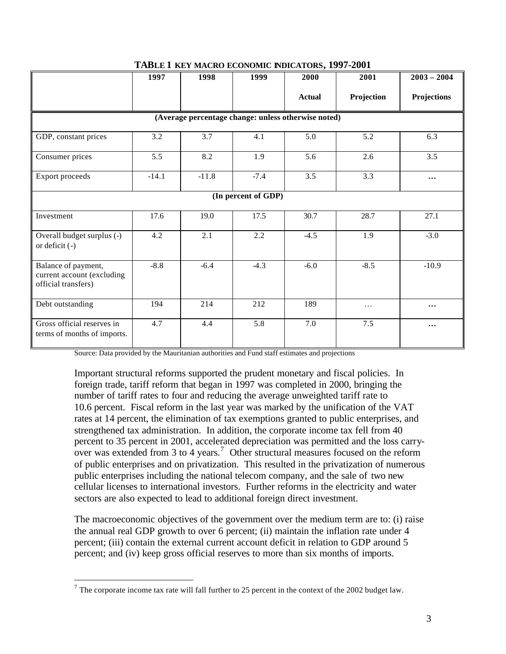|                                                                          | 1997    | 1998    | 1999                | 2000                                                | 2001       | $2003 - 2004$      |
|--------------------------------------------------------------------------|---------|---------|---------------------|-----------------------------------------------------|------------|--------------------|
|                                                                          |         |         |                     | <b>Actual</b>                                       | Projection | <b>Projections</b> |
|                                                                          |         |         |                     | (Average percentage change: unless otherwise noted) |            |                    |
| GDP, constant prices                                                     | 3.2     | 3.7     | 4.1                 | 5.0                                                 | 5.2        | 6.3                |
| Consumer prices                                                          | 5.5     | 8.2     | 1.9                 | 5.6                                                 | 2.6        | 3.5                |
| Export proceeds                                                          | $-14.1$ | $-11.8$ | $-7.4$              | 3.5                                                 | 3.3        | $\cdots$           |
|                                                                          |         |         | (In percent of GDP) |                                                     |            |                    |
| Investment                                                               | 17.6    | 19.0    | 17.5                | 30.7                                                | 28.7       | 27.1               |
| Overall budget surplus (-)<br>or deficit $(-)$                           | 4.2     | 2.1     | 2.2                 | $-4.5$                                              | 1.9        | $-3.0$             |
| Balance of payment,<br>current account (excluding<br>official transfers) | $-8.8$  | $-6.4$  | $-4.3$              | $-6.0$                                              | $-8.5$     | $-10.9$            |
| Debt outstanding                                                         | 194     | 214     | 212                 | 189                                                 | .          | $\cdots$           |
| Gross official reserves in<br>terms of months of imports.                | 4.7     | 4.4     | 5.8                 | 7.0                                                 | 7.5        | $\cdots$           |

#### **TABLE 1 KEY MACRO ECONOMIC INDICATORS, 1997-2001**

Source: Data provided by the Mauritanian authorities and Fund staff estimates and projections

Important structural reforms supported the prudent monetary and fiscal policies. In foreign trade, tariff reform that began in 1997 was completed in 2000, bringing the number of tariff rates to four and reducing the average unweighted tariff rate to 10.6 percent. Fiscal reform in the last year was marked by the unification of the VAT rates at 14 percent, the elimination of tax exemptions granted to public enterprises, and strengthened tax administration. In addition, the corporate income tax fell from 40 percent to 35 percent in 2001, accelerated depreciation was permitted and the loss carryover was extended from 3 to 4 years.<sup>7</sup> Other structural measures focused on the reform of public enterprises and on privatization. This resulted in the privatization of numerous public enterprises including the national telecom company, and the sale of two new cellular licenses to international investors. Further reforms in the electricity and water sectors are also expected to lead to additional foreign direct investment.

The macroeconomic objectives of the government over the medium term are to: (i) raise the annual real GDP growth to over 6 percent; (ii) maintain the inflation rate under 4 percent; (iii) contain the external current account deficit in relation to GDP around 5 percent; and (iv) keep gross official reserves to more than six months of imports.

<sup>&</sup>lt;sup>7</sup> The corporate income tax rate will fall further to 25 percent in the context of the 2002 budget law.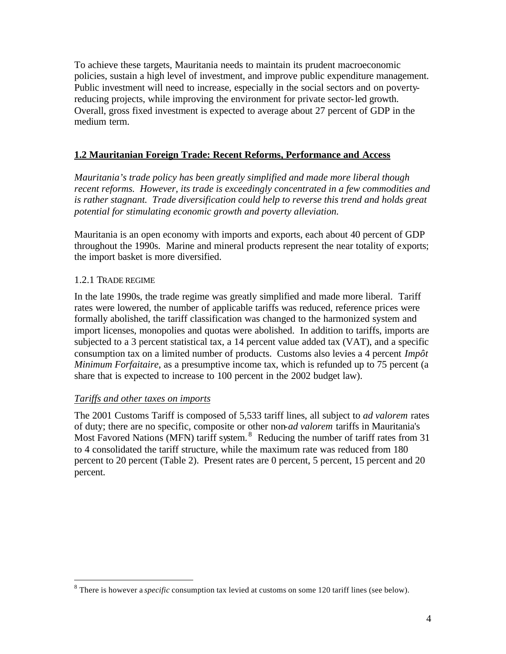To achieve these targets, Mauritania needs to maintain its prudent macroeconomic policies, sustain a high level of investment, and improve public expenditure management. Public investment will need to increase, especially in the social sectors and on povertyreducing projects, while improving the environment for private sector-led growth. Overall, gross fixed investment is expected to average about 27 percent of GDP in the medium term.

## **1.2 Mauritanian Foreign Trade: Recent Reforms, Performance and Access**

*Mauritania's trade policy has been greatly simplified and made more liberal though recent reforms. However, its trade is exceedingly concentrated in a few commodities and is rather stagnant. Trade diversification could help to reverse this trend and holds great potential for stimulating economic growth and poverty alleviation.* 

Mauritania is an open economy with imports and exports, each about 40 percent of GDP throughout the 1990s. Marine and mineral products represent the near totality of exports; the import basket is more diversified.

### 1.2.1 TRADE REGIME

 $\overline{a}$ 

In the late 1990s, the trade regime was greatly simplified and made more liberal. Tariff rates were lowered, the number of applicable tariffs was reduced, reference prices were formally abolished, the tariff classification was changed to the harmonized system and import licenses, monopolies and quotas were abolished. In addition to tariffs, imports are subjected to a 3 percent statistical tax, a 14 percent value added tax (VAT), and a specific consumption tax on a limited number of products. Customs also levies a 4 percent *Impôt Minimum Forfaitaire*, as a presumptive income tax, which is refunded up to 75 percent (a share that is expected to increase to 100 percent in the 2002 budget law).

## *Tariffs and other taxes on imports*

The 2001 Customs Tariff is composed of 5,533 tariff lines, all subject to *ad valorem* rates of duty; there are no specific, composite or other non-*ad valorem* tariffs in Mauritania's Most Favored Nations (MFN) tariff system.<sup>8</sup> Reducing the number of tariff rates from 31 to 4 consolidated the tariff structure, while the maximum rate was reduced from 180 percent to 20 percent (Table 2). Present rates are 0 percent, 5 percent, 15 percent and 20 percent.

<sup>8</sup> There is however a *specific* consumption tax levied at customs on some 120 tariff lines (see below).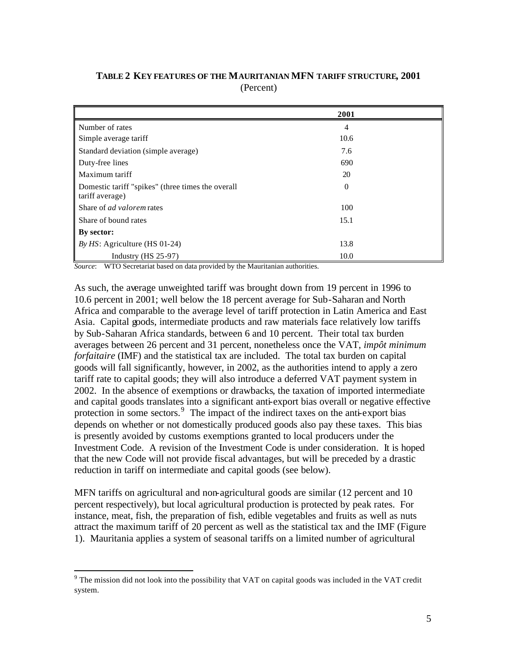|                                                                      | 2001     |
|----------------------------------------------------------------------|----------|
| Number of rates                                                      | 4        |
| Simple average tariff                                                | 10.6     |
| Standard deviation (simple average)                                  | 7.6      |
| Duty-free lines                                                      | 690      |
| Maximum tariff                                                       | 20       |
| Domestic tariff "spikes" (three times the overall<br>tariff average) | $\Omega$ |
| Share of <i>ad valorem</i> rates                                     | 100      |
| Share of bound rates                                                 | 15.1     |
| By sector:                                                           |          |
| By $HS$ : Agriculture (HS 01-24)                                     | 13.8     |
| Industry $(HS 25-97)$                                                | 10.0     |

**TABLE 2 KEY FEATURES OF THE MAURITANIAN MFN TARIFF STRUCTURE, 2001** (Percent)

*Source*: WTO Secretariat based on data provided by the Mauritanian authorities.

As such, the average unweighted tariff was brought down from 19 percent in 1996 to 10.6 percent in 2001; well below the 18 percent average for Sub-Saharan and North Africa and comparable to the average level of tariff protection in Latin America and East Asia. Capital goods, intermediate products and raw materials face relatively low tariffs by Sub-Saharan Africa standards, between 6 and 10 percent. Their total tax burden averages between 26 percent and 31 percent, nonetheless once the VAT, *impôt minimum forfaitaire* (IMF) and the statistical tax are included. The total tax burden on capital goods will fall significantly, however, in 2002, as the authorities intend to apply a zero tariff rate to capital goods; they will also introduce a deferred VAT payment system in 2002. In the absence of exemptions or drawbacks, the taxation of imported intermediate and capital goods translates into a significant anti-export bias overall or negative effective protection in some sectors.<sup>9</sup> The impact of the indirect taxes on the anti-export bias depends on whether or not domestically produced goods also pay these taxes. This bias is presently avoided by customs exemptions granted to local producers under the Investment Code. A revision of the Investment Code is under consideration. It is hoped that the new Code will not provide fiscal advantages, but will be preceded by a drastic reduction in tariff on intermediate and capital goods (see below).

MFN tariffs on agricultural and non-agricultural goods are similar (12 percent and 10 percent respectively), but local agricultural production is protected by peak rates. For instance, meat, fish, the preparation of fish, edible vegetables and fruits as well as nuts attract the maximum tariff of 20 percent as well as the statistical tax and the IMF (Figure 1). Mauritania applies a system of seasonal tariffs on a limited number of agricultural

 $9$  The mission did not look into the possibility that VAT on capital goods was included in the VAT credit system.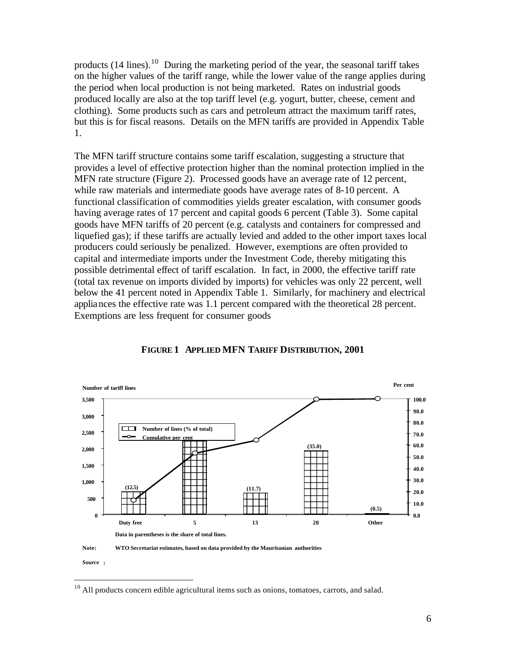products  $(14 \text{ lines})$ .<sup>10</sup> During the marketing period of the year, the seasonal tariff takes on the higher values of the tariff range, while the lower value of the range applies during the period when local production is not being marketed. Rates on industrial goods produced locally are also at the top tariff level (e.g. yogurt, butter, cheese, cement and clothing). Some products such as cars and petroleum attract the maximum tariff rates, but this is for fiscal reasons. Details on the MFN tariffs are provided in Appendix Table 1.

The MFN tariff structure contains some tariff escalation, suggesting a structure that provides a level of effective protection higher than the nominal protection implied in the MFN rate structure (Figure 2). Processed goods have an average rate of 12 percent, while raw materials and intermediate goods have average rates of 8-10 percent. A functional classification of commodities yields greater escalation, with consumer goods having average rates of 17 percent and capital goods 6 percent (Table 3). Some capital goods have MFN tariffs of 20 percent (e.g. catalysts and containers for compressed and liquefied gas); if these tariffs are actually levied and added to the other import taxes local producers could seriously be penalized. However, exemptions are often provided to capital and intermediate imports under the Investment Code, thereby mitigating this possible detrimental effect of tariff escalation. In fact, in 2000, the effective tariff rate (total tax revenue on imports divided by imports) for vehicles was only 22 percent, well below the 41 percent noted in Appendix Table 1. Similarly, for machinery and electrical appliances the effective rate was 1.1 percent compared with the theoretical 28 percent. Exemptions are less frequent for consumer goods



#### **FIGURE 1 APPLIED MFN TARIFF DISTRIBUTION, 2001**

 $10$  All products concern edible agricultural items such as onions, tomatoes, carrots, and salad.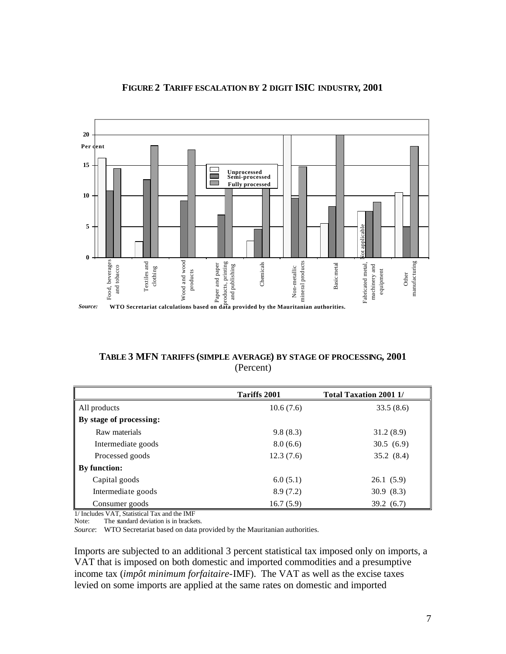

### **FIGURE 2 TARIFF ESCALATION BY 2 DIGIT ISIC INDUSTRY, 2001**

**TABLE 3 MFN TARIFFS (SIMPLE AVERAGE) BY STAGE OF PROCESSING, 2001** (Percent)

|                         | Tariffs 2001 | <b>Total Taxation 2001 1/</b> |  |  |
|-------------------------|--------------|-------------------------------|--|--|
| All products            | 10.6(7.6)    | 33.5(8.6)                     |  |  |
| By stage of processing: |              |                               |  |  |
| Raw materials           | 9.8(8.3)     | 31.2(8.9)                     |  |  |
| Intermediate goods      | 8.0(6.6)     | 30.5(6.9)                     |  |  |
| Processed goods         | 12.3(7.6)    | 35.2(8.4)                     |  |  |
| By function:            |              |                               |  |  |
| Capital goods           | 6.0(5.1)     | 26.1(5.9)                     |  |  |
| Intermediate goods      | 8.9(7.2)     | 30.9(8.3)                     |  |  |
| Consumer goods          | 16.7(5.9)    | 39.2(6.7)                     |  |  |

1/ Includes VAT, Statistical Tax and the IMF<br>Note: The standard deviation is in bracke The standard deviation is in brackets.

*Source*: WTO Secretariat based on data provided by the Mauritanian authorities.

Imports are subjected to an additional 3 percent statistical tax imposed only on imports, a VAT that is imposed on both domestic and imported commodities and a presumptive income tax (*impôt minimum forfaitaire*-IMF). The VAT as well as the excise taxes levied on some imports are applied at the same rates on domestic and imported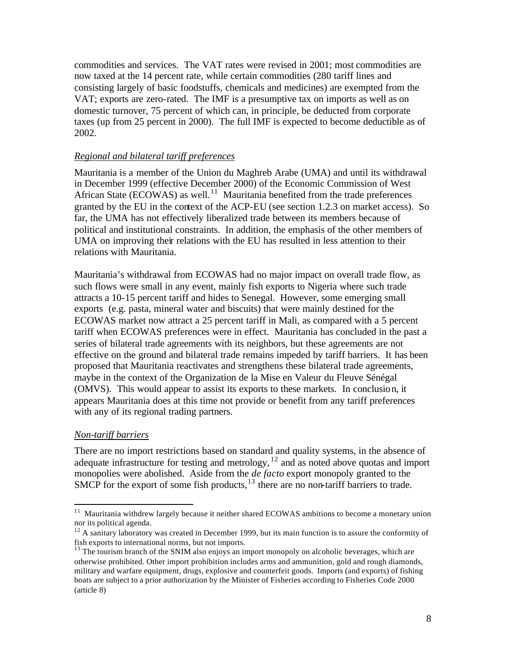commodities and services. The VAT rates were revised in 2001; most commodities are now taxed at the 14 percent rate, while certain commodities (280 tariff lines and consisting largely of basic foodstuffs, chemicals and medicines) are exempted from the VAT; exports are zero-rated. The IMF is a presumptive tax on imports as well as on domestic turnover, 75 percent of which can, in principle, be deducted from corporate taxes (up from 25 percent in 2000). The full IMF is expected to become deductible as of 2002.

#### *Regional and bilateral tariff preferences*

Mauritania is a member of the Union du Maghreb Arabe (UMA) and until its withdrawal in December 1999 (effective December 2000) of the Economic Commission of West African State (ECOWAS) as well.<sup>11</sup> Mauritania benefited from the trade preferences granted by the EU in the context of the ACP-EU (see section 1.2.3 on market access). So far, the UMA has not effectively liberalized trade between its members because of political and institutional constraints. In addition, the emphasis of the other members of UMA on improving their relations with the EU has resulted in less attention to their relations with Mauritania.

Mauritania's withdrawal from ECOWAS had no major impact on overall trade flow, as such flows were small in any event, mainly fish exports to Nigeria where such trade attracts a 10-15 percent tariff and hides to Senegal. However, some emerging small exports (e.g. pasta, mineral water and biscuits) that were mainly destined for the ECOWAS market now attract a 25 percent tariff in Mali, as compared with a 5 percent tariff when ECOWAS preferences were in effect. Mauritania has concluded in the past a series of bilateral trade agreements with its neighbors, but these agreements are not effective on the ground and bilateral trade remains impeded by tariff barriers. It has been proposed that Mauritania reactivates and strengthens these bilateral trade agreements, maybe in the context of the Organization de la Mise en Valeur du Fleuve Sénégal (OMVS). This would appear to assist its exports to these markets. In conclusion, it appears Mauritania does at this time not provide or benefit from any tariff preferences with any of its regional trading partners.

#### *Non-tariff barriers*

 $\overline{a}$ 

There are no import restrictions based on standard and quality systems, in the absence of adequate infrastructure for testing and metrology, <sup>12</sup> and as noted above quotas and import monopolies were abolished. Aside from the *de facto* export monopoly granted to the SMCP for the export of some fish products,  $13$  there are no non-tariff barriers to trade.

<sup>&</sup>lt;sup>11</sup> Mauritania withdrew largely because it neither shared ECOWAS ambitions to become a monetary union nor its political agenda.

 $12$  A sanitary laboratory was created in December 1999, but its main function is to assure the conformity of fish exports to international norms, but not imports.

<sup>&</sup>lt;sup>13</sup> The tourism branch of the SNIM also enjoys an import monopoly on alcoholic beverages, which are otherwise prohibited. Other import prohibition includes arms and ammunition, gold and rough diamonds, military and warfare equipment, drugs, explosive and counterfeit goods. Imports (and exports) of fishing boats are subject to a prior authorization by the Minister of Fisheries according to Fisheries Code 2000 (article 8)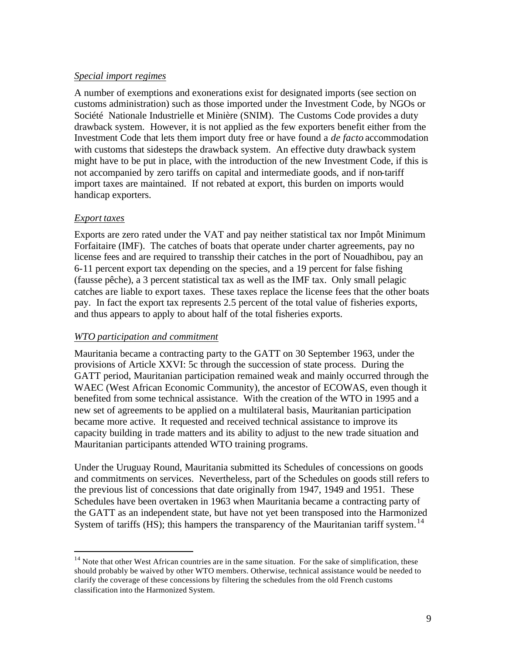### *Special import regimes*

A number of exemptions and exonerations exist for designated imports (see section on customs administration) such as those imported under the Investment Code, by NGOs or Société Nationale Industrielle et Minière (SNIM). The Customs Code provides a duty drawback system. However, it is not applied as the few exporters benefit either from the Investment Code that lets them import duty free or have found a *de facto* accommodation with customs that sidesteps the drawback system. An effective duty drawback system might have to be put in place, with the introduction of the new Investment Code, if this is not accompanied by zero tariffs on capital and intermediate goods, and if non-tariff import taxes are maintained. If not rebated at export, this burden on imports would handicap exporters.

### *Export taxes*

 $\overline{a}$ 

Exports are zero rated under the VAT and pay neither statistical tax nor Impôt Minimum Forfaitaire (IMF). The catches of boats that operate under charter agreements, pay no license fees and are required to transship their catches in the port of Nouadhibou, pay an 6-11 percent export tax depending on the species, and a 19 percent for false fishing (fausse pêche), a 3 percent statistical tax as well as the IMF tax. Only small pelagic catches are liable to export taxes. These taxes replace the license fees that the other boats pay. In fact the export tax represents 2.5 percent of the total value of fisheries exports, and thus appears to apply to about half of the total fisheries exports.

## *WTO participation and commitment*

Mauritania became a contracting party to the GATT on 30 September 1963, under the provisions of Article XXVI: 5c through the succession of state process. During the GATT period, Mauritanian participation remained weak and mainly occurred through the WAEC (West African Economic Community), the ancestor of ECOWAS, even though it benefited from some technical assistance. With the creation of the WTO in 1995 and a new set of agreements to be applied on a multilateral basis, Mauritanian participation became more active. It requested and received technical assistance to improve its capacity building in trade matters and its ability to adjust to the new trade situation and Mauritanian participants attended WTO training programs.

Under the Uruguay Round, Mauritania submitted its Schedules of concessions on goods and commitments on services. Nevertheless, part of the Schedules on goods still refers to the previous list of concessions that date originally from 1947, 1949 and 1951. These Schedules have been overtaken in 1963 when Mauritania became a contracting party of the GATT as an independent state, but have not yet been transposed into the Harmonized System of tariffs (HS); this hampers the transparency of the Mauritanian tariff system.<sup>14</sup>

<sup>&</sup>lt;sup>14</sup> Note that other West African countries are in the same situation. For the sake of simplification, these should probably be waived by other WTO members. Otherwise, technical assistance would be needed to clarify the coverage of these concessions by filtering the schedules from the old French customs classification into the Harmonized System.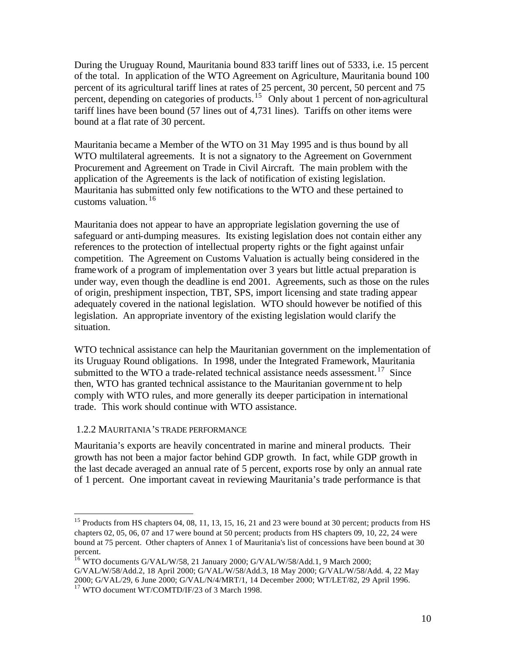During the Uruguay Round, Mauritania bound 833 tariff lines out of 5333, i.e. 15 percent of the total. In application of the WTO Agreement on Agriculture, Mauritania bound 100 percent of its agricultural tariff lines at rates of 25 percent, 30 percent, 50 percent and 75 percent, depending on categories of products.<sup>15</sup> Only about 1 percent of non-agricultural tariff lines have been bound (57 lines out of 4,731 lines). Tariffs on other items were bound at a flat rate of 30 percent.

Mauritania became a Member of the WTO on 31 May 1995 and is thus bound by all WTO multilateral agreements. It is not a signatory to the Agreement on Government Procurement and Agreement on Trade in Civil Aircraft. The main problem with the application of the Agreements is the lack of notification of existing legislation. Mauritania has submitted only few notifications to the WTO and these pertained to customs valuation. <sup>16</sup>

Mauritania does not appear to have an appropriate legislation governing the use of safeguard or anti-dumping measures. Its existing legislation does not contain either any references to the protection of intellectual property rights or the fight against unfair competition. The Agreement on Customs Valuation is actually being considered in the framework of a program of implementation over 3 years but little actual preparation is under way, even though the deadline is end 2001. Agreements, such as those on the rules of origin, preshipment inspection, TBT, SPS, import licensing and state trading appear adequately covered in the national legislation. WTO should however be notified of this legislation. An appropriate inventory of the existing legislation would clarify the situation.

WTO technical assistance can help the Mauritanian government on the implementation of its Uruguay Round obligations. In 1998, under the Integrated Framework, Mauritania submitted to the WTO a trade-related technical assistance needs assessment.<sup>17</sup> Since then, WTO has granted technical assistance to the Mauritanian government to help comply with WTO rules, and more generally its deeper participation in international trade. This work should continue with WTO assistance.

#### 1.2.2 MAURITANIA'S TRADE PERFORMANCE

 $\overline{a}$ 

Mauritania's exports are heavily concentrated in marine and mineral products. Their growth has not been a major factor behind GDP growth. In fact, while GDP growth in the last decade averaged an annual rate of 5 percent, exports rose by only an annual rate of 1 percent. One important caveat in reviewing Mauritania's trade performance is that

<sup>&</sup>lt;sup>15</sup> Products from HS chapters 04, 08, 11, 13, 15, 16, 21 and 23 were bound at 30 percent; products from HS chapters 02, 05, 06, 07 and 17 were bound at 50 percent; products from HS chapters 09, 10, 22, 24 were bound at 75 percent. Other chapters of Annex 1 of Mauritania's list of concessions have been bound at 30 percent.

<sup>&</sup>lt;sup>16</sup> WTO documents G/VAL/W/58, 21 January 2000; G/VAL/W/58/Add.1, 9 March 2000;

G/VAL/W/58/Add.2, 18 April 2000; G/VAL/W/58/Add.3, 18 May 2000; G/VAL/W/58/Add. 4, 22 May 2000; G/VAL/29, 6 June 2000; G/VAL/N/4/MRT/1, 14 December 2000; WT/LET/82, 29 April 1996. <sup>17</sup> WTO document WT/COMTD/IF/23 of 3 March 1998.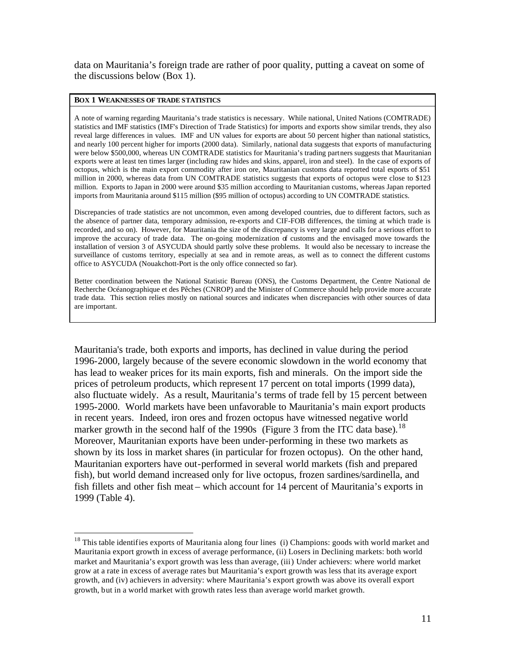data on Mauritania's foreign trade are rather of poor quality, putting a caveat on some of the discussions below (Box 1).

#### **BOX 1 WEAKNESSES OF TRADE STATISTICS**

 $\overline{a}$ 

A note of warning regarding Mauritania's trade statistics is necessary. While national, United Nations (COMTRADE) statistics and IMF statistics (IMF's Direction of Trade Statistics) for imports and exports show similar trends, they also reveal large differences in values. IMF and UN values for exports are about 50 percent higher than national statistics, and nearly 100 percent higher for imports (2000 data). Similarly, national data suggests that exports of manufacturing were below \$500,000, whereas UN COMTRADE statistics for Mauritania's trading partners suggests that Mauritanian exports were at least ten times larger (including raw hides and skins, apparel, iron and steel). In the case of exports of octopus, which is the main export commodity after iron ore, Mauritanian customs data reported total exports of \$51 million in 2000, whereas data from UN COMTRADE statistics suggests that exports of octopus were close to \$123 million. Exports to Japan in 2000 were around \$35 million according to Mauritanian customs, whereas Japan reported imports from Mauritania around \$115 million (\$95 million of octopus) according to UN COMTRADE statistics.

Discrepancies of trade statistics are not uncommon, even among developed countries, due to different factors, such as the absence of partner data, temporary admission, re-exports and CIF-FOB differences, the timing at which trade is recorded, and so on). However, for Mauritania the size of the discrepancy is very large and calls for a serious effort to improve the accuracy of trade data. The on-going modernization of customs and the envisaged move towards the installation of version 3 of ASYCUDA should partly solve these problems. It would also be necessary to increase the surveillance of customs territory, especially at sea and in remote areas, as well as to connect the different customs office to ASYCUDA (Nouakchott-Port is the only office connected so far).

Better coordination between the National Statistic Bureau (ONS), the Customs Department, the Centre National de Recherche Océanographique et des Pêches (CNROP) and the Minister of Commerce should help provide more accurate trade data. This section relies mostly on national sources and indicates when discrepancies with other sources of data are important.

Mauritania's trade, both exports and imports, has declined in value during the period 1996-2000, largely because of the severe economic slowdown in the world economy that has lead to weaker prices for its main exports, fish and minerals. On the import side the prices of petroleum products, which represent 17 percent on total imports (1999 data), also fluctuate widely. As a result, Mauritania's terms of trade fell by 15 percent between 1995-2000. World markets have been unfavorable to Mauritania's main export products in recent years. Indeed, iron ores and frozen octopus have witnessed negative world marker growth in the second half of the 1990s (Figure 3 from the ITC data base).<sup>18</sup> Moreover, Mauritanian exports have been under-performing in these two markets as shown by its loss in market shares (in particular for frozen octopus). On the other hand, Mauritanian exporters have out-performed in several world markets (fish and prepared fish), but world demand increased only for live octopus, frozen sardines/sardinella, and fish fillets and other fish meat – which account for 14 percent of Mauritania's exports in 1999 (Table 4).

 $18$  This table identifies exports of Mauritania along four lines (i) Champions: goods with world market and Mauritania export growth in excess of average performance, (ii) Losers in Declining markets: both world market and Mauritania's export growth was less than average, (iii) Under achievers: where world market grow at a rate in excess of average rates but Mauritania's export growth was less that its average export growth, and (iv) achievers in adversity: where Mauritania's export growth was above its overall export growth, but in a world market with growth rates less than average world market growth.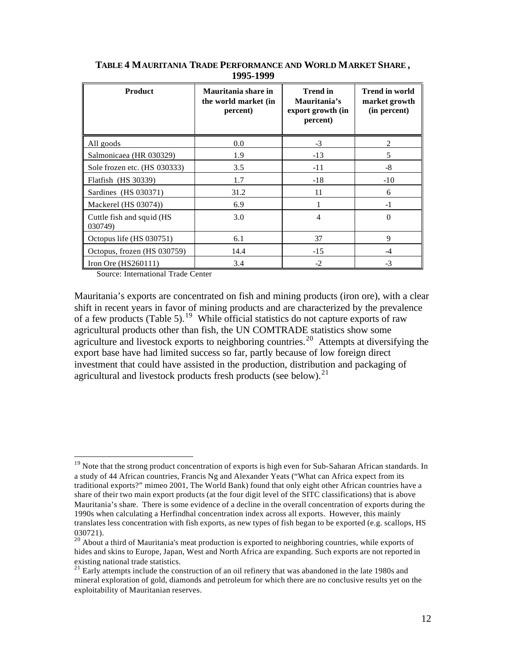| <b>Product</b>                       | Mauritania share in<br>the world market (in<br>percent) | <b>Trend in</b><br>Mauritania's<br>export growth (in<br>percent) | <b>Trend in world</b><br>market growth<br>(in percent) |  |
|--------------------------------------|---------------------------------------------------------|------------------------------------------------------------------|--------------------------------------------------------|--|
| All goods                            | 0.0                                                     | $-3$                                                             | 2                                                      |  |
| Salmonicaea (HR 030329)              | 1.9                                                     | $-13$                                                            | 5                                                      |  |
| Sole frozen etc. (HS 030333)         | 3.5                                                     | $-11$                                                            | $-8$                                                   |  |
| Flatfish (HS 30339)                  | 1.7                                                     | $-18$                                                            | $-10$                                                  |  |
| Sardines (HS 030371)                 | 31.2                                                    | 11                                                               | 6                                                      |  |
| Mackerel (HS 03074))                 | 6.9                                                     |                                                                  | $-1$                                                   |  |
| Cuttle fish and squid (HS<br>030749) | 3.0                                                     | 4                                                                | $\Omega$                                               |  |
| Octopus life (HS 030751)             | 6.1                                                     | 37                                                               | 9                                                      |  |
| Octopus, frozen (HS 030759)          | 14.4                                                    | $-15$                                                            | $-4$                                                   |  |
| Iron Ore $(HS260111)$                | 3.4                                                     | $-2$                                                             | $-3$                                                   |  |

**TABLE 4 MAURITANIA TRADE PERFORMANCE AND WORLD MARKET SHARE , 1995-1999**

Source: International Trade Center

 $\overline{a}$ 

Mauritania's exports are concentrated on fish and mining products (iron ore), with a clear shift in recent years in favor of mining products and are characterized by the prevalence of a few products (Table 5).<sup>19</sup> While official statistics do not capture exports of raw agricultural products other than fish, the UN COMTRADE statistics show some agriculture and livestock exports to neighboring countries.<sup>20</sup> Attempts at diversifying the export base have had limited success so far, partly because of low foreign direct investment that could have assisted in the production, distribution and packaging of agricultural and livestock products fresh products (see below).<sup>21</sup>

<sup>&</sup>lt;sup>19</sup> Note that the strong product concentration of exports is high even for Sub-Saharan African standards. In a study of 44 African countries, Francis Ng and Alexander Yeats ("What can Africa expect from its traditional exports?" mimeo 2001, The World Bank) found that only eight other African countries have a share of their two main export products (at the four digit level of the SITC classifications) that is above Mauritania's share. There is some evidence of a decline in the overall concentration of exports during the 1990s when calculating a Herfindhal concentration index across all exports. However, this mainly translates less concentration with fish exports, as new types of fish began to be exported (e.g. scallops, HS 030721).

<sup>&</sup>lt;sup>20</sup> About a third of Mauritania's meat production is exported to neighboring countries, while exports of hides and skins to Europe, Japan, West and North Africa are expanding. Such exports are not reported in existing national trade statistics.

 $21$  Early attempts include the construction of an oil refinery that was abandoned in the late 1980s and mineral exploration of gold, diamonds and petroleum for which there are no conclusive results yet on the exploitability of Mauritanian reserves.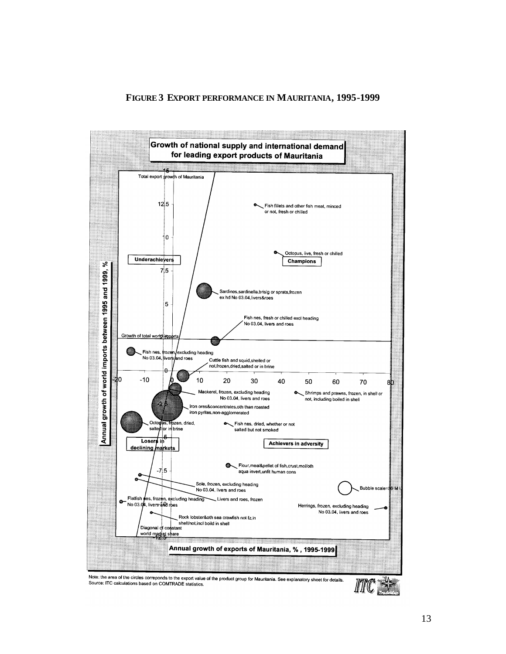#### **FIGURE 3 EXPORT PERFORMANCE IN MAURITANIA, 1995-1999**



13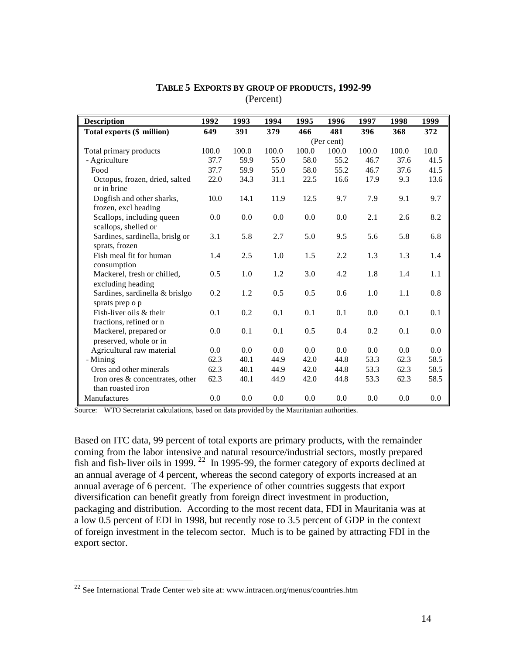| <b>Description</b>                                   | 1992  | 1993       | 1994  | 1995  | 1996  | 1997  | 1998  | 1999 |
|------------------------------------------------------|-------|------------|-------|-------|-------|-------|-------|------|
| Total exports (\$ million)                           | 649   | 391        | 379   | 466   | 481   | 396   | 368   | 372  |
|                                                      |       | (Per cent) |       |       |       |       |       |      |
| Total primary products                               | 100.0 | 100.0      | 100.0 | 100.0 | 100.0 | 100.0 | 100.0 | 10.0 |
| - Agriculture                                        | 37.7  | 59.9       | 55.0  | 58.0  | 55.2  | 46.7  | 37.6  | 41.5 |
| Food                                                 | 37.7  | 59.9       | 55.0  | 58.0  | 55.2  | 46.7  | 37.6  | 41.5 |
| Octopus, frozen, dried, salted<br>or in brine        | 22.0  | 34.3       | 31.1  | 22.5  | 16.6  | 17.9  | 9.3   | 13.6 |
| Dogfish and other sharks,<br>frozen, excl heading    | 10.0  | 14.1       | 11.9  | 12.5  | 9.7   | 7.9   | 9.1   | 9.7  |
| Scallops, including queen<br>scallops, shelled or    | 0.0   | 0.0        | 0.0   | 0.0   | 0.0   | 2.1   | 2.6   | 8.2  |
| Sardines, sardinella, brislg or<br>sprats, frozen    | 3.1   | 5.8        | 2.7   | 5.0   | 9.5   | 5.6   | 5.8   | 6.8  |
| Fish meal fit for human<br>consumption               | 1.4   | 2.5        | 1.0   | 1.5   | 2.2   | 1.3   | 1.3   | 1.4  |
| Mackerel, fresh or chilled,<br>excluding heading     | 0.5   | 1.0        | 1.2   | 3.0   | 4.2   | 1.8   | 1.4   | 1.1  |
| Sardines, sardinella & brislgo<br>sprats prep o p    | 0.2   | 1.2        | 0.5   | 0.5   | 0.6   | 1.0   | 1.1   | 0.8  |
| Fish-liver oils & their<br>fractions, refined or n   | 0.1   | 0.2        | 0.1   | 0.1   | 0.1   | 0.0   | 0.1   | 0.1  |
| Mackerel, prepared or<br>preserved, whole or in      | 0.0   | 0.1        | 0.1   | 0.5   | 0.4   | 0.2   | 0.1   | 0.0  |
| Agricultural raw material                            | 0.0   | 0.0        | 0.0   | 0.0   | 0.0   | 0.0   | 0.0   | 0.0  |
| - Mining                                             | 62.3  | 40.1       | 44.9  | 42.0  | 44.8  | 53.3  | 62.3  | 58.5 |
| Ores and other minerals                              | 62.3  | 40.1       | 44.9  | 42.0  | 44.8  | 53.3  | 62.3  | 58.5 |
| Iron ores & concentrates, other<br>than roasted iron | 62.3  | 40.1       | 44.9  | 42.0  | 44.8  | 53.3  | 62.3  | 58.5 |
| Manufactures                                         | 0.0   | 0.0        | 0.0   | 0.0   | 0.0   | 0.0   | 0.0   | 0.0  |

#### **TABLE 5 EXPORTS BY GROUP OF PRODUCTS, 1992-99**  (Percent)

Source: WTO Secretariat calculations, based on data provided by the Mauritanian authorities.

Based on ITC data, 99 percent of total exports are primary products, with the remainder coming from the labor intensive and natural resource/industrial sectors, mostly prepared fish and fish-liver oils in 1999.<sup>22</sup> In 1995-99, the former category of exports declined at an annual average of 4 percent, whereas the second category of exports increased at an annual average of 6 percent. The experience of other countries suggests that export diversification can benefit greatly from foreign direct investment in production, packaging and distribution. According to the most recent data, FDI in Mauritania was at a low 0.5 percent of EDI in 1998, but recently rose to 3.5 percent of GDP in the context of foreign investment in the telecom sector. Much is to be gained by attracting FDI in the export sector.

 $22$  See International Trade Center web site at: www.intracen.org/menus/countries.htm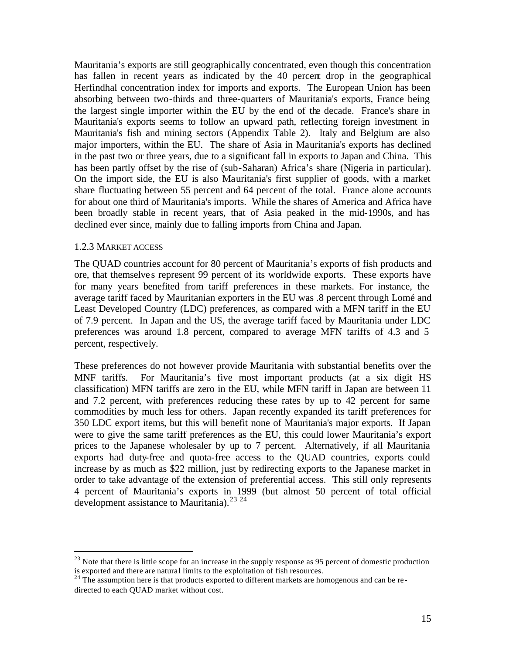Mauritania's exports are still geographically concentrated, even though this concentration has fallen in recent years as indicated by the 40 percent drop in the geographical Herfindhal concentration index for imports and exports. The European Union has been absorbing between two-thirds and three-quarters of Mauritania's exports, France being the largest single importer within the EU by the end of the decade. France's share in Mauritania's exports seems to follow an upward path, reflecting foreign investment in Mauritania's fish and mining sectors (Appendix Table 2). Italy and Belgium are also major importers, within the EU. The share of Asia in Mauritania's exports has declined in the past two or three years, due to a significant fall in exports to Japan and China. This has been partly offset by the rise of (sub-Saharan) Africa's share (Nigeria in particular). On the import side, the EU is also Mauritania's first supplier of goods, with a market share fluctuating between 55 percent and 64 percent of the total. France alone accounts for about one third of Mauritania's imports. While the shares of America and Africa have been broadly stable in recent years, that of Asia peaked in the mid-1990s, and has declined ever since, mainly due to falling imports from China and Japan.

#### 1.2.3 MARKET ACCESS

 $\overline{a}$ 

The QUAD countries account for 80 percent of Mauritania's exports of fish products and ore, that themselve s represent 99 percent of its worldwide exports. These exports have for many years benefited from tariff preferences in these markets. For instance, the average tariff faced by Mauritanian exporters in the EU was .8 percent through Lomé and Least Developed Country (LDC) preferences, as compared with a MFN tariff in the EU of 7.9 percent. In Japan and the US, the average tariff faced by Mauritania under LDC preferences was around 1.8 percent, compared to average MFN tariffs of 4.3 and 5 percent, respectively.

These preferences do not however provide Mauritania with substantial benefits over the MNF tariffs. For Mauritania's five most important products (at a six digit HS classification) MFN tariffs are zero in the EU, while MFN tariff in Japan are between 11 and 7.2 percent, with preferences reducing these rates by up to 42 percent for same commodities by much less for others. Japan recently expanded its tariff preferences for 350 LDC export items, but this will benefit none of Mauritania's major exports. If Japan were to give the same tariff preferences as the EU, this could lower Mauritania's export prices to the Japanese wholesaler by up to 7 percent. Alternatively, if all Mauritania exports had duty-free and quota-free access to the QUAD countries, exports could increase by as much as \$22 million, just by redirecting exports to the Japanese market in order to take advantage of the extension of preferential access. This still only represents 4 percent of Mauritania's exports in 1999 (but almost 50 percent of total official development assistance to Mauritania).<sup>23 24</sup>

 $^{23}$  Note that there is little scope for an increase in the supply response as 95 percent of domestic production is exported and there are natural limits to the exploitation of fish resources.

 $24$  The assumption here is that products exported to different markets are homogenous and can be redirected to each QUAD market without cost.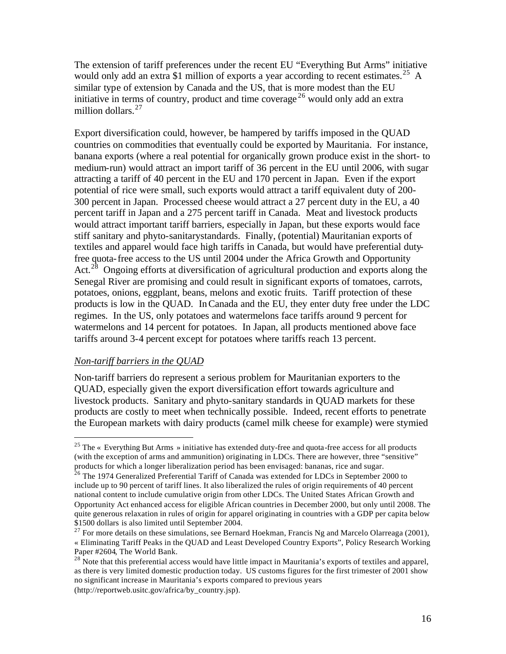The extension of tariff preferences under the recent EU "Everything But Arms" initiative would only add an extra \$1 million of exports a year according to recent estimates.<sup>25</sup> A similar type of extension by Canada and the US, that is more modest than the EU initiative in terms of country, product and time coverage <sup>26</sup> would only add an extra million dollars. $27$ 

Export diversification could, however, be hampered by tariffs imposed in the QUAD countries on commodities that eventually could be exported by Mauritania. For instance, banana exports (where a real potential for organically grown produce exist in the short- to medium-run) would attract an import tariff of 36 percent in the EU until 2006, with sugar attracting a tariff of 40 percent in the EU and 170 percent in Japan. Even if the export potential of rice were small, such exports would attract a tariff equivalent duty of 200- 300 percent in Japan. Processed cheese would attract a 27 percent duty in the EU, a 40 percent tariff in Japan and a 275 percent tariff in Canada. Meat and livestock products would attract important tariff barriers, especially in Japan, but these exports would face stiff sanitary and phyto-sanitarystandards. Finally, (potential) Mauritanian exports of textiles and apparel would face high tariffs in Canada, but would have preferential dutyfree quota-free access to the US until 2004 under the Africa Growth and Opportunity Act.<sup>28</sup> Ongoing efforts at diversification of agricultural production and exports along the Senegal River are promising and could result in significant exports of tomatoes, carrots, potatoes, onions, eggplant, beans, melons and exotic fruits. Tariff protection of these products is low in the QUAD. In Canada and the EU, they enter duty free under the LDC regimes. In the US, only potatoes and watermelons face tariffs around 9 percent for watermelons and 14 percent for potatoes. In Japan, all products mentioned above face tariffs around 3-4 percent except for potatoes where tariffs reach 13 percent.

#### *Non-tariff barriers in the QUAD*

 $\overline{a}$ 

Non-tariff barriers do represent a serious problem for Mauritanian exporters to the QUAD, especially given the export diversification effort towards agriculture and livestock products. Sanitary and phyto-sanitary standards in QUAD markets for these products are costly to meet when technically possible. Indeed, recent efforts to penetrate the European markets with dairy products (camel milk cheese for example) were stymied

<sup>&</sup>lt;sup>25</sup> The « Everything But Arms » initiative has extended duty-free and quota-free access for all products (with the exception of arms and ammunition) originating in LDCs. There are however, three "sensitive" products for which a longer liberalization period has been envisaged: bananas, rice and sugar.

 $^{26}$  The 1974 Generalized Preferential Tariff of Canada was extended for LDCs in September 2000 to include up to 90 percent of tariff lines. It also liberalized the rules of origin requirements of 40 percent national content to include cumulative origin from other LDCs. The United States African Growth and Opportunity Act enhanced access for eligible African countries in December 2000, but only until 2008. The quite generous relaxation in rules of origin for apparel originating in countries with a GDP per capita below \$1500 dollars is also limited until September 2004.

 $27$  For more details on these simulations, see Bernard Hoekman, Francis Ng and Marcelo Olarreaga (2001), « Eliminating Tariff Peaks in the QUAD and Least Developed Country Exports", Policy Research Working Paper #2604, The World Bank.

<sup>&</sup>lt;sup>28</sup> Note that this preferential access would have little impact in Mauritania's exports of textiles and apparel, as there is very limited domestic production today. US customs figures for the first trimester of 2001 show no significant increase in Mauritania's exports compared to previous years (http://reportweb.usitc.gov/africa/by\_country.jsp).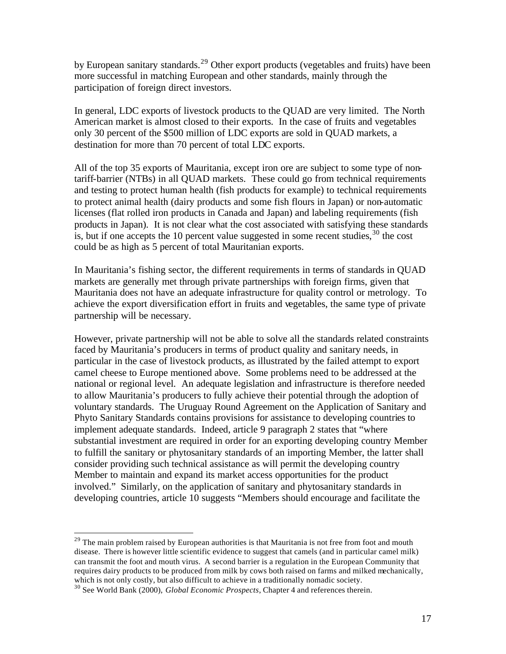by European sanitary standards.<sup>29</sup> Other export products (vegetables and fruits) have been more successful in matching European and other standards, mainly through the participation of foreign direct investors.

In general, LDC exports of livestock products to the QUAD are very limited. The North American market is almost closed to their exports. In the case of fruits and vegetables only 30 percent of the \$500 million of LDC exports are sold in QUAD markets, a destination for more than 70 percent of total LDC exports.

All of the top 35 exports of Mauritania, except iron ore are subject to some type of nontariff-barrier (NTBs) in all QUAD markets. These could go from technical requirements and testing to protect human health (fish products for example) to technical requirements to protect animal health (dairy products and some fish flours in Japan) or non-automatic licenses (flat rolled iron products in Canada and Japan) and labeling requirements (fish products in Japan). It is not clear what the cost associated with satisfying these standards is, but if one accepts the 10 percent value suggested in some recent studies,  $30$  the cost could be as high as 5 percent of total Mauritanian exports.

In Mauritania's fishing sector, the different requirements in terms of standards in QUAD markets are generally met through private partnerships with foreign firms, given that Mauritania does not have an adequate infrastructure for quality control or metrology. To achieve the export diversification effort in fruits and vegetables, the same type of private partnership will be necessary.

However, private partnership will not be able to solve all the standards related constraints faced by Mauritania's producers in terms of product quality and sanitary needs, in particular in the case of livestock products, as illustrated by the failed attempt to export camel cheese to Europe mentioned above. Some problems need to be addressed at the national or regional level. An adequate legislation and infrastructure is therefore needed to allow Mauritania's producers to fully achieve their potential through the adoption of voluntary standards. The Uruguay Round Agreement on the Application of Sanitary and Phyto Sanitary Standards contains provisions for assistance to developing countries to implement adequate standards. Indeed, article 9 paragraph 2 states that "where substantial investment are required in order for an exporting developing country Member to fulfill the sanitary or phytosanitary standards of an importing Member, the latter shall consider providing such technical assistance as will permit the developing country Member to maintain and expand its market access opportunities for the product involved." Similarly, on the application of sanitary and phytosanitary standards in developing countries, article 10 suggests "Members should encourage and facilitate the

 $29$  The main problem raised by European authorities is that Mauritania is not free from foot and mouth disease. There is however little scientific evidence to suggest that camels (and in particular camel milk) can transmit the foot and mouth virus. A second barrier is a regulation in the European Community that requires dairy products to be produced from milk by cows both raised on farms and milked mechanically, which is not only costly, but also difficult to achieve in a traditionally nomadic society.

<sup>30</sup> See World Bank (2000), *Global Economic Prospects*, Chapter 4 and references therein.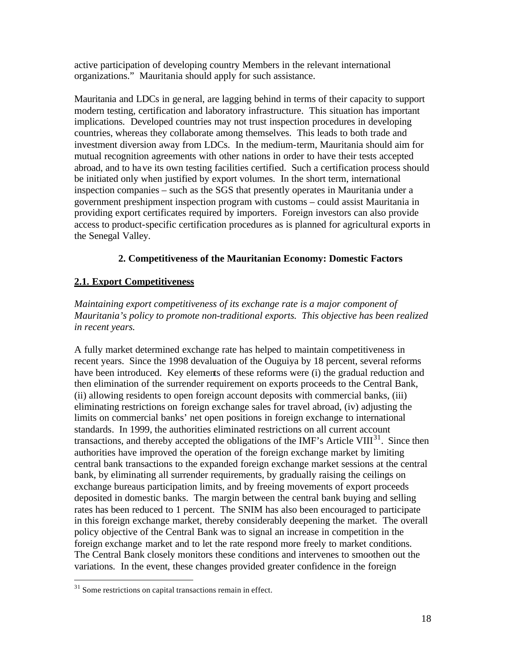active participation of developing country Members in the relevant international organizations." Mauritania should apply for such assistance.

Mauritania and LDCs in general, are lagging behind in terms of their capacity to support modern testing, certification and laboratory infrastructure. This situation has important implications. Developed countries may not trust inspection procedures in developing countries, whereas they collaborate among themselves. This leads to both trade and investment diversion away from LDCs. In the medium-term, Mauritania should aim for mutual recognition agreements with other nations in order to have their tests accepted abroad, and to have its own testing facilities certified. Such a certification process should be initiated only when justified by export volumes. In the short term, international inspection companies – such as the SGS that presently operates in Mauritania under a government preshipment inspection program with customs – could assist Mauritania in providing export certificates required by importers. Foreign investors can also provide access to product-specific certification procedures as is planned for agricultural exports in the Senegal Valley.

## **2. Competitiveness of the Mauritanian Economy: Domestic Factors**

## **2.1. Export Competitiveness**

*Maintaining export competitiveness of its exchange rate is a major component of Mauritania's policy to promote non-traditional exports. This objective has been realized in recent years.*

A fully market determined exchange rate has helped to maintain competitiveness in recent years. Since the 1998 devaluation of the Ouguiya by 18 percent, several reforms have been introduced. Key elements of these reforms were (i) the gradual reduction and then elimination of the surrender requirement on exports proceeds to the Central Bank, (ii) allowing residents to open foreign account deposits with commercial banks, (iii) eliminating restrictions on foreign exchange sales for travel abroad, (iv) adjusting the limits on commercial banks' net open positions in foreign exchange to international standards. In 1999, the authorities eliminated restrictions on all current account transactions, and thereby accepted the obligations of the IMF's Article VIII<sup>31</sup>. Since then authorities have improved the operation of the foreign exchange market by limiting central bank transactions to the expanded foreign exchange market sessions at the central bank, by eliminating all surrender requirements, by gradually raising the ceilings on exchange bureaus participation limits, and by freeing movements of export proceeds deposited in domestic banks. The margin between the central bank buying and selling rates has been reduced to 1 percent. The SNIM has also been encouraged to participate in this foreign exchange market, thereby considerably deepening the market. The overall policy objective of the Central Bank was to signal an increase in competition in the foreign exchange market and to let the rate respond more freely to market conditions. The Central Bank closely monitors these conditions and intervenes to smoothen out the variations. In the event, these changes provided greater confidence in the foreign

 $31$  Some restrictions on capital transactions remain in effect.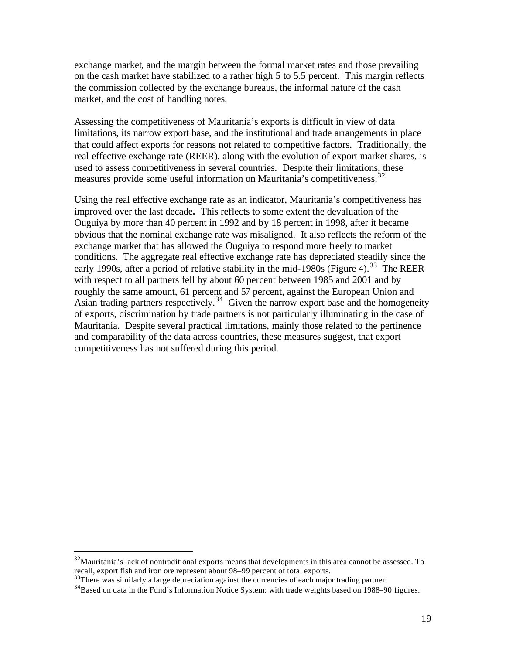exchange market, and the margin between the formal market rates and those prevailing on the cash market have stabilized to a rather high 5 to 5.5 percent. This margin reflects the commission collected by the exchange bureaus, the informal nature of the cash market, and the cost of handling notes.

Assessing the competitiveness of Mauritania's exports is difficult in view of data limitations, its narrow export base, and the institutional and trade arrangements in place that could affect exports for reasons not related to competitive factors. Traditionally, the real effective exchange rate (REER), along with the evolution of export market shares, is used to assess competitiveness in several countries. Despite their limitations, these measures provide some useful information on Mauritania's competitiveness.<sup>32</sup>

Using the real effective exchange rate as an indicator, Mauritania's competitiveness has improved over the last decade**.** This reflects to some extent the devaluation of the Ouguiya by more than 40 percent in 1992 and by 18 percent in 1998, after it became obvious that the nominal exchange rate was misaligned. It also reflects the reform of the exchange market that has allowed the Ouguiya to respond more freely to market conditions. The aggregate real effective exchange rate has depreciated steadily since the early 1990s, after a period of relative stability in the mid-1980s (Figure 4).<sup>33</sup> The REER with respect to all partners fell by about 60 percent between 1985 and 2001 and by roughly the same amount, 61 percent and 57 percent, against the European Union and Asian trading partners respectively.<sup>34</sup> Given the narrow export base and the homogeneity of exports, discrimination by trade partners is not particularly illuminating in the case of Mauritania. Despite several practical limitations, mainly those related to the pertinence and comparability of the data across countries, these measures suggest, that export competitiveness has not suffered during this period.

 $32$ Mauritania's lack of nontraditional exports means that developments in this area cannot be assessed. To recall, export fish and iron ore represent about 98–99 percent of total exports.

 $33$ There was similarly a large depreciation against the currencies of each major trading partner.

 $34$ Based on data in the Fund's Information Notice System: with trade weights based on 1988–90 figures.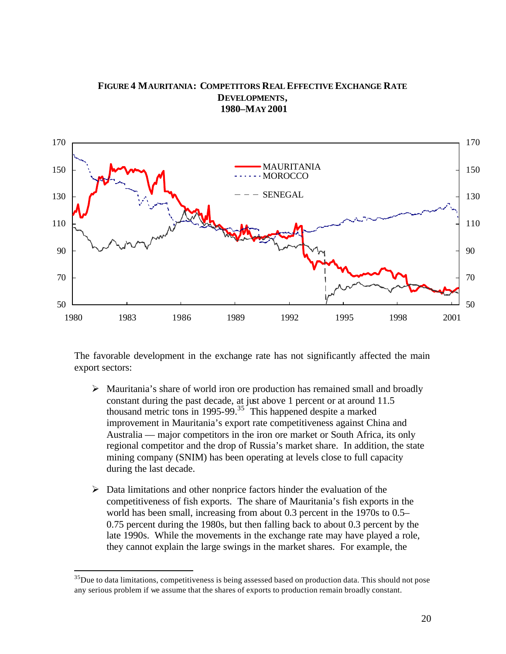### **FIGURE 4 MAURITANIA: COMPETITORS REAL EFFECTIVE EXCHANGE RATE DEVELOPMENTS, 1980–MAY 2001**



The favorable development in the exchange rate has not significantly affected the main export sectors:

- $\triangleright$  Mauritania's share of world iron ore production has remained small and broadly constant during the past decade, at just above 1 percent or at around 11.5 thousand metric tons in 1995-99. $35\degree$  This happened despite a marked improvement in Mauritania's export rate competitiveness against China and Australia — major competitors in the iron ore market or South Africa, its only regional competitor and the drop of Russia's market share. In addition, the state mining company (SNIM) has been operating at levels close to full capacity during the last decade.
- $\triangleright$  Data limitations and other nonprice factors hinder the evaluation of the competitiveness of fish exports. The share of Mauritania's fish exports in the world has been small, increasing from about 0.3 percent in the 1970s to 0.5– 0.75 percent during the 1980s, but then falling back to about 0.3 percent by the late 1990s. While the movements in the exchange rate may have played a role, they cannot explain the large swings in the market shares. For example, the

 $35$ Due to data limitations, competitiveness is being assessed based on production data. This should not pose any serious problem if we assume that the shares of exports to production remain broadly constant.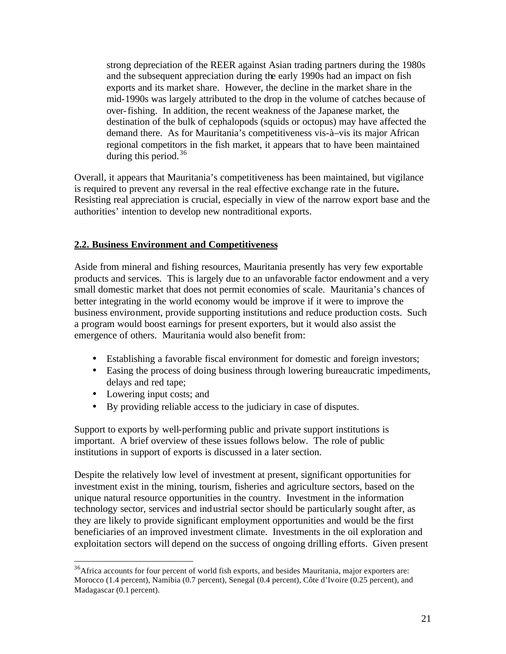strong depreciation of the REER against Asian trading partners during the 1980s and the subsequent appreciation during the early 1990s had an impact on fish exports and its market share. However, the decline in the market share in the mid-1990s was largely attributed to the drop in the volume of catches because of over-fishing. In addition, the recent weakness of the Japanese market, the destination of the bulk of cephalopods (squids or octopus) may have affected the demand there. As for Mauritania's competitiveness vis-à–vis its major African regional competitors in the fish market, it appears that to have been maintained during this period.<sup>36</sup>

Overall, it appears that Mauritania's competitiveness has been maintained, but vigilance is required to prevent any reversal in the real effective exchange rate in the future**.**  Resisting real appreciation is crucial, especially in view of the narrow export base and the authorities' intention to develop new nontraditional exports.

#### **2.2. Business Environment and Competitiveness**

Aside from mineral and fishing resources, Mauritania presently has very few exportable products and services. This is largely due to an unfavorable factor endowment and a very small domestic market that does not permit economies of scale. Mauritania's chances of better integrating in the world economy would be improve if it were to improve the business environment, provide supporting institutions and reduce production costs. Such a program would boost earnings for present exporters, but it would also assist the emergence of others. Mauritania would also benefit from:

- Establishing a favorable fiscal environment for domestic and foreign investors;
- Easing the process of doing business through lowering bureaucratic impediments, delays and red tape;
- Lowering input costs; and

 $\overline{a}$ 

• By providing reliable access to the judiciary in case of disputes.

Support to exports by well-performing public and private support institutions is important. A brief overview of these issues follows below. The role of public institutions in support of exports is discussed in a later section.

Despite the relatively low level of investment at present, significant opportunities for investment exist in the mining, tourism, fisheries and agriculture sectors, based on the unique natural resource opportunities in the country. Investment in the information technology sector, services and industrial sector should be particularly sought after, as they are likely to provide significant employment opportunities and would be the first beneficiaries of an improved investment climate. Investments in the oil exploration and exploitation sectors will depend on the success of ongoing drilling efforts. Given present

<sup>&</sup>lt;sup>36</sup>Africa accounts for four percent of world fish exports, and besides Mauritania, major exporters are: Morocco (1.4 percent), Namibia (0.7 percent), Senegal (0.4 percent), Côte d'Ivoire (0.25 percent), and Madagascar (0.1 percent).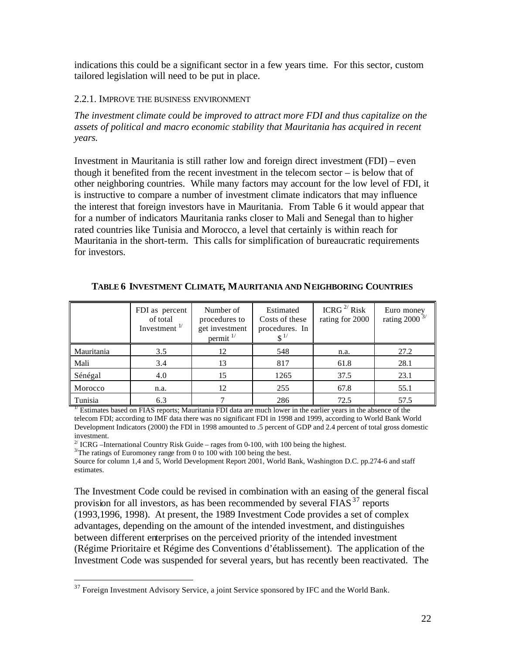indications this could be a significant sector in a few years time. For this sector, custom tailored legislation will need to be put in place.

#### 2.2.1. IMPROVE THE BUSINESS ENVIRONMENT

*The investment climate could be improved to attract more FDI and thus capitalize on the assets of political and macro economic stability that Mauritania has acquired in recent years.* 

Investment in Mauritania is still rather low and foreign direct investment (FDI) – even though it benefited from the recent investment in the telecom sector – is below that of other neighboring countries. While many factors may account for the low level of FDI, it is instructive to compare a number of investment climate indicators that may influence the interest that foreign investors have in Mauritania. From Table 6 it would appear that for a number of indicators Mauritania ranks closer to Mali and Senegal than to higher rated countries like Tunisia and Morocco, a level that certainly is within reach for Mauritania in the short-term. This calls for simplification of bureaucratic requirements for investors.

|            | FDI as percent<br>of total<br>Investment $\frac{1}{1}$ | Number of<br>procedures to<br>get investment<br>permit $1$ | Estimated<br>Costs of these<br>procedures. In | ICRG $^{2/}$ Risk<br>rating for 2000 | Euro money<br>rating 2000 $3/$ |
|------------|--------------------------------------------------------|------------------------------------------------------------|-----------------------------------------------|--------------------------------------|--------------------------------|
| Mauritania | 3.5                                                    | 12                                                         | 548                                           | n.a.                                 | 27.2                           |
| Mali       | 3.4                                                    | 13                                                         | 817                                           | 61.8                                 | 28.1                           |
| Sénégal    | 4.0                                                    | 15                                                         | 1265                                          | 37.5                                 | 23.1                           |
| Morocco    | n.a.                                                   | 12                                                         | 255                                           | 67.8                                 | 55.1                           |
| Tunisia    | 6.3                                                    |                                                            | 286                                           | 72.5                                 | 57.5                           |

**TABLE 6 INVESTMENT CLIMATE, MAURITANIA AND NEIGHBORING COUNTRIES**

 $\frac{1}{10}$  Estimates based on FIAS reports; Mauritania FDI data are much lower in the earlier years in the absence of the telecom FDI; according to IMF data there was no significant FDI in 1998 and 1999, according to World Bank World Development Indicators (2000) the FDI in 1998 amounted to .5 percent of GDP and 2.4 percent of total gross domestic investment.

 $2^{7}$  ICRG –International Country Risk Guide – rages from 0-100, with 100 being the highest.

 $3$ <sup>The ratings of Euromoney range from 0 to 100 with 100 being the best.</sup>

 $\overline{a}$ 

Source for column 1,4 and 5, World Development Report 2001, World Bank, Washington D.C. pp.274-6 and staff estimates.

The Investment Code could be revised in combination with an easing of the general fiscal provision for all investors, as has been recommended by several FIAS $^{37}$  reports (1993,1996, 1998). At present, the 1989 Investment Code provides a set of complex advantages, depending on the amount of the intended investment, and distinguishes between different enterprises on the perceived priority of the intended investment (Régime Prioritaire et Régime des Conventions d'établissement). The application of the Investment Code was suspended for several years, but has recently been reactivated. The

<sup>&</sup>lt;sup>37</sup> Foreign Investment Advisory Service, a joint Service sponsored by IFC and the World Bank.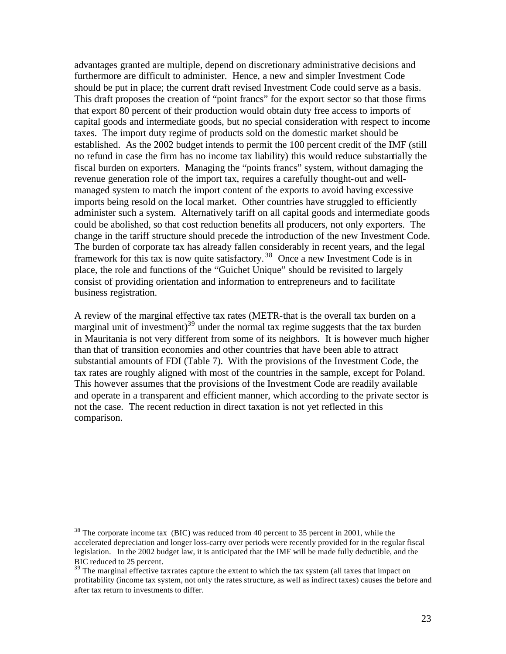advantages granted are multiple, depend on discretionary administrative decisions and furthermore are difficult to administer. Hence, a new and simpler Investment Code should be put in place; the current draft revised Investment Code could serve as a basis. This draft proposes the creation of "point francs" for the export sector so that those firms that export 80 percent of their production would obtain duty free access to imports of capital goods and intermediate goods, but no special consideration with respect to income taxes. The import duty regime of products sold on the domestic market should be established. As the 2002 budget intends to permit the 100 percent credit of the IMF (still no refund in case the firm has no income tax liability) this would reduce substantially the fiscal burden on exporters. Managing the "points francs" system, without damaging the revenue generation role of the import tax, requires a carefully thought-out and wellmanaged system to match the import content of the exports to avoid having excessive imports being resold on the local market. Other countries have struggled to efficiently administer such a system. Alternatively tariff on all capital goods and intermediate goods could be abolished, so that cost reduction benefits all producers, not only exporters. The change in the tariff structure should precede the introduction of the new Investment Code. The burden of corporate tax has already fallen considerably in recent years, and the legal framework for this tax is now quite satisfactory.<sup>38</sup> Once a new Investment Code is in place, the role and functions of the "Guichet Unique" should be revisited to largely consist of providing orientation and information to entrepreneurs and to facilitate business registration.

A review of the marginal effective tax rates (METR-that is the overall tax burden on a marginal unit of investment) $39$  under the normal tax regime suggests that the tax burden in Mauritania is not very different from some of its neighbors. It is however much higher than that of transition economies and other countries that have been able to attract substantial amounts of FDI (Table 7). With the provisions of the Investment Code, the tax rates are roughly aligned with most of the countries in the sample, except for Poland. This however assumes that the provisions of the Investment Code are readily available and operate in a transparent and efficient manner, which according to the private sector is not the case. The recent reduction in direct taxation is not yet reflected in this comparison.

<sup>&</sup>lt;sup>38</sup> The corporate income tax (BIC) was reduced from 40 percent to 35 percent in 2001, while the accelerated depreciation and longer loss-carry over periods were recently provided for in the regular fiscal legislation. In the 2002 budget law, it is anticipated that the IMF will be made fully deductible, and the BIC reduced to 25 percent.

<sup>&</sup>lt;sup>39</sup> The marginal effective tax rates capture the extent to which the tax system (all taxes that impact on profitability (income tax system, not only the rates structure, as well as indirect taxes) causes the before and after tax return to investments to differ.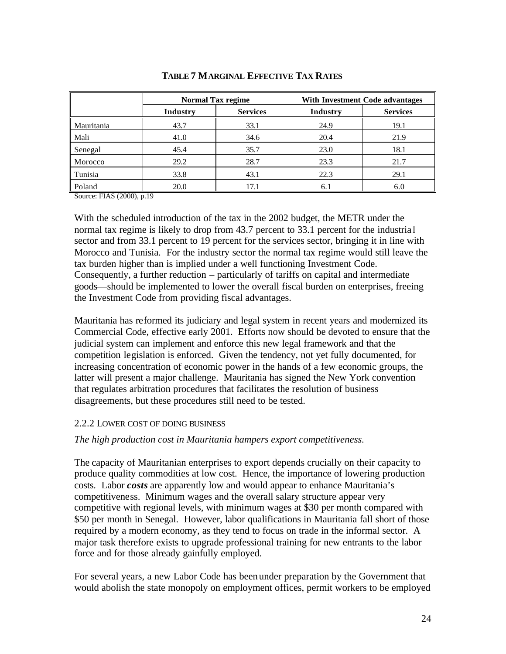|            | <b>Normal Tax regime</b> |                 | With Investment Code advantages |                 |  |
|------------|--------------------------|-----------------|---------------------------------|-----------------|--|
|            | Industry                 | <b>Services</b> | Industry                        | <b>Services</b> |  |
| Mauritania | 43.7                     | 33.1            | 24.9                            | 19.1            |  |
| Mali       | 41.0                     | 34.6            | 20.4                            | 21.9            |  |
| Senegal    | 45.4                     | 35.7            | 23.0                            | 18.1            |  |
| Morocco    | 29.2                     | 28.7            | 23.3                            | 21.7            |  |
| Tunisia    | 33.8                     | 43.1            | 22.3                            | 29.1            |  |
| Poland     | 20.0                     | 17.1            | 6.1                             | 6.0             |  |

#### **TABLE 7 MARGINAL EFFECTIVE TAX RATES**

Source: FIAS (2000), p.19

With the scheduled introduction of the tax in the 2002 budget, the METR under the normal tax regime is likely to drop from 43.7 percent to 33.1 percent for the industrial sector and from 33.1 percent to 19 percent for the services sector, bringing it in line with Morocco and Tunisia. For the industry sector the normal tax regime would still leave the tax burden higher than is implied under a well functioning Investment Code. Consequently, a further reduction – particularly of tariffs on capital and intermediate goods—should be implemented to lower the overall fiscal burden on enterprises, freeing the Investment Code from providing fiscal advantages.

Mauritania has reformed its judiciary and legal system in recent years and modernized its Commercial Code, effective early 2001. Efforts now should be devoted to ensure that the judicial system can implement and enforce this new legal framework and that the competition legislation is enforced. Given the tendency, not yet fully documented, for increasing concentration of economic power in the hands of a few economic groups, the latter will present a major challenge. Mauritania has signed the New York convention that regulates arbitration procedures that facilitates the resolution of business disagreements, but these procedures still need to be tested.

#### 2.2.2 LOWER COST OF DOING BUSINESS

#### *The high production cost in Mauritania hampers export competitiveness.*

The capacity of Mauritanian enterprises to export depends crucially on their capacity to produce quality commodities at low cost. Hence, the importance of lowering production costs. Labor *costs* are apparently low and would appear to enhance Mauritania's competitiveness. Minimum wages and the overall salary structure appear very competitive with regional levels, with minimum wages at \$30 per month compared with \$50 per month in Senegal. However, labor qualifications in Mauritania fall short of those required by a modern economy, as they tend to focus on trade in the informal sector. A major task therefore exists to upgrade professional training for new entrants to the labor force and for those already gainfully employed.

For several years, a new Labor Code has been under preparation by the Government that would abolish the state monopoly on employment offices, permit workers to be employed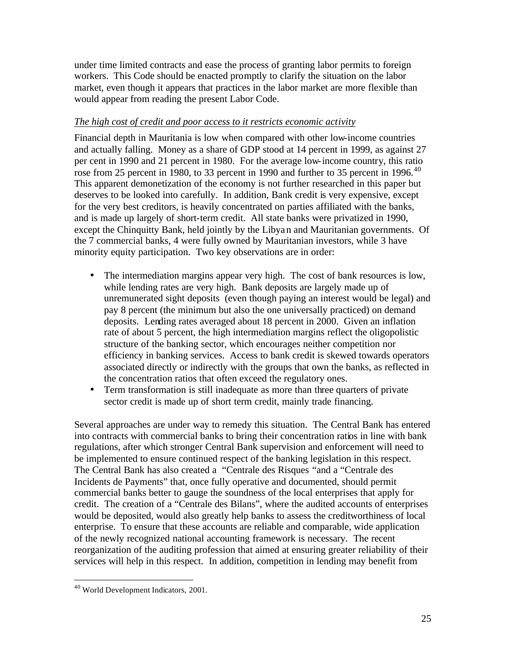under time limited contracts and ease the process of granting labor permits to foreign workers. This Code should be enacted promptly to clarify the situation on the labor market, even though it appears that practices in the labor market are more flexible than would appear from reading the present Labor Code.

#### *The high cost of credit and poor access to it restricts economic activity*

Financial depth in Mauritania is low when compared with other low-income countries and actually falling. Money as a share of GDP stood at 14 percent in 1999, as against 27 per cent in 1990 and 21 percent in 1980. For the average low-income country, this ratio rose from 25 percent in 1980, to 33 percent in 1990 and further to 35 percent in 1996.<sup>40</sup> This apparent demonetization of the economy is not further researched in this paper but deserves to be looked into carefully. In addition, Bank credit is very expensive, except for the very best creditors, is heavily concentrated on parties affiliated with the banks, and is made up largely of short-term credit. All state banks were privatized in 1990, except the Chinquitty Bank, held jointly by the Libyan and Mauritanian governments. Of the 7 commercial banks, 4 were fully owned by Mauritanian investors, while 3 have minority equity participation. Two key observations are in order:

- The intermediation margins appear very high. The cost of bank resources is low, while lending rates are very high. Bank deposits are largely made up of unremunerated sight deposits (even though paying an interest would be legal) and pay 8 percent (the minimum but also the one universally practiced) on demand deposits. Lending rates averaged about 18 percent in 2000. Given an inflation rate of about 5 percent, the high intermediation margins reflect the oligopolistic structure of the banking sector, which encourages neither competition nor efficiency in banking services. Access to bank credit is skewed towards operators associated directly or indirectly with the groups that own the banks, as reflected in the concentration ratios that often exceed the regulatory ones.
- Term transformation is still inadequate as more than three quarters of private sector credit is made up of short term credit, mainly trade financing.

Several approaches are under way to remedy this situation. The Central Bank has entered into contracts with commercial banks to bring their concentration ratios in line with bank regulations, after which stronger Central Bank supervision and enforcement will need to be implemented to ensure continued respect of the banking legislation in this respect. The Central Bank has also created a "Centrale des Risques "and a "Centrale des Incidents de Payments" that, once fully operative and documented, should permit commercial banks better to gauge the soundness of the local enterprises that apply for credit. The creation of a "Centrale des Bilans", where the audited accounts of enterprises would be deposited, would also greatly help banks to assess the creditworthiness of local enterprise. To ensure that these accounts are reliable and comparable, wide application of the newly recognized national accounting framework is necessary. The recent reorganization of the auditing profession that aimed at ensuring greater reliability of their services will help in this respect. In addition, competition in lending may benefit from

<sup>40</sup> World Development Indicators, 2001.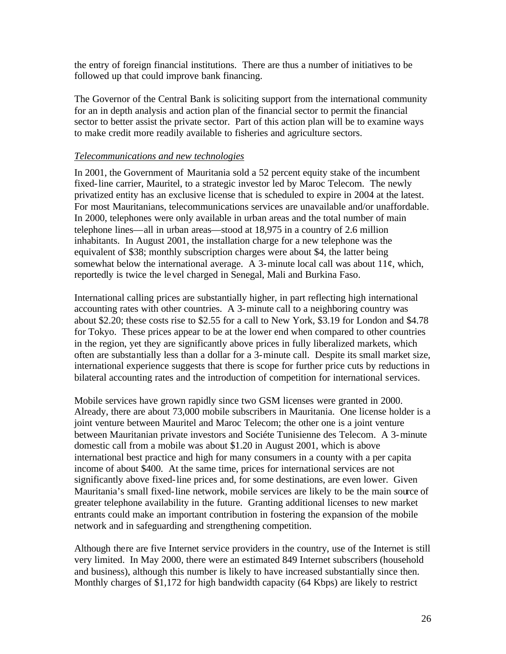the entry of foreign financial institutions. There are thus a number of initiatives to be followed up that could improve bank financing.

The Governor of the Central Bank is soliciting support from the international community for an in depth analysis and action plan of the financial sector to permit the financial sector to better assist the private sector. Part of this action plan will be to examine ways to make credit more readily available to fisheries and agriculture sectors.

#### *Telecommunications and new technologies*

In 2001, the Government of Mauritania sold a 52 percent equity stake of the incumbent fixed-line carrier, Mauritel, to a strategic investor led by Maroc Telecom. The newly privatized entity has an exclusive license that is scheduled to expire in 2004 at the latest. For most Mauritanians, telecommunications services are unavailable and/or unaffordable. In 2000, telephones were only available in urban areas and the total number of main telephone lines—all in urban areas—stood at 18,975 in a country of 2.6 million inhabitants. In August 2001, the installation charge for a new telephone was the equivalent of \$38; monthly subscription charges were about \$4, the latter being somewhat below the international average. A 3-minute local call was about  $11¢$ , which, reportedly is twice the level charged in Senegal, Mali and Burkina Faso.

International calling prices are substantially higher, in part reflecting high international accounting rates with other countries. A 3-minute call to a neighboring country was about \$2.20; these costs rise to \$2.55 for a call to New York, \$3.19 for London and \$4.78 for Tokyo. These prices appear to be at the lower end when compared to other countries in the region, yet they are significantly above prices in fully liberalized markets, which often are substantially less than a dollar for a 3-minute call. Despite its small market size, international experience suggests that there is scope for further price cuts by reductions in bilateral accounting rates and the introduction of competition for international services.

Mobile services have grown rapidly since two GSM licenses were granted in 2000. Already, there are about 73,000 mobile subscribers in Mauritania. One license holder is a joint venture between Mauritel and Maroc Telecom; the other one is a joint venture between Mauritanian private investors and Sociéte Tunisienne des Telecom. A 3-minute domestic call from a mobile was about \$1.20 in August 2001, which is above international best practice and high for many consumers in a county with a per capita income of about \$400. At the same time, prices for international services are not significantly above fixed-line prices and, for some destinations, are even lower. Given Mauritania's small fixed-line network, mobile services are likely to be the main source of greater telephone availability in the future. Granting additional licenses to new market entrants could make an important contribution in fostering the expansion of the mobile network and in safeguarding and strengthening competition.

Although there are five Internet service providers in the country, use of the Internet is still very limited. In May 2000, there were an estimated 849 Internet subscribers (household and business), although this number is likely to have increased substantially since then. Monthly charges of \$1,172 for high bandwidth capacity (64 Kbps) are likely to restrict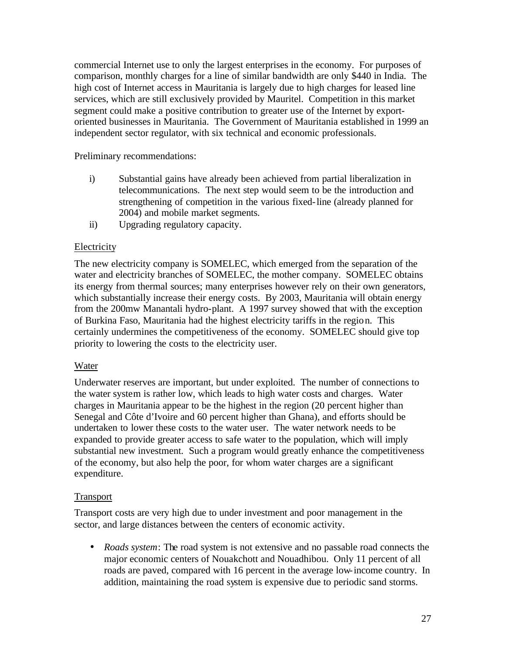commercial Internet use to only the largest enterprises in the economy. For purposes of comparison, monthly charges for a line of similar bandwidth are only \$440 in India. The high cost of Internet access in Mauritania is largely due to high charges for leased line services, which are still exclusively provided by Mauritel. Competition in this market segment could make a positive contribution to greater use of the Internet by exportoriented businesses in Mauritania. The Government of Mauritania established in 1999 an independent sector regulator, with six technical and economic professionals.

Preliminary recommendations:

- i) Substantial gains have already been achieved from partial liberalization in telecommunications. The next step would seem to be the introduction and strengthening of competition in the various fixed-line (already planned for 2004) and mobile market segments.
- ii) Upgrading regulatory capacity.

#### **Electricity**

The new electricity company is SOMELEC, which emerged from the separation of the water and electricity branches of SOMELEC, the mother company. SOMELEC obtains its energy from thermal sources; many enterprises however rely on their own generators, which substantially increase their energy costs. By 2003, Mauritania will obtain energy from the 200mw Manantali hydro-plant. A 1997 survey showed that with the exception of Burkina Faso, Mauritania had the highest electricity tariffs in the region. This certainly undermines the competitiveness of the economy. SOMELEC should give top priority to lowering the costs to the electricity user.

#### Water

Underwater reserves are important, but under exploited. The number of connections to the water system is rather low, which leads to high water costs and charges. Water charges in Mauritania appear to be the highest in the region (20 percent higher than Senegal and Côte d'Ivoire and 60 percent higher than Ghana), and efforts should be undertaken to lower these costs to the water user. The water network needs to be expanded to provide greater access to safe water to the population, which will imply substantial new investment. Such a program would greatly enhance the competitiveness of the economy, but also help the poor, for whom water charges are a significant expenditure.

#### Transport

Transport costs are very high due to under investment and poor management in the sector, and large distances between the centers of economic activity.

• *Roads system*: The road system is not extensive and no passable road connects the major economic centers of Nouakchott and Nouadhibou. Only 11 percent of all roads are paved, compared with 16 percent in the average low-income country. In addition, maintaining the road system is expensive due to periodic sand storms.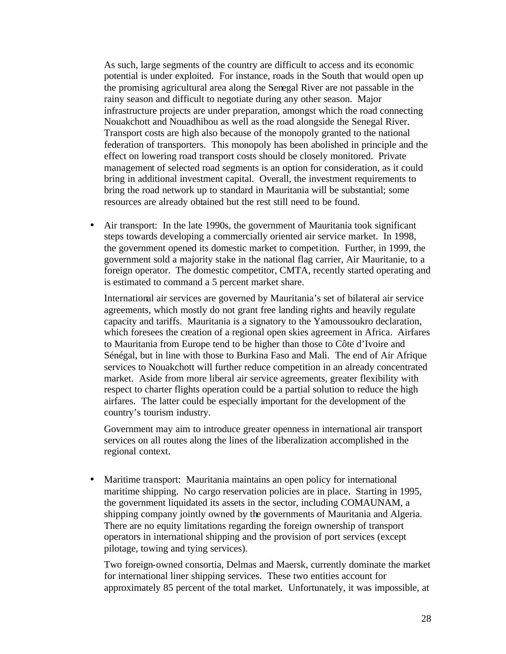As such, large segments of the country are difficult to access and its economic potential is under exploited. For instance, roads in the South that would open up the promising agricultural area along the Senegal River are not passable in the rainy season and difficult to negotiate during any other season. Major infrastructure projects are under preparation, amongst which the road connecting Nouakchott and Nouadhibou as well as the road alongside the Senegal River. Transport costs are high also because of the monopoly granted to the national federation of transporters. This monopoly has been abolished in principle and the effect on lowering road transport costs should be closely monitored. Private management of selected road segments is an option for consideration, as it could bring in additional investment capital. Overall, the investment requirements to bring the road network up to standard in Mauritania will be substantial; some resources are already obtained but the rest still need to be found.

• Air transport: In the late 1990s, the government of Mauritania took significant steps towards developing a commercially oriented air service market. In 1998, the government opened its domestic market to competition. Further, in 1999, the government sold a majority stake in the national flag carrier, Air Mauritanie, to a foreign operator. The domestic competitor, CMTA, recently started operating and is estimated to command a 5 percent market share.

International air services are governed by Mauritania's set of bilateral air service agreements, which mostly do not grant free landing rights and heavily regulate capacity and tariffs. Mauritania is a signatory to the Yamoussoukro declaration, which foresees the creation of a regional open skies agreement in Africa. Airfares to Mauritania from Europe tend to be higher than those to Côte d'Ivoire and Sénégal, but in line with those to Burkina Faso and Mali. The end of Air Afrique services to Nouakchott will further reduce competition in an already concentrated market. Aside from more liberal air service agreements, greater flexibility with respect to charter flights operation could be a partial solution to reduce the high airfares. The latter could be especially important for the development of the country's tourism industry.

Government may aim to introduce greater openness in international air transport services on all routes along the lines of the liberalization accomplished in the regional context.

• Maritime transport: Mauritania maintains an open policy for international maritime shipping. No cargo reservation policies are in place. Starting in 1995, the government liquidated its assets in the sector, including COMAUNAM, a shipping company jointly owned by the governments of Mauritania and Algeria. There are no equity limitations regarding the foreign ownership of transport operators in international shipping and the provision of port services (except pilotage, towing and tying services).

Two foreign-owned consortia, Delmas and Maersk, currently dominate the market for international liner shipping services. These two entities account for approximately 85 percent of the total market. Unfortunately, it was impossible, at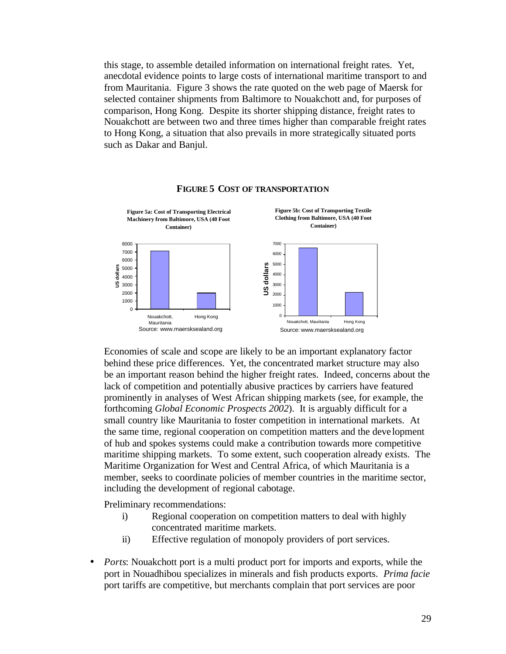this stage, to assemble detailed information on international freight rates. Yet, anecdotal evidence points to large costs of international maritime transport to and from Mauritania. Figure 3 shows the rate quoted on the web page of Maersk for selected container shipments from Baltimore to Nouakchott and, for purposes of comparison, Hong Kong. Despite its shorter shipping distance, freight rates to Nouakchott are between two and three times higher than comparable freight rates to Hong Kong, a situation that also prevails in more strategically situated ports such as Dakar and Banjul.



#### **FIGURE 5 COST OF TRANSPORTATION**

Economies of scale and scope are likely to be an important explanatory factor behind these price differences. Yet, the concentrated market structure may also be an important reason behind the higher freight rates. Indeed, concerns about the lack of competition and potentially abusive practices by carriers have featured prominently in analyses of West African shipping markets (see, for example, the forthcoming *Global Economic Prospects 2002*). It is arguably difficult for a small country like Mauritania to foster competition in international markets. At the same time, regional cooperation on competition matters and the deve lopment of hub and spokes systems could make a contribution towards more competitive maritime shipping markets. To some extent, such cooperation already exists. The Maritime Organization for West and Central Africa, of which Mauritania is a member, seeks to coordinate policies of member countries in the maritime sector, including the development of regional cabotage.

Preliminary recommendations:

- i) Regional cooperation on competition matters to deal with highly concentrated maritime markets.
- ii) Effective regulation of monopoly providers of port services.
- *Ports*: Nouakchott port is a multi product port for imports and exports, while the port in Nouadhibou specializes in minerals and fish products exports. *Prima facie*  port tariffs are competitive, but merchants complain that port services are poor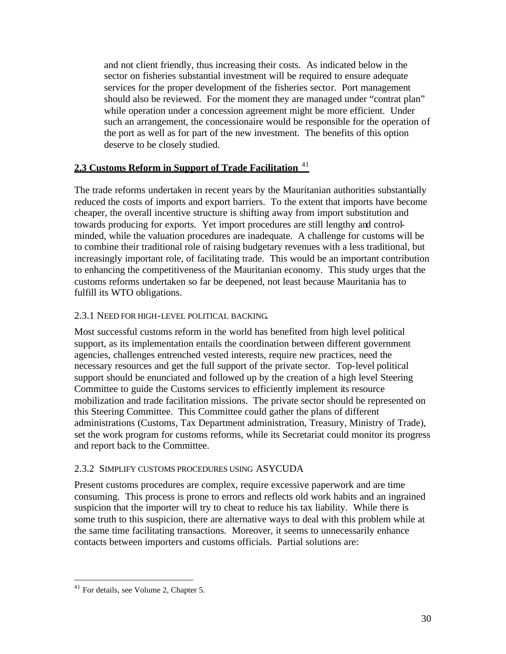and not client friendly, thus increasing their costs. As indicated below in the sector on fisheries substantial investment will be required to ensure adequate services for the proper development of the fisheries sector. Port management should also be reviewed. For the moment they are managed under "contrat plan" while operation under a concession agreement might be more efficient. Under such an arrangement, the concessionaire would be responsible for the operation of the port as well as for part of the new investment. The benefits of this option deserve to be closely studied.

# **2.3 Customs Reform in Support of Trade Facilitation** <sup>41</sup>

The trade reforms undertaken in recent years by the Mauritanian authorities substantially reduced the costs of imports and export barriers. To the extent that imports have become cheaper, the overall incentive structure is shifting away from import substitution and towards producing for exports. Yet import procedures are still lengthy and controlminded, while the valuation procedures are inadequate. A challenge for customs will be to combine their traditional role of raising budgetary revenues with a less traditional, but increasingly important role, of facilitating trade. This would be an important contribution to enhancing the competitiveness of the Mauritanian economy. This study urges that the customs reforms undertaken so far be deepened, not least because Mauritania has to fulfill its WTO obligations.

#### 2.3.1 NEED FOR HIGH-LEVEL POLITICAL BACKING.

Most successful customs reform in the world has benefited from high level political support, as its implementation entails the coordination between different government agencies, challenges entrenched vested interests, require new practices, need the necessary resources and get the full support of the private sector. Top-level political support should be enunciated and followed up by the creation of a high level Steering Committee to guide the Customs services to efficiently implement its resource mobilization and trade facilitation missions. The private sector should be represented on this Steering Committee. This Committee could gather the plans of different administrations (Customs, Tax Department administration, Treasury, Ministry of Trade), set the work program for customs reforms, while its Secretariat could monitor its progress and report back to the Committee.

#### 2.3.2 SIMPLIFY CUSTOMS PROCEDURES USING ASYCUDA

Present customs procedures are complex, require excessive paperwork and are time consuming. This process is prone to errors and reflects old work habits and an ingrained suspicion that the importer will try to cheat to reduce his tax liability. While there is some truth to this suspicion, there are alternative ways to deal with this problem while at the same time facilitating transactions. Moreover, it seems to unnecessarily enhance contacts between importers and customs officials. Partial solutions are:

<sup>&</sup>lt;sup>41</sup> For details, see Volume 2, Chapter 5.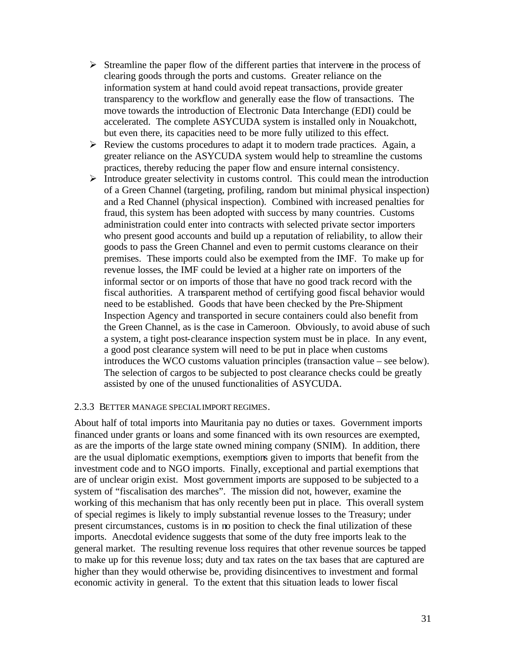- $\triangleright$  Streamline the paper flow of the different parties that intervene in the process of clearing goods through the ports and customs. Greater reliance on the information system at hand could avoid repeat transactions, provide greater transparency to the workflow and generally ease the flow of transactions. The move towards the introduction of Electronic Data Interchange (EDI) could be accelerated. The complete ASYCUDA system is installed only in Nouakchott, but even there, its capacities need to be more fully utilized to this effect.
- $\triangleright$  Review the customs procedures to adapt it to modern trade practices. Again, a greater reliance on the ASYCUDA system would help to streamline the customs practices, thereby reducing the paper flow and ensure internal consistency.
- $\triangleright$  Introduce greater selectivity in customs control. This could mean the introduction of a Green Channel (targeting, profiling, random but minimal physical inspection) and a Red Channel (physical inspection). Combined with increased penalties for fraud, this system has been adopted with success by many countries. Customs administration could enter into contracts with selected private sector importers who present good accounts and build up a reputation of reliability, to allow their goods to pass the Green Channel and even to permit customs clearance on their premises. These imports could also be exempted from the IMF. To make up for revenue losses, the IMF could be levied at a higher rate on importers of the informal sector or on imports of those that have no good track record with the fiscal authorities. A transparent method of certifying good fiscal behavior would need to be established. Goods that have been checked by the Pre-Shipment Inspection Agency and transported in secure containers could also benefit from the Green Channel, as is the case in Cameroon. Obviously, to avoid abuse of such a system, a tight post-clearance inspection system must be in place. In any event, a good post clearance system will need to be put in place when customs introduces the WCO customs valuation principles (transaction value – see below). The selection of cargos to be subjected to post clearance checks could be greatly assisted by one of the unused functionalities of ASYCUDA.

#### 2.3.3 BETTER MANAGE SPECIAL IMPORT REGIMES.

About half of total imports into Mauritania pay no duties or taxes. Government imports financed under grants or loans and some financed with its own resources are exempted, as are the imports of the large state owned mining company (SNIM). In addition, there are the usual diplomatic exemptions, exemptions given to imports that benefit from the investment code and to NGO imports. Finally, exceptional and partial exemptions that are of unclear origin exist. Most government imports are supposed to be subjected to a system of "fiscalisation des marches". The mission did not, however, examine the working of this mechanism that has only recently been put in place. This overall system of special regimes is likely to imply substantial revenue losses to the Treasury; under present circumstances, customs is in no position to check the final utilization of these imports. Anecdotal evidence suggests that some of the duty free imports leak to the general market. The resulting revenue loss requires that other revenue sources be tapped to make up for this revenue loss; duty and tax rates on the tax bases that are captured are higher than they would otherwise be, providing disincentives to investment and formal economic activity in general. To the extent that this situation leads to lower fiscal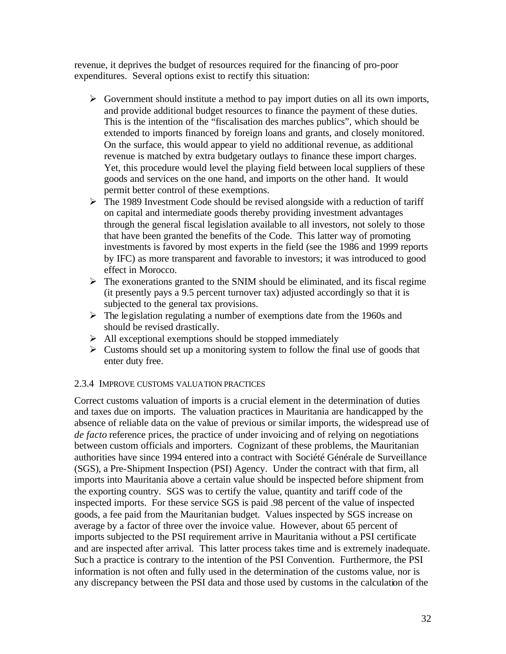revenue, it deprives the budget of resources required for the financing of pro-poor expenditures. Several options exist to rectify this situation:

- $\triangleright$  Government should institute a method to pay import duties on all its own imports, and provide additional budget resources to finance the payment of these duties. This is the intention of the "fiscalisation des marches publics", which should be extended to imports financed by foreign loans and grants, and closely monitored. On the surface, this would appear to yield no additional revenue, as additional revenue is matched by extra budgetary outlays to finance these import charges. Yet, this procedure would level the playing field between local suppliers of these goods and services on the one hand, and imports on the other hand. It would permit better control of these exemptions.
- $\triangleright$  The 1989 Investment Code should be revised alongside with a reduction of tariff on capital and intermediate goods thereby providing investment advantages through the general fiscal legislation available to all investors, not solely to those that have been granted the benefits of the Code. This latter way of promoting investments is favored by most experts in the field (see the 1986 and 1999 reports by IFC) as more transparent and favorable to investors; it was introduced to good effect in Morocco.
- $\triangleright$  The exonerations granted to the SNIM should be eliminated, and its fiscal regime (it presently pays a 9.5 percent turnover tax) adjusted accordingly so that it is subjected to the general tax provisions.
- $\triangleright$  The legislation regulating a number of exemptions date from the 1960s and should be revised drastically.
- $\triangleright$  All exceptional exemptions should be stopped immediately
- $\triangleright$  Customs should set up a monitoring system to follow the final use of goods that enter duty free.

# 2.3.4 IMPROVE CUSTOMS VALUATION PRACTICES

Correct customs valuation of imports is a crucial element in the determination of duties and taxes due on imports. The valuation practices in Mauritania are handicapped by the absence of reliable data on the value of previous or similar imports, the widespread use of *de facto* reference prices, the practice of under invoicing and of relying on negotiations between custom officials and importers. Cognizant of these problems, the Mauritanian authorities have since 1994 entered into a contract with Société Générale de Surveillance (SGS), a Pre-Shipment Inspection (PSI) Agency. Under the contract with that firm, all imports into Mauritania above a certain value should be inspected before shipment from the exporting country. SGS was to certify the value, quantity and tariff code of the inspected imports. For these service SGS is paid .98 percent of the value of inspected goods, a fee paid from the Mauritanian budget. Values inspected by SGS increase on average by a factor of three over the invoice value. However, about 65 percent of imports subjected to the PSI requirement arrive in Mauritania without a PSI certificate and are inspected after arrival. This latter process takes time and is extremely inadequate. Such a practice is contrary to the intention of the PSI Convention. Furthermore, the PSI information is not often and fully used in the determination of the customs value, nor is any discrepancy between the PSI data and those used by customs in the calculation of the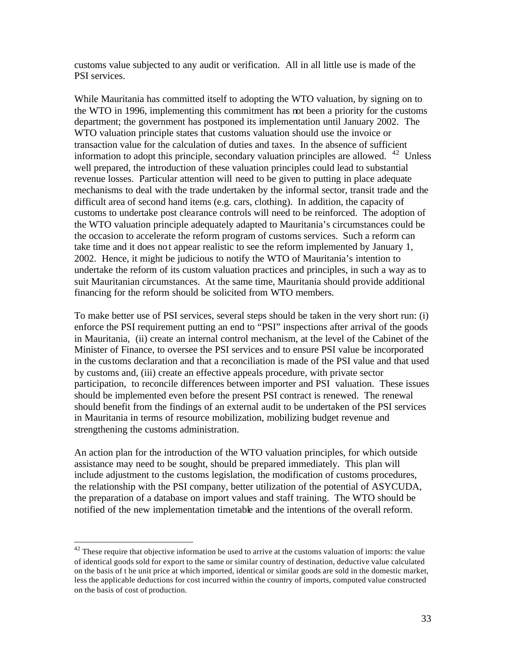customs value subjected to any audit or verification. All in all little use is made of the PSI services.

While Mauritania has committed itself to adopting the WTO valuation, by signing on to the WTO in 1996, implementing this commitment has not been a priority for the customs department; the government has postponed its implementation until January 2002. The WTO valuation principle states that customs valuation should use the invoice or transaction value for the calculation of duties and taxes. In the absence of sufficient information to adopt this principle, secondary valuation principles are allowed.  $42$  Unless well prepared, the introduction of these valuation principles could lead to substantial revenue losses. Particular attention will need to be given to putting in place adequate mechanisms to deal with the trade undertaken by the informal sector, transit trade and the difficult area of second hand items (e.g. cars, clothing). In addition, the capacity of customs to undertake post clearance controls will need to be reinforced. The adoption of the WTO valuation principle adequately adapted to Mauritania's circumstances could be the occasion to accelerate the reform program of customs services. Such a reform can take time and it does not appear realistic to see the reform implemented by January 1, 2002. Hence, it might be judicious to notify the WTO of Mauritania's intention to undertake the reform of its custom valuation practices and principles, in such a way as to suit Mauritanian circumstances. At the same time, Mauritania should provide additional financing for the reform should be solicited from WTO members.

To make better use of PSI services, several steps should be taken in the very short run: (i) enforce the PSI requirement putting an end to "PSI" inspections after arrival of the goods in Mauritania, (ii) create an internal control mechanism, at the level of the Cabinet of the Minister of Finance, to oversee the PSI services and to ensure PSI value be incorporated in the customs declaration and that a reconciliation is made of the PSI value and that used by customs and, (iii) create an effective appeals procedure, with private sector participation, to reconcile differences between importer and PSI valuation. These issues should be implemented even before the present PSI contract is renewed. The renewal should benefit from the findings of an external audit to be undertaken of the PSI services in Mauritania in terms of resource mobilization, mobilizing budget revenue and strengthening the customs administration.

An action plan for the introduction of the WTO valuation principles, for which outside assistance may need to be sought, should be prepared immediately. This plan will include adjustment to the customs legislation, the modification of customs procedures, the relationship with the PSI company, better utilization of the potential of ASYCUDA, the preparation of a database on import values and staff training. The WTO should be notified of the new implementation timetable and the intentions of the overall reform.

 $42$  These require that objective information be used to arrive at the customs valuation of imports: the value of identical goods sold for export to the same or similar country of destination, deductive value calculated on the basis of t he unit price at which imported, identical or similar goods are sold in the domestic market, less the applicable deductions for cost incurred within the country of imports, computed value constructed on the basis of cost of production.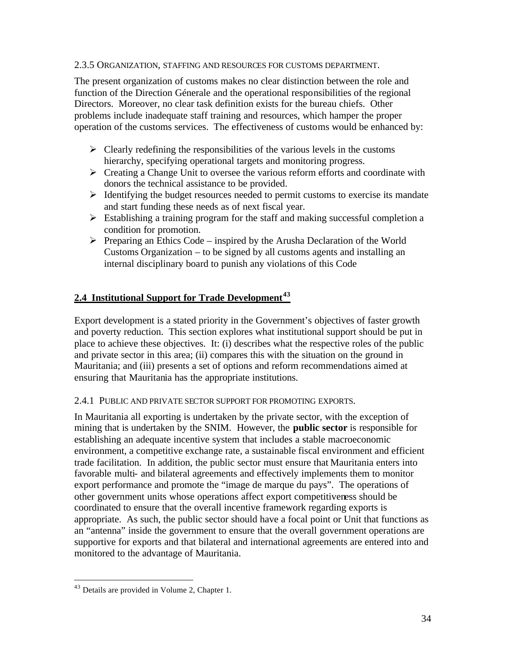#### 2.3.5 ORGANIZATION, STAFFING AND RESOURCES FOR CUSTOMS DEPARTMENT.

The present organization of customs makes no clear distinction between the role and function of the Direction Génerale and the operational responsibilities of the regional Directors. Moreover, no clear task definition exists for the bureau chiefs. Other problems include inadequate staff training and resources, which hamper the proper operation of the customs services. The effectiveness of customs would be enhanced by:

- $\triangleright$  Clearly redefining the responsibilities of the various levels in the customs hierarchy, specifying operational targets and monitoring progress.
- $\triangleright$  Creating a Change Unit to oversee the various reform efforts and coordinate with donors the technical assistance to be provided.
- $\triangleright$  Identifying the budget resources needed to permit customs to exercise its mandate and start funding these needs as of next fiscal year.
- $\triangleright$  Establishing a training program for the staff and making successful completion a condition for promotion.
- $\triangleright$  Preparing an Ethics Code inspired by the Arusha Declaration of the World Customs Organization – to be signed by all customs agents and installing an internal disciplinary board to punish any violations of this Code

# **2.4 Institutional Support for Trade Development<sup>43</sup>**

Export development is a stated priority in the Government's objectives of faster growth and poverty reduction. This section explores what institutional support should be put in place to achieve these objectives. It: (i) describes what the respective roles of the public and private sector in this area; (ii) compares this with the situation on the ground in Mauritania; and (iii) presents a set of options and reform recommendations aimed at ensuring that Mauritania has the appropriate institutions.

#### 2.4.1 PUBLIC AND PRIVATE SECTOR SUPPORT FOR PROMOTING EXPORTS.

In Mauritania all exporting is undertaken by the private sector, with the exception of mining that is undertaken by the SNIM. However, the **public sector** is responsible for establishing an adequate incentive system that includes a stable macroeconomic environment, a competitive exchange rate, a sustainable fiscal environment and efficient trade facilitation. In addition, the public sector must ensure that Mauritania enters into favorable multi- and bilateral agreements and effectively implements them to monitor export performance and promote the "image de marque du pays". The operations of other government units whose operations affect export competitiveness should be coordinated to ensure that the overall incentive framework regarding exports is appropriate. As such, the public sector should have a focal point or Unit that functions as an "antenna" inside the government to ensure that the overall government operations are supportive for exports and that bilateral and international agreements are entered into and monitored to the advantage of Mauritania.

<sup>43</sup> Details are provided in Volume 2, Chapter 1.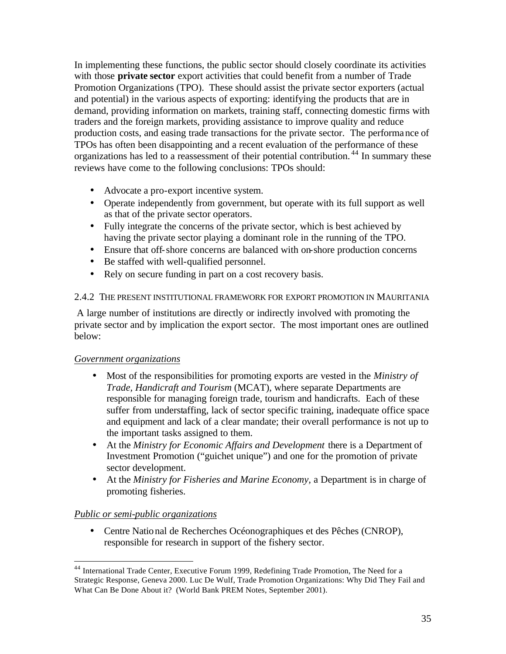In implementing these functions, the public sector should closely coordinate its activities with those **private sector** export activities that could benefit from a number of Trade Promotion Organizations (TPO). These should assist the private sector exporters (actual and potential) in the various aspects of exporting: identifying the products that are in demand, providing information on markets, training staff, connecting domestic firms with traders and the foreign markets, providing assistance to improve quality and reduce production costs, and easing trade transactions for the private sector. The performance of TPOs has often been disappointing and a recent evaluation of the performance of these organizations has led to a reassessment of their potential contribution.<sup>44</sup> In summary these reviews have come to the following conclusions: TPOs should:

- Advocate a pro-export incentive system.
- Operate independently from government, but operate with its full support as well as that of the private sector operators.
- Fully integrate the concerns of the private sector, which is best achieved by having the private sector playing a dominant role in the running of the TPO.
- Ensure that off-shore concerns are balanced with on-shore production concerns
- Be staffed with well-qualified personnel.
- Rely on secure funding in part on a cost recovery basis.

#### 2.4.2 THE PRESENT INSTITUTIONAL FRAMEWORK FOR EXPORT PROMOTION IN MAURITANIA

A large number of institutions are directly or indirectly involved with promoting the private sector and by implication the export sector. The most important ones are outlined below:

# *Government organizations*

- Most of the responsibilities for promoting exports are vested in the *Ministry of Trade, Handicraft and Tourism* (MCAT), where separate Departments are responsible for managing foreign trade, tourism and handicrafts. Each of these suffer from understaffing, lack of sector specific training, inadequate office space and equipment and lack of a clear mandate; their overall performance is not up to the important tasks assigned to them.
- At the *Ministry for Economic Affairs and Development* there is a Department of Investment Promotion ("guichet unique") and one for the promotion of private sector development.
- At the *Ministry for Fisheries and Marine Economy,* a Department is in charge of promoting fisheries.

# *Public or semi-public organizations*

 $\overline{a}$ 

• Centre National de Recherches Océonographiques et des Pêches (CNROP), responsible for research in support of the fishery sector.

<sup>&</sup>lt;sup>44</sup> International Trade Center, Executive Forum 1999, Redefining Trade Promotion, The Need for a Strategic Response, Geneva 2000. Luc De Wulf, Trade Promotion Organizations: Why Did They Fail and What Can Be Done About it? (World Bank PREM Notes, September 2001).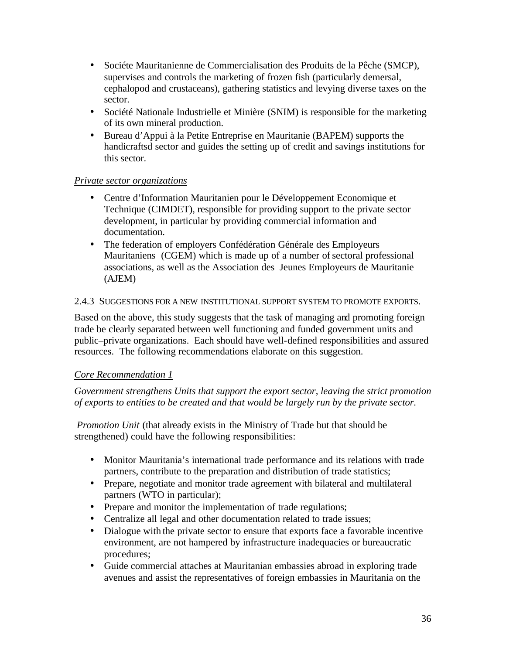- Sociéte Mauritanienne de Commercialisation des Produits de la Pêche (SMCP), supervises and controls the marketing of frozen fish (particularly demersal, cephalopod and crustaceans), gathering statistics and levying diverse taxes on the sector.
- Société Nationale Industrielle et Minière (SNIM) is responsible for the marketing of its own mineral production.
- Bureau d'Appui à la Petite Entreprise en Mauritanie (BAPEM) supports the handicraftsd sector and guides the setting up of credit and savings institutions for this sector.

# *Private sector organizations*

- Centre d'Information Mauritanien pour le Développement Economique et Technique (CIMDET), responsible for providing support to the private sector development, in particular by providing commercial information and documentation.
- The federation of employers Confédération Générale des Employeurs Mauritaniens (CGEM) which is made up of a number of sectoral professional associations, as well as the Association des Jeunes Employeurs de Mauritanie (AJEM)

# 2.4.3 SUGGESTIONS FOR A NEW INSTITUTIONAL SUPPORT SYSTEM TO PROMOTE EXPORTS.

Based on the above, this study suggests that the task of managing and promoting foreign trade be clearly separated between well functioning and funded government units and public–private organizations. Each should have well-defined responsibilities and assured resources. The following recommendations elaborate on this suggestion.

# *Core Recommendation 1*

*Government strengthens Units that support the export sector, leaving the strict promotion of exports to entities to be created and that would be largely run by the private sector.* 

 *Promotion Unit* (that already exists in the Ministry of Trade but that should be strengthened) could have the following responsibilities:

- Monitor Mauritania's international trade performance and its relations with trade partners, contribute to the preparation and distribution of trade statistics;
- Prepare, negotiate and monitor trade agreement with bilateral and multilateral partners (WTO in particular);
- Prepare and monitor the implementation of trade regulations;
- Centralize all legal and other documentation related to trade issues;
- Dialogue with the private sector to ensure that exports face a favorable incentive environment, are not hampered by infrastructure inadequacies or bureaucratic procedures;
- Guide commercial attaches at Mauritanian embassies abroad in exploring trade avenues and assist the representatives of foreign embassies in Mauritania on the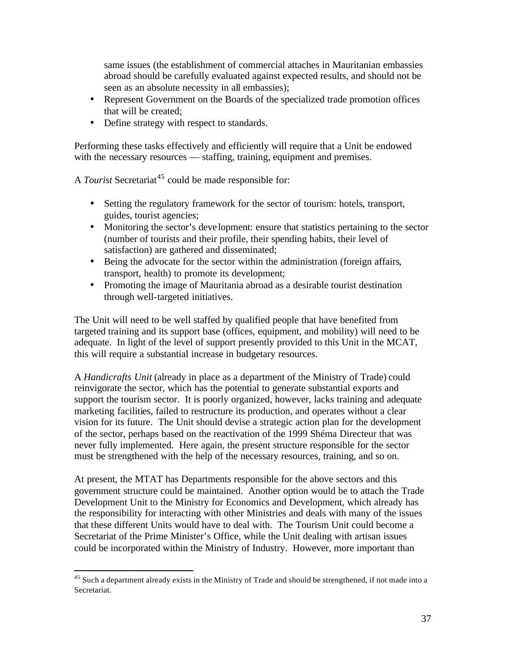same issues (the establishment of commercial attaches in Mauritanian embassies abroad should be carefully evaluated against expected results, and should not be seen as an absolute necessity in all embassies);

- Represent Government on the Boards of the specialized trade promotion offices that will be created;
- Define strategy with respect to standards.

Performing these tasks effectively and efficiently will require that a Unit be endowed with the necessary resources — staffing, training, equipment and premises.

A *Tourist* Secretariat<sup>45</sup> could be made responsible for:

- Setting the regulatory framework for the sector of tourism: hotels, transport, guides, tourist agencies;
- Monitoring the sector's deve lopment: ensure that statistics pertaining to the sector (number of tourists and their profile, their spending habits, their level of satisfaction) are gathered and disseminated;
- Being the advocate for the sector within the administration (foreign affairs, transport, health) to promote its development;
- Promoting the image of Mauritania abroad as a desirable tourist destination through well-targeted initiatives.

The Unit will need to be well staffed by qualified people that have benefited from targeted training and its support base (offices, equipment, and mobility) will need to be adequate. In light of the level of support presently provided to this Unit in the MCAT, this will require a substantial increase in budgetary resources.

A *Handicrafts Unit* (already in place as a department of the Ministry of Trade) could reinvigorate the sector, which has the potential to generate substantial exports and support the tourism sector. It is poorly organized, however, lacks training and adequate marketing facilities, failed to restructure its production, and operates without a clear vision for its future. The Unit should devise a strategic action plan for the development of the sector, perhaps based on the reactivation of the 1999 Shéma Directeur that was never fully implemented. Here again, the present structure responsible for the sector must be strengthened with the help of the necessary resources, training, and so on.

At present, the MTAT has Departments responsible for the above sectors and this government structure could be maintained. Another option would be to attach the Trade Development Unit to the Ministry for Economics and Development, which already has the responsibility for interacting with other Ministries and deals with many of the issues that these different Units would have to deal with. The Tourism Unit could become a Secretariat of the Prime Minister's Office, while the Unit dealing with artisan issues could be incorporated within the Ministry of Industry. However, more important than

 $45$  Such a department already exists in the Ministry of Trade and should be strengthened, if not made into a Secretariat.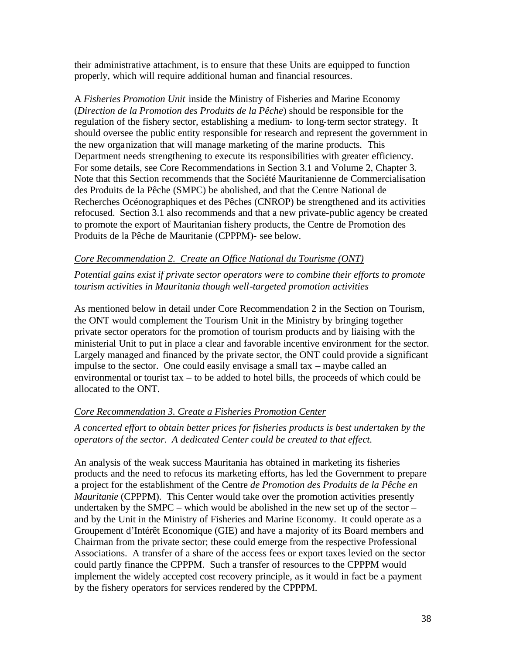their administrative attachment, is to ensure that these Units are equipped to function properly, which will require additional human and financial resources.

A *Fisheries Promotion Unit* inside the Ministry of Fisheries and Marine Economy (*Direction de la Promotion des Produits de la Pêche*) should be responsible for the regulation of the fishery sector, establishing a medium- to long-term sector strategy. It should oversee the public entity responsible for research and represent the government in the new organization that will manage marketing of the marine products. This Department needs strengthening to execute its responsibilities with greater efficiency. For some details, see Core Recommendations in Section 3.1 and Volume 2, Chapter 3. Note that this Section recommends that the Société Mauritanienne de Commercialisation des Produits de la Pêche (SMPC) be abolished, and that the Centre National de Recherches Océonographiques et des Pêches (CNROP) be strengthened and its activities refocused. Section 3.1 also recommends and that a new private-public agency be created to promote the export of Mauritanian fishery products, the Centre de Promotion des Produits de la Pêche de Mauritanie (CPPPM)- see below.

#### *Core Recommendation 2. Create an Office National du Tourisme (ONT)*

*Potential gains exist if private sector operators were to combine their efforts to promote tourism activities in Mauritania though well-targeted promotion activities*

As mentioned below in detail under Core Recommendation 2 in the Section on Tourism, the ONT would complement the Tourism Unit in the Ministry by bringing together private sector operators for the promotion of tourism products and by liaising with the ministerial Unit to put in place a clear and favorable incentive environment for the sector. Largely managed and financed by the private sector, the ONT could provide a significant impulse to the sector. One could easily envisage a small tax – maybe called an environmental or tourist tax – to be added to hotel bills, the proceeds of which could be allocated to the ONT.

# *Core Recommendation 3. Create a Fisheries Promotion Center*

*A concerted effort to obtain better prices for fisheries products is best undertaken by the operators of the sector. A dedicated Center could be created to that effect.* 

An analysis of the weak success Mauritania has obtained in marketing its fisheries products and the need to refocus its marketing efforts, has led the Government to prepare a project for the establishment of the Centre *de Promotion des Produits de la Pêche en Mauritanie* (CPPPM). This Center would take over the promotion activities presently undertaken by the SMPC – which would be abolished in the new set up of the sector – and by the Unit in the Ministry of Fisheries and Marine Economy. It could operate as a Groupement d'Intérêt Economique (GIE) and have a majority of its Board members and Chairman from the private sector; these could emerge from the respective Professional Associations. A transfer of a share of the access fees or export taxes levied on the sector could partly finance the CPPPM. Such a transfer of resources to the CPPPM would implement the widely accepted cost recovery principle, as it would in fact be a payment by the fishery operators for services rendered by the CPPPM.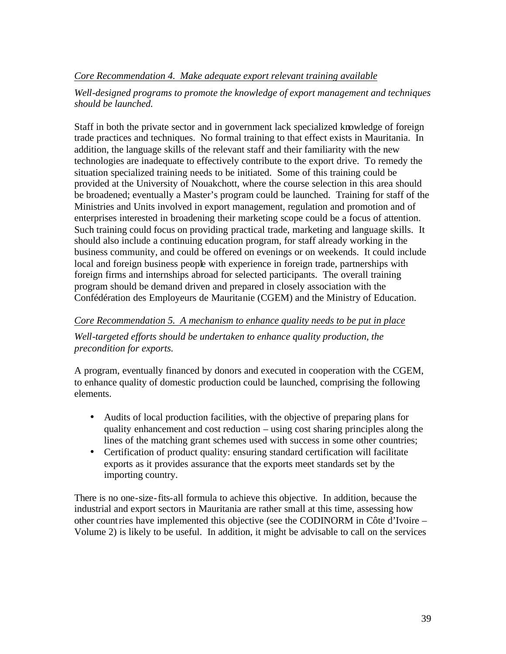# *Core Recommendation 4. Make adequate export relevant training available*

# *Well-designed programs to promote the knowledge of export management and techniques should be launched.*

Staff in both the private sector and in government lack specialized knowledge of foreign trade practices and techniques. No formal training to that effect exists in Mauritania. In addition, the language skills of the relevant staff and their familiarity with the new technologies are inadequate to effectively contribute to the export drive. To remedy the situation specialized training needs to be initiated. Some of this training could be provided at the University of Nouakchott, where the course selection in this area should be broadened; eventually a Master's program could be launched. Training for staff of the Ministries and Units involved in export management, regulation and promotion and of enterprises interested in broadening their marketing scope could be a focus of attention. Such training could focus on providing practical trade, marketing and language skills. It should also include a continuing education program, for staff already working in the business community, and could be offered on evenings or on weekends. It could include local and foreign business people with experience in foreign trade, partnerships with foreign firms and internships abroad for selected participants. The overall training program should be demand driven and prepared in closely association with the Confédération des Employeurs de Mauritanie (CGEM) and the Ministry of Education.

# *Core Recommendation 5. A mechanism to enhance quality needs to be put in place*

*Well-targeted efforts should be undertaken to enhance quality production, the precondition for exports.* 

A program, eventually financed by donors and executed in cooperation with the CGEM, to enhance quality of domestic production could be launched, comprising the following elements.

- Audits of local production facilities, with the objective of preparing plans for quality enhancement and cost reduction – using cost sharing principles along the lines of the matching grant schemes used with success in some other countries;
- Certification of product quality: ensuring standard certification will facilitate exports as it provides assurance that the exports meet standards set by the importing country.

There is no one-size-fits-all formula to achieve this objective. In addition, because the industrial and export sectors in Mauritania are rather small at this time, assessing how other countries have implemented this objective (see the CODINORM in Côte d'Ivoire – Volume 2) is likely to be useful. In addition, it might be advisable to call on the services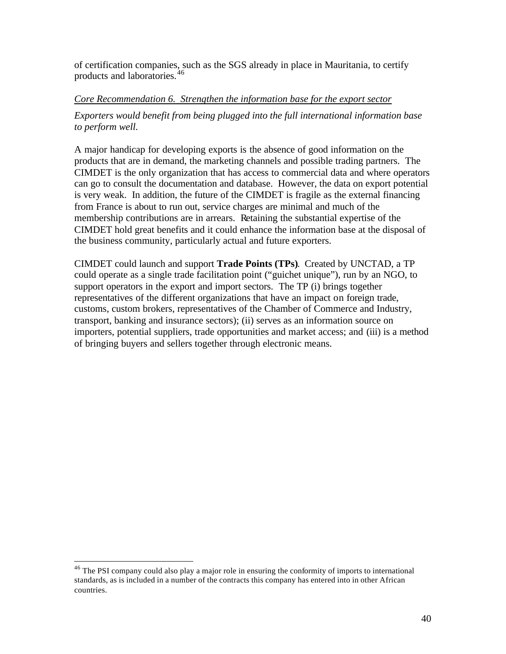of certification companies, such as the SGS already in place in Mauritania, to certify products and laboratories.<sup>46</sup>

#### *Core Recommendation 6. Strengthen the information base for the export sector*

*Exporters would benefit from being plugged into the full international information base to perform well.*

A major handicap for developing exports is the absence of good information on the products that are in demand, the marketing channels and possible trading partners. The CIMDET is the only organization that has access to commercial data and where operators can go to consult the documentation and database. However, the data on export potential is very weak. In addition, the future of the CIMDET is fragile as the external financing from France is about to run out, service charges are minimal and much of the membership contributions are in arrears. Retaining the substantial expertise of the CIMDET hold great benefits and it could enhance the information base at the disposal of the business community, particularly actual and future exporters.

CIMDET could launch and support **Trade Points (TPs)**. Created by UNCTAD, a TP could operate as a single trade facilitation point ("guichet unique"), run by an NGO, to support operators in the export and import sectors. The TP (i) brings together representatives of the different organizations that have an impact on foreign trade, customs, custom brokers, representatives of the Chamber of Commerce and Industry, transport, banking and insurance sectors); (ii) serves as an information source on importers, potential suppliers, trade opportunities and market access; and (iii) is a method of bringing buyers and sellers together through electronic means.

 $46$  The PSI company could also play a major role in ensuring the conformity of imports to international standards, as is included in a number of the contracts this company has entered into in other African countries.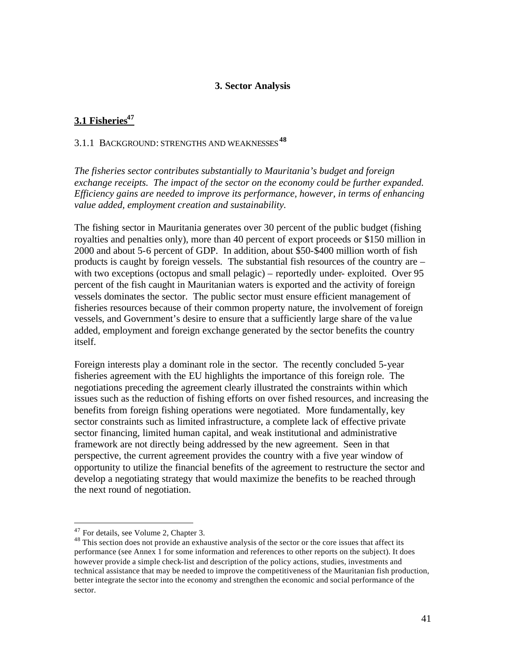#### **3. Sector Analysis**

# **3.1 Fisheries<sup>47</sup>**

# 3.1.1 BACKGROUND: STRENGTHS AND WEAKNESSES**<sup>48</sup>**

*The fisheries sector contributes substantially to Mauritania's budget and foreign exchange receipts. The impact of the sector on the economy could be further expanded. Efficiency gains are needed to improve its performance, however, in terms of enhancing value added, employment creation and sustainability.*

The fishing sector in Mauritania generates over 30 percent of the public budget (fishing royalties and penalties only), more than 40 percent of export proceeds or \$150 million in 2000 and about 5-6 percent of GDP. In addition, about \$50-\$400 million worth of fish products is caught by foreign vessels. The substantial fish resources of the country are – with two exceptions (octopus and small pelagic) – reportedly under-exploited. Over 95 percent of the fish caught in Mauritanian waters is exported and the activity of foreign vessels dominates the sector. The public sector must ensure efficient management of fisheries resources because of their common property nature, the involvement of foreign vessels, and Government's desire to ensure that a sufficiently large share of the va lue added, employment and foreign exchange generated by the sector benefits the country itself.

Foreign interests play a dominant role in the sector. The recently concluded 5-year fisheries agreement with the EU highlights the importance of this foreign role. The negotiations preceding the agreement clearly illustrated the constraints within which issues such as the reduction of fishing efforts on over fished resources, and increasing the benefits from foreign fishing operations were negotiated. More fundamentally, key sector constraints such as limited infrastructure, a complete lack of effective private sector financing, limited human capital, and weak institutional and administrative framework are not directly being addressed by the new agreement. Seen in that perspective, the current agreement provides the country with a five year window of opportunity to utilize the financial benefits of the agreement to restructure the sector and develop a negotiating strategy that would maximize the benefits to be reached through the next round of negotiation.

<sup>47</sup> For details, see Volume 2, Chapter 3.

<sup>&</sup>lt;sup>48</sup> This section does not provide an exhaustive analysis of the sector or the core issues that affect its performance (see Annex 1 for some information and references to other reports on the subject). It does however provide a simple check-list and description of the policy actions, studies, investments and technical assistance that may be needed to improve the competitiveness of the Mauritanian fish production, better integrate the sector into the economy and strengthen the economic and social performance of the sector.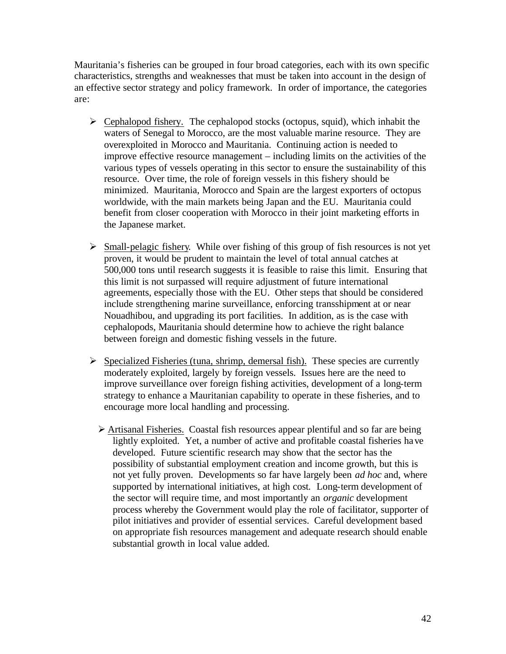Mauritania's fisheries can be grouped in four broad categories, each with its own specific characteristics, strengths and weaknesses that must be taken into account in the design of an effective sector strategy and policy framework. In order of importance, the categories are:

- $\triangleright$  Cephalopod fishery. The cephalopod stocks (octopus, squid), which inhabit the waters of Senegal to Morocco, are the most valuable marine resource. They are overexploited in Morocco and Mauritania. Continuing action is needed to improve effective resource management – including limits on the activities of the various types of vessels operating in this sector to ensure the sustainability of this resource. Over time, the role of foreign vessels in this fishery should be minimized. Mauritania, Morocco and Spain are the largest exporters of octopus worldwide, with the main markets being Japan and the EU. Mauritania could benefit from closer cooperation with Morocco in their joint marketing efforts in the Japanese market.
- $\triangleright$  Small-pelagic fishery. While over fishing of this group of fish resources is not yet proven, it would be prudent to maintain the level of total annual catches at 500,000 tons until research suggests it is feasible to raise this limit. Ensuring that this limit is not surpassed will require adjustment of future international agreements, especially those with the EU. Other steps that should be considered include strengthening marine surveillance, enforcing transshipment at or near Nouadhibou, and upgrading its port facilities. In addition, as is the case with cephalopods, Mauritania should determine how to achieve the right balance between foreign and domestic fishing vessels in the future.
- $\triangleright$  Specialized Fisheries (tuna, shrimp, demersal fish). These species are currently moderately exploited, largely by foreign vessels. Issues here are the need to improve surveillance over foreign fishing activities, development of a long-term strategy to enhance a Mauritanian capability to operate in these fisheries, and to encourage more local handling and processing.
	- $\triangleright$  Artisanal Fisheries. Coastal fish resources appear plentiful and so far are being lightly exploited. Yet, a number of active and profitable coastal fisheries have developed. Future scientific research may show that the sector has the possibility of substantial employment creation and income growth, but this is not yet fully proven. Developments so far have largely been *ad hoc* and, where supported by international initiatives, at high cost*.* Long-term development of the sector will require time, and most importantly an *organic* development process whereby the Government would play the role of facilitator, supporter of pilot initiatives and provider of essential services. Careful development based on appropriate fish resources management and adequate research should enable substantial growth in local value added.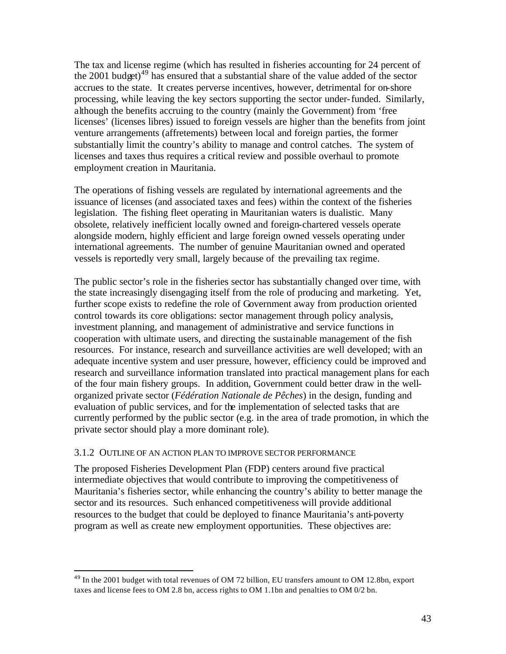The tax and license regime (which has resulted in fisheries accounting for 24 percent of the 2001 budget)<sup>49</sup> has ensured that a substantial share of the value added of the sector accrues to the state. It creates perverse incentives, however, detrimental for on-shore processing, while leaving the key sectors supporting the sector under-funded. Similarly, although the benefits accruing to the country (mainly the Government) from 'free licenses' (licenses libres) issued to foreign vessels are higher than the benefits from joint venture arrangements (affretements) between local and foreign parties, the former substantially limit the country's ability to manage and control catches. The system of licenses and taxes thus requires a critical review and possible overhaul to promote employment creation in Mauritania.

The operations of fishing vessels are regulated by international agreements and the issuance of licenses (and associated taxes and fees) within the context of the fisheries legislation. The fishing fleet operating in Mauritanian waters is dualistic. Many obsolete, relatively inefficient locally owned and foreign-chartered vessels operate alongside modern, highly efficient and large foreign owned vessels operating under international agreements. The number of genuine Mauritanian owned and operated vessels is reportedly very small, largely because of the prevailing tax regime.

The public sector's role in the fisheries sector has substantially changed over time, with the state increasingly disengaging itself from the role of producing and marketing. Yet, further scope exists to redefine the role of Government away from production oriented control towards its core obligations: sector management through policy analysis, investment planning, and management of administrative and service functions in cooperation with ultimate users, and directing the sustainable management of the fish resources. For instance, research and surveillance activities are well developed; with an adequate incentive system and user pressure, however, efficiency could be improved and research and surveillance information translated into practical management plans for each of the four main fishery groups. In addition, Government could better draw in the wellorganized private sector (*Fédération Nationale de Pêches*) in the design, funding and evaluation of public services, and for the implementation of selected tasks that are currently performed by the public sector (e.g. in the area of trade promotion, in which the private sector should play a more dominant role).

#### 3.1.2 OUTLINE OF AN ACTION PLAN TO IMPROVE SECTOR PERFORMANCE

 $\overline{a}$ 

The proposed Fisheries Development Plan (FDP) centers around five practical intermediate objectives that would contribute to improving the competitiveness of Mauritania's fisheries sector, while enhancing the country's ability to better manage the sector and its resources. Such enhanced competitiveness will provide additional resources to the budget that could be deployed to finance Mauritania's anti-poverty program as well as create new employment opportunities. These objectives are:

<sup>&</sup>lt;sup>49</sup> In the 2001 budget with total revenues of OM 72 billion, EU transfers amount to OM 12.8bn, export taxes and license fees to OM 2.8 bn, access rights to OM 1.1bn and penalties to OM 0/2 bn.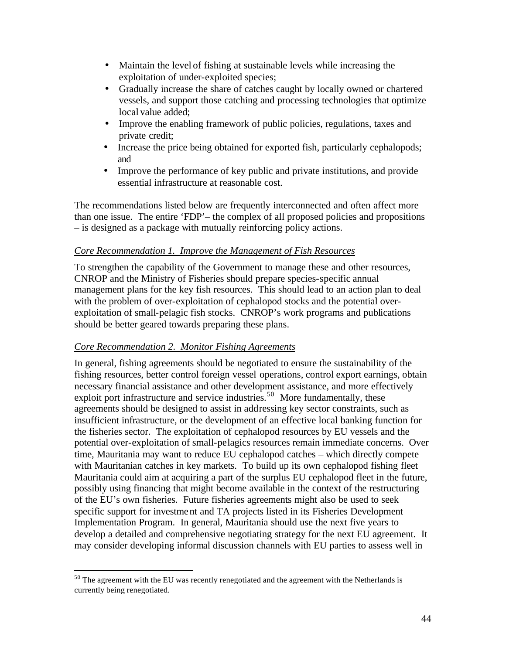- Maintain the level of fishing at sustainable levels while increasing the exploitation of under-exploited species;
- Gradually increase the share of catches caught by locally owned or chartered vessels, and support those catching and processing technologies that optimize local value added;
- Improve the enabling framework of public policies, regulations, taxes and private credit;
- Increase the price being obtained for exported fish, particularly cephalopods; and
- Improve the performance of key public and private institutions, and provide essential infrastructure at reasonable cost.

The recommendations listed below are frequently interconnected and often affect more than one issue. The entire 'FDP'– the complex of all proposed policies and propositions – is designed as a package with mutually reinforcing policy actions.

# *Core Recommendation 1. Improve the Management of Fish Resources*

To strengthen the capability of the Government to manage these and other resources, CNROP and the Ministry of Fisheries should prepare species-specific annual management plans for the key fish resources. This should lead to an action plan to deal with the problem of over-exploitation of cephalopod stocks and the potential overexploitation of small-pelagic fish stocks. CNROP's work programs and publications should be better geared towards preparing these plans.

# *Core Recommendation 2. Monitor Fishing Agreements*

 $\overline{a}$ 

In general, fishing agreements should be negotiated to ensure the sustainability of the fishing resources, better control foreign vessel operations, control export earnings, obtain necessary financial assistance and other development assistance, and more effectively exploit port infrastructure and service industries.<sup>50</sup> More fundamentally, these agreements should be designed to assist in addressing key sector constraints, such as insufficient infrastructure, or the development of an effective local banking function for the fisheries sector. The exploitation of cephalopod resources by EU vessels and the potential over-exploitation of small-pelagics resources remain immediate concerns. Over time, Mauritania may want to reduce EU cephalopod catches – which directly compete with Mauritanian catches in key markets. To build up its own cephalopod fishing fleet Mauritania could aim at acquiring a part of the surplus EU cephalopod fleet in the future, possibly using financing that might become available in the context of the restructuring of the EU's own fisheries. Future fisheries agreements might also be used to seek specific support for investment and TA projects listed in its Fisheries Development Implementation Program. In general, Mauritania should use the next five years to develop a detailed and comprehensive negotiating strategy for the next EU agreement. It may consider developing informal discussion channels with EU parties to assess well in

 $50$  The agreement with the EU was recently renegotiated and the agreement with the Netherlands is currently being renegotiated.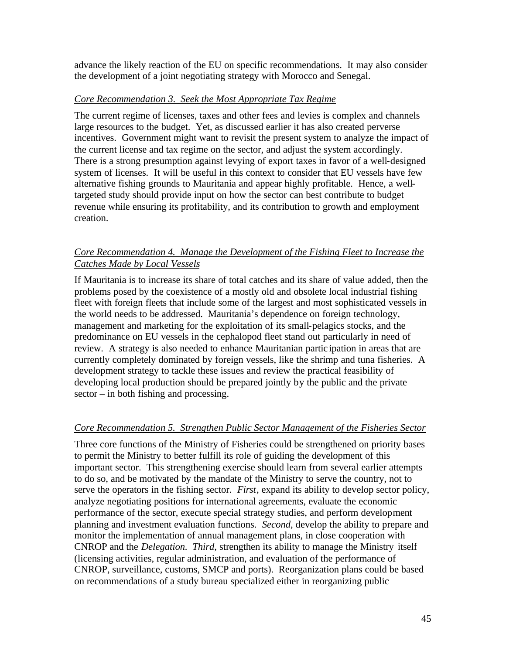advance the likely reaction of the EU on specific recommendations. It may also consider the development of a joint negotiating strategy with Morocco and Senegal.

#### *Core Recommendation 3. Seek the Most Appropriate Tax Regime*

The current regime of licenses, taxes and other fees and levies is complex and channels large resources to the budget. Yet, as discussed earlier it has also created perverse incentives. Government might want to revisit the present system to analyze the impact of the current license and tax regime on the sector, and adjust the system accordingly. There is a strong presumption against levying of export taxes in favor of a well-designed system of licenses. It will be useful in this context to consider that EU vessels have few alternative fishing grounds to Mauritania and appear highly profitable. Hence, a welltargeted study should provide input on how the sector can best contribute to budget revenue while ensuring its profitability, and its contribution to growth and employment creation.

# *Core Recommendation 4. Manage the Development of the Fishing Fleet to Increase the Catches Made by Local Vessels*

If Mauritania is to increase its share of total catches and its share of value added, then the problems posed by the coexistence of a mostly old and obsolete local industrial fishing fleet with foreign fleets that include some of the largest and most sophisticated vessels in the world needs to be addressed. Mauritania's dependence on foreign technology, management and marketing for the exploitation of its small-pelagics stocks, and the predominance on EU vessels in the cephalopod fleet stand out particularly in need of review. A strategy is also needed to enhance Mauritanian partic ipation in areas that are currently completely dominated by foreign vessels, like the shrimp and tuna fisheries. A development strategy to tackle these issues and review the practical feasibility of developing local production should be prepared jointly by the public and the private sector – in both fishing and processing.

# *Core Recommendation 5. Strengthen Public Sector Management of the Fisheries Sector*

Three core functions of the Ministry of Fisheries could be strengthened on priority bases to permit the Ministry to better fulfill its role of guiding the development of this important sector. This strengthening exercise should learn from several earlier attempts to do so, and be motivated by the mandate of the Ministry to serve the country, not to serve the operators in the fishing sector. *First*, expand its ability to develop sector policy, analyze negotiating positions for international agreements, evaluate the economic performance of the sector, execute special strategy studies, and perform development planning and investment evaluation functions. *Second*, develop the ability to prepare and monitor the implementation of annual management plans, in close cooperation with CNROP and the *Delegation. Third*, strengthen its ability to manage the Ministry itself (licensing activities, regular administration, and evaluation of the performance of CNROP, surveillance, customs, SMCP and ports). Reorganization plans could be based on recommendations of a study bureau specialized either in reorganizing public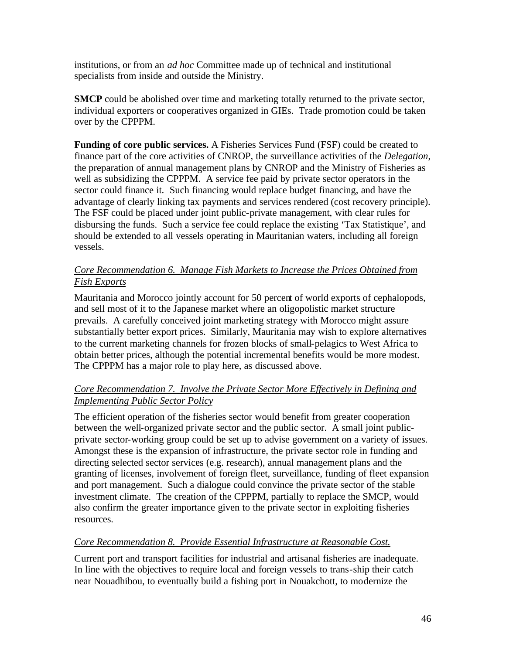institutions, or from an *ad hoc* Committee made up of technical and institutional specialists from inside and outside the Ministry.

**SMCP** could be abolished over time and marketing totally returned to the private sector, individual exporters or cooperatives organized in GIEs. Trade promotion could be taken over by the CPPPM.

**Funding of core public services.** A Fisheries Services Fund (FSF) could be created to finance part of the core activities of CNROP, the surveillance activities of the *Delegation*, the preparation of annual management plans by CNROP and the Ministry of Fisheries as well as subsidizing the CPPPM. A service fee paid by private sector operators in the sector could finance it. Such financing would replace budget financing, and have the advantage of clearly linking tax payments and services rendered (cost recovery principle). The FSF could be placed under joint public-private management, with clear rules for disbursing the funds. Such a service fee could replace the existing 'Tax Statistique', and should be extended to all vessels operating in Mauritanian waters, including all foreign vessels.

# *Core Recommendation 6. Manage Fish Markets to Increase the Prices Obtained from Fish Exports*

Mauritania and Morocco jointly account for 50 percent of world exports of cephalopods, and sell most of it to the Japanese market where an oligopolistic market structure prevails. A carefully conceived joint marketing strategy with Morocco might assure substantially better export prices. Similarly, Mauritania may wish to explore alternatives to the current marketing channels for frozen blocks of small-pelagics to West Africa to obtain better prices, although the potential incremental benefits would be more modest. The CPPPM has a major role to play here, as discussed above.

# *Core Recommendation 7. Involve the Private Sector More Effectively in Defining and Implementing Public Sector Policy*

The efficient operation of the fisheries sector would benefit from greater cooperation between the well-organized private sector and the public sector. A small joint publicprivate sector-working group could be set up to advise government on a variety of issues. Amongst these is the expansion of infrastructure, the private sector role in funding and directing selected sector services (e.g. research), annual management plans and the granting of licenses, involvement of foreign fleet, surveillance, funding of fleet expansion and port management. Such a dialogue could convince the private sector of the stable investment climate. The creation of the CPPPM, partially to replace the SMCP, would also confirm the greater importance given to the private sector in exploiting fisheries resources.

# *Core Recommendation 8. Provide Essential Infrastructure at Reasonable Cost.*

Current port and transport facilities for industrial and artisanal fisheries are inadequate. In line with the objectives to require local and foreign vessels to trans-ship their catch near Nouadhibou, to eventually build a fishing port in Nouakchott, to modernize the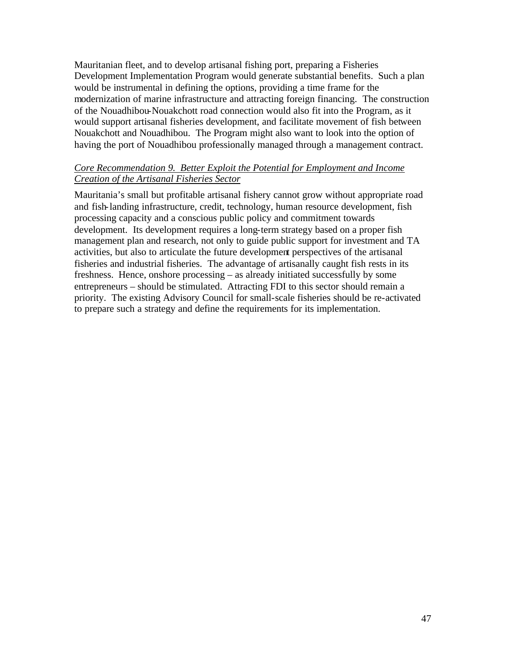Mauritanian fleet, and to develop artisanal fishing port, preparing a Fisheries Development Implementation Program would generate substantial benefits. Such a plan would be instrumental in defining the options, providing a time frame for the modernization of marine infrastructure and attracting foreign financing. The construction of the Nouadhibou-Nouakchott road connection would also fit into the Program, as it would support artisanal fisheries development, and facilitate movement of fish between Nouakchott and Nouadhibou. The Program might also want to look into the option of having the port of Nouadhibou professionally managed through a management contract.

#### *Core Recommendation 9. Better Exploit the Potential for Employment and Income Creation of the Artisanal Fisheries Sector*

Mauritania's small but profitable artisanal fishery cannot grow without appropriate road and fish-landing infrastructure, credit, technology, human resource development, fish processing capacity and a conscious public policy and commitment towards development. Its development requires a long-term strategy based on a proper fish management plan and research, not only to guide public support for investment and TA activities, but also to articulate the future development perspectives of the artisanal fisheries and industrial fisheries. The advantage of artisanally caught fish rests in its freshness. Hence, onshore processing – as already initiated successfully by some entrepreneurs – should be stimulated. Attracting FDI to this sector should remain a priority. The existing Advisory Council for small-scale fisheries should be re-activated to prepare such a strategy and define the requirements for its implementation.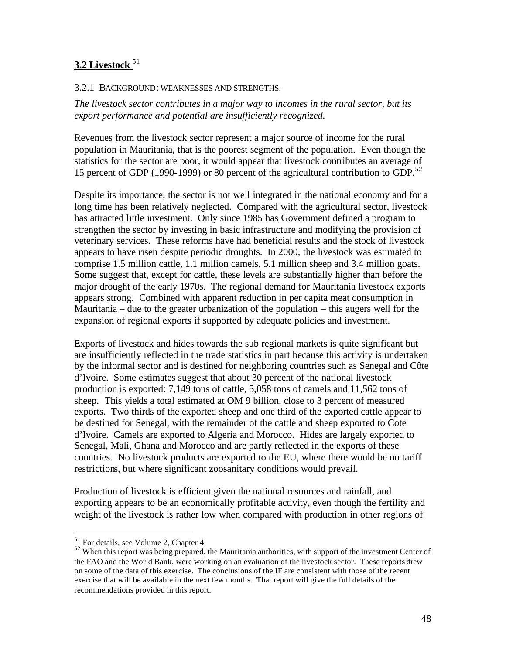# **3.2 Livestock** <sup>51</sup>

#### 3.2.1 BACKGROUND: WEAKNESSES AND STRENGTHS.

*The livestock sector contributes in a major way to incomes in the rural sector, but its export performance and potential are insufficiently recognized.* 

Revenues from the livestock sector represent a major source of income for the rural population in Mauritania, that is the poorest segment of the population. Even though the statistics for the sector are poor, it would appear that livestock contributes an average of 15 percent of GDP (1990-1999) or 80 percent of the agricultural contribution to GDP.<sup>52</sup>

Despite its importance, the sector is not well integrated in the national economy and for a long time has been relatively neglected. Compared with the agricultural sector, livestock has attracted little investment. Only since 1985 has Government defined a program to strengthen the sector by investing in basic infrastructure and modifying the provision of veterinary services. These reforms have had beneficial results and the stock of livestock appears to have risen despite periodic droughts. In 2000, the livestock was estimated to comprise 1.5 million cattle, 1.1 million camels, 5.1 million sheep and 3.4 million goats. Some suggest that, except for cattle, these levels are substantially higher than before the major drought of the early 1970s. The regional demand for Mauritania livestock exports appears strong. Combined with apparent reduction in per capita meat consumption in Mauritania – due to the greater urbanization of the population – this augers well for the expansion of regional exports if supported by adequate policies and investment.

Exports of livestock and hides towards the sub regional markets is quite significant but are insufficiently reflected in the trade statistics in part because this activity is undertaken by the informal sector and is destined for neighboring countries such as Senegal and Côte d'Ivoire. Some estimates suggest that about 30 percent of the national livestock production is exported: 7,149 tons of cattle, 5,058 tons of camels and 11,562 tons of sheep. This yields a total estimated at OM 9 billion, close to 3 percent of measured exports. Two thirds of the exported sheep and one third of the exported cattle appear to be destined for Senegal, with the remainder of the cattle and sheep exported to Cote d'Ivoire. Camels are exported to Algeria and Morocco. Hides are largely exported to Senegal, Mali, Ghana and Morocco and are partly reflected in the exports of these countries. No livestock products are exported to the EU, where there would be no tariff restrictions, but where significant zoosanitary conditions would prevail.

Production of livestock is efficient given the national resources and rainfall, and exporting appears to be an economically profitable activity, even though the fertility and weight of the livestock is rather low when compared with production in other regions of

<sup>&</sup>lt;sup>51</sup> For details, see Volume 2, Chapter 4.

<sup>&</sup>lt;sup>52</sup> When this report was being prepared, the Mauritania authorities, with support of the investment Center of the FAO and the World Bank, were working on an evaluation of the livestock sector. These reports drew on some of the data of this exercise. The conclusions of the IF are consistent with those of the recent exercise that will be available in the next few months. That report will give the full details of the recommendations provided in this report.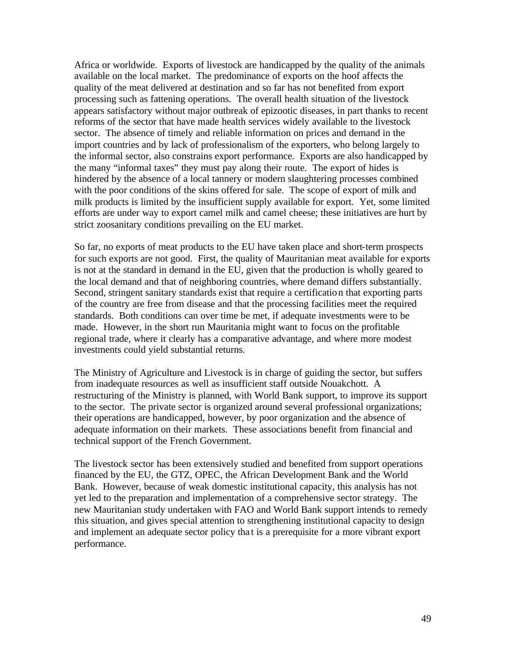Africa or worldwide. Exports of livestock are handicapped by the quality of the animals available on the local market. The predominance of exports on the hoof affects the quality of the meat delivered at destination and so far has not benefited from export processing such as fattening operations. The overall health situation of the livestock appears satisfactory without major outbreak of epizootic diseases, in part thanks to recent reforms of the sector that have made health services widely available to the livestock sector. The absence of timely and reliable information on prices and demand in the import countries and by lack of professionalism of the exporters, who belong largely to the informal sector, also constrains export performance. Exports are also handicapped by the many "informal taxes" they must pay along their route. The export of hides is hindered by the absence of a local tannery or modern slaughtering processes combined with the poor conditions of the skins offered for sale. The scope of export of milk and milk products is limited by the insufficient supply available for export. Yet, some limited efforts are under way to export camel milk and camel cheese; these initiatives are hurt by strict zoosanitary conditions prevailing on the EU market.

So far, no exports of meat products to the EU have taken place and short-term prospects for such exports are not good. First, the quality of Mauritanian meat available for exports is not at the standard in demand in the EU, given that the production is wholly geared to the local demand and that of neighboring countries, where demand differs substantially. Second, stringent sanitary standards exist that require a certification that exporting parts of the country are free from disease and that the processing facilities meet the required standards. Both conditions can over time be met, if adequate investments were to be made. However, in the short run Mauritania might want to focus on the profitable regional trade, where it clearly has a comparative advantage, and where more modest investments could yield substantial returns.

The Ministry of Agriculture and Livestock is in charge of guiding the sector, but suffers from inadequate resources as well as insufficient staff outside Nouakchott. A restructuring of the Ministry is planned, with World Bank support, to improve its support to the sector. The private sector is organized around several professional organizations; their operations are handicapped, however, by poor organization and the absence of adequate information on their markets. These associations benefit from financial and technical support of the French Government.

The livestock sector has been extensively studied and benefited from support operations financed by the EU, the GTZ, OPEC, the African Development Bank and the World Bank. However, because of weak domestic institutional capacity, this analysis has not yet led to the preparation and implementation of a comprehensive sector strategy. The new Mauritanian study undertaken with FAO and World Bank support intends to remedy this situation, and gives special attention to strengthening institutional capacity to design and implement an adequate sector policy tha t is a prerequisite for a more vibrant export performance.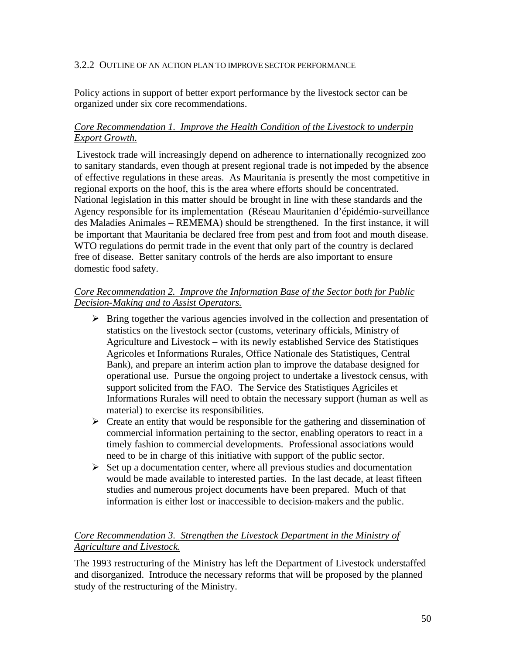#### 3.2.2 OUTLINE OF AN ACTION PLAN TO IMPROVE SECTOR PERFORMANCE

Policy actions in support of better export performance by the livestock sector can be organized under six core recommendations.

#### *Core Recommendation 1. Improve the Health Condition of the Livestock to underpin Export Growth.*

Livestock trade will increasingly depend on adherence to internationally recognized zoo to sanitary standards, even though at present regional trade is not impeded by the absence of effective regulations in these areas. As Mauritania is presently the most competitive in regional exports on the hoof, this is the area where efforts should be concentrated. National legislation in this matter should be brought in line with these standards and the Agency responsible for its implementation (Réseau Mauritanien d'épidémio-surveillance des Maladies Animales – REMEMA) should be strengthened. In the first instance, it will be important that Mauritania be declared free from pest and from foot and mouth disease. WTO regulations do permit trade in the event that only part of the country is declared free of disease. Better sanitary controls of the herds are also important to ensure domestic food safety.

#### *Core Recommendation 2. Improve the Information Base of the Sector both for Public Decision-Making and to Assist Operators.*

- $\triangleright$  Bring together the various agencies involved in the collection and presentation of statistics on the livestock sector (customs, veterinary officials, Ministry of Agriculture and Livestock – with its newly established Service des Statistiques Agricoles et Informations Rurales, Office Nationale des Statistiques, Central Bank), and prepare an interim action plan to improve the database designed for operational use. Pursue the ongoing project to undertake a livestock census, with support solicited from the FAO. The Service des Statistiques Agriciles et Informations Rurales will need to obtain the necessary support (human as well as material) to exercise its responsibilities.
- $\triangleright$  Create an entity that would be responsible for the gathering and dissemination of commercial information pertaining to the sector, enabling operators to react in a timely fashion to commercial developments. Professional associations would need to be in charge of this initiative with support of the public sector.
- $\triangleright$  Set up a documentation center, where all previous studies and documentation would be made available to interested parties. In the last decade, at least fifteen studies and numerous project documents have been prepared. Much of that information is either lost or inaccessible to decision-makers and the public.

# *Core Recommendation 3. Strengthen the Livestock Department in the Ministry of Agriculture and Livestock.*

The 1993 restructuring of the Ministry has left the Department of Livestock understaffed and disorganized. Introduce the necessary reforms that will be proposed by the planned study of the restructuring of the Ministry.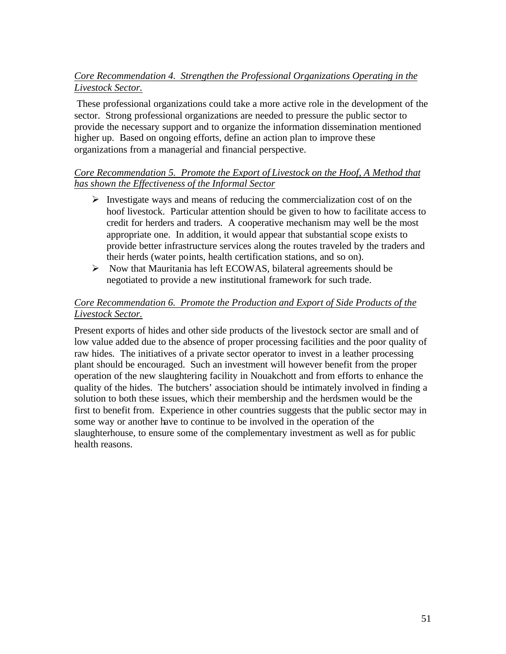# *Core Recommendation 4. Strengthen the Professional Organizations Operating in the Livestock Sector.*

These professional organizations could take a more active role in the development of the sector. Strong professional organizations are needed to pressure the public sector to provide the necessary support and to organize the information dissemination mentioned higher up. Based on ongoing efforts, define an action plan to improve these organizations from a managerial and financial perspective.

# *Core Recommendation 5. Promote the Export of Livestock on the Hoof, A Method that has shown the Effectiveness of the Informal Sector*

- $\triangleright$  Investigate ways and means of reducing the commercialization cost of on the hoof livestock. Particular attention should be given to how to facilitate access to credit for herders and traders. A cooperative mechanism may well be the most appropriate one. In addition, it would appear that substantial scope exists to provide better infrastructure services along the routes traveled by the traders and their herds (water points, health certification stations, and so on).
- $\triangleright$  Now that Mauritania has left ECOWAS, bilateral agreements should be negotiated to provide a new institutional framework for such trade.

# *Core Recommendation 6. Promote the Production and Export of Side Products of the Livestock Sector.*

Present exports of hides and other side products of the livestock sector are small and of low value added due to the absence of proper processing facilities and the poor quality of raw hides. The initiatives of a private sector operator to invest in a leather processing plant should be encouraged. Such an investment will however benefit from the proper operation of the new slaughtering facility in Nouakchott and from efforts to enhance the quality of the hides. The butchers' association should be intimately involved in finding a solution to both these issues, which their membership and the herdsmen would be the first to benefit from. Experience in other countries suggests that the public sector may in some way or another have to continue to be involved in the operation of the slaughterhouse, to ensure some of the complementary investment as well as for public health reasons.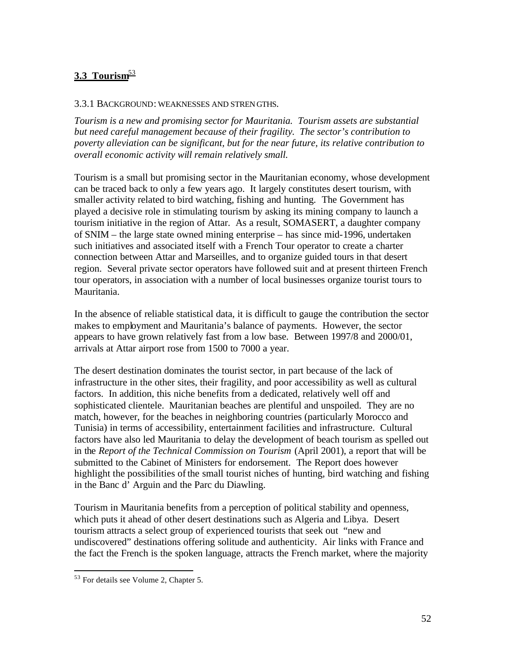# 3.3 Tourism<sup>53</sup>

#### 3.3.1 BACKGROUND: WEAKNESSES AND STRENGTHS.

*Tourism is a new and promising sector for Mauritania. Tourism assets are substantial but need careful management because of their fragility. The sector's contribution to poverty alleviation can be significant, but for the near future, its relative contribution to overall economic activity will remain relatively small.* 

Tourism is a small but promising sector in the Mauritanian economy, whose development can be traced back to only a few years ago. It largely constitutes desert tourism, with smaller activity related to bird watching, fishing and hunting. The Government has played a decisive role in stimulating tourism by asking its mining company to launch a tourism initiative in the region of Attar. As a result, SOMASERT, a daughter company of SNIM – the large state owned mining enterprise – has since mid-1996, undertaken such initiatives and associated itself with a French Tour operator to create a charter connection between Attar and Marseilles, and to organize guided tours in that desert region. Several private sector operators have followed suit and at present thirteen French tour operators, in association with a number of local businesses organize tourist tours to Mauritania.

In the absence of reliable statistical data, it is difficult to gauge the contribution the sector makes to employment and Mauritania's balance of payments. However, the sector appears to have grown relatively fast from a low base. Between 1997/8 and 2000/01, arrivals at Attar airport rose from 1500 to 7000 a year.

The desert destination dominates the tourist sector, in part because of the lack of infrastructure in the other sites, their fragility, and poor accessibility as well as cultural factors. In addition, this niche benefits from a dedicated, relatively well off and sophisticated clientele. Mauritanian beaches are plentiful and unspoiled. They are no match, however, for the beaches in neighboring countries (particularly Morocco and Tunisia) in terms of accessibility, entertainment facilities and infrastructure. Cultural factors have also led Mauritania to delay the development of beach tourism as spelled out in the *Report of the Technical Commission on Tourism* (April 2001), a report that will be submitted to the Cabinet of Ministers for endorsement. The Report does however highlight the possibilities of the small tourist niches of hunting, bird watching and fishing in the Banc d' Arguin and the Parc du Diawling.

Tourism in Mauritania benefits from a perception of political stability and openness, which puts it ahead of other desert destinations such as Algeria and Libya. Desert tourism attracts a select group of experienced tourists that seek out "new and undiscovered" destinations offering solitude and authenticity. Air links with France and the fact the French is the spoken language, attracts the French market, where the majority

<sup>&</sup>lt;sup>53</sup> For details see Volume 2, Chapter 5.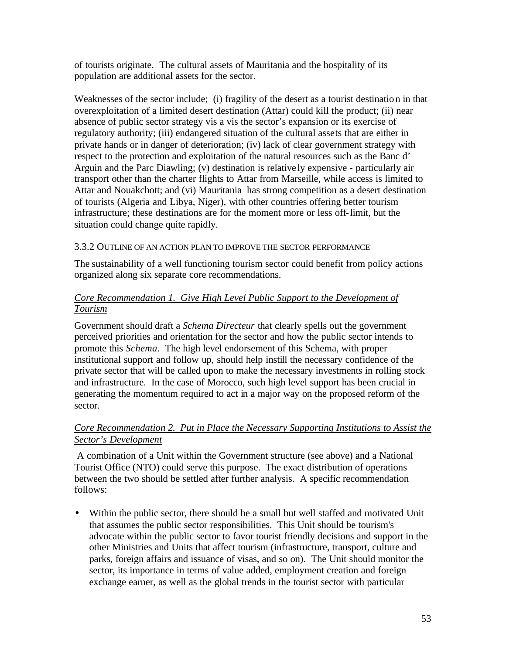of tourists originate. The cultural assets of Mauritania and the hospitality of its population are additional assets for the sector.

Weaknesses of the sector include; (i) fragility of the desert as a tourist destination in that overexploitation of a limited desert destination (Attar) could kill the product; (ii) near absence of public sector strategy vis a vis the sector's expansion or its exercise of regulatory authority; (iii) endangered situation of the cultural assets that are either in private hands or in danger of deterioration; (iv) lack of clear government strategy with respect to the protection and exploitation of the natural resources such as the Banc d' Arguin and the Parc Diawling; (v) destination is relative ly expensive - particularly air transport other than the charter flights to Attar from Marseille, while access is limited to Attar and Nouakchott; and (vi) Mauritania has strong competition as a desert destination of tourists (Algeria and Libya, Niger), with other countries offering better tourism infrastructure; these destinations are for the moment more or less off-limit, but the situation could change quite rapidly.

# 3.3.2 OUTLINE OF AN ACTION PLAN TO IMPROVE THE SECTOR PERFORMANCE

The sustainability of a well functioning tourism sector could benefit from policy actions organized along six separate core recommendations.

# *Core Recommendation 1. Give High Level Public Support to the Development of Tourism*

Government should draft a *Schema Directeur* that clearly spells out the government perceived priorities and orientation for the sector and how the public sector intends to promote this *Schema*. The high level endorsement of this Schema, with proper institutional support and follow up, should help instill the necessary confidence of the private sector that will be called upon to make the necessary investments in rolling stock and infrastructure. In the case of Morocco, such high level support has been crucial in generating the momentum required to act in a major way on the proposed reform of the sector.

# *Core Recommendation 2. Put in Place the Necessary Supporting Institutions to Assist the Sector's Development*

 A combination of a Unit within the Government structure (see above) and a National Tourist Office (NTO) could serve this purpose. The exact distribution of operations between the two should be settled after further analysis. A specific recommendation follows:

• Within the public sector, there should be a small but well staffed and motivated Unit that assumes the public sector responsibilities. This Unit should be tourism's advocate within the public sector to favor tourist friendly decisions and support in the other Ministries and Units that affect tourism (infrastructure, transport, culture and parks, foreign affairs and issuance of visas, and so on). The Unit should monitor the sector, its importance in terms of value added, employment creation and foreign exchange earner, as well as the global trends in the tourist sector with particular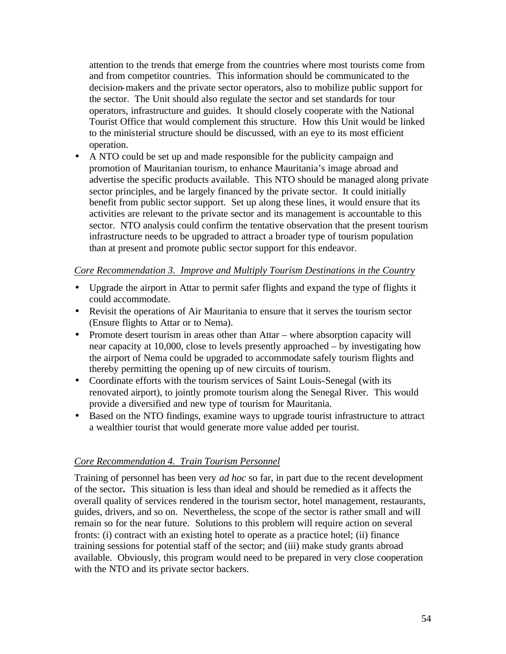attention to the trends that emerge from the countries where most tourists come from and from competitor countries. This information should be communicated to the decision-makers and the private sector operators, also to mobilize public support for the sector. The Unit should also regulate the sector and set standards for tour operators, infrastructure and guides. It should closely cooperate with the National Tourist Office that would complement this structure. How this Unit would be linked to the ministerial structure should be discussed, with an eye to its most efficient operation.

• A NTO could be set up and made responsible for the publicity campaign and promotion of Mauritanian tourism, to enhance Mauritania's image abroad and advertise the specific products available. This NTO should be managed along private sector principles, and be largely financed by the private sector. It could initially benefit from public sector support. Set up along these lines, it would ensure that its activities are relevant to the private sector and its management is accountable to this sector. NTO analysis could confirm the tentative observation that the present tourism infrastructure needs to be upgraded to attract a broader type of tourism population than at present and promote public sector support for this endeavor.

#### *Core Recommendation 3. Improve and Multiply Tourism Destinations in the Country*

- Upgrade the airport in Attar to permit safer flights and expand the type of flights it could accommodate.
- Revisit the operations of Air Mauritania to ensure that it serves the tourism sector (Ensure flights to Attar or to Nema).
- Promote desert tourism in areas other than Attar where absorption capacity will near capacity at 10,000, close to levels presently approached – by investigating how the airport of Nema could be upgraded to accommodate safely tourism flights and thereby permitting the opening up of new circuits of tourism.
- Coordinate efforts with the tourism services of Saint Louis-Senegal (with its renovated airport), to jointly promote tourism along the Senegal River. This would provide a diversified and new type of tourism for Mauritania.
- Based on the NTO findings, examine ways to upgrade tourist infrastructure to attract a wealthier tourist that would generate more value added per tourist.

# *Core Recommendation 4. Train Tourism Personnel*

Training of personnel has been very *ad hoc* so far, in part due to the recent development of the sector**.** This situation is less than ideal and should be remedied as it affects the overall quality of services rendered in the tourism sector, hotel management, restaurants, guides, drivers, and so on. Nevertheless, the scope of the sector is rather small and will remain so for the near future. Solutions to this problem will require action on several fronts: (i) contract with an existing hotel to operate as a practice hotel; (ii) finance training sessions for potential staff of the sector; and (iii) make study grants abroad available. Obviously, this program would need to be prepared in very close cooperation with the NTO and its private sector backers.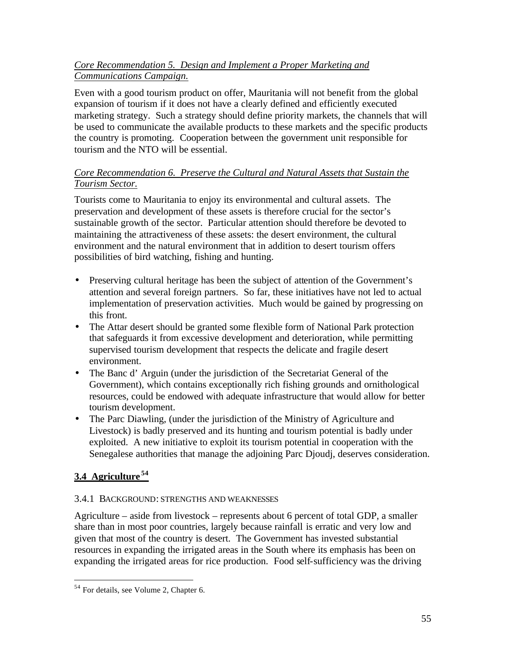# *Core Recommendation 5. Design and Implement a Proper Marketing and Communications Campaign.*

Even with a good tourism product on offer, Mauritania will not benefit from the global expansion of tourism if it does not have a clearly defined and efficiently executed marketing strategy. Such a strategy should define priority markets, the channels that will be used to communicate the available products to these markets and the specific products the country is promoting. Cooperation between the government unit responsible for tourism and the NTO will be essential.

# *Core Recommendation 6. Preserve the Cultural and Natural Assets that Sustain the Tourism Sector.*

Tourists come to Mauritania to enjoy its environmental and cultural assets. The preservation and development of these assets is therefore crucial for the sector's sustainable growth of the sector. Particular attention should therefore be devoted to maintaining the attractiveness of these assets: the desert environment, the cultural environment and the natural environment that in addition to desert tourism offers possibilities of bird watching, fishing and hunting.

- Preserving cultural heritage has been the subject of attention of the Government's attention and several foreign partners. So far, these initiatives have not led to actual implementation of preservation activities. Much would be gained by progressing on this front.
- The Attar desert should be granted some flexible form of National Park protection that safeguards it from excessive development and deterioration, while permitting supervised tourism development that respects the delicate and fragile desert environment.
- The Banc d'Arguin (under the jurisdiction of the Secretariat General of the Government), which contains exceptionally rich fishing grounds and ornithological resources, could be endowed with adequate infrastructure that would allow for better tourism development.
- The Parc Diawling, (under the jurisdiction of the Ministry of Agriculture and Livestock) is badly preserved and its hunting and tourism potential is badly under exploited. A new initiative to exploit its tourism potential in cooperation with the Senegalese authorities that manage the adjoining Parc Djoudj, deserves consideration.

# **3.4 Agriculture <sup>54</sup>**

 $\overline{a}$ 

# 3.4.1 BACKGROUND: STRENGTHS AND WEAKNESSES

Agriculture – aside from livestock – represents about 6 percent of total GDP, a smaller share than in most poor countries, largely because rainfall is erratic and very low and given that most of the country is desert. The Government has invested substantial resources in expanding the irrigated areas in the South where its emphasis has been on expanding the irrigated areas for rice production. Food self-sufficiency was the driving

<sup>&</sup>lt;sup>54</sup> For details, see Volume 2, Chapter 6.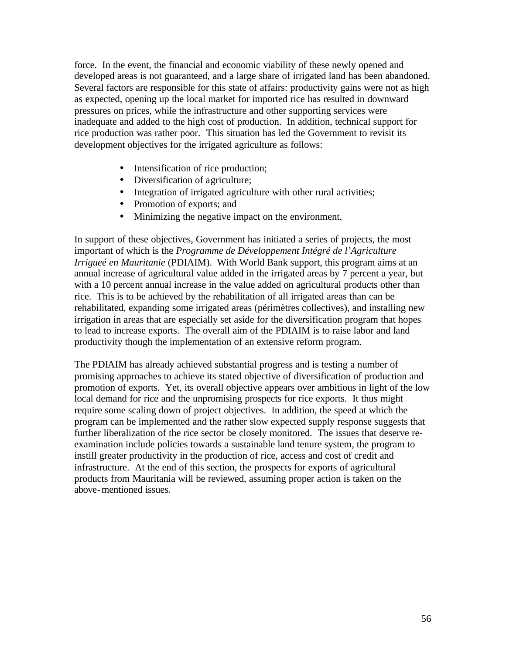force. In the event, the financial and economic viability of these newly opened and developed areas is not guaranteed, and a large share of irrigated land has been abandoned. Several factors are responsible for this state of affairs: productivity gains were not as high as expected, opening up the local market for imported rice has resulted in downward pressures on prices, while the infrastructure and other supporting services were inadequate and added to the high cost of production. In addition, technical support for rice production was rather poor. This situation has led the Government to revisit its development objectives for the irrigated agriculture as follows:

- Intensification of rice production;
- Diversification of a griculture;
- Integration of irrigated agriculture with other rural activities;
- Promotion of exports; and
- Minimizing the negative impact on the environment.

In support of these objectives, Government has initiated a series of projects, the most important of which is the *Programme de Développement Intégré de l'Agriculture Irrigueé en Mauritanie* (PDIAIM). With World Bank support, this program aims at an annual increase of agricultural value added in the irrigated areas by 7 percent a year, but with a 10 percent annual increase in the value added on agricultural products other than rice. This is to be achieved by the rehabilitation of all irrigated areas than can be rehabilitated, expanding some irrigated areas (périmètres collectives), and installing new irrigation in areas that are especially set aside for the diversification program that hopes to lead to increase exports. The overall aim of the PDIAIM is to raise labor and land productivity though the implementation of an extensive reform program.

The PDIAIM has already achieved substantial progress and is testing a number of promising approaches to achieve its stated objective of diversification of production and promotion of exports. Yet, its overall objective appears over ambitious in light of the low local demand for rice and the unpromising prospects for rice exports. It thus might require some scaling down of project objectives. In addition, the speed at which the program can be implemented and the rather slow expected supply response suggests that further liberalization of the rice sector be closely monitored. The issues that deserve reexamination include policies towards a sustainable land tenure system, the program to instill greater productivity in the production of rice, access and cost of credit and infrastructure. At the end of this section, the prospects for exports of agricultural products from Mauritania will be reviewed, assuming proper action is taken on the above-mentioned issues.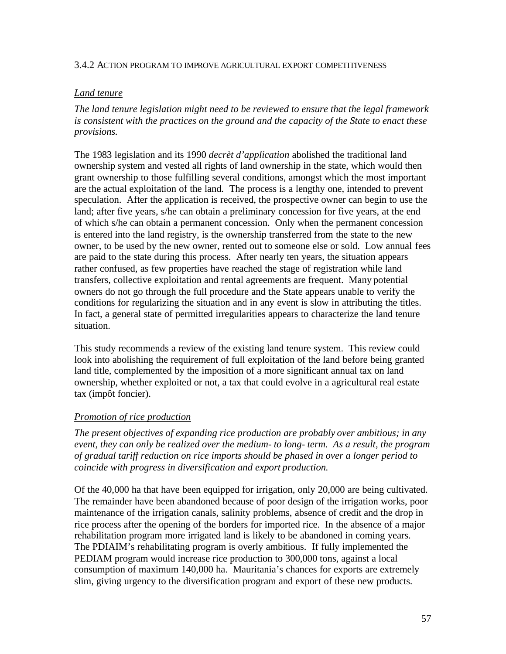#### 3.4.2 ACTION PROGRAM TO IMPROVE AGRICULTURAL EXPORT COMPETITIVENESS

### *Land tenure*

*The land tenure legislation might need to be reviewed to ensure that the legal framework is consistent with the practices on the ground and the capacity of the State to enact these provisions.* 

The 1983 legislation and its 1990 *decrèt d'application* abolished the traditional land ownership system and vested all rights of land ownership in the state, which would then grant ownership to those fulfilling several conditions, amongst which the most important are the actual exploitation of the land. The process is a lengthy one, intended to prevent speculation. After the application is received, the prospective owner can begin to use the land; after five years, s/he can obtain a preliminary concession for five years, at the end of which s/he can obtain a permanent concession. Only when the permanent concession is entered into the land registry, is the ownership transferred from the state to the new owner, to be used by the new owner, rented out to someone else or sold. Low annual fees are paid to the state during this process. After nearly ten years, the situation appears rather confused, as few properties have reached the stage of registration while land transfers, collective exploitation and rental agreements are frequent. Many potential owners do not go through the full procedure and the State appears unable to verify the conditions for regularizing the situation and in any event is slow in attributing the titles. In fact, a general state of permitted irregularities appears to characterize the land tenure situation.

This study recommends a review of the existing land tenure system. This review could look into abolishing the requirement of full exploitation of the land before being granted land title, complemented by the imposition of a more significant annual tax on land ownership, whether exploited or not, a tax that could evolve in a agricultural real estate tax (impôt foncier).

#### *Promotion of rice production*

*The present objectives of expanding rice production are probably over ambitious; in any event, they can only be realized over the medium- to long- term. As a result, the program of gradual tariff reduction on rice imports should be phased in over a longer period to coincide with progress in diversification and export production.*

Of the 40,000 ha that have been equipped for irrigation, only 20,000 are being cultivated. The remainder have been abandoned because of poor design of the irrigation works, poor maintenance of the irrigation canals, salinity problems, absence of credit and the drop in rice process after the opening of the borders for imported rice. In the absence of a major rehabilitation program more irrigated land is likely to be abandoned in coming years. The PDIAIM's rehabilitating program is overly ambitious. If fully implemented the PEDIAM program would increase rice production to 300,000 tons, against a local consumption of maximum 140,000 ha. Mauritania's chances for exports are extremely slim, giving urgency to the diversification program and export of these new products.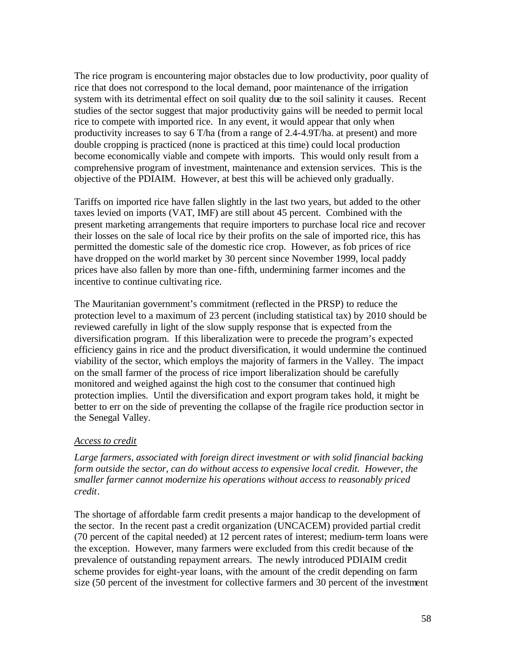The rice program is encountering major obstacles due to low productivity, poor quality of rice that does not correspond to the local demand, poor maintenance of the irrigation system with its detrimental effect on soil quality due to the soil salinity it causes. Recent studies of the sector suggest that major productivity gains will be needed to permit local rice to compete with imported rice. In any event, it would appear that only when productivity increases to say 6 T/ha (from a range of 2.4-4.9T/ha. at present) and more double cropping is practiced (none is practiced at this time) could local production become economically viable and compete with imports. This would only result from a comprehensive program of investment, maintenance and extension services. This is the objective of the PDIAIM. However, at best this will be achieved only gradually.

Tariffs on imported rice have fallen slightly in the last two years, but added to the other taxes levied on imports (VAT, IMF) are still about 45 percent. Combined with the present marketing arrangements that require importers to purchase local rice and recover their losses on the sale of local rice by their profits on the sale of imported rice, this has permitted the domestic sale of the domestic rice crop. However, as fob prices of rice have dropped on the world market by 30 percent since November 1999, local paddy prices have also fallen by more than one-fifth, undermining farmer incomes and the incentive to continue cultivating rice.

The Mauritanian government's commitment (reflected in the PRSP) to reduce the protection level to a maximum of 23 percent (including statistical tax) by 2010 should be reviewed carefully in light of the slow supply response that is expected from the diversification program. If this liberalization were to precede the program's expected efficiency gains in rice and the product diversification, it would undermine the continued viability of the sector, which employs the majority of farmers in the Valley. The impact on the small farmer of the process of rice import liberalization should be carefully monitored and weighed against the high cost to the consumer that continued high protection implies. Until the diversification and export program takes hold, it might be better to err on the side of preventing the collapse of the fragile rice production sector in the Senegal Valley.

#### *Access to credit*

*Large farmers, associated with foreign direct investment or with solid financial backing form outside the sector, can do without access to expensive local credit. However, the smaller farmer cannot modernize his operations without access to reasonably priced credit*.

The shortage of affordable farm credit presents a major handicap to the development of the sector. In the recent past a credit organization (UNCACEM) provided partial credit (70 percent of the capital needed) at 12 percent rates of interest; medium-term loans were the exception. However, many farmers were excluded from this credit because of the prevalence of outstanding repayment arrears. The newly introduced PDIAIM credit scheme provides for eight-year loans, with the amount of the credit depending on farm size (50 percent of the investment for collective farmers and 30 percent of the investment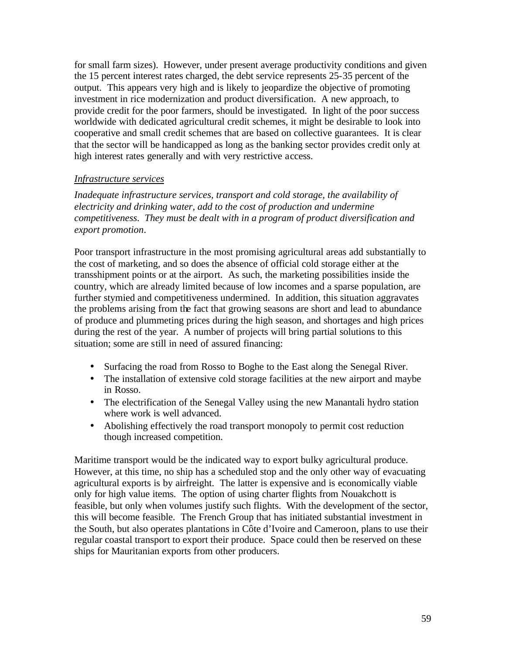for small farm sizes). However, under present average productivity conditions and given the 15 percent interest rates charged, the debt service represents 25-35 percent of the output. This appears very high and is likely to jeopardize the objective of promoting investment in rice modernization and product diversification. A new approach, to provide credit for the poor farmers, should be investigated. In light of the poor success worldwide with dedicated agricultural credit schemes, it might be desirable to look into cooperative and small credit schemes that are based on collective guarantees. It is clear that the sector will be handicapped as long as the banking sector provides credit only at high interest rates generally and with very restrictive access.

## *Infrastructure services*

*Inadequate infrastructure services, transport and cold storage, the availability of electricity and drinking water, add to the cost of production and undermine competitiveness. They must be dealt with in a program of product diversification and export promotion*.

Poor transport infrastructure in the most promising agricultural areas add substantially to the cost of marketing, and so does the absence of official cold storage either at the transshipment points or at the airport. As such, the marketing possibilities inside the country, which are already limited because of low incomes and a sparse population, are further stymied and competitiveness undermined. In addition, this situation aggravates the problems arising from the fact that growing seasons are short and lead to abundance of produce and plummeting prices during the high season, and shortages and high prices during the rest of the year. A number of projects will bring partial solutions to this situation; some are still in need of assured financing:

- Surfacing the road from Rosso to Boghe to the East along the Senegal River.
- The installation of extensive cold storage facilities at the new airport and maybe in Rosso.
- The electrification of the Senegal Valley using the new Manantali hydro station where work is well advanced.
- Abolishing effectively the road transport monopoly to permit cost reduction though increased competition.

Maritime transport would be the indicated way to export bulky agricultural produce. However, at this time, no ship has a scheduled stop and the only other way of evacuating agricultural exports is by airfreight. The latter is expensive and is economically viable only for high value items. The option of using charter flights from Nouakchott is feasible, but only when volumes justify such flights. With the development of the sector, this will become feasible. The French Group that has initiated substantial investment in the South, but also operates plantations in Côte d'Ivoire and Cameroon, plans to use their regular coastal transport to export their produce. Space could then be reserved on these ships for Mauritanian exports from other producers.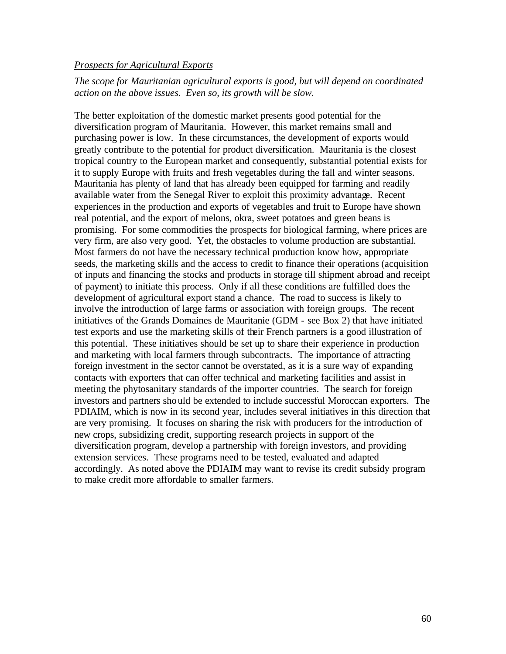#### *Prospects for Agricultural Exports*

## *The scope for Mauritanian agricultural exports is good, but will depend on coordinated action on the above issues. Even so, its growth will be slow.*

The better exploitation of the domestic market presents good potential for the diversification program of Mauritania. However, this market remains small and purchasing power is low. In these circumstances, the development of exports would greatly contribute to the potential for product diversification. Mauritania is the closest tropical country to the European market and consequently, substantial potential exists for it to supply Europe with fruits and fresh vegetables during the fall and winter seasons. Mauritania has plenty of land that has already been equipped for farming and readily available water from the Senegal River to exploit this proximity advantage. Recent experiences in the production and exports of vegetables and fruit to Europe have shown real potential, and the export of melons, okra, sweet potatoes and green beans is promising. For some commodities the prospects for biological farming, where prices are very firm, are also very good. Yet, the obstacles to volume production are substantial. Most farmers do not have the necessary technical production know how, appropriate seeds, the marketing skills and the access to credit to finance their operations (acquisition of inputs and financing the stocks and products in storage till shipment abroad and receipt of payment) to initiate this process. Only if all these conditions are fulfilled does the development of agricultural export stand a chance. The road to success is likely to involve the introduction of large farms or association with foreign groups. The recent initiatives of the Grands Domaines de Mauritanie (GDM - see Box 2) that have initiated test exports and use the marketing skills of their French partners is a good illustration of this potential. These initiatives should be set up to share their experience in production and marketing with local farmers through subcontracts. The importance of attracting foreign investment in the sector cannot be overstated, as it is a sure way of expanding contacts with exporters that can offer technical and marketing facilities and assist in meeting the phytosanitary standards of the importer countries. The search for foreign investors and partners should be extended to include successful Moroccan exporters. The PDIAIM, which is now in its second year, includes several initiatives in this direction that are very promising. It focuses on sharing the risk with producers for the introduction of new crops, subsidizing credit, supporting research projects in support of the diversification program, develop a partnership with foreign investors, and providing extension services. These programs need to be tested, evaluated and adapted accordingly. As noted above the PDIAIM may want to revise its credit subsidy program to make credit more affordable to smaller farmers.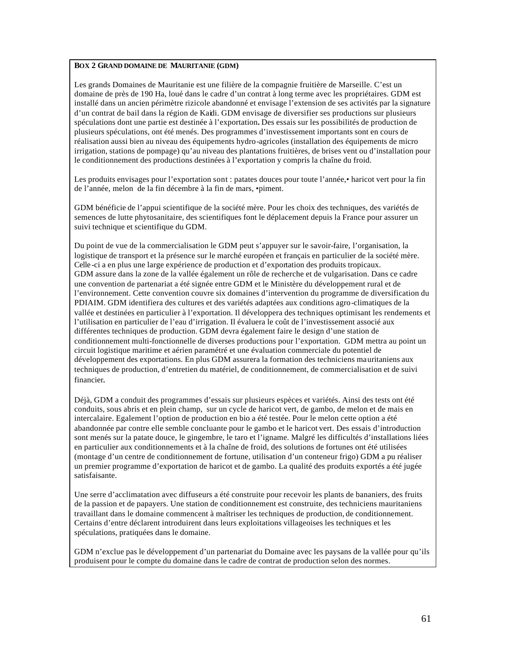#### **BOX 2 GRAND DOMAINE DE MAURITANIE (GDM)**

Les grands Domaines de Mauritanie est une filière de la compagnie fruitière de Marseille. C'est un domaine de près de 190 Ha, loué dans le cadre d'un contrat à long terme avec les propriétaires. GDM est installé dans un ancien périmètre rizicole abandonné et envisage l'extension de ses activités par la signature d'un contrat de bail dans la région de Kaidi. GDM envisage de diversifier ses productions sur plusieurs spéculations dont une partie est destinée à l'exportation**.** Des essais sur les possibilités de production de plusieurs spéculations, ont été menés. Des programmes d'investissement importants sont en cours de réalisation aussi bien au niveau des équipements hydro-agricoles (installation des équipements de micro irrigation, stations de pompage) qu'au niveau des plantations fruitières, de brises vent ou d'installation pour le conditionnement des productions destinées à l'exportation y compris la chaîne du froid.

Les produits envisages pour l'exportation sont : patates douces pour toute l'année,• haricot vert pour la fin de l'année, melon de la fin décembre à la fin de mars, •piment.

GDM bénéficie de l'appui scientifique de la société mère. Pour les choix des techniques, des variétés de semences de lutte phytosanitaire, des scientifiques font le déplacement depuis la France pour assurer un suivi technique et scientifique du GDM.

Du point de vue de la commercialisation le GDM peut s'appuyer sur le savoir-faire, l'organisation, la logistique de transport et la présence sur le marché européen et français en particulier de la société mère. Celle -ci a en plus une large expérience de production et d'exportation des produits tropicaux. GDM assure dans la zone de la vallée également un rôle de recherche et de vulgarisation. Dans ce cadre une convention de partenariat a été signée entre GDM et le Ministère du développement rural et de l'environnement. Cette convention couvre six domaines d'intervention du programme de diversification du PDIAIM. GDM identifiera des cultures et des variétés adaptées aux conditions agro-climatiques de la vallée et destinées en particulier à l'exportation. Il développera des techniques optimisant les rendements et l'utilisation en particulier de l'eau d'irrigation. Il évaluera le coût de l'investissement associé aux différentes techniques de production. GDM devra également faire le design d'une station de conditionnement multi-fonctionnelle de diverses productions pour l'exportation. GDM mettra au point un circuit logistique maritime et aérien paramétré et une évaluation commerciale du potentiel de développement des exportations. En plus GDM assurera la formation des techniciens mauritaniens aux techniques de production, d'entretien du matériel, de conditionnement, de commercialisation et de suivi financier.

Déjà, GDM a conduit des programmes d'essais sur plusieurs espèces et variétés. Ainsi des tests ont été conduits, sous abris et en plein champ, sur un cycle de haricot vert, de gambo, de melon et de mais en intercalaire. Egalement l'option de production en bio a été testée. Pour le melon cette option a été abandonnée par contre elle semble concluante pour le gambo et le haricot vert. Des essais d'introduction sont menés sur la patate douce, le gingembre, le taro et l'igname. Malgré les difficultés d'installations liées en particulier aux conditionnements et à la chaîne de froid, des solutions de fortunes ont été utilisées (montage d'un centre de conditionnement de fortune, utilisation d'un conteneur frigo) GDM a pu réaliser un premier programme d'exportation de haricot et de gambo. La qualité des produits exportés a été jugée satisfaisante.

Une serre d'acclimatation avec diffuseurs a été construite pour recevoir les plants de bananiers, des fruits de la passion et de papayers. Une station de conditionnement est construite, des techniciens mauritaniens travaillant dans le domaine commencent à maîtriser les techniques de production, de conditionnement. Certains d'entre déclarent introduirent dans leurs exploitations villageoises les techniques et les spéculations, pratiquées dans le domaine.

GDM n'exclue pas le développement d'un partenariat du Domaine avec les paysans de la vallée pour qu'ils produisent pour le compte du domaine dans le cadre de contrat de production selon des normes.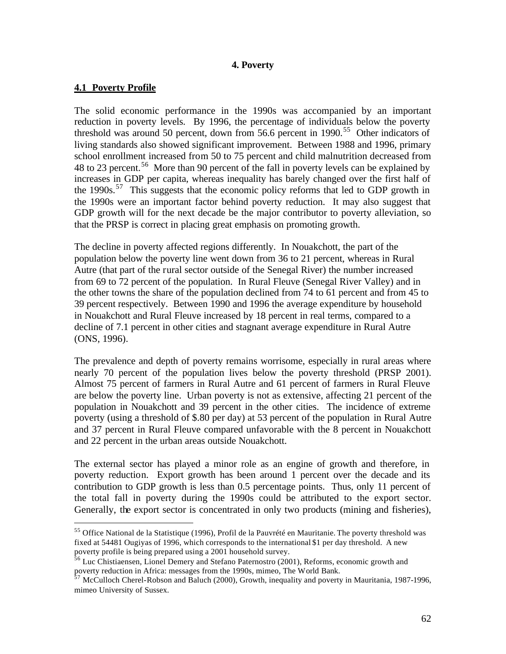## **4. Poverty**

### **4.1 Poverty Profile**

 $\overline{a}$ 

The solid economic performance in the 1990s was accompanied by an important reduction in poverty levels. By 1996, the percentage of individuals below the poverty threshold was around 50 percent, down from 56.6 percent in 1990.<sup>55</sup> Other indicators of living standards also showed significant improvement. Between 1988 and 1996, primary school enrollment increased from 50 to 75 percent and child malnutrition decreased from 48 to 23 percent.<sup>56</sup> More than 90 percent of the fall in poverty levels can be explained by increases in GDP per capita, whereas inequality has barely changed over the first half of the 1990s.<sup>57</sup> This suggests that the economic policy reforms that led to GDP growth in the 1990s were an important factor behind poverty reduction. It may also suggest that GDP growth will for the next decade be the major contributor to poverty alleviation, so that the PRSP is correct in placing great emphasis on promoting growth.

The decline in poverty affected regions differently. In Nouakchott, the part of the population below the poverty line went down from 36 to 21 percent, whereas in Rural Autre (that part of the rural sector outside of the Senegal River) the number increased from 69 to 72 percent of the population. In Rural Fleuve (Senegal River Valley) and in the other towns the share of the population declined from 74 to 61 percent and from 45 to 39 percent respectively. Between 1990 and 1996 the average expenditure by household in Nouakchott and Rural Fleuve increased by 18 percent in real terms, compared to a decline of 7.1 percent in other cities and stagnant average expenditure in Rural Autre (ONS, 1996).

The prevalence and depth of poverty remains worrisome, especially in rural areas where nearly 70 percent of the population lives below the poverty threshold (PRSP 2001). Almost 75 percent of farmers in Rural Autre and 61 percent of farmers in Rural Fleuve are below the poverty line. Urban poverty is not as extensive, affecting 21 percent of the population in Nouakchott and 39 percent in the other cities. The incidence of extreme poverty (using a threshold of \$.80 per day) at 53 percent of the population in Rural Autre and 37 percent in Rural Fleuve compared unfavorable with the 8 percent in Nouakchott and 22 percent in the urban areas outside Nouakchott.

The external sector has played a minor role as an engine of growth and therefore, in poverty reduction. Export growth has been around 1 percent over the decade and its contribution to GDP growth is less than 0.5 percentage points. Thus, only 11 percent of the total fall in poverty during the 1990s could be attributed to the export sector. Generally, the export sector is concentrated in only two products (mining and fisheries),

<sup>55</sup> Office National de la Statistique (1996), Profil de la Pauvrété en Mauritanie. The poverty threshold was fixed at 54481 Ougiyas of 1996, which corresponds to the international \$1 per day threshold. A new poverty profile is being prepared using a 2001 household survey.

<sup>&</sup>lt;sup>56</sup> Luc Chistiaensen, Lionel Demery and Stefano Paternostro (2001), Reforms, economic growth and poverty reduction in Africa: messages from the 1990s, mimeo, The World Bank.

 $57$  McCulloch Cherel-Robson and Baluch (2000), Growth, inequality and poverty in Mauritania, 1987-1996, mimeo University of Sussex.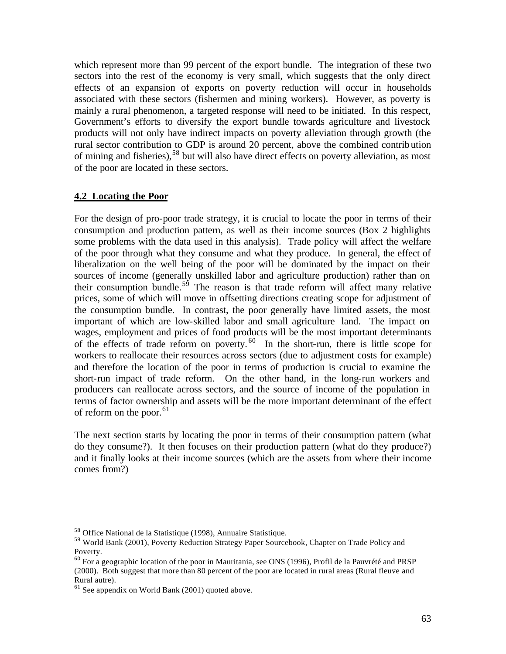which represent more than 99 percent of the export bundle. The integration of these two sectors into the rest of the economy is very small, which suggests that the only direct effects of an expansion of exports on poverty reduction will occur in households associated with these sectors (fishermen and mining workers). However, as poverty is mainly a rural phenomenon, a targeted response will need to be initiated. In this respect, Government's efforts to diversify the export bundle towards agriculture and livestock products will not only have indirect impacts on poverty alleviation through growth (the rural sector contribution to GDP is around 20 percent, above the combined contribution of mining and fisheries),<sup>58</sup> but will also have direct effects on poverty alleviation, as most of the poor are located in these sectors.

### **4.2 Locating the Poor**

For the design of pro-poor trade strategy, it is crucial to locate the poor in terms of their consumption and production pattern, as well as their income sources (Box 2 highlights some problems with the data used in this analysis). Trade policy will affect the welfare of the poor through what they consume and what they produce. In general, the effect of liberalization on the well being of the poor will be dominated by the impact on their sources of income (generally unskilled labor and agriculture production) rather than on their consumption bundle.<sup>59</sup> The reason is that trade reform will affect many relative prices, some of which will move in offsetting directions creating scope for adjustment of the consumption bundle. In contrast, the poor generally have limited assets, the most important of which are low-skilled labor and small agriculture land. The impact on wages, employment and prices of food products will be the most important determinants of the effects of trade reform on poverty. $60$  In the short-run, there is little scope for workers to reallocate their resources across sectors (due to adjustment costs for example) and therefore the location of the poor in terms of production is crucial to examine the short-run impact of trade reform. On the other hand, in the long-run workers and producers can reallocate across sectors, and the source of income of the population in terms of factor ownership and assets will be the more important determinant of the effect of reform on the poor. $61$ 

The next section starts by locating the poor in terms of their consumption pattern (what do they consume?). It then focuses on their production pattern (what do they produce?) and it finally looks at their income sources (which are the assets from where their income comes from?)

 $\overline{a}$ 

<sup>58</sup> Office National de la Statistique (1998), Annuaire Statistique.

<sup>59</sup> World Bank (2001), Poverty Reduction Strategy Paper Sourcebook, Chapter on Trade Policy and Poverty.

 $60$  For a geographic location of the poor in Mauritania, see ONS (1996), Profil de la Pauvrété and PRSP (2000). Both suggest that more than 80 percent of the poor are located in rural areas (Rural fleuve and Rural autre).

 $61$  See appendix on World Bank (2001) quoted above.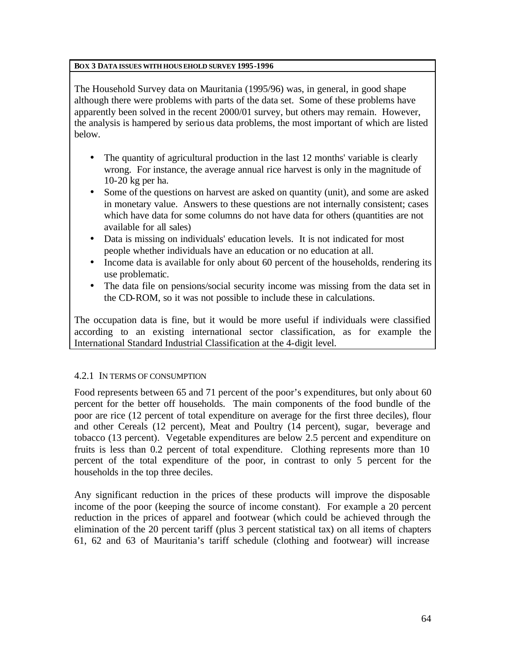### **BOX 3 DATA ISSUES WITH HOUSEHOLD SURVEY 1995-1996**

The Household Survey data on Mauritania (1995/96) was, in general, in good shape although there were problems with parts of the data set. Some of these problems have apparently been solved in the recent 2000/01 survey, but others may remain. However, the analysis is hampered by serious data problems, the most important of which are listed below.

- The quantity of agricultural production in the last 12 months' variable is clearly wrong. For instance, the average annual rice harvest is only in the magnitude of 10-20 kg per ha.
- Some of the questions on harvest are asked on quantity (unit), and some are asked in monetary value. Answers to these questions are not internally consistent; cases which have data for some columns do not have data for others (quantities are not available for all sales)
- Data is missing on individuals' education levels. It is not indicated for most people whether individuals have an education or no education at all.
- Income data is available for only about 60 percent of the households, rendering its use problematic.
- The data file on pensions/social security income was missing from the data set in the CD-ROM, so it was not possible to include these in calculations.

The occupation data is fine, but it would be more useful if individuals were classified according to an existing international sector classification, as for example the International Standard Industrial Classification at the 4-digit level.

# 4.2.1 IN TERMS OF CONSUMPTION

Food represents between 65 and 71 percent of the poor's expenditures, but only about 60 percent for the better off households. The main components of the food bundle of the poor are rice (12 percent of total expenditure on average for the first three deciles), flour and other Cereals (12 percent), Meat and Poultry (14 percent), sugar, beverage and tobacco (13 percent). Vegetable expenditures are below 2.5 percent and expenditure on fruits is less than 0.2 percent of total expenditure. Clothing represents more than 10 percent of the total expenditure of the poor, in contrast to only 5 percent for the households in the top three deciles.

Any significant reduction in the prices of these products will improve the disposable income of the poor (keeping the source of income constant). For example a 20 percent reduction in the prices of apparel and footwear (which could be achieved through the elimination of the 20 percent tariff (plus 3 percent statistical tax) on all items of chapters 61, 62 and 63 of Mauritania's tariff schedule (clothing and footwear) will increase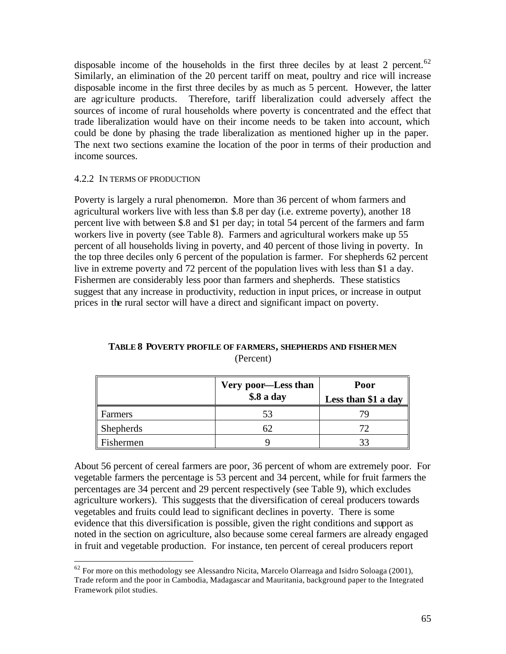disposable income of the households in the first three deciles by at least 2 percent.<sup>62</sup> Similarly, an elimination of the 20 percent tariff on meat, poultry and rice will increase disposable income in the first three deciles by as much as 5 percent. However, the latter are agriculture products. Therefore, tariff liberalization could adversely affect the sources of income of rural households where poverty is concentrated and the effect that trade liberalization would have on their income needs to be taken into account, which could be done by phasing the trade liberalization as mentioned higher up in the paper. The next two sections examine the location of the poor in terms of their production and income sources.

### 4.2.2 IN TERMS OF PRODUCTION

 $\overline{a}$ 

Poverty is largely a rural phenomenon. More than 36 percent of whom farmers and agricultural workers live with less than \$.8 per day (i.e. extreme poverty), another 18 percent live with between \$.8 and \$1 per day; in total 54 percent of the farmers and farm workers live in poverty (see Table 8). Farmers and agricultural workers make up 55 percent of all households living in poverty, and 40 percent of those living in poverty. In the top three deciles only 6 percent of the population is farmer. For shepherds 62 percent live in extreme poverty and 72 percent of the population lives with less than \$1 a day. Fishermen are considerably less poor than farmers and shepherds. These statistics suggest that any increase in productivity, reduction in input prices, or increase in output prices in the rural sector will have a direct and significant impact on poverty.

|                  | Very poor-Less than<br>\$.8 a day | Poor<br>Less than \$1 a day |
|------------------|-----------------------------------|-----------------------------|
| Farmers          | 53                                |                             |
| <b>Shepherds</b> | 62                                |                             |
| Fishermen        |                                   |                             |

# **TABLE 8 POVERTY PROFILE OF FARMERS, SHEPHERDS AND FISHERMEN** (Percent)

About 56 percent of cereal farmers are poor, 36 percent of whom are extremely poor. For vegetable farmers the percentage is 53 percent and 34 percent, while for fruit farmers the percentages are 34 percent and 29 percent respectively (see Table 9), which excludes agriculture workers). This suggests that the diversification of cereal producers towards vegetables and fruits could lead to significant declines in poverty. There is some evidence that this diversification is possible, given the right conditions and support as noted in the section on agriculture, also because some cereal farmers are already engaged in fruit and vegetable production. For instance, ten percent of cereal producers report

 $62$  For more on this methodology see Alessandro Nicita, Marcelo Olarreaga and Isidro Soloaga (2001), Trade reform and the poor in Cambodia, Madagascar and Mauritania, background paper to the Integrated Framework pilot studies.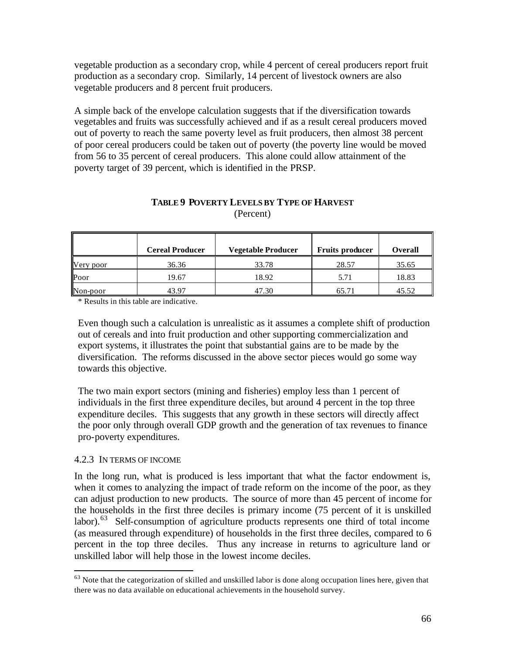vegetable production as a secondary crop, while 4 percent of cereal producers report fruit production as a secondary crop. Similarly, 14 percent of livestock owners are also vegetable producers and 8 percent fruit producers.

A simple back of the envelope calculation suggests that if the diversification towards vegetables and fruits was successfully achieved and if as a result cereal producers moved out of poverty to reach the same poverty level as fruit producers, then almost 38 percent of poor cereal producers could be taken out of poverty (the poverty line would be moved from 56 to 35 percent of cereal producers. This alone could allow attainment of the poverty target of 39 percent, which is identified in the PRSP.

|           | <b>Cereal Producer</b> | <b>Vegetable Producer</b> | <b>Fruits producer</b> | <b>Overall</b> |
|-----------|------------------------|---------------------------|------------------------|----------------|
| Very poor | 36.36                  | 33.78                     | 28.57                  | 35.65          |
| Poor      | 19.67                  | 18.92                     | 5.71                   | 18.83          |
| Non-poor  | 43.97                  | 47.30                     | 65.71                  | 45.52          |

# **TABLE 9 POVERTY LEVELS BY TYPE OF HARVEST**  (Percent)

\* Results in this table are indicative.

Even though such a calculation is unrealistic as it assumes a complete shift of production out of cereals and into fruit production and other supporting commercialization and export systems, it illustrates the point that substantial gains are to be made by the diversification. The reforms discussed in the above sector pieces would go some way towards this objective.

The two main export sectors (mining and fisheries) employ less than 1 percent of individuals in the first three expenditure deciles, but around 4 percent in the top three expenditure deciles. This suggests that any growth in these sectors will directly affect the poor only through overall GDP growth and the generation of tax revenues to finance pro-poverty expenditures.

#### 4.2.3 IN TERMS OF INCOME

 $\overline{a}$ 

In the long run, what is produced is less important that what the factor endowment is, when it comes to analyzing the impact of trade reform on the income of the poor, as they can adjust production to new products. The source of more than 45 percent of income for the households in the first three deciles is primary income (75 percent of it is unskilled labor).<sup>63</sup> Self-consumption of agriculture products represents one third of total income (as measured through expenditure) of households in the first three deciles, compared to 6 percent in the top three deciles. Thus any increase in returns to agriculture land or unskilled labor will help those in the lowest income deciles.

 $63$  Note that the categorization of skilled and unskilled labor is done along occupation lines here, given that there was no data available on educational achievements in the household survey.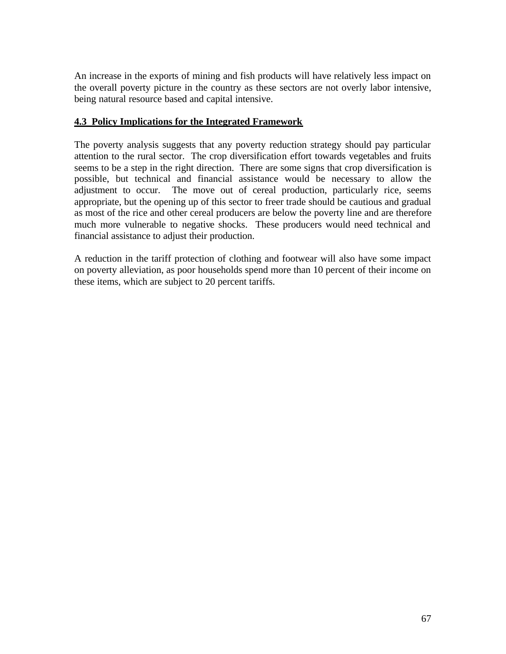An increase in the exports of mining and fish products will have relatively less impact on the overall poverty picture in the country as these sectors are not overly labor intensive, being natural resource based and capital intensive.

# **4.3 Policy Implications for the Integrated Framework**

The poverty analysis suggests that any poverty reduction strategy should pay particular attention to the rural sector. The crop diversification effort towards vegetables and fruits seems to be a step in the right direction. There are some signs that crop diversification is possible, but technical and financial assistance would be necessary to allow the adjustment to occur. The move out of cereal production, particularly rice, seems appropriate, but the opening up of this sector to freer trade should be cautious and gradual as most of the rice and other cereal producers are below the poverty line and are therefore much more vulnerable to negative shocks. These producers would need technical and financial assistance to adjust their production.

A reduction in the tariff protection of clothing and footwear will also have some impact on poverty alleviation, as poor households spend more than 10 percent of their income on these items, which are subject to 20 percent tariffs.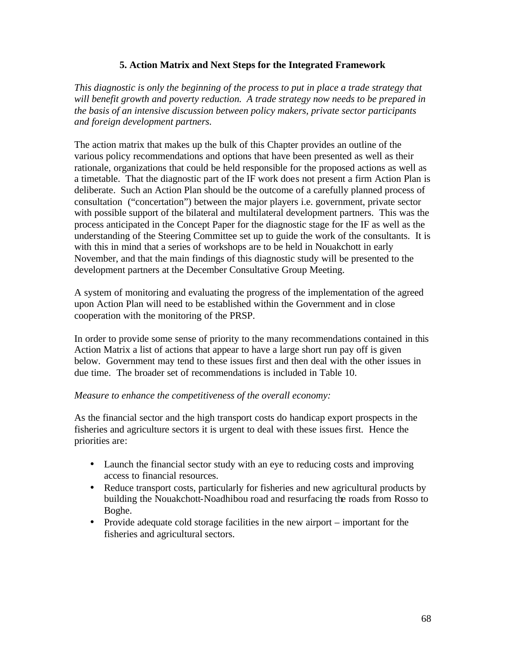## **5. Action Matrix and Next Steps for the Integrated Framework**

*This diagnostic is only the beginning of the process to put in place a trade strategy that will benefit growth and poverty reduction. A trade strategy now needs to be prepared in the basis of an intensive discussion between policy makers, private sector participants and foreign development partners.* 

The action matrix that makes up the bulk of this Chapter provides an outline of the various policy recommendations and options that have been presented as well as their rationale, organizations that could be held responsible for the proposed actions as well as a timetable. That the diagnostic part of the IF work does not present a firm Action Plan is deliberate. Such an Action Plan should be the outcome of a carefully planned process of consultation ("concertation") between the major players i.e. government, private sector with possible support of the bilateral and multilateral development partners. This was the process anticipated in the Concept Paper for the diagnostic stage for the IF as well as the understanding of the Steering Committee set up to guide the work of the consultants. It is with this in mind that a series of workshops are to be held in Nouakchott in early November, and that the main findings of this diagnostic study will be presented to the development partners at the December Consultative Group Meeting.

A system of monitoring and evaluating the progress of the implementation of the agreed upon Action Plan will need to be established within the Government and in close cooperation with the monitoring of the PRSP.

In order to provide some sense of priority to the many recommendations contained in this Action Matrix a list of actions that appear to have a large short run pay off is given below. Government may tend to these issues first and then deal with the other issues in due time. The broader set of recommendations is included in Table 10.

### *Measure to enhance the competitiveness of the overall economy:*

As the financial sector and the high transport costs do handicap export prospects in the fisheries and agriculture sectors it is urgent to deal with these issues first. Hence the priorities are:

- Launch the financial sector study with an eye to reducing costs and improving access to financial resources.
- Reduce transport costs, particularly for fisheries and new agricultural products by building the Nouakchott-Noadhibou road and resurfacing the roads from Rosso to Boghe.
- Provide adequate cold storage facilities in the new airport important for the fisheries and agricultural sectors.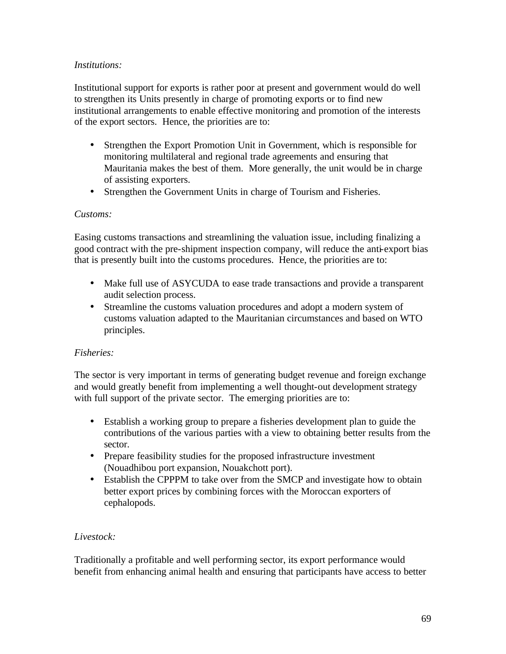## *Institutions:*

Institutional support for exports is rather poor at present and government would do well to strengthen its Units presently in charge of promoting exports or to find new institutional arrangements to enable effective monitoring and promotion of the interests of the export sectors. Hence, the priorities are to:

- Strengthen the Export Promotion Unit in Government, which is responsible for monitoring multilateral and regional trade agreements and ensuring that Mauritania makes the best of them. More generally, the unit would be in charge of assisting exporters.
- Strengthen the Government Units in charge of Tourism and Fisheries.

# *Customs:*

Easing customs transactions and streamlining the valuation issue, including finalizing a good contract with the pre-shipment inspection company, will reduce the anti-export bias that is presently built into the customs procedures. Hence, the priorities are to:

- Make full use of ASYCUDA to ease trade transactions and provide a transparent audit selection process.
- Streamline the customs valuation procedures and adopt a modern system of customs valuation adapted to the Mauritanian circumstances and based on WTO principles.

# *Fisheries:*

The sector is very important in terms of generating budget revenue and foreign exchange and would greatly benefit from implementing a well thought-out development strategy with full support of the private sector. The emerging priorities are to:

- Establish a working group to prepare a fisheries development plan to guide the contributions of the various parties with a view to obtaining better results from the sector.
- Prepare feasibility studies for the proposed infrastructure investment (Nouadhibou port expansion, Nouakchott port).
- Establish the CPPPM to take over from the SMCP and investigate how to obtain better export prices by combining forces with the Moroccan exporters of cephalopods.

# *Livestock:*

Traditionally a profitable and well performing sector, its export performance would benefit from enhancing animal health and ensuring that participants have access to better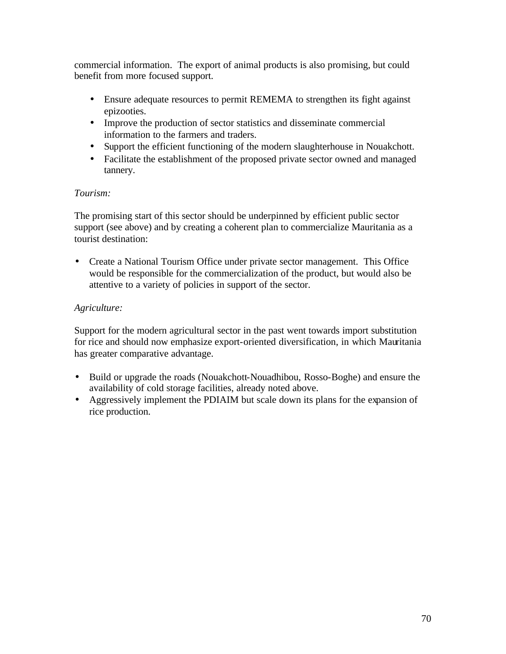commercial information. The export of animal products is also promising, but could benefit from more focused support.

- Ensure adequate resources to permit REMEMA to strengthen its fight against epizooties.
- Improve the production of sector statistics and disseminate commercial information to the farmers and traders.
- Support the efficient functioning of the modern slaughterhouse in Nouakchott.
- Facilitate the establishment of the proposed private sector owned and managed tannery.

# *Tourism:*

The promising start of this sector should be underpinned by efficient public sector support (see above) and by creating a coherent plan to commercialize Mauritania as a tourist destination:

• Create a National Tourism Office under private sector management. This Office would be responsible for the commercialization of the product, but would also be attentive to a variety of policies in support of the sector.

# *Agriculture:*

Support for the modern agricultural sector in the past went towards import substitution for rice and should now emphasize export-oriented diversification, in which Mauritania has greater comparative advantage.

- Build or upgrade the roads (Nouakchott-Nouadhibou, Rosso-Boghe) and ensure the availability of cold storage facilities, already noted above.
- Aggressively implement the PDIAIM but scale down its plans for the expansion of rice production.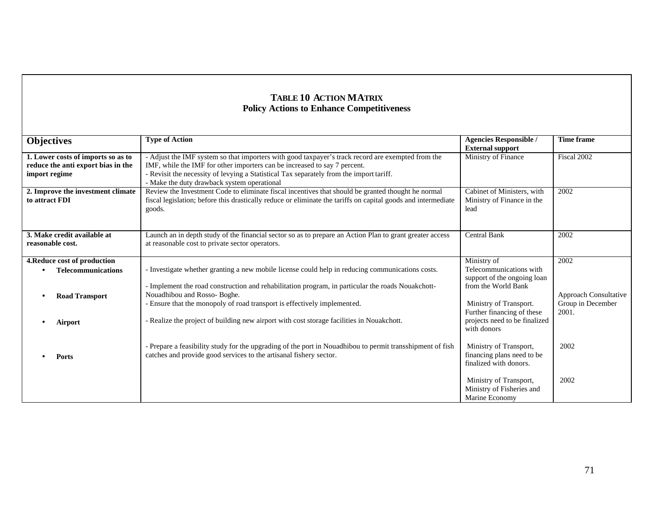# **TABLE 10 ACTION MATRIX Policy Actions to Enhance Competitiveness**

| <b>External support</b><br>Fiscal 2002<br>1. Lower costs of imports so as to<br>- Adjust the IMF system so that importers with good taxpayer's track record are exempted from the<br>Ministry of Finance<br>IMF, while the IMF for other importers can be increased to say 7 percent.<br>reduce the anti export bias in the<br>- Revisit the necessity of levying a Statistical Tax separately from the import tariff.<br>import regime |  |
|-----------------------------------------------------------------------------------------------------------------------------------------------------------------------------------------------------------------------------------------------------------------------------------------------------------------------------------------------------------------------------------------------------------------------------------------|--|
|                                                                                                                                                                                                                                                                                                                                                                                                                                         |  |
|                                                                                                                                                                                                                                                                                                                                                                                                                                         |  |
|                                                                                                                                                                                                                                                                                                                                                                                                                                         |  |
|                                                                                                                                                                                                                                                                                                                                                                                                                                         |  |
| - Make the duty drawback system operational                                                                                                                                                                                                                                                                                                                                                                                             |  |
| Review the Investment Code to eliminate fiscal incentives that should be granted thought he normal<br>Cabinet of Ministers, with<br>2. Improve the investment climate<br>2002                                                                                                                                                                                                                                                           |  |
| fiscal legislation; before this drastically reduce or eliminate the tariffs on capital goods and intermediate<br>to attract FDI<br>Ministry of Finance in the                                                                                                                                                                                                                                                                           |  |
| goods.<br>lead                                                                                                                                                                                                                                                                                                                                                                                                                          |  |
|                                                                                                                                                                                                                                                                                                                                                                                                                                         |  |
|                                                                                                                                                                                                                                                                                                                                                                                                                                         |  |
| 3. Make credit available at<br><b>Central Bank</b><br>Launch an in depth study of the financial sector so as to prepare an Action Plan to grant greater access<br>2002                                                                                                                                                                                                                                                                  |  |
| reasonable cost.<br>at reasonable cost to private sector operators.                                                                                                                                                                                                                                                                                                                                                                     |  |
|                                                                                                                                                                                                                                                                                                                                                                                                                                         |  |
| Ministry of<br>2002<br>4. Reduce cost of production                                                                                                                                                                                                                                                                                                                                                                                     |  |
| - Investigate whether granting a new mobile license could help in reducing communications costs.<br>Telecommunications with<br><b>Telecommunications</b>                                                                                                                                                                                                                                                                                |  |
| support of the ongoing loan                                                                                                                                                                                                                                                                                                                                                                                                             |  |
| - Implement the road construction and rehabilitation program, in particular the roads Nouakchott-<br>from the World Bank                                                                                                                                                                                                                                                                                                                |  |
| Nouadhibou and Rosso- Boghe.<br>Approach Consultative<br><b>Road Transport</b>                                                                                                                                                                                                                                                                                                                                                          |  |
| Group in December<br>- Ensure that the monopoly of road transport is effectively implemented.<br>Ministry of Transport.                                                                                                                                                                                                                                                                                                                 |  |
| 2001.<br>Further financing of these                                                                                                                                                                                                                                                                                                                                                                                                     |  |
| - Realize the project of building new airport with cost storage facilities in Nouakchott.<br>projects need to be finalized<br>Airport                                                                                                                                                                                                                                                                                                   |  |
| with donors                                                                                                                                                                                                                                                                                                                                                                                                                             |  |
|                                                                                                                                                                                                                                                                                                                                                                                                                                         |  |
| - Prepare a feasibility study for the upgrading of the port in Nouadhibou to permit transshipment of fish<br>Ministry of Transport,<br>2002                                                                                                                                                                                                                                                                                             |  |
| catches and provide good services to the artisanal fishery sector.<br>financing plans need to be<br>Ports                                                                                                                                                                                                                                                                                                                               |  |
| finalized with donors.                                                                                                                                                                                                                                                                                                                                                                                                                  |  |
|                                                                                                                                                                                                                                                                                                                                                                                                                                         |  |
| 2002<br>Ministry of Transport,                                                                                                                                                                                                                                                                                                                                                                                                          |  |
| Ministry of Fisheries and                                                                                                                                                                                                                                                                                                                                                                                                               |  |
| Marine Economy                                                                                                                                                                                                                                                                                                                                                                                                                          |  |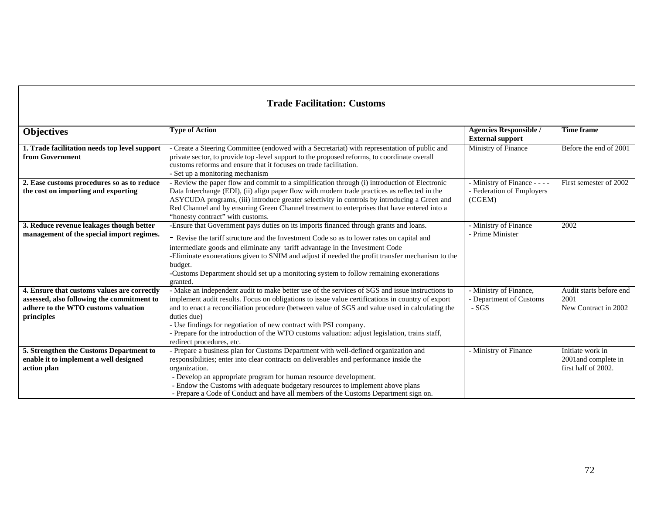# **Trade Facilitation: Customs**

| <b>Objectives</b>                             | <b>Type of Action</b>                                                                            | <b>Agencies Responsible /</b> | <b>Time frame</b>       |
|-----------------------------------------------|--------------------------------------------------------------------------------------------------|-------------------------------|-------------------------|
|                                               |                                                                                                  | <b>External support</b>       |                         |
| 1. Trade facilitation needs top level support | - Create a Steering Committee (endowed with a Secretariat) with representation of public and     | Ministry of Finance           | Before the end of 2001  |
| from Government                               | private sector, to provide top-level support to the proposed reforms, to coordinate overall      |                               |                         |
|                                               | customs reforms and ensure that it focuses on trade facilitation.                                |                               |                         |
|                                               | - Set up a monitoring mechanism                                                                  |                               |                         |
| 2. Ease customs procedures so as to reduce    | Review the paper flow and commit to a simplification through (i) introduction of Electronic      | - Ministry of Finance - - - - | First semester of 2002  |
| the cost on importing and exporting           | Data Interchange (EDI), (ii) align paper flow with modern trade practices as reflected in the    | - Federation of Employers     |                         |
|                                               | ASYCUDA programs, (iii) introduce greater selectivity in controls by introducing a Green and     | (CGEM)                        |                         |
|                                               | Red Channel and by ensuring Green Channel treatment to enterprises that have entered into a      |                               |                         |
|                                               | "honesty contract" with customs.                                                                 |                               |                         |
| 3. Reduce revenue leakages though better      | -Ensure that Government pays duties on its imports financed through grants and loans.            | - Ministry of Finance         | 2002                    |
| management of the special import regimes.     | - Revise the tariff structure and the Investment Code so as to lower rates on capital and        | - Prime Minister              |                         |
|                                               | intermediate goods and eliminate any tariff advantage in the Investment Code                     |                               |                         |
|                                               | -Eliminate exonerations given to SNIM and adjust if needed the profit transfer mechanism to the  |                               |                         |
|                                               | budget.                                                                                          |                               |                         |
|                                               | -Customs Department should set up a monitoring system to follow remaining exonerations           |                               |                         |
|                                               | granted.                                                                                         |                               |                         |
| 4. Ensure that customs values are correctly   | - Make an independent audit to make better use of the services of SGS and issue instructions to  | - Ministry of Finance,        | Audit starts before end |
| assessed, also following the commitment to    | implement audit results. Focus on obligations to issue value certifications in country of export | - Department of Customs       | 2001                    |
| adhere to the WTO customs valuation           | and to enact a reconciliation procedure (between value of SGS and value used in calculating the  | $-SGS$                        | New Contract in 2002    |
| principles                                    | duties due)                                                                                      |                               |                         |
|                                               | - Use findings for negotiation of new contract with PSI company.                                 |                               |                         |
|                                               | - Prepare for the introduction of the WTO customs valuation: adjust legislation, trains staff,   |                               |                         |
|                                               | redirect procedures, etc.                                                                        |                               |                         |
| 5. Strengthen the Customs Department to       | - Prepare a business plan for Customs Department with well-defined organization and              | - Ministry of Finance         | Initiate work in        |
| enable it to implement a well designed        | responsibilities; enter into clear contracts on deliverables and performance inside the          |                               | 2001 and complete in    |
| action plan                                   | organization.                                                                                    |                               | first half of 2002.     |
|                                               | - Develop an appropriate program for human resource development.                                 |                               |                         |
|                                               | - Endow the Customs with adequate budgetary resources to implement above plans                   |                               |                         |
|                                               | - Prepare a Code of Conduct and have all members of the Customs Department sign on.              |                               |                         |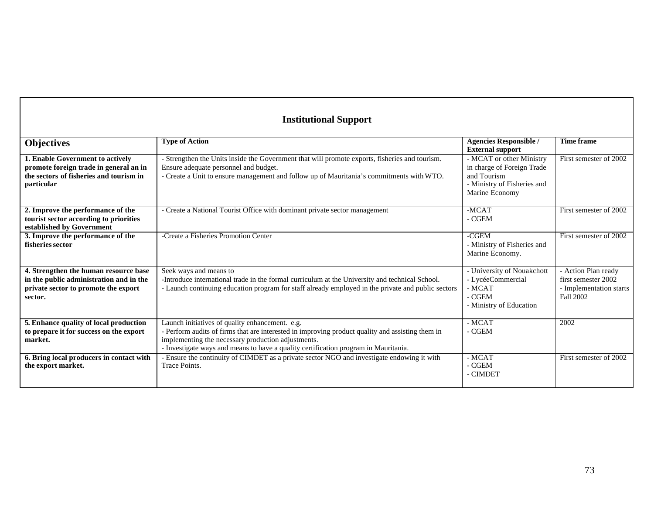# **Institutional Support**

| <b>Objectives</b>                                                                                                                   | <b>Type of Action</b>                                                                                                                                                                                                                                                                            | <b>Agencies Responsible /</b><br><b>External support</b>                                                               | <b>Time frame</b>                                                                  |
|-------------------------------------------------------------------------------------------------------------------------------------|--------------------------------------------------------------------------------------------------------------------------------------------------------------------------------------------------------------------------------------------------------------------------------------------------|------------------------------------------------------------------------------------------------------------------------|------------------------------------------------------------------------------------|
| 1. Enable Government to actively<br>promote foreign trade in general an in<br>the sectors of fisheries and tourism in<br>particular | - Strengthen the Units inside the Government that will promote exports, fisheries and tourism.<br>Ensure adequate personnel and budget.<br>- Create a Unit to ensure management and follow up of Mauritania's commitments with WTO.                                                              | - MCAT or other Ministry<br>in charge of Foreign Trade<br>and Tourism<br>- Ministry of Fisheries and<br>Marine Economy | First semester of 2002                                                             |
| 2. Improve the performance of the<br>tourist sector according to priorities<br>established by Government                            | - Create a National Tourist Office with dominant private sector management                                                                                                                                                                                                                       | $-MCAT$<br>- CGEM                                                                                                      | First semester of 2002                                                             |
| 3. Improve the performance of the<br>fisheries sector                                                                               | -Create a Fisheries Promotion Center                                                                                                                                                                                                                                                             | $-CGEM$<br>- Ministry of Fisheries and<br>Marine Economy.                                                              | First semester of 2002                                                             |
| 4. Strengthen the human resource base<br>in the public administration and in the<br>private sector to promote the export<br>sector. | Seek ways and means to<br>-Introduce international trade in the formal curriculum at the University and technical School.<br>- Launch continuing education program for staff already employed in the private and public sectors                                                                  | - University of Nouakchott<br>- LycéeCommercial<br>$-MCAT$<br>- CGEM<br>- Ministry of Education                        | - Action Plan ready<br>first semester 2002<br>- Implementation starts<br>Fall 2002 |
| 5. Enhance quality of local production<br>to prepare it for success on the export<br>market.                                        | Launch initiatives of quality enhancement. e.g.<br>- Perform audits of firms that are interested in improving product quality and assisting them in<br>implementing the necessary production adjustments.<br>- Investigate ways and means to have a quality certification program in Mauritania. | $-MCAT$<br>- CGEM                                                                                                      | 2002                                                                               |
| 6. Bring local producers in contact with<br>the export market.                                                                      | Ensure the continuity of CIMDET as a private sector NGO and investigate endowing it with<br>Trace Points.                                                                                                                                                                                        | - MCAT<br>- CGEM<br>- CIMDET                                                                                           | First semester of 2002                                                             |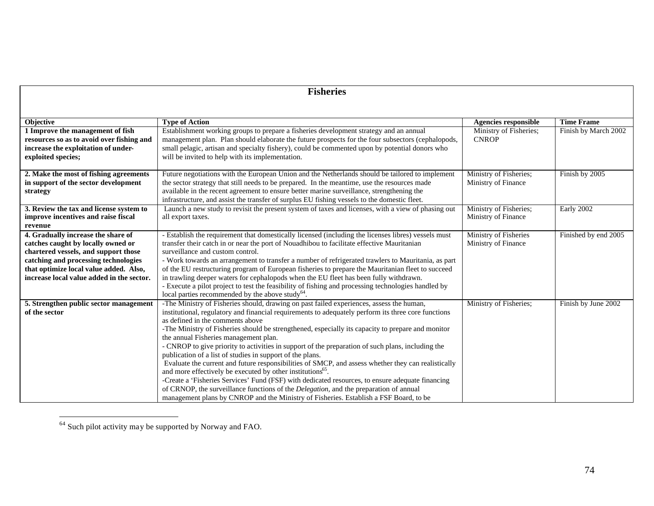| <b>Fisheries</b>                          |                                                                                                     |                             |                      |
|-------------------------------------------|-----------------------------------------------------------------------------------------------------|-----------------------------|----------------------|
|                                           |                                                                                                     |                             |                      |
| <b>Objective</b>                          | <b>Type of Action</b>                                                                               | <b>Agencies responsible</b> | <b>Time Frame</b>    |
| 1 Improve the management of fish          | Establishment working groups to prepare a fisheries development strategy and an annual              | Ministry of Fisheries;      | Finish by March 2002 |
| resources so as to avoid over fishing and | management plan. Plan should elaborate the future prospects for the four subsectors (cephalopods,   | <b>CNROP</b>                |                      |
| increase the exploitation of under-       | small pelagic, artisan and specialty fishery), could be commented upon by potential donors who      |                             |                      |
| exploited species;                        | will be invited to help with its implementation.                                                    |                             |                      |
| 2. Make the most of fishing agreements    | Future negotiations with the European Union and the Netherlands should be tailored to implement     | Ministry of Fisheries;      | Finish by 2005       |
| in support of the sector development      | the sector strategy that still needs to be prepared. In the meantime, use the resources made        | Ministry of Finance         |                      |
| strategy                                  | available in the recent agreement to ensure better marine surveillance, strengthening the           |                             |                      |
|                                           | infrastructure, and assist the transfer of surplus EU fishing vessels to the domestic fleet.        |                             |                      |
| 3. Review the tax and license system to   | Launch a new study to revisit the present system of taxes and licenses, with a view of phasing out  | Ministry of Fisheries;      | Early 2002           |
| improve incentives and raise fiscal       | all export taxes.                                                                                   | Ministry of Finance         |                      |
| revenue                                   |                                                                                                     |                             |                      |
| 4. Gradually increase the share of        | - Establish the requirement that domestically licensed (including the licenses libres) vessels must | Ministry of Fisheries       | Finished by end 2005 |
| catches caught by locally owned or        | transfer their catch in or near the port of Nouadhibou to facilitate effective Mauritanian          | Ministry of Finance         |                      |
| chartered vessels, and support those      | surveillance and custom control.                                                                    |                             |                      |
| catching and processing technologies      | - Work towards an arrangement to transfer a number of refrigerated trawlers to Mauritania, as part  |                             |                      |
| that optimize local value added. Also,    | of the EU restructuring program of European fisheries to prepare the Mauritanian fleet to succeed   |                             |                      |
| increase local value added in the sector. | in trawling deeper waters for cephalopods when the EU fleet has been fully withdrawn.               |                             |                      |
|                                           | - Execute a pilot project to test the feasibility of fishing and processing technologies handled by |                             |                      |
|                                           | local parties recommended by the above study <sup>64</sup> .                                        |                             |                      |
| 5. Strengthen public sector management    | -The Ministry of Fisheries should, drawing on past failed experiences, assess the human,            | Ministry of Fisheries;      | Finish by June 2002  |
| of the sector                             | institutional, regulatory and financial requirements to adequately perform its three core functions |                             |                      |
|                                           | as defined in the comments above                                                                    |                             |                      |
|                                           | -The Ministry of Fisheries should be strengthened, especially its capacity to prepare and monitor   |                             |                      |
|                                           | the annual Fisheries management plan.                                                               |                             |                      |
|                                           | - CNROP to give priority to activities in support of the preparation of such plans, including the   |                             |                      |
|                                           | publication of a list of studies in support of the plans.                                           |                             |                      |
|                                           | Evaluate the current and future responsibilities of SMCP, and assess whether they can realistically |                             |                      |
|                                           | and more effectively be executed by other institutions <sup>65</sup> .                              |                             |                      |
|                                           | -Create a 'Fisheries Services' Fund (FSF) with dedicated resources, to ensure adequate financing    |                             |                      |
|                                           | of CRNOP, the surveillance functions of the <i>Delegation</i> , and the preparation of annual       |                             |                      |
|                                           | management plans by CNROP and the Ministry of Fisheries. Establish a FSF Board, to be               |                             |                      |

appointed by the Minister of Fisheries, with representatives of CNROP, the *Delegation*, customs,

 $\overline{\phantom{0}}$ 

 $\overline{a}$ 

 $64$  Such pilot activity may be supported by Norway and FAO.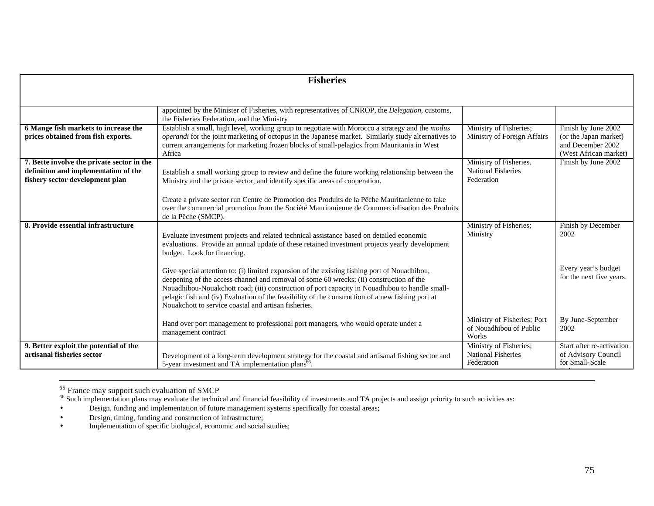|                                                                                                                       | <b>Fisheries</b>                                                                                                                                                                                                                                                                                                                                                                                                                                      |                                                                   |                                                                                            |
|-----------------------------------------------------------------------------------------------------------------------|-------------------------------------------------------------------------------------------------------------------------------------------------------------------------------------------------------------------------------------------------------------------------------------------------------------------------------------------------------------------------------------------------------------------------------------------------------|-------------------------------------------------------------------|--------------------------------------------------------------------------------------------|
|                                                                                                                       |                                                                                                                                                                                                                                                                                                                                                                                                                                                       |                                                                   |                                                                                            |
|                                                                                                                       | appointed by the Minister of Fisheries, with representatives of CNROP, the Delegation, customs,<br>the Fisheries Federation, and the Ministry                                                                                                                                                                                                                                                                                                         |                                                                   |                                                                                            |
| 6 Mange fish markets to increase the<br>prices obtained from fish exports.                                            | Establish a small, high level, working group to negotiate with Morocco a strategy and the modus<br>operandi for the joint marketing of octopus in the Japanese market. Similarly study alternatives to<br>current arrangements for marketing frozen blocks of small-pelagics from Mauritania in West<br>Africa                                                                                                                                        | Ministry of Fisheries;<br>Ministry of Foreign Affairs             | Finish by June 2002<br>(or the Japan market)<br>and December 2002<br>(West African market) |
| 7. Bette involve the private sector in the<br>definition and implementation of the<br>fishery sector development plan | Establish a small working group to review and define the future working relationship between the<br>Ministry and the private sector, and identify specific areas of cooperation.                                                                                                                                                                                                                                                                      | Ministry of Fisheries.<br><b>National Fisheries</b><br>Federation | Finish by June 2002                                                                        |
|                                                                                                                       | Create a private sector run Centre de Promotion des Produits de la Pêche Mauritanienne to take<br>over the commercial promotion from the Société Mauritanienne de Commercialisation des Produits<br>de la Pêche (SMCP).                                                                                                                                                                                                                               |                                                                   |                                                                                            |
| 8. Provide essential infrastructure                                                                                   | Evaluate investment projects and related technical assistance based on detailed economic<br>evaluations. Provide an annual update of these retained investment projects yearly development<br>budget. Look for financing.                                                                                                                                                                                                                             | Ministry of Fisheries;<br>Ministry                                | Finish by December<br>2002                                                                 |
|                                                                                                                       | Give special attention to: (i) limited expansion of the existing fishing port of Nouadhibou,<br>deepening of the access channel and removal of some 60 wrecks; (ii) construction of the<br>Nouadhibou-Nouakchott road; (iii) construction of port capacity in Nouadhibou to handle small-<br>pelagic fish and (iv) Evaluation of the feasibility of the construction of a new fishing port at<br>Nouakchott to service coastal and artisan fisheries. |                                                                   | Every year's budget<br>for the next five years.                                            |
|                                                                                                                       | Hand over port management to professional port managers, who would operate under a<br>management contract                                                                                                                                                                                                                                                                                                                                             | Ministry of Fisheries; Port<br>of Nouadhibou of Public<br>Works   | By June-September<br>2002                                                                  |
| 9. Better exploit the potential of the<br>artisanal fisheries sector                                                  | Development of a long-term development strategy for the coastal and artisanal fishing sector and<br>5-year investment and TA implementation plans <sup>66</sup> .                                                                                                                                                                                                                                                                                     | Ministry of Fisheries;<br><b>National Fisheries</b><br>Federation | Start after re-activation<br>of Advisory Council<br>for Small-Scale                        |

<sup>65</sup> France may support such evaluation of SMCP

 $\overline{a}$ 

 $66$  Such implementation plans may evaluate the technical and financial feasibility of investments and TA projects and assign priority to such activities as:

- Design, funding and implementation of future management systems specifically for coastal areas;
- Design, timing, funding and construction of infrastructure;

• Implementation of specific biological, economic and social studies;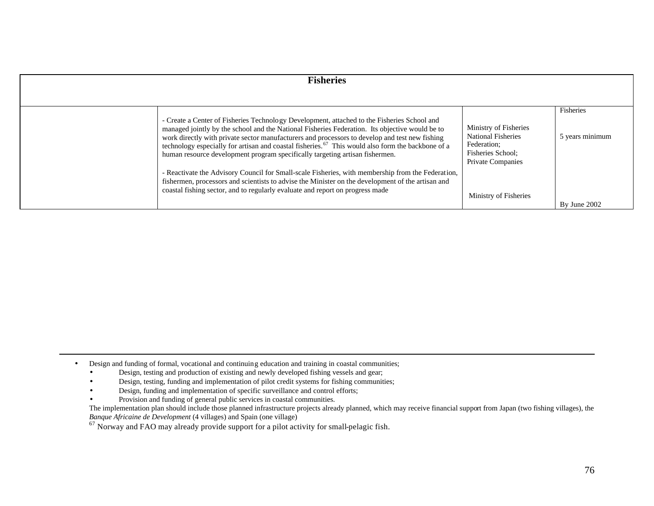| <b>Fisheries</b>                                                                                                                                                                                                                                                                                                                                                                                                                                                                                                                                                                                                                                                                                                                                                                            |                                                                                                                                             |                                              |
|---------------------------------------------------------------------------------------------------------------------------------------------------------------------------------------------------------------------------------------------------------------------------------------------------------------------------------------------------------------------------------------------------------------------------------------------------------------------------------------------------------------------------------------------------------------------------------------------------------------------------------------------------------------------------------------------------------------------------------------------------------------------------------------------|---------------------------------------------------------------------------------------------------------------------------------------------|----------------------------------------------|
| - Create a Center of Fisheries Technology Development, attached to the Fisheries School and<br>managed jointly by the school and the National Fisheries Federation. Its objective would be to<br>work directly with private sector manufacturers and processors to develop and test new fishing<br>technology especially for artisan and coastal fisheries. <sup>67</sup> This would also form the backbone of a<br>human resource development program specifically targeting artisan fishermen.<br>- Reactivate the Advisory Council for Small-scale Fisheries, with membership from the Federation,<br>fishermen, processors and scientists to advise the Minister on the development of the artisan and<br>coastal fishing sector, and to regularly evaluate and report on progress made | Ministry of Fisheries<br><b>National Fisheries</b><br>Federation;<br>Fisheries School:<br><b>Private Companies</b><br>Ministry of Fisheries | Fisheries<br>5 years minimum<br>By June 2002 |

- Design and funding of formal, vocational and continuing education and training in coastal communities;
	- Design, testing and production of existing and newly developed fishing vessels and gear;
	- Design, testing, funding and implementation of pilot credit systems for fishing communities;
	- Design, funding and implementation of specific surveillance and control efforts;
	- Provision and funding of general public services in coastal communities.

 $\overline{a}$ 

The implementation plan should include those planned infrastructure projects already planned, which may receive financial support from Japan (two fishing villages), the *Banque Africaine de Development* (4 villages) and Spain (one village)

<sup>67</sup> Norway and FAO may already provide support for a pilot activity for small-pelagic fish.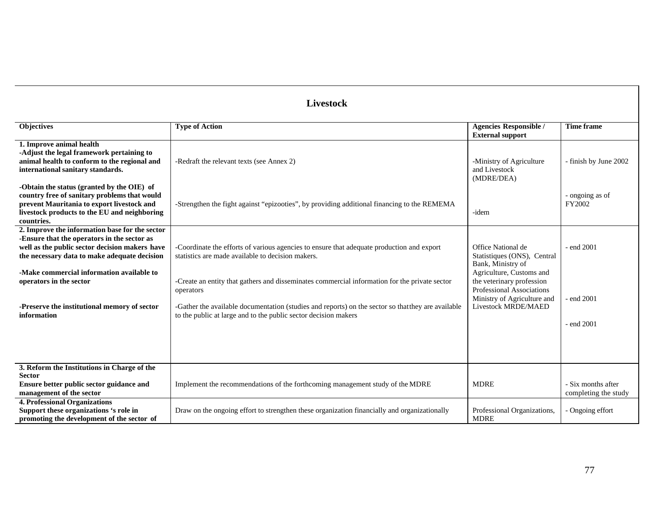# **Livestock**

| <b>Objectives</b>                                                                                                                                                                                                                                                                                                                      | <b>Type of Action</b>                                                                                                                                                                                                                                                                                                                                                                                                                 | <b>Agencies Responsible /</b><br><b>External support</b>                                                                                                                                                                  | <b>Time frame</b>                          |
|----------------------------------------------------------------------------------------------------------------------------------------------------------------------------------------------------------------------------------------------------------------------------------------------------------------------------------------|---------------------------------------------------------------------------------------------------------------------------------------------------------------------------------------------------------------------------------------------------------------------------------------------------------------------------------------------------------------------------------------------------------------------------------------|---------------------------------------------------------------------------------------------------------------------------------------------------------------------------------------------------------------------------|--------------------------------------------|
| 1. Improve animal health<br>-Adjust the legal framework pertaining to<br>animal health to conform to the regional and<br>international sanitary standards.                                                                                                                                                                             | -Redraft the relevant texts (see Annex 2)                                                                                                                                                                                                                                                                                                                                                                                             | -Ministry of Agriculture<br>and Livestock<br>(MDRE/DEA)                                                                                                                                                                   | - finish by June 2002                      |
| -Obtain the status (granted by the OIE) of<br>country free of sanitary problems that would<br>prevent Mauritania to export livestock and<br>livestock products to the EU and neighboring<br>countries.                                                                                                                                 | -Strengthen the fight against "epizooties", by providing additional financing to the REMEMA                                                                                                                                                                                                                                                                                                                                           | -idem                                                                                                                                                                                                                     | - ongoing as of<br>FY2002                  |
| 2. Improve the information base for the sector<br>-Ensure that the operators in the sector as<br>well as the public sector decision makers have<br>the necessary data to make adequate decision<br>-Make commercial information available to<br>operators in the sector<br>-Preserve the institutional memory of sector<br>information | -Coordinate the efforts of various agencies to ensure that adequate production and export<br>statistics are made available to decision makers.<br>-Create an entity that gathers and disseminates commercial information for the private sector<br>operators<br>-Gather the available documentation (studies and reports) on the sector so that they are available<br>to the public at large and to the public sector decision makers | Office National de<br>Statistiques (ONS), Central<br>Bank, Ministry of<br>Agriculture, Customs and<br>the veterinary profession<br><b>Professional Associations</b><br>Ministry of Agriculture and<br>Livestock MRDE/MAED | - end 2001<br>- end 2001<br>- end 2001     |
|                                                                                                                                                                                                                                                                                                                                        |                                                                                                                                                                                                                                                                                                                                                                                                                                       |                                                                                                                                                                                                                           |                                            |
| 3. Reform the Institutions in Charge of the<br><b>Sector</b><br>Ensure better public sector guidance and<br>management of the sector                                                                                                                                                                                                   | Implement the recommendations of the forthcoming management study of the MDRE                                                                                                                                                                                                                                                                                                                                                         | <b>MDRE</b>                                                                                                                                                                                                               | - Six months after<br>completing the study |
| <b>4. Professional Organizations</b><br>Support these organizations 's role in<br>promoting the development of the sector of                                                                                                                                                                                                           | Draw on the ongoing effort to strengthen these organization financially and organizationally                                                                                                                                                                                                                                                                                                                                          | Professional Organizations,<br><b>MDRE</b>                                                                                                                                                                                | Ongoing effort                             |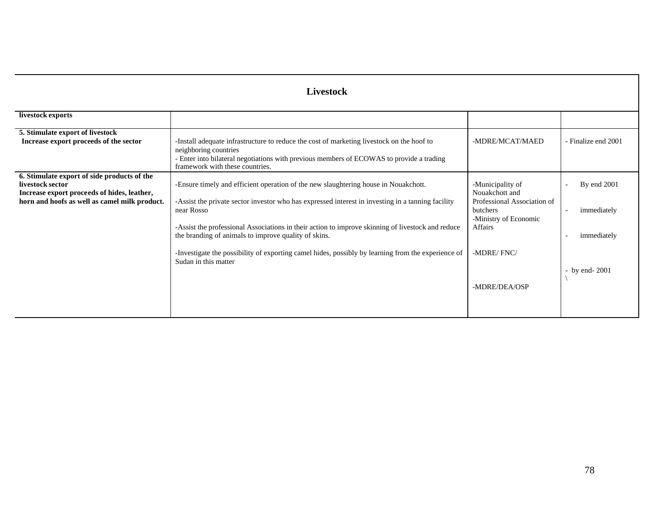| Livestock                                                                                                                                                       |                                                                                                                                                                                                                                                                                                                                                                                                                                                                                                   |                                                                                                                                                         |                                                                 |
|-----------------------------------------------------------------------------------------------------------------------------------------------------------------|---------------------------------------------------------------------------------------------------------------------------------------------------------------------------------------------------------------------------------------------------------------------------------------------------------------------------------------------------------------------------------------------------------------------------------------------------------------------------------------------------|---------------------------------------------------------------------------------------------------------------------------------------------------------|-----------------------------------------------------------------|
| livestock exports                                                                                                                                               |                                                                                                                                                                                                                                                                                                                                                                                                                                                                                                   |                                                                                                                                                         |                                                                 |
| 5. Stimulate export of livestock<br>Increase export proceeds of the sector                                                                                      | -Install adequate infrastructure to reduce the cost of marketing livestock on the hoof to<br>neighboring countries<br>- Enter into bilateral negotiations with previous members of ECOWAS to provide a trading<br>framework with these countries.                                                                                                                                                                                                                                                 | -MDRE/MCAT/MAED                                                                                                                                         | - Finalize end 2001                                             |
| 6. Stimulate export of side products of the<br>livestock sector<br>Increase export proceeds of hides, leather,<br>horn and hoofs as well as camel milk product. | -Ensure timely and efficient operation of the new slaughtering house in Nouakchott.<br>-Assist the private sector investor who has expressed interest in investing in a tanning facility<br>near Rosso<br>-Assist the professional Associations in their action to improve skinning of livestock and reduce<br>the branding of animals to improve quality of skins.<br>-Investigate the possibility of exporting camel hides, possibly by learning from the experience of<br>Sudan in this matter | -Municipality of<br>Nouakchott and<br>Professional Association of<br>butchers<br>-Ministry of Economic<br><b>Affairs</b><br>-MDRE/FNC/<br>-MDRE/DEA/OSP | By end 2001<br>immediately<br>immediately<br>$-$ by end $-2001$ |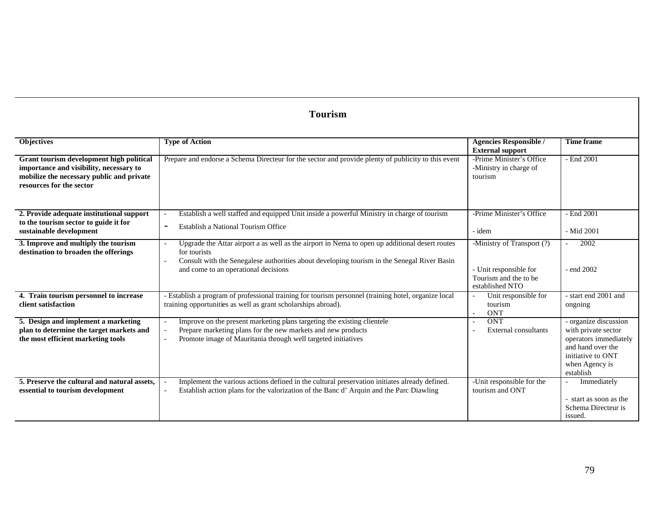# **Tourism**

| Objectives                                                                                                                                                   | <b>Type of Action</b>                                                                                                                                                                                                                                 | <b>Agencies Responsible /</b><br><b>External support</b>                      | <b>Time frame</b>                                                                                                                              |
|--------------------------------------------------------------------------------------------------------------------------------------------------------------|-------------------------------------------------------------------------------------------------------------------------------------------------------------------------------------------------------------------------------------------------------|-------------------------------------------------------------------------------|------------------------------------------------------------------------------------------------------------------------------------------------|
| Grant tourism development high political<br>importance and visibility, necessary to<br>mobilize the necessary public and private<br>resources for the sector | Prepare and endorse a Schema Directeur for the sector and provide plenty of publicity to this event                                                                                                                                                   | -Prime Minister's Office<br>-Ministry in charge of<br>tourism                 | - End 2001                                                                                                                                     |
| 2. Provide adequate institutional support                                                                                                                    | Establish a well staffed and equipped Unit inside a powerful Ministry in charge of tourism                                                                                                                                                            | -Prime Minister's Office                                                      | - End 2001                                                                                                                                     |
| to the tourism sector to guide it for                                                                                                                        | Establish a National Tourism Office                                                                                                                                                                                                                   |                                                                               |                                                                                                                                                |
| sustainable development                                                                                                                                      |                                                                                                                                                                                                                                                       | - idem                                                                        | - Mid 2001                                                                                                                                     |
| 3. Improve and multiply the tourism<br>destination to broaden the offerings                                                                                  | Upgrade the Attar airport a as well as the airport in Nema to open up additional desert routes<br>for tourists<br>Consult with the Senegalese authorities about developing tourism in the Senegal River Basin<br>and come to an operational decisions | -Ministry of Transport (?)<br>- Unit responsible for<br>Tourism and the to be | 2002<br>$\overline{\phantom{a}}$<br>- end 2002                                                                                                 |
| 4. Train tourism personnel to increase                                                                                                                       | - Establish a program of professional training for tourism personnel (training hotel, organize local                                                                                                                                                  | established NTO<br>Unit responsible for                                       | - start end 2001 and                                                                                                                           |
| client satisfaction                                                                                                                                          | training opportunities as well as grant scholarships abroad).                                                                                                                                                                                         | tourism<br><b>ONT</b>                                                         | ongoing                                                                                                                                        |
| 5. Design and implement a marketing<br>plan to determine the target markets and<br>the most efficient marketing tools                                        | Improve on the present marketing plans targeting the existing clientele<br>Prepare marketing plans for the new markets and new products<br>Promote image of Mauritania through well targeted initiatives                                              | <b>ONT</b><br>External consultants                                            | - organize discussion<br>with private sector<br>operators immediately<br>and hand over the<br>initiative to ONT<br>when Agency is<br>establish |
| 5. Preserve the cultural and natural assets.<br>essential to tourism development                                                                             | Implement the various actions defined in the cultural preservation initiates already defined.<br>Establish action plans for the valorization of the Banc d'Arquin and the Parc Diawling                                                               | -Unit responsible for the<br>tourism and ONT                                  | Immediately<br>$\overline{\phantom{a}}$<br>- start as soon as the<br>Schema Directeur is<br>issued.                                            |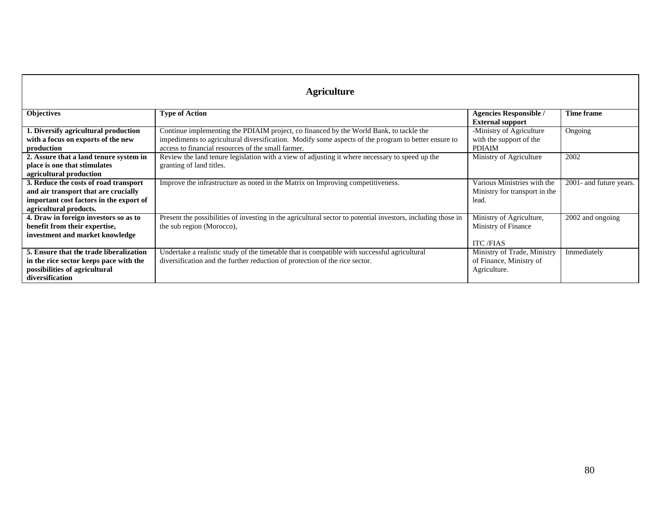| <b>Agriculture</b>                                                                                                                                 |                                                                                                                                                                                                                                                     |                                                                        |                         |
|----------------------------------------------------------------------------------------------------------------------------------------------------|-----------------------------------------------------------------------------------------------------------------------------------------------------------------------------------------------------------------------------------------------------|------------------------------------------------------------------------|-------------------------|
| <b>Objectives</b>                                                                                                                                  | <b>Type of Action</b>                                                                                                                                                                                                                               | <b>Agencies Responsible /</b><br><b>External support</b>               | Time frame              |
| 1. Diversify agricultural production<br>with a focus on exports of the new<br>production                                                           | Continue implementing the PDIAIM project, co financed by the World Bank, to tackle the<br>impediments to agricultural diversification. Modify some aspects of the program to better ensure to<br>access to financial resources of the small farmer. | -Ministry of Agriculture<br>with the support of the<br><b>PDIAIM</b>   | Ongoing                 |
| 2. Assure that a land tenure system in<br>place is one that stimulates<br>agricultural production                                                  | Review the land tenure legislation with a view of adjusting it where necessary to speed up the<br>granting of land titles.                                                                                                                          | Ministry of Agriculture                                                | 2002                    |
| 3. Reduce the costs of road transport<br>and air transport that are crucially<br>important cost factors in the export of<br>agricultural products. | Improve the infrastructure as noted in the Matrix on Improving competitiveness.                                                                                                                                                                     | Various Ministries with the<br>Ministry for transport in the<br>lead.  | 2001- and future years. |
| 4. Draw in foreign investors so as to<br>benefit from their expertise,<br>investment and market knowledge                                          | Present the possibilities of investing in the agricultural sector to potential investors, including those in<br>the sub region (Morocco),                                                                                                           | Ministry of Agriculture,<br>Ministry of Finance<br><b>ITC/FIAS</b>     | 2002 and ongoing        |
| 5. Ensure that the trade liberalization<br>in the rice sector keeps pace with the<br>possibilities of agricultural<br>diversification              | Undertake a realistic study of the timetable that is compatible with successful agricultural<br>diversification and the further reduction of protection of the rice sector.                                                                         | Ministry of Trade, Ministry<br>of Finance, Ministry of<br>Agriculture. | Immediately             |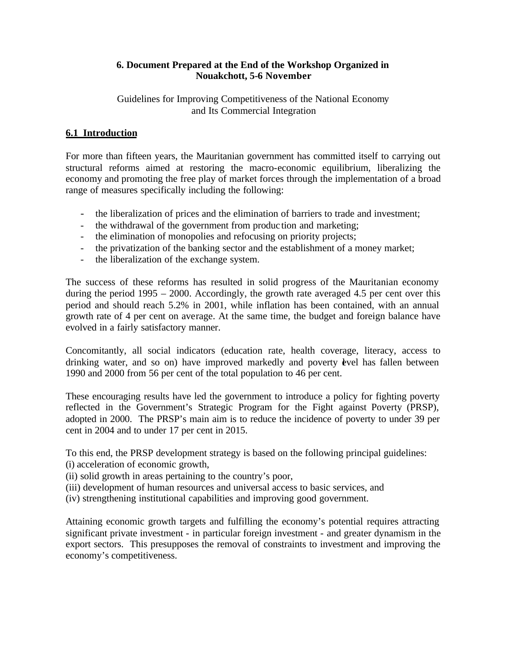## **6. Document Prepared at the End of the Workshop Organized in Nouakchott, 5-6 November**

Guidelines for Improving Competitiveness of the National Economy and Its Commercial Integration

# **6.1 Introduction**

For more than fifteen years, the Mauritanian government has committed itself to carrying out structural reforms aimed at restoring the macro-economic equilibrium, liberalizing the economy and promoting the free play of market forces through the implementation of a broad range of measures specifically including the following:

- the liberalization of prices and the elimination of barriers to trade and investment;
- the withdrawal of the government from production and marketing;
- the elimination of monopolies and refocusing on priority projects;
- the privatization of the banking sector and the establishment of a money market;
- the liberalization of the exchange system.

The success of these reforms has resulted in solid progress of the Mauritanian economy during the period 1995 – 2000. Accordingly, the growth rate averaged 4.5 per cent over this period and should reach 5.2% in 2001, while inflation has been contained, with an annual growth rate of 4 per cent on average. At the same time, the budget and foreign balance have evolved in a fairly satisfactory manner.

Concomitantly, all social indicators (education rate, health coverage, literacy, access to drinking water, and so on) have improved markedly and poverty evel has fallen between 1990 and 2000 from 56 per cent of the total population to 46 per cent.

These encouraging results have led the government to introduce a policy for fighting poverty reflected in the Government's Strategic Program for the Fight against Poverty (PRSP), adopted in 2000. The PRSP's main aim is to reduce the incidence of poverty to under 39 per cent in 2004 and to under 17 per cent in 2015.

To this end, the PRSP development strategy is based on the following principal guidelines:

- (i) acceleration of economic growth,
- (ii) solid growth in areas pertaining to the country's poor,
- (iii) development of human resources and universal access to basic services, and
- (iv) strengthening institutional capabilities and improving good government.

Attaining economic growth targets and fulfilling the economy's potential requires attracting significant private investment - in particular foreign investment - and greater dynamism in the export sectors. This presupposes the removal of constraints to investment and improving the economy's competitiveness.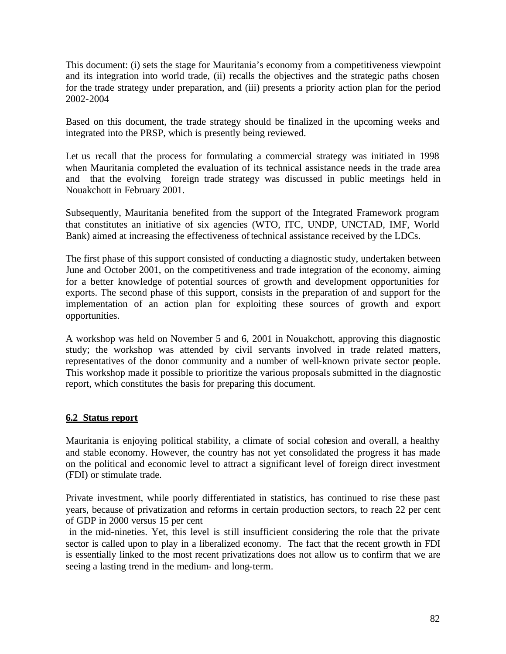This document: (i) sets the stage for Mauritania's economy from a competitiveness viewpoint and its integration into world trade, (ii) recalls the objectives and the strategic paths chosen for the trade strategy under preparation, and (iii) presents a priority action plan for the period 2002-2004

Based on this document, the trade strategy should be finalized in the upcoming weeks and integrated into the PRSP, which is presently being reviewed.

Let us recall that the process for formulating a commercial strategy was initiated in 1998 when Mauritania completed the evaluation of its technical assistance needs in the trade area and that the evolving foreign trade strategy was discussed in public meetings held in Nouakchott in February 2001.

Subsequently, Mauritania benefited from the support of the Integrated Framework program that constitutes an initiative of six agencies (WTO, ITC, UNDP, UNCTAD, IMF, World Bank) aimed at increasing the effectiveness of technical assistance received by the LDCs.

The first phase of this support consisted of conducting a diagnostic study, undertaken between June and October 2001, on the competitiveness and trade integration of the economy, aiming for a better knowledge of potential sources of growth and development opportunities for exports. The second phase of this support, consists in the preparation of and support for the implementation of an action plan for exploiting these sources of growth and export opportunities.

A workshop was held on November 5 and 6, 2001 in Nouakchott, approving this diagnostic study; the workshop was attended by civil servants involved in trade related matters, representatives of the donor community and a number of well-known private sector people. This workshop made it possible to prioritize the various proposals submitted in the diagnostic report, which constitutes the basis for preparing this document.

# **6.2 Status report**

Mauritania is enjoying political stability, a climate of social cohesion and overall, a healthy and stable economy. However, the country has not yet consolidated the progress it has made on the political and economic level to attract a significant level of foreign direct investment (FDI) or stimulate trade.

Private investment, while poorly differentiated in statistics, has continued to rise these past years, because of privatization and reforms in certain production sectors, to reach 22 per cent of GDP in 2000 versus 15 per cent

 in the mid-nineties. Yet, this level is still insufficient considering the role that the private sector is called upon to play in a liberalized economy. The fact that the recent growth in FDI is essentially linked to the most recent privatizations does not allow us to confirm that we are seeing a lasting trend in the medium- and long-term.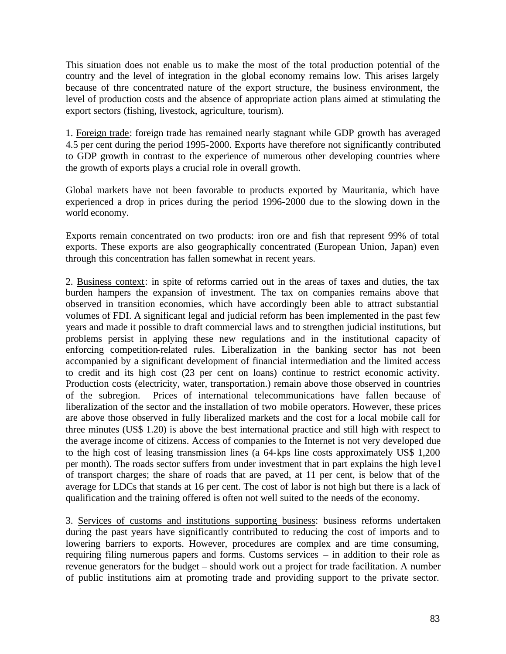This situation does not enable us to make the most of the total production potential of the country and the level of integration in the global economy remains low. This arises largely because of thre concentrated nature of the export structure, the business environment, the level of production costs and the absence of appropriate action plans aimed at stimulating the export sectors (fishing, livestock, agriculture, tourism).

1. Foreign trade: foreign trade has remained nearly stagnant while GDP growth has averaged 4.5 per cent during the period 1995-2000. Exports have therefore not significantly contributed to GDP growth in contrast to the experience of numerous other developing countries where the growth of exports plays a crucial role in overall growth.

Global markets have not been favorable to products exported by Mauritania, which have experienced a drop in prices during the period 1996-2000 due to the slowing down in the world economy.

Exports remain concentrated on two products: iron ore and fish that represent 99% of total exports. These exports are also geographically concentrated (European Union, Japan) even through this concentration has fallen somewhat in recent years.

2. Business context: in spite of reforms carried out in the areas of taxes and duties, the tax burden hampers the expansion of investment. The tax on companies remains above that observed in transition economies, which have accordingly been able to attract substantial volumes of FDI. A significant legal and judicial reform has been implemented in the past few years and made it possible to draft commercial laws and to strengthen judicial institutions, but problems persist in applying these new regulations and in the institutional capacity of enforcing competition-related rules. Liberalization in the banking sector has not been accompanied by a significant development of financial intermediation and the limited access to credit and its high cost (23 per cent on loans) continue to restrict economic activity. Production costs (electricity, water, transportation.) remain above those observed in countries of the subregion. Prices of international telecommunications have fallen because of liberalization of the sector and the installation of two mobile operators. However, these prices are above those observed in fully liberalized markets and the cost for a local mobile call for three minutes (US\$ 1.20) is above the best international practice and still high with respect to the average income of citizens. Access of companies to the Internet is not very developed due to the high cost of leasing transmission lines (a 64-kps line costs approximately US\$ 1,200 per month). The roads sector suffers from under investment that in part explains the high leve l of transport charges; the share of roads that are paved, at 11 per cent, is below that of the average for LDCs that stands at 16 per cent. The cost of labor is not high but there is a lack of qualification and the training offered is often not well suited to the needs of the economy.

3. Services of customs and institutions supporting business: business reforms undertaken during the past years have significantly contributed to reducing the cost of imports and to lowering barriers to exports. However, procedures are complex and are time consuming, requiring filing numerous papers and forms. Customs services – in addition to their role as revenue generators for the budget – should work out a project for trade facilitation. A number of public institutions aim at promoting trade and providing support to the private sector.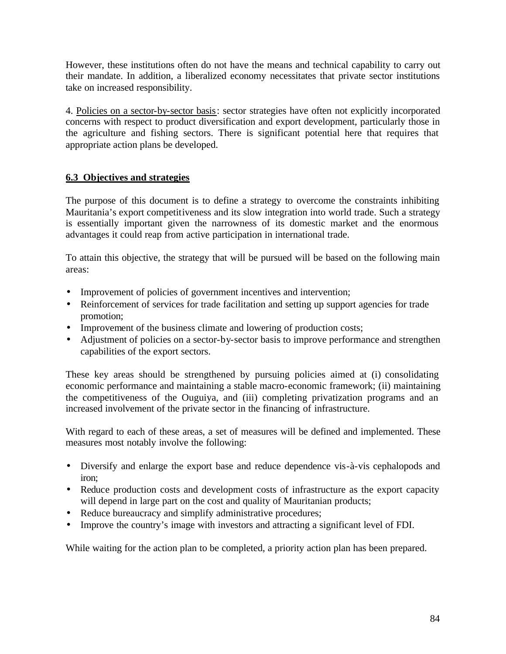However, these institutions often do not have the means and technical capability to carry out their mandate. In addition, a liberalized economy necessitates that private sector institutions take on increased responsibility.

4. Policies on a sector-by-sector basis: sector strategies have often not explicitly incorporated concerns with respect to product diversification and export development, particularly those in the agriculture and fishing sectors. There is significant potential here that requires that appropriate action plans be developed.

# **6.3 Objectives and strategies**

The purpose of this document is to define a strategy to overcome the constraints inhibiting Mauritania's export competitiveness and its slow integration into world trade. Such a strategy is essentially important given the narrowness of its domestic market and the enormous advantages it could reap from active participation in international trade.

To attain this objective, the strategy that will be pursued will be based on the following main areas:

- Improvement of policies of government incentives and intervention;
- Reinforcement of services for trade facilitation and setting up support agencies for trade promotion;
- Improvement of the business climate and lowering of production costs;
- Adjustment of policies on a sector-by-sector basis to improve performance and strengthen capabilities of the export sectors.

These key areas should be strengthened by pursuing policies aimed at (i) consolidating economic performance and maintaining a stable macro-economic framework; (ii) maintaining the competitiveness of the Ouguiya, and (iii) completing privatization programs and an increased involvement of the private sector in the financing of infrastructure.

With regard to each of these areas, a set of measures will be defined and implemented. These measures most notably involve the following:

- Diversify and enlarge the export base and reduce dependence vis-à-vis cephalopods and iron;
- Reduce production costs and development costs of infrastructure as the export capacity will depend in large part on the cost and quality of Mauritanian products;
- Reduce bureaucracy and simplify administrative procedures;
- Improve the country's image with investors and attracting a significant level of FDI.

While waiting for the action plan to be completed, a priority action plan has been prepared.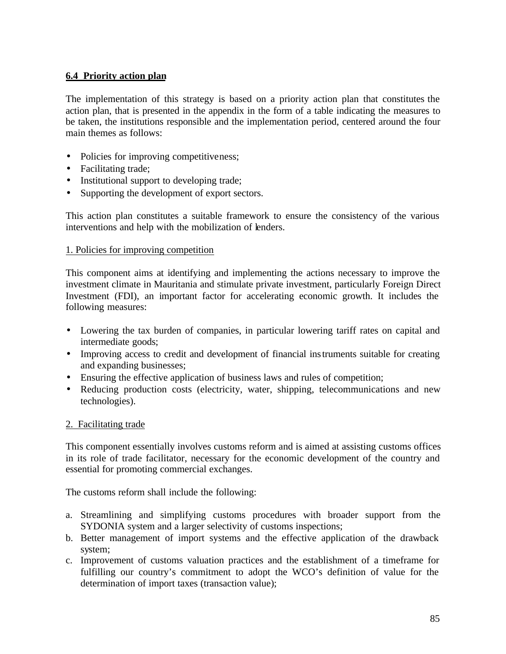# **6.4 Priority action plan**

The implementation of this strategy is based on a priority action plan that constitutes the action plan, that is presented in the appendix in the form of a table indicating the measures to be taken, the institutions responsible and the implementation period, centered around the four main themes as follows:

- Policies for improving competitiveness;
- Facilitating trade;
- Institutional support to developing trade;
- Supporting the development of export sectors.

This action plan constitutes a suitable framework to ensure the consistency of the various interventions and help with the mobilization of lenders.

### 1. Policies for improving competition

This component aims at identifying and implementing the actions necessary to improve the investment climate in Mauritania and stimulate private investment, particularly Foreign Direct Investment (FDI), an important factor for accelerating economic growth. It includes the following measures:

- Lowering the tax burden of companies, in particular lowering tariff rates on capital and intermediate goods;
- Improving access to credit and development of financial instruments suitable for creating and expanding businesses;
- Ensuring the effective application of business laws and rules of competition;
- Reducing production costs (electricity, water, shipping, telecommunications and new technologies).

### 2. Facilitating trade

This component essentially involves customs reform and is aimed at assisting customs offices in its role of trade facilitator, necessary for the economic development of the country and essential for promoting commercial exchanges.

The customs reform shall include the following:

- a. Streamlining and simplifying customs procedures with broader support from the SYDONIA system and a larger selectivity of customs inspections;
- b. Better management of import systems and the effective application of the drawback system;
- c. Improvement of customs valuation practices and the establishment of a timeframe for fulfilling our country's commitment to adopt the WCO's definition of value for the determination of import taxes (transaction value);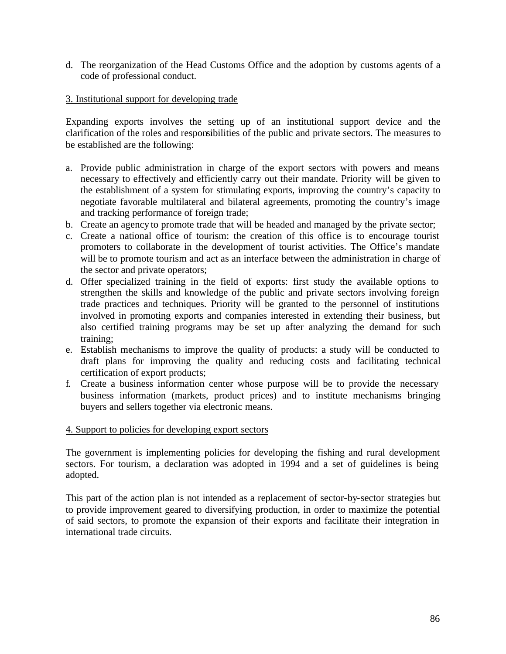d. The reorganization of the Head Customs Office and the adoption by customs agents of a code of professional conduct.

# 3. Institutional support for developing trade

Expanding exports involves the setting up of an institutional support device and the clarification of the roles and responsibilities of the public and private sectors. The measures to be established are the following:

- a. Provide public administration in charge of the export sectors with powers and means necessary to effectively and efficiently carry out their mandate. Priority will be given to the establishment of a system for stimulating exports, improving the country's capacity to negotiate favorable multilateral and bilateral agreements, promoting the country's image and tracking performance of foreign trade;
- b. Create an agency to promote trade that will be headed and managed by the private sector;
- c. Create a national office of tourism: the creation of this office is to encourage tourist promoters to collaborate in the development of tourist activities. The Office's mandate will be to promote tourism and act as an interface between the administration in charge of the sector and private operators;
- d. Offer specialized training in the field of exports: first study the available options to strengthen the skills and knowledge of the public and private sectors involving foreign trade practices and techniques. Priority will be granted to the personnel of institutions involved in promoting exports and companies interested in extending their business, but also certified training programs may be set up after analyzing the demand for such training;
- e. Establish mechanisms to improve the quality of products: a study will be conducted to draft plans for improving the quality and reducing costs and facilitating technical certification of export products;
- f. Create a business information center whose purpose will be to provide the necessary business information (markets, product prices) and to institute mechanisms bringing buyers and sellers together via electronic means.

### 4. Support to policies for developing export sectors

The government is implementing policies for developing the fishing and rural development sectors. For tourism, a declaration was adopted in 1994 and a set of guidelines is being adopted.

This part of the action plan is not intended as a replacement of sector-by-sector strategies but to provide improvement geared to diversifying production, in order to maximize the potential of said sectors, to promote the expansion of their exports and facilitate their integration in international trade circuits.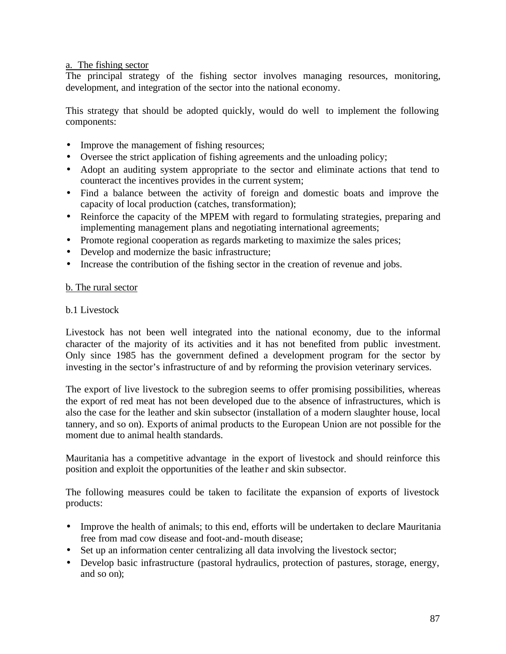## a. The fishing sector

The principal strategy of the fishing sector involves managing resources, monitoring, development, and integration of the sector into the national economy.

This strategy that should be adopted quickly, would do well to implement the following components:

- Improve the management of fishing resources;
- Oversee the strict application of fishing agreements and the unloading policy;
- Adopt an auditing system appropriate to the sector and eliminate actions that tend to counteract the incentives provides in the current system;
- Find a balance between the activity of foreign and domestic boats and improve the capacity of local production (catches, transformation);
- Reinforce the capacity of the MPEM with regard to formulating strategies, preparing and implementing management plans and negotiating international agreements;
- Promote regional cooperation as regards marketing to maximize the sales prices;
- Develop and modernize the basic infrastructure;
- Increase the contribution of the fishing sector in the creation of revenue and jobs.

### b. The rural sector

#### b.1 Livestock

Livestock has not been well integrated into the national economy, due to the informal character of the majority of its activities and it has not benefited from public investment. Only since 1985 has the government defined a development program for the sector by investing in the sector's infrastructure of and by reforming the provision veterinary services.

The export of live livestock to the subregion seems to offer promising possibilities, whereas the export of red meat has not been developed due to the absence of infrastructures, which is also the case for the leather and skin subsector (installation of a modern slaughter house, local tannery, and so on). Exports of animal products to the European Union are not possible for the moment due to animal health standards.

Mauritania has a competitive advantage in the export of livestock and should reinforce this position and exploit the opportunities of the leathe r and skin subsector.

The following measures could be taken to facilitate the expansion of exports of livestock products:

- Improve the health of animals; to this end, efforts will be undertaken to declare Mauritania free from mad cow disease and foot-and-mouth disease;
- Set up an information center centralizing all data involving the livestock sector;
- Develop basic infrastructure (pastoral hydraulics, protection of pastures, storage, energy, and so on);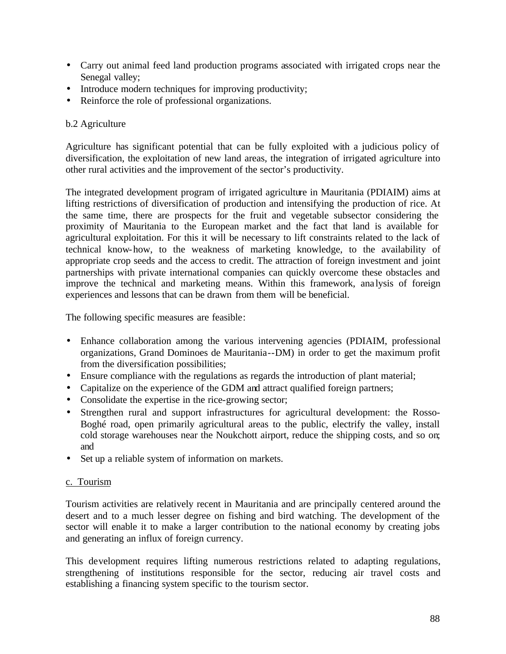- Carry out animal feed land production programs associated with irrigated crops near the Senegal valley;
- Introduce modern techniques for improving productivity;
- Reinforce the role of professional organizations.

# b.2 Agriculture

Agriculture has significant potential that can be fully exploited with a judicious policy of diversification, the exploitation of new land areas, the integration of irrigated agriculture into other rural activities and the improvement of the sector's productivity.

The integrated development program of irrigated agriculture in Mauritania (PDIAIM) aims at lifting restrictions of diversification of production and intensifying the production of rice. At the same time, there are prospects for the fruit and vegetable subsector considering the proximity of Mauritania to the European market and the fact that land is available for agricultural exploitation. For this it will be necessary to lift constraints related to the lack of technical know-how, to the weakness of marketing knowledge, to the availability of appropriate crop seeds and the access to credit. The attraction of foreign investment and joint partnerships with private international companies can quickly overcome these obstacles and improve the technical and marketing means. Within this framework, ana lysis of foreign experiences and lessons that can be drawn from them will be beneficial.

The following specific measures are feasible:

- Enhance collaboration among the various intervening agencies (PDIAIM, professional organizations, Grand Dominoes de Mauritania--DM) in order to get the maximum profit from the diversification possibilities;
- Ensure compliance with the regulations as regards the introduction of plant material;
- Capitalize on the experience of the GDM and attract qualified foreign partners;
- Consolidate the expertise in the rice-growing sector;
- Strengthen rural and support infrastructures for agricultural development: the Rosso-Boghé road, open primarily agricultural areas to the public, electrify the valley, install cold storage warehouses near the Noukchott airport, reduce the shipping costs, and so on; and
- Set up a reliable system of information on markets.

# c. Tourism

Tourism activities are relatively recent in Mauritania and are principally centered around the desert and to a much lesser degree on fishing and bird watching. The development of the sector will enable it to make a larger contribution to the national economy by creating jobs and generating an influx of foreign currency.

This development requires lifting numerous restrictions related to adapting regulations, strengthening of institutions responsible for the sector, reducing air travel costs and establishing a financing system specific to the tourism sector.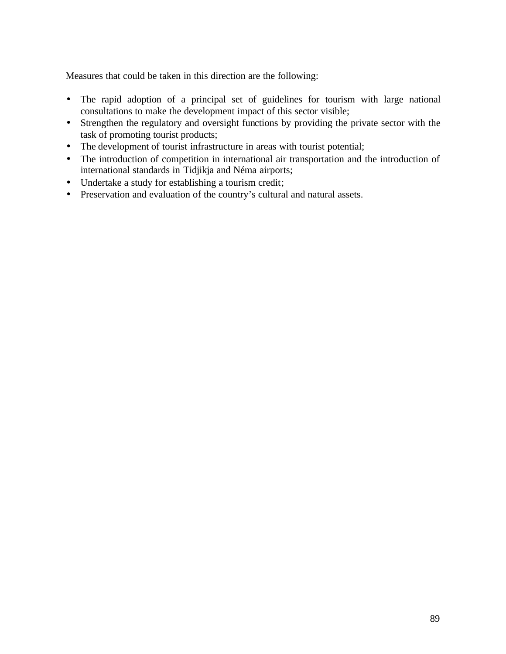Measures that could be taken in this direction are the following:

- The rapid adoption of a principal set of guidelines for tourism with large national consultations to make the development impact of this sector visible;
- Strengthen the regulatory and oversight functions by providing the private sector with the task of promoting tourist products;
- The development of tourist infrastructure in areas with tourist potential;
- The introduction of competition in international air transportation and the introduction of international standards in Tidjikja and Néma airports;
- Undertake a study for establishing a tourism credit;
- Preservation and evaluation of the country's cultural and natural assets.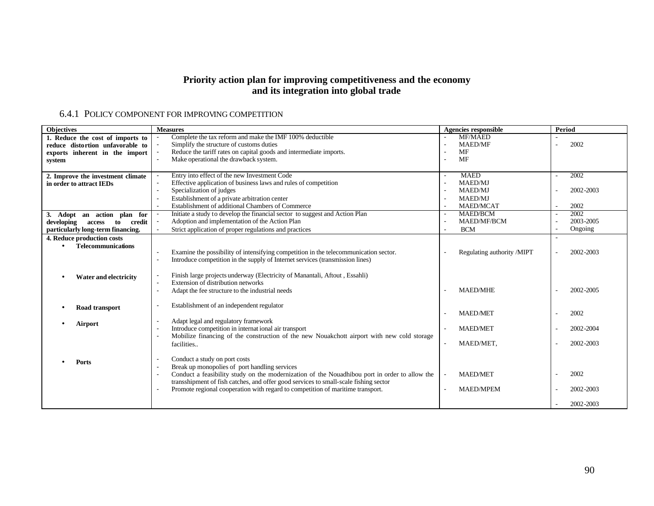#### **Priority action plan for improving competitiveness and the economy and its integration into global trade**

## 6.4.1 POLICY COMPONENT FOR IMPROVING COMPETITION

| <b>Objectives</b>                    | <b>Measures</b>                                                                                                        | <b>Agencies responsible</b>                 | Period     |
|--------------------------------------|------------------------------------------------------------------------------------------------------------------------|---------------------------------------------|------------|
| 1. Reduce the cost of imports to     | Complete the tax reform and make the IMF 100% deductible                                                               | <b>MF/MAED</b>                              |            |
| reduce distortion unfavorable to     | Simplify the structure of customs duties                                                                               | <b>MAED/MF</b><br>$\sim$                    | 2002<br>÷, |
| exports inherent in the import       | Reduce the tariff rates on capital goods and intermediate imports.                                                     | <b>MF</b>                                   |            |
| system                               | Make operational the drawback system.<br>$\blacksquare$                                                                | <b>MF</b>                                   |            |
|                                      |                                                                                                                        |                                             |            |
| 2. Improve the investment climate    | Entry into effect of the new Investment Code                                                                           | <b>MAED</b>                                 | 2002       |
| in order to attract IEDs             | Effective application of business laws and rules of competition<br>$\blacksquare$                                      | MAED/MJ                                     |            |
|                                      | Specialization of judges                                                                                               | <b>MAED/MJ</b>                              | 2002-2003  |
|                                      | Establishment of a private arbitration center                                                                          | <b>MAED/MJ</b><br>$\sim$                    |            |
|                                      | Establishment of additional Chambers of Commerce<br>$\overline{a}$                                                     | <b>MAED/MCAT</b><br>$\sim$                  | 2002       |
| 3. Adopt an action plan for          | Initiate a study to develop the financial sector to suggest and Action Plan                                            | <b>MAED/BCM</b>                             | 2002<br>÷. |
| to<br>credit<br>developing<br>access | Adoption and implementation of the Action Plan                                                                         | <b>MAED/MF/BCM</b><br>$\sim$                | 2003-2005  |
| particularly long-term financing.    | Strict application of proper regulations and practices                                                                 | <b>BCM</b>                                  | Ongoing    |
| 4. Reduce production costs           |                                                                                                                        |                                             |            |
| <b>Telecommunications</b>            |                                                                                                                        |                                             |            |
|                                      | Examine the possibility of intensifying competition in the telecommunication sector.                                   | Regulating authority /MIPT                  | 2002-2003  |
|                                      | Introduce competition in the supply of Internet services (transmission lines)<br>$\blacksquare$                        |                                             |            |
|                                      |                                                                                                                        |                                             |            |
| Water and electricity                | Finish large projects underway (Electricity of Manantali, Aftout, Essahli)                                             |                                             |            |
|                                      | Extension of distribution networks<br>$\blacksquare$                                                                   |                                             |            |
|                                      | Adapt the fee structure to the industrial needs<br>$\overline{\phantom{a}}$                                            | <b>MAED/MHE</b>                             | 2002-2005  |
|                                      |                                                                                                                        |                                             |            |
| Road transport                       | Establishment of an independent regulator<br>$\overline{\phantom{a}}$                                                  |                                             |            |
|                                      |                                                                                                                        | <b>MAED/MET</b>                             | 2002       |
| Airport                              | Adapt legal and regulatory framework                                                                                   |                                             |            |
|                                      | Introduce competition in internat ional air transport                                                                  | <b>MAED/MET</b>                             | 2002-2004  |
|                                      | Mobilize financing of the construction of the new Nouakchott airport with new cold storage<br>$\overline{\phantom{a}}$ |                                             |            |
|                                      | facilities                                                                                                             | MAED/MET,                                   | 2002-2003  |
|                                      |                                                                                                                        |                                             |            |
| Ports                                | Conduct a study on port costs                                                                                          |                                             |            |
|                                      | Break up monopolies of port handling services                                                                          |                                             |            |
|                                      | Conduct a feasibility study on the modernization of the Nouadhibou port in order to allow the                          | <b>MAED/MET</b><br>$\overline{\phantom{a}}$ | 2002       |
|                                      | transshipment of fish catches, and offer good services to small-scale fishing sector                                   |                                             |            |
|                                      | Promote regional cooperation with regard to competition of maritime transport.                                         | <b>MAED/MPEM</b>                            | 2002-2003  |
|                                      |                                                                                                                        |                                             |            |
|                                      |                                                                                                                        |                                             | 2002-2003  |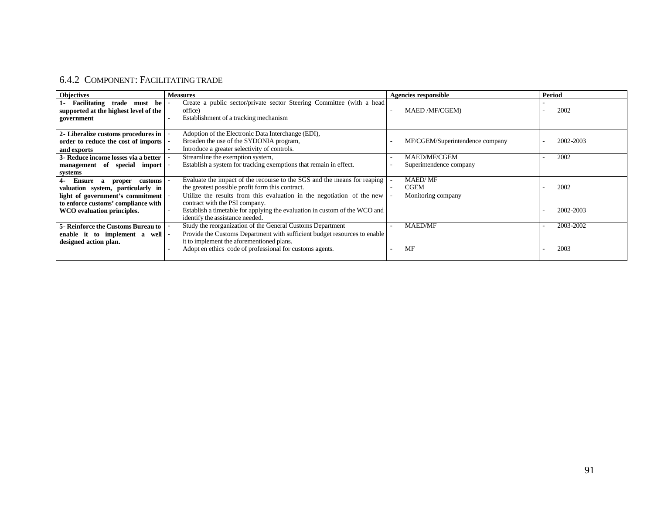# 6.4.2 COMPONENT: FACILITATING TRADE

| <b>Objectives</b>                                                                                                        | <b>Measures</b>                                                                                                                                                                                        | <b>Agencies responsible</b>                         | Period    |
|--------------------------------------------------------------------------------------------------------------------------|--------------------------------------------------------------------------------------------------------------------------------------------------------------------------------------------------------|-----------------------------------------------------|-----------|
| 1- Facilitating<br>trade must be<br>supported at the highest level of the<br>government                                  | Create a public sector/private sector Steering Committee (with a head<br>office)<br>Establishment of a tracking mechanism                                                                              | <b>MAED /MF/CGEM)</b>                               | 2002      |
| 2- Liberalize customs procedures in<br>order to reduce the cost of imports<br>and exports                                | Adoption of the Electronic Data Interchange (EDI),<br>Broaden the use of the SYDONIA program,<br>Introduce a greater selectivity of controls.                                                          | MF/CGEM/Superintendence company                     | 2002-2003 |
| 3- Reduce income losses via a better<br>management of special import<br>systems                                          | Streamline the exemption system,<br>Establish a system for tracking exemptions that remain in effect.                                                                                                  | <b>MAED/MF/CGEM</b><br>Superintendence company      | 2002      |
| <b>Ensure</b><br>$4-$<br>customs<br>proper<br>a<br>valuation system, particularly in<br>light of government's commitment | Evaluate the impact of the recourse to the SGS and the means for reaping<br>the greatest possible profit form this contract.<br>Utilize the results from this evaluation in the negotiation of the new | <b>MAED/MF</b><br><b>CGEM</b><br>Monitoring company | 2002      |
| to enforce customs' compliance with<br>WCO evaluation principles.                                                        | contract with the PSI company.<br>Establish a timetable for applying the evaluation in custom of the WCO and<br>identify the assistance needed.                                                        |                                                     | 2002-2003 |
| <b>5- Reinforce the Customs Bureau to</b><br>enable it to implement a well<br>designed action plan.                      | Study the reorganization of the General Customs Department<br>Provide the Customs Department with sufficient budget resources to enable<br>it to implement the aforementioned plans.                   | <b>MAED/MF</b>                                      | 2003-2002 |
|                                                                                                                          | Adopt en ethics code of professional for customs agents.                                                                                                                                               | MF                                                  | 2003      |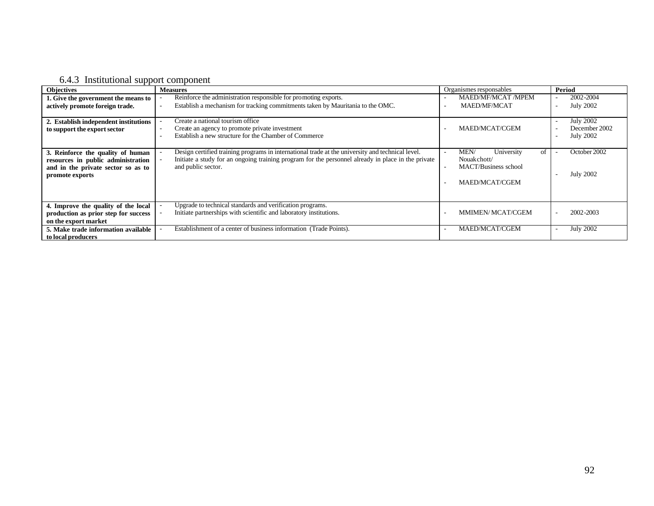# 6.4.3 Institutional support component

| . L. L.<br><b>Objectives</b>                                                                                                     | <b>Measures</b>                                                                                                                                                                                                              | Organismes responsables                                                                  | Period                                                                                |
|----------------------------------------------------------------------------------------------------------------------------------|------------------------------------------------------------------------------------------------------------------------------------------------------------------------------------------------------------------------------|------------------------------------------------------------------------------------------|---------------------------------------------------------------------------------------|
| 1. Give the government the means to<br>actively promote foreign trade.                                                           | Reinforce the administration responsible for promoting exports.<br>Establish a mechanism for tracking commitments taken by Mauritania to the OMC.                                                                            | <b>MAED/MF/MCAT /MPEM</b><br><b>MAED/MF/MCAT</b>                                         | 2002-2004<br><b>July 2002</b><br>$\overline{\phantom{a}}$                             |
| 2. Establish independent institutions<br>to support the export sector                                                            | Create a national tourism office<br>Create an agency to promote private investment<br>Establish a new structure for the Chamber of Commerce                                                                                  | MAED/MCAT/CGEM                                                                           | <b>July 2002</b><br>$\overline{\phantom{a}}$<br>December 2002<br><b>July 2002</b><br> |
| 3. Reinforce the quality of human<br>resources in public administration<br>and in the private sector so as to<br>promote exports | Design certified training programs in international trade at the university and technical level.<br>Initiate a study for an ongoing training program for the personnel already in place in the private<br>and public sector. | of<br>MEN/<br>University<br>Nouakchott/<br><b>MACT/Business school</b><br>MAED/MCAT/CGEM | October 2002<br><b>July 2002</b><br>$\overline{\phantom{a}}$                          |
| 4. Improve the quality of the local<br>production as prior step for success<br>on the export market                              | Upgrade to technical standards and verification programs.<br>Initiate partnerships with scientific and laboratory institutions.                                                                                              | MMIMEN/MCAT/CGEM                                                                         | 2002-2003                                                                             |
| 5. Make trade information available<br>to local producers                                                                        | Establishment of a center of business information (Trade Points).                                                                                                                                                            | MAED/MCAT/CGEM                                                                           | <b>July 2002</b><br>٠                                                                 |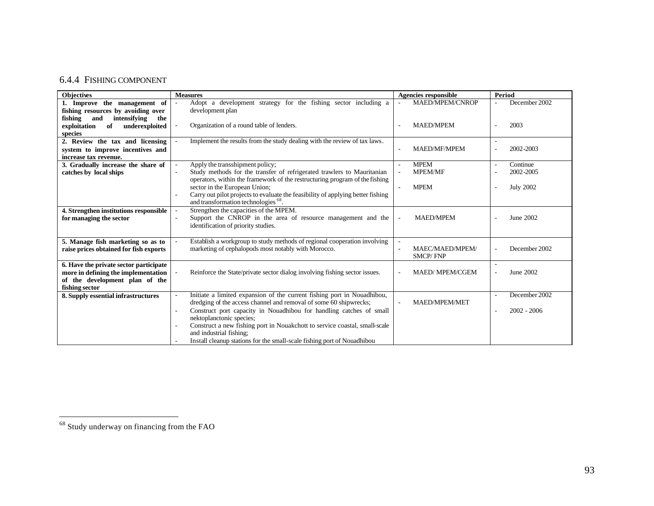## 6.4.4 FISHING COMPONENT

| <b>Objectives</b>                                                           | <b>Measures</b>                                                                                    | <b>Agencies responsible</b> | Period           |
|-----------------------------------------------------------------------------|----------------------------------------------------------------------------------------------------|-----------------------------|------------------|
| 1. Improve the management of                                                | Adopt a development strategy for the fishing sector including a                                    | MAED/MPEM/CNROP             | December 2002    |
| fishing resources by avoiding over                                          | development plan                                                                                   |                             |                  |
| fishing<br>and<br>intensifying<br>the                                       |                                                                                                    |                             |                  |
| exploitation<br>of<br>underexploited                                        | Organization of a round table of lenders.                                                          | <b>MAED/MPEM</b>            | 2003             |
| species                                                                     |                                                                                                    |                             |                  |
| 2. Review the tax and licensing                                             | Implement the results from the study dealing with the review of tax laws.                          |                             |                  |
| system to improve incentives and                                            |                                                                                                    | <b>MAED/MF/MPEM</b>         | 2002-2003        |
| increase tax revenue.                                                       |                                                                                                    |                             |                  |
| 3. Gradually increase the share of                                          | Apply the transshipment policy;                                                                    | <b>MPEM</b>                 | Continue         |
| catches by local ships                                                      | Study methods for the transfer of refrigerated trawlers to Mauritanian<br>$\overline{\phantom{a}}$ | <b>MPEM/MF</b>              | 2002-2005        |
|                                                                             | operators, within the framework of the restructuring program of the fishing                        |                             |                  |
|                                                                             | sector in the European Union;                                                                      | <b>MPEM</b>                 | <b>July 2002</b> |
|                                                                             | Carry out pilot projects to evaluate the feasibility of applying better fishing                    |                             |                  |
|                                                                             | and transformation technologies <sup>68</sup> .                                                    |                             |                  |
| 4. Strengthen institutions responsible                                      | Strengthen the capacities of the MPEM.                                                             | <b>MAED/MPEM</b>            | June 2002        |
| for managing the sector                                                     | Support the CNROP in the area of resource management and the                                       | $\mathcal{L}$               |                  |
|                                                                             | identification of priority studies.                                                                |                             |                  |
|                                                                             | Establish a workgroup to study methods of regional cooperation involving                           |                             |                  |
| 5. Manage fish marketing so as to<br>raise prices obtained for fish exports | marketing of cephalopods most notably with Morocco.                                                | MAEC/MAED/MPEM/             | December 2002    |
|                                                                             |                                                                                                    | <b>SMCP/FNP</b>             |                  |
| 6. Have the private sector participate                                      |                                                                                                    |                             |                  |
| more in defining the implementation                                         | Reinforce the State/private sector dialog involving fishing sector issues.                         | MAED/MPEM/CGEM              | June 2002        |
| of the development plan of the                                              |                                                                                                    |                             |                  |
| fishing sector                                                              |                                                                                                    |                             |                  |
| 8. Supply essential infrastructures                                         | Initiate a limited expansion of the current fishing port in Nouadhibou,                            |                             | December 2002    |
|                                                                             | dredging of the access channel and removal of some 60 shipwrecks;                                  | <b>MAED/MPEM/MET</b>        |                  |
|                                                                             | Construct port capacity in Nouadhibou for handling catches of small                                |                             | $2002 - 2006$    |
|                                                                             | nektoplanctonic species;                                                                           |                             |                  |
|                                                                             | Construct a new fishing port in Nouakchott to service coastal, small-scale                         |                             |                  |
|                                                                             | and industrial fishing;                                                                            |                             |                  |
|                                                                             | Install cleanup stations for the small-scale fishing port of Nouadhibou                            |                             |                  |

 $\overline{\phantom{0}}$ 

 $\overline{a}$ 

 $68$  Study underway on financing from the FAO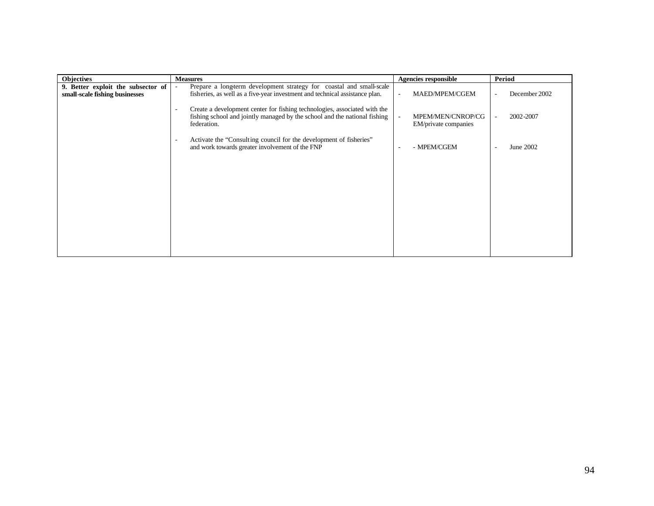| <b>Objectives</b>                                                    | <b>Measures</b>                                                                                                                                                                                   | <b>Agencies responsible</b>                                           | <b>Period</b>                         |
|----------------------------------------------------------------------|---------------------------------------------------------------------------------------------------------------------------------------------------------------------------------------------------|-----------------------------------------------------------------------|---------------------------------------|
| 9. Better exploit the subsector of<br>small-scale fishing businesses | Prepare a long-term development strategy for coastal and small-scale<br>$\overline{\phantom{a}}$<br>fisheries, as well as a five-year investment and technical assistance plan.                   | MAED/MPEM/CGEM<br>٠                                                   | December 2002                         |
|                                                                      | Create a development center for fishing technologies, associated with the<br>$\overline{\phantom{a}}$<br>fishing school and jointly managed by the school and the national fishing<br>federation. | MPEM/MEN/CNROP/CG<br>$\overline{\phantom{a}}$<br>EM/private companies | 2002-2007<br>$\overline{\phantom{a}}$ |
|                                                                      | Activate the "Consulting council for the development of fisheries"<br>$\overline{\phantom{a}}$<br>and work towards greater involvement of the FNP                                                 | - MPEM/CGEM<br>٠                                                      | June 2002                             |
|                                                                      |                                                                                                                                                                                                   |                                                                       |                                       |
|                                                                      |                                                                                                                                                                                                   |                                                                       |                                       |
|                                                                      |                                                                                                                                                                                                   |                                                                       |                                       |
|                                                                      |                                                                                                                                                                                                   |                                                                       |                                       |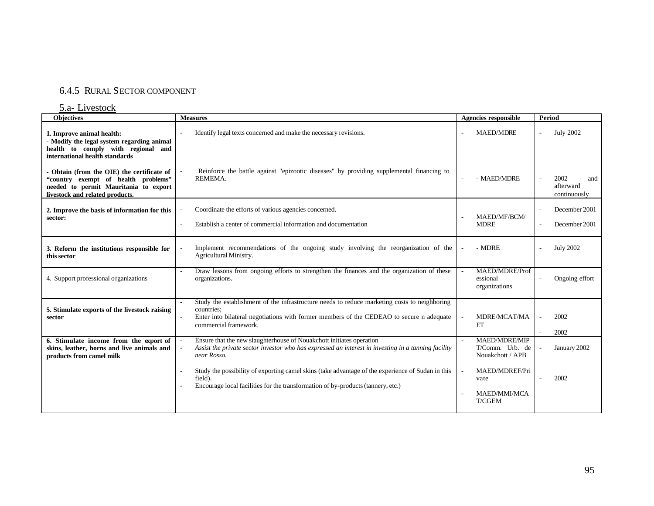# 6.4.5 RURAL SECTOR COMPONENT

#### 5.a- Livestock

| <b>Objectives</b>                                                                                                                                             | <b>Measures</b>                                                                                                                                                                                                                 | <b>Agencies responsible</b>                                              | Period                                   |
|---------------------------------------------------------------------------------------------------------------------------------------------------------------|---------------------------------------------------------------------------------------------------------------------------------------------------------------------------------------------------------------------------------|--------------------------------------------------------------------------|------------------------------------------|
| 1. Improve animal health:<br>- Modify the legal system regarding animal<br>health to comply with regional and<br>international health standards               | Identify legal texts concerned and make the necessary revisions.                                                                                                                                                                | <b>MAED/MDRE</b>                                                         | <b>July 2002</b>                         |
| - Obtain (from the OIE) the certificate of<br>"country exempt of health problems"<br>needed to permit Mauritania to export<br>livestock and related products. | Reinforce the battle against "epizootic diseases" by providing supplemental financing to<br>REMEMA.                                                                                                                             | - MAED/MDRE                                                              | 2002<br>and<br>afterward<br>continuously |
| 2. Improve the basis of information for this<br>sector:                                                                                                       | Coordinate the efforts of various agencies concerned.<br>Establish a center of commercial information and documentation<br>$\sim$                                                                                               | MAED/MF/BCM/<br><b>MDRE</b>                                              | December 2001<br>December 2001           |
| 3. Reform the institutions responsible for<br>this sector                                                                                                     | Implement recommendations of the ongoing study involving the reorganization of the<br>Agricultural Ministry.                                                                                                                    | - MDRE                                                                   | <b>July 2002</b>                         |
| 4. Support professional organizations                                                                                                                         | Draw lessons from ongoing efforts to strengthen the finances and the organization of these<br>$\overline{\phantom{a}}$<br>organizations.                                                                                        | MAED/MDRE/Prof<br>$\blacksquare$<br>essional<br>organizations            | Ongoing effort                           |
| 5. Stimulate exports of the livestock raising<br>sector                                                                                                       | Study the establishment of the infrastructure needs to reduce marketing costs to neighboring<br>countries:<br>Enter into bilateral negotiations with former members of the CEDEAO to secure n adequate<br>commercial framework. | MDRE/MCAT/MA<br>$\overline{\phantom{a}}$<br>ET                           | 2002<br>2002                             |
| 6. Stimulate income from the export of<br>skins, leather, horns and live animals and<br>products from camel milk                                              | Ensure that the new slaughterhouse of Nouakchott initiates operation<br>Assist the private sector investor who has expressed an interest in investing in a tanning facility<br>near Rosso.                                      | <b>MAED/MDRE/MIP</b><br>T/Comm. Urb. de<br>Nouakchott / APB              | January 2002                             |
|                                                                                                                                                               | Study the possibility of exporting camel skins (take advantage of the experience of Sudan in this<br>field).<br>Encourage local facilities for the transformation of by-products (tannery, etc.)                                | MAED/MDREF/Pri<br>$\sim$<br>vate<br><b>MAED/MMI/MCA</b><br><b>T/CGEM</b> | 2002                                     |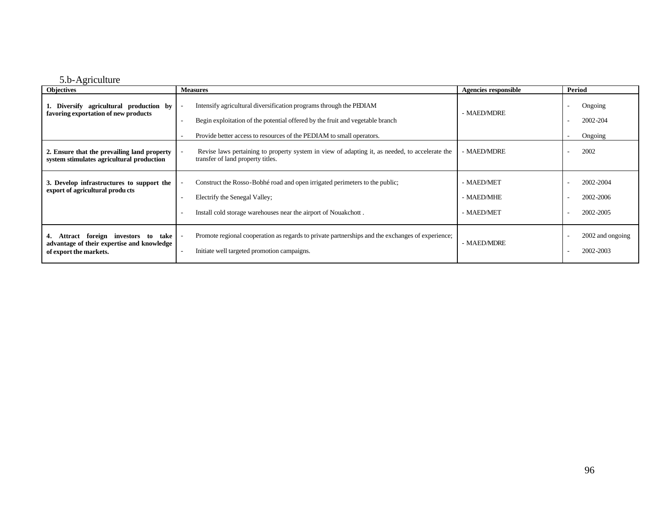### 5.b-Agriculture

| ັ<br><b>Objectives</b>                                                                                       | <b>Measures</b>                                                                                                                                                                 | <b>Agencies responsible</b>            | Period                              |
|--------------------------------------------------------------------------------------------------------------|---------------------------------------------------------------------------------------------------------------------------------------------------------------------------------|----------------------------------------|-------------------------------------|
| 1. Diversify agricultural production by<br>favoring exportation of new products                              | Intensify agricultural diversification programs through the PEDIAM<br>Begin exploitation of the potential offered by the fruit and vegetable branch                             | - MAED/MDRE                            | Ongoing<br>2002-204                 |
|                                                                                                              | Provide better access to resources of the PEDIAM to small operators.                                                                                                            |                                        | Ongoing                             |
| 2. Ensure that the prevailing land property<br>system stimulates agricultural production                     | Revise laws pertaining to property system in view of adapting it, as needed, to accelerate the<br>transfer of land property titles.                                             | - MAED/MDRE                            | 2002                                |
| 3. Develop infrastructures to support the<br>export of agricultural products                                 | Construct the Rosso-Bobhé road and open irrigated perimeters to the public;<br>Electrify the Senegal Valley;<br>Install cold storage warehouses near the airport of Nouakchott. | - MAED/MET<br>- MAED/MHE<br>- MAED/MET | 2002-2004<br>2002-2006<br>2002-2005 |
| Attract foreign investors to<br>take<br>advantage of their expertise and knowledge<br>of export the markets. | Promote regional cooperation as regards to private partnerships and the exchanges of experience;<br>Initiate well targeted promotion campaigns.<br>$\overline{\phantom{a}}$     | - MAED/MDRE                            | 2002 and ongoing<br>2002-2003       |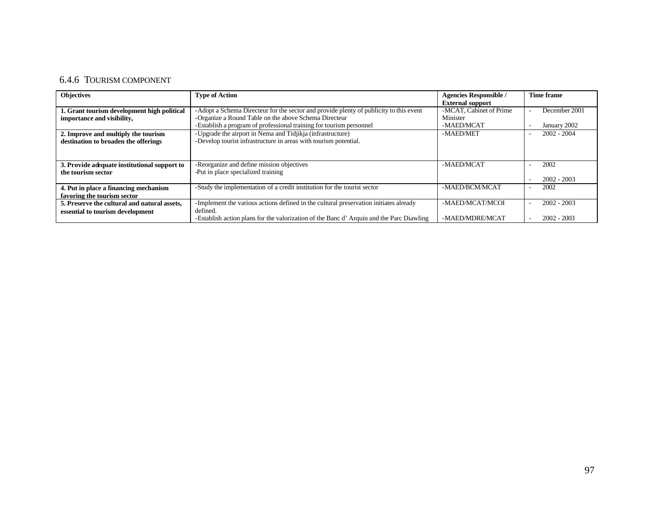# 6.4.6 TOURISM COMPONENT

| <b>Objectives</b>                            | <b>Type of Action</b>                                                                   | <b>Agencies Responsible /</b> | <b>Time frame</b>                         |
|----------------------------------------------|-----------------------------------------------------------------------------------------|-------------------------------|-------------------------------------------|
|                                              |                                                                                         | <b>External support</b>       |                                           |
| 1. Grant tourism development high political  | -Adopt a Schema Directeur for the sector and provide plenty of publicity to this event  | -MCAT, Cabinet of Prime       | December 2001                             |
| importance and visibility,                   | -Organize a Round Table on the above Schema Directeur                                   | Minister                      |                                           |
|                                              | -Establish a program of professional training for tourism personnel                     | -MAED/MCAT                    | January 2002                              |
| 2. Improve and multiply the tourism          | -Upgrade the airport in Nema and Tidjikja (infrastructure)                              | -MAED/MET                     | $2002 - 2004$                             |
| destination to broaden the offerings         | -Develop tourist infrastructure in areas with tourism potential.                        |                               |                                           |
|                                              |                                                                                         |                               |                                           |
|                                              |                                                                                         |                               |                                           |
| 3. Provide adequate institutional support to | -Reorganize and define mission objectives                                               | -MAED/MCAT                    | 2002                                      |
| the tourism sector                           | -Put in place specialized training                                                      |                               |                                           |
|                                              |                                                                                         |                               | $2002 - 2003$                             |
| 4. Put in place a financing mechanism        | -Study the implementation of a credit institution for the tourist sector                | -MAED/BCM/MCAT                | 2002                                      |
| favoring the tourism sector                  |                                                                                         |                               |                                           |
| 5. Preserve the cultural and natural assets, | -Implement the various actions defined in the cultural preservation initiates already   | -MAED/MCAT/MCOI               | $2002 - 2003$<br>$\overline{\phantom{a}}$ |
| essential to tourism development             | defined.                                                                                |                               |                                           |
|                                              | -Establish action plans for the valorization of the Banc d'Arquin and the Parc Diawling | -MAED/MDRE/MCAT               | $2002 - 2003$                             |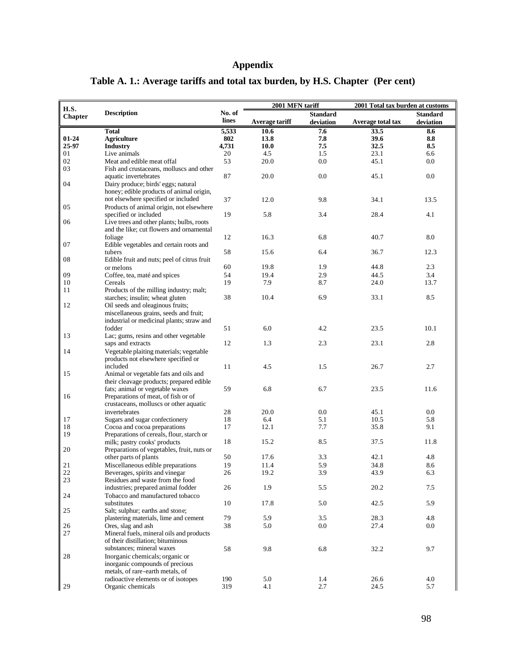# **Appendix**

| H.S.           |                                             |        | 2001 MFN tariff |                 | 2001 Total tax burden at customs |                 |
|----------------|---------------------------------------------|--------|-----------------|-----------------|----------------------------------|-----------------|
|                | <b>Description</b>                          | No. of |                 | <b>Standard</b> |                                  | <b>Standard</b> |
| <b>Chapter</b> |                                             | lines  | Average tariff  | deviation       | Average total tax                | deviation       |
|                | <b>Total</b>                                | 5,533  | 10.6            | 7.6             | 33.5                             | 8.6             |
| $01 - 24$      | <b>Agriculture</b>                          | 802    | 13.8            | 7.8             | 39.6                             | 8.8             |
| 25-97          |                                             | 4,731  | 10.0            | 7.5             | 32.5                             | 8.5             |
|                | <b>Industry</b>                             |        |                 |                 |                                  |                 |
| 01             | Live animals                                | 20     | 4.5             | 1.5             | 23.1                             | 6.6             |
| 02             | Meat and edible meat offal                  | 53     | 20.0            | 0.0             | 45.1                             | 0.0             |
| 03             | Fish and crustaceans, molluscs and other    |        |                 |                 |                                  |                 |
|                | aquatic invertebrates                       | 87     | 20.0            | 0.0             | 45.1                             | 0.0             |
| 04             | Dairy produce; birds' eggs; natural         |        |                 |                 |                                  |                 |
|                | honey; edible products of animal origin,    |        |                 |                 |                                  |                 |
|                | not elsewhere specified or included         | 37     | 12.0            | 9.8             | 34.1                             | 13.5            |
| 05             | Products of animal origin, not elsewhere    |        |                 |                 |                                  |                 |
|                | specified or included                       | 19     | 5.8             | 3.4             | 28.4                             | 4.1             |
| 06             | Live trees and other plants; bulbs, roots   |        |                 |                 |                                  |                 |
|                | and the like; cut flowers and ornamental    |        |                 |                 |                                  |                 |
|                | foliage                                     | 12     | 16.3            | 6.8             | 40.7                             | 8.0             |
|                | Edible vegetables and certain roots and     |        |                 |                 |                                  |                 |
| 07             |                                             |        |                 |                 |                                  |                 |
|                | tubers                                      | 58     | 15.6            | 6.4             | 36.7                             | 12.3            |
| 08             | Edible fruit and nuts; peel of citrus fruit |        |                 |                 |                                  |                 |
|                | or melons                                   | 60     | 19.8            | 1.9             | 44.8                             | 2.3             |
| 09             | Coffee, tea, maté and spices                | 54     | 19.4            | 2.9             | 44.5                             | 3.4             |
| 10             | Cereals                                     | 19     | 7.9             | 8.7             | 24.0                             | 13.7            |
| 11             | Products of the milling industry; malt;     |        |                 |                 |                                  |                 |
|                | starches; insulin; wheat gluten             | 38     | 10.4            | 6.9             | 33.1                             | 8.5             |
| 12             | Oil seeds and oleaginous fruits;            |        |                 |                 |                                  |                 |
|                | miscellaneous grains, seeds and fruit;      |        |                 |                 |                                  |                 |
|                | industrial or medicinal plants; straw and   |        |                 |                 |                                  |                 |
|                | fodder                                      | 51     | 6.0             | 4.2             | 23.5                             | 10.1            |
| 13             | Lac; gums, resins and other vegetable       |        |                 |                 |                                  |                 |
|                | saps and extracts                           | 12     | 1.3             | 2.3             | 23.1                             | 2.8             |
|                |                                             |        |                 |                 |                                  |                 |
| 14             | Vegetable plaiting materials; vegetable     |        |                 |                 |                                  |                 |
|                | products not elsewhere specified or         |        |                 |                 |                                  |                 |
|                | included                                    | 11     | 4.5             | 1.5             | 26.7                             | 2.7             |
| 15             | Animal or vegetable fats and oils and       |        |                 |                 |                                  |                 |
|                | their cleavage products; prepared edible    |        |                 |                 |                                  |                 |
|                | fats; animal or vegetable waxes             | 59     | 6.8             | 6.7             | 23.5                             | 11.6            |
| 16             | Preparations of meat, of fish or of         |        |                 |                 |                                  |                 |
|                | crustaceans, molluscs or other aquatic      |        |                 |                 |                                  |                 |
|                | invertebrates                               | 28     | 20.0            | 0.0             | 45.1                             | 0.0             |
| 17             | Sugars and sugar confectionery              | 18     | 6.4             | 5.1             | 10.5                             | 5.8             |
| 18             | Cocoa and cocoa preparations                | 17     | 12.1            | 7.7             | 35.8                             | 9.1             |
| 19             | Preparations of cereals, flour, starch or   |        |                 |                 |                                  |                 |
|                | milk; pastry cooks' products                | 18     | 15.2            | 8.5             | 37.5                             | 11.8            |
| 20             | Preparations of vegetables, fruit, nuts or  |        |                 |                 |                                  |                 |
|                | other parts of plants                       | 50     | 17.6            | 3.3             | 42.1                             | 4.8             |
|                | Miscellaneous edible preparations           |        |                 |                 |                                  |                 |
| 21             |                                             | 19     | 11.4            | 5.9             | 34.8                             | 8.6             |
| $2\sqrt{2}$    | Beverages, spirits and vinegar              | $26\,$ | 19.2            | 3.9             | 43.9                             | 6.3             |
| $23\,$         | Residues and waste from the food            |        |                 |                 |                                  |                 |
|                | industries; prepared animal fodder          | 26     | 1.9             | 5.5             | 20.2                             | 7.5             |
| 24             | Tobacco and manufactured tobacco            |        |                 |                 |                                  |                 |
|                | substitutes                                 | 10     | 17.8            | 5.0             | 42.5                             | 5.9             |
| 25             | Salt; sulphur; earths and stone;            |        |                 |                 |                                  |                 |
|                | plastering materials, lime and cement       | 79     | 5.9             | 3.5             | 28.3                             | 4.8             |
| 26             | Ores, slag and ash                          | 38     | 5.0             | 0.0             | 27.4                             | $0.0\,$         |
| 27             | Mineral fuels, mineral oils and products    |        |                 |                 |                                  |                 |
|                | of their distillation; bituminous           |        |                 |                 |                                  |                 |
|                | substances; mineral waxes                   | 58     | 9.8             | 6.8             | 32.2                             | 9.7             |
| 28             | Inorganic chemicals; organic or             |        |                 |                 |                                  |                 |
|                | inorganic compounds of precious             |        |                 |                 |                                  |                 |
|                | metals, of rare-earth metals, of            |        |                 |                 |                                  |                 |
|                |                                             |        |                 |                 |                                  |                 |
|                | radioactive elements or of isotopes         | 190    | 5.0             | 1.4             | 26.6                             | 4.0             |
| 29             | Organic chemicals                           | 319    | 4.1             | 2.7             | 24.5                             | 5.7             |

# **Table A. 1.: Average tariffs and total tax burden, by H.S. Chapter (Per cent)**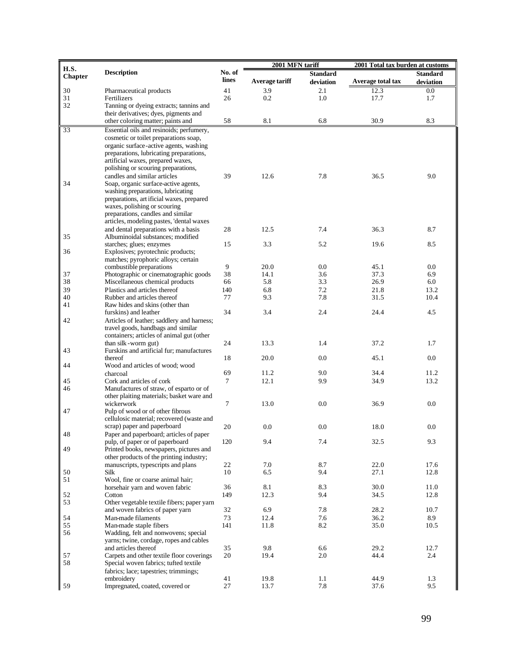|                |                                                                           |           | 2001 MFN tariff |                 | 2001 Total tax burden at customs |                 |  |
|----------------|---------------------------------------------------------------------------|-----------|-----------------|-----------------|----------------------------------|-----------------|--|
| H.S.           | <b>Description</b>                                                        | No. of    |                 | <b>Standard</b> |                                  | <b>Standard</b> |  |
| <b>Chapter</b> |                                                                           | lines     | Average tariff  | deviation       | Average total tax                | deviation       |  |
| 30             | Pharmaceutical products                                                   | 41        | 3.9             | 2.1             | 12.3                             | $0.0\,$         |  |
| 31             | Fertilizers                                                               | 26        | 0.2             | 1.0             | 17.7                             | 1.7             |  |
| 32             | Tanning or dyeing extracts; tannins and                                   |           |                 |                 |                                  |                 |  |
|                | their derivatives; dyes, pigments and                                     |           |                 |                 |                                  |                 |  |
|                | other coloring matter; paints and                                         | 58        | 8.1             | 6.8             | 30.9                             | 8.3             |  |
| 33             | Essential oils and resinoids; perfumery,                                  |           |                 |                 |                                  |                 |  |
|                | cosmetic or toilet preparations soap,                                     |           |                 |                 |                                  |                 |  |
|                | organic surface-active agents, washing                                    |           |                 |                 |                                  |                 |  |
|                | preparations, lubricating preparations,                                   |           |                 |                 |                                  |                 |  |
|                | artificial waxes, prepared waxes,                                         |           |                 |                 |                                  |                 |  |
|                | polishing or scouring preparations,                                       |           |                 |                 |                                  |                 |  |
|                | candles and similar articles                                              | 39        | 12.6            | 7.8             | 36.5                             | 9.0             |  |
| 34             | Soap, organic surface-active agents,                                      |           |                 |                 |                                  |                 |  |
|                | washing preparations, lubricating                                         |           |                 |                 |                                  |                 |  |
|                | preparations, art ificial waxes, prepared                                 |           |                 |                 |                                  |                 |  |
|                | waxes, polishing or scouring                                              |           |                 |                 |                                  |                 |  |
|                | preparations, candles and similar                                         |           |                 |                 |                                  |                 |  |
|                | articles, modeling pastes, 'dental waxes                                  |           |                 |                 |                                  |                 |  |
| 35             | and dental preparations with a basis<br>Albuminoidal substances: modified | 28        | 12.5            | 7.4             | 36.3                             | 8.7             |  |
|                | starches; glues; enzymes                                                  | 15        | 3.3             | 5.2             | 19.6                             | 8.5             |  |
| 36             | Explosives; pyrotechnic products;                                         |           |                 |                 |                                  |                 |  |
|                | matches; pyrophoric alloys; certain                                       |           |                 |                 |                                  |                 |  |
|                | combustible preparations                                                  | 9         | 20.0            | 0.0             | 45.1                             | 0.0             |  |
| 37             | Photographic or cinematographic goods                                     | 38        | 14.1            | 3.6             | 37.3                             | 6.9             |  |
| 38             | Miscellaneous chemical products                                           | 66        | 5.8             | 3.3             | 26.9                             | 6.0             |  |
| 39             | Plastics and articles thereof                                             | 140       | 6.8             | 7.2             | 21.8                             | 13.2            |  |
| 40             | Rubber and articles thereof                                               | 77        | 9.3             | 7.8             | 31.5                             | 10.4            |  |
| 41             | Raw hides and skins (other than                                           |           |                 |                 |                                  |                 |  |
|                | furskins) and leather                                                     | 34        | 3.4             | 2.4             | 24.4                             | 4.5             |  |
| 42             | Articles of leather; saddlery and harness;                                |           |                 |                 |                                  |                 |  |
|                | travel goods, handbags and similar                                        |           |                 |                 |                                  |                 |  |
|                | containers; articles of animal gut (other                                 |           |                 |                 |                                  |                 |  |
|                | than silk-worm gut)                                                       | 24        | 13.3            | 1.4             | 37.2                             | 1.7             |  |
| 43             | Furskins and artificial fur; manufactures                                 |           |                 |                 |                                  |                 |  |
|                | thereof<br>Wood and articles of wood; wood                                | 18        | 20.0            | 0.0             | 45.1                             | 0.0             |  |
| 44             | charcoal                                                                  | 69        | 11.2            | 9.0             | 34.4                             | 11.2            |  |
| 45             | Cork and articles of cork                                                 | 7         | 12.1            | 9.9             | 34.9                             | 13.2            |  |
| 46             | Manufactures of straw, of esparto or of                                   |           |                 |                 |                                  |                 |  |
|                | other plaiting materials; basket ware and                                 |           |                 |                 |                                  |                 |  |
|                | wickerwork                                                                | $\tau$    | 13.0            | 0.0             | 36.9                             | 0.0             |  |
| 47             | Pulp of wood or of other fibrous                                          |           |                 |                 |                                  |                 |  |
|                | cellulosic material; recovered (waste and                                 |           |                 |                 |                                  |                 |  |
|                | scrap) paper and paperboard                                               | 20        | 0.0             | 0.0             | 18.0                             | 0.0             |  |
| 48             | Paper and paperboard; articles of paper                                   |           |                 |                 |                                  |                 |  |
|                | pulp, of paper or of paperboard                                           | 120       | 9.4             | 7.4             | 32.5                             | 9.3             |  |
| 49             | Printed books, newspapers, pictures and                                   |           |                 |                 |                                  |                 |  |
|                | other products of the printing industry;                                  |           |                 |                 |                                  |                 |  |
|                | manuscripts, typescripts and plans                                        | 22        | 7.0             | 8.7             | 22.0                             | 17.6            |  |
| 50             | Silk                                                                      | 10        | 6.5             | 9.4             | 27.1                             | 12.8            |  |
| 51             | Wool, fine or coarse animal hair;                                         |           | 8.1             |                 |                                  |                 |  |
|                | horsehair yarn and woven fabric<br>Cotton                                 | 36<br>149 | 12.3            | 8.3<br>9.4      | 30.0<br>34.5                     | 11.0<br>12.8    |  |
| 52<br>53       | Other vegetable textile fibers; paper yarn                                |           |                 |                 |                                  |                 |  |
|                | and woven fabrics of paper yarn                                           | 32        | 6.9             | 7.8             | 28.2                             | 10.7            |  |
| 54             | Man-made filaments                                                        | 73        | 12.4            | 7.6             | 36.2                             | 8.9             |  |
| 55             | Man-made staple fibers                                                    | 141       | 11.8            | 8.2             | 35.0                             | 10.5            |  |
| 56             | Wadding, felt and nonwovens; special                                      |           |                 |                 |                                  |                 |  |
|                | yarns; twine, cordage, ropes and cables                                   |           |                 |                 |                                  |                 |  |
|                | and articles thereof                                                      | 35        | 9.8             | 6.6             | 29.2                             | 12.7            |  |
| 57             | Carpets and other textile floor coverings                                 | 20        | 19.4            | 2.0             | 44.4                             | 2.4             |  |
| 58             | Special woven fabrics; tufted textile                                     |           |                 |                 |                                  |                 |  |
|                | fabrics; lace; tapestries; trimmings;                                     |           |                 |                 |                                  |                 |  |
|                | embroidery                                                                | 41        | 19.8            | 1.1             | 44.9                             | 1.3             |  |
| 59             | Impregnated, coated, covered or                                           | 27        | 13.7            | 7.8             | 37.6                             | 9.5             |  |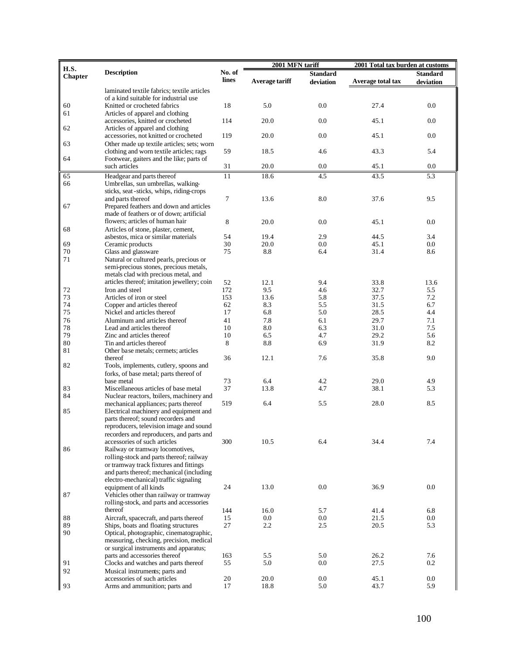| H.S.           |                                             |        | 2001 MFN tariff |                 | 2001 Total tax burden at customs |                 |  |
|----------------|---------------------------------------------|--------|-----------------|-----------------|----------------------------------|-----------------|--|
|                | <b>Description</b>                          | No. of |                 | <b>Standard</b> |                                  | <b>Standard</b> |  |
| <b>Chapter</b> |                                             | lines  | Average tariff  | deviation       | Average total tax                | deviation       |  |
|                | laminated textile fabrics; textile articles |        |                 |                 |                                  |                 |  |
|                | of a kind suitable for industrial use       |        |                 |                 |                                  |                 |  |
| 60             | Knitted or crocheted fabrics                | 18     | 5.0             | 0.0             | 27.4                             | 0.0             |  |
| 61             | Articles of apparel and clothing            |        |                 |                 |                                  |                 |  |
|                | accessories, knitted or crocheted           | 114    | 20.0            | 0.0             | 45.1                             | 0.0             |  |
| 62             | Articles of apparel and clothing            |        |                 |                 |                                  |                 |  |
|                | accessories, not knitted or crocheted       | 119    | 20.0            | 0.0             | 45.1                             | 0.0             |  |
| 63             | Other made up textile articles; sets; worn  |        |                 |                 |                                  |                 |  |
|                | clothing and worn textile articles; rags    | 59     | 18.5            | 4.6             | 43.3                             | 5.4             |  |
| 64             | Footwear, gaiters and the like; parts of    |        |                 |                 |                                  |                 |  |
|                | such articles                               | 31     | 20.0            | 0.0             | 45.1                             | 0.0             |  |
| 65             | Headgear and parts thereof                  | 11     | 18.6            | 4.5             | 43.5                             | 5.3             |  |
| 66             | Umbrellas, sun umbrellas, walking-          |        |                 |                 |                                  |                 |  |
|                | sticks, seat-sticks, whips, riding-crops    |        |                 |                 |                                  |                 |  |
|                | and parts thereof                           | 7      | 13.6            | 8.0             | 37.6                             | 9.5             |  |
| 67             | Prepared feathers and down and articles     |        |                 |                 |                                  |                 |  |
|                | made of feathers or of down; artificial     |        |                 |                 |                                  |                 |  |
|                | flowers: articles of human hair             | 8      | 20.0            | 0.0             | 45.1                             | 0.0             |  |
| 68             | Articles of stone, plaster, cement,         |        |                 |                 |                                  |                 |  |
|                | asbestos, mica or similar materials         | 54     | 19.4            | 2.9             | 44.5                             | 3.4             |  |
| 69             | Ceramic products                            | 30     | 20.0            | 0.0             | 45.1                             | $0.0\,$         |  |
| 70             | Glass and glassware                         | 75     | 8.8             | 6.4             | 31.4                             | 8.6             |  |
| 71             | Natural or cultured pearls, precious or     |        |                 |                 |                                  |                 |  |
|                | semi-precious stones, precious metals,      |        |                 |                 |                                  |                 |  |
|                | metals clad with precious metal, and        |        |                 |                 |                                  |                 |  |
|                | articles thereof; imitation jewellery; coin | 52     | 12.1            | 9.4             | 33.8                             | 13.6            |  |
| $72\,$         | Iron and steel                              | 172    | 9.5             | 4.6             | 32.7                             | 5.5             |  |
| 73             | Articles of iron or steel                   | 153    | 13.6            | 5.8             | 37.5                             | 7.2             |  |
| 74             | Copper and articles thereof                 | 62     | 8.3             | 5.5             | 31.5                             | 6.7             |  |
| 75             | Nickel and articles thereof                 | 17     | 6.8             | 5.0             | 28.5                             | 4.4             |  |
| 76             | Aluminum and articles thereof               | 41     | 7.8             | 6.1             | 29.7                             | 7.1             |  |
| 78             | Lead and articles thereof                   | 10     | 8.0             | 6.3             | 31.0                             | 7.5             |  |
| 79             | Zinc and articles thereof                   | 10     | 6.5             | 4.7             | 29.2                             | 5.6             |  |
| 80             | Tin and articles thereof                    | 8      | 8.8             | 6.9             | 31.9                             | 8.2             |  |
| 81             | Other base metals; cermets; articles        |        |                 |                 |                                  |                 |  |
|                | thereof                                     | 36     | 12.1            | 7.6             | 35.8                             | 9.0             |  |
| 82             | Tools, implements, cutlery, spoons and      |        |                 |                 |                                  |                 |  |
|                | forks, of base metal; parts thereof of      |        |                 |                 |                                  |                 |  |
|                | base metal                                  | 73     | 6.4             | 4.2             | 29.0                             | 4.9             |  |
| 83             | Miscellaneous articles of base metal        | 37     | 13.8            | 4.7             | 38.1                             | 5.3             |  |
| 84             | Nuclear reactors, boilers, machinery and    |        |                 |                 |                                  |                 |  |
|                | mechanical appliances; parts thereof        | 519    | 6.4             | 5.5             | 28.0                             | 8.5             |  |
| 85             | Electrical machinery and equipment and      |        |                 |                 |                                  |                 |  |
|                | parts thereof; sound recorders and          |        |                 |                 |                                  |                 |  |
|                | reproducers, television image and sound     |        |                 |                 |                                  |                 |  |
|                | recorders and reproducers, and parts and    |        |                 |                 |                                  |                 |  |
|                | accessories of such articles                | 300    | 10.5            | 6.4             | 34.4                             | 7.4             |  |
| 86             | Railway or tramway locomotives,             |        |                 |                 |                                  |                 |  |
|                | rolling-stock and parts thereof; railway    |        |                 |                 |                                  |                 |  |
|                | or tramway track fixtures and fittings      |        |                 |                 |                                  |                 |  |
|                | and parts thereof; mechanical (including    |        |                 |                 |                                  |                 |  |
|                | electro-mechanical) traffic signaling       |        |                 |                 |                                  |                 |  |
|                | equipment of all kinds                      | 24     | 13.0            | 0.0             | 36.9                             | 0.0             |  |
| 87             | Vehicles other than railway or tramway      |        |                 |                 |                                  |                 |  |
|                | rolling-stock, and parts and accessories    |        |                 |                 |                                  |                 |  |
|                | thereof                                     | 144    | 16.0            | 5.7             | 41.4                             | 6.8             |  |
| 88             | Aircraft, spacecraft, and parts thereof     | 15     | 0.0             | 0.0             | 21.5                             | $0.0\,$         |  |
| 89             | Ships, boats and floating structures        | 27     | 2.2             | 2.5             | 20.5                             | 5.3             |  |
| 90             | Optical, photographic, cinematographic,     |        |                 |                 |                                  |                 |  |
|                | measuring, checking, precision, medical     |        |                 |                 |                                  |                 |  |
|                | or surgical instruments and apparatus;      |        |                 |                 |                                  |                 |  |
|                | parts and accessories thereof               | 163    | 5.5             | 5.0             | 26.2                             | 7.6             |  |
| 91             | Clocks and watches and parts thereof        | 55     | 5.0             | 0.0             | 27.5                             | 0.2             |  |
| 92             | Musical instruments; parts and              |        |                 |                 |                                  |                 |  |
|                | accessories of such articles                | 20     | 20.0            | 0.0             | 45.1                             | $0.0\,$         |  |
| 93             | Arms and ammunition; parts and              | 17     | 18.8            | 5.0             | 43.7                             | 5.9             |  |
|                |                                             |        |                 |                 |                                  |                 |  |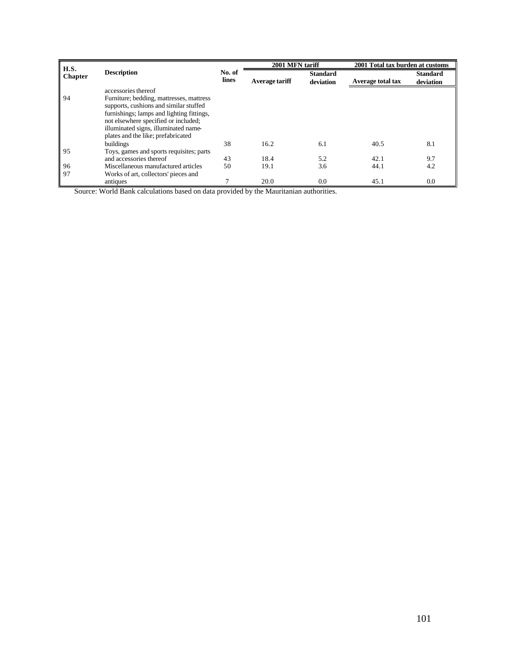| <b>H.S.</b>    |                                           |                 | 2001 MFN tariff |                 | 2001 Total tax burden at customs |                 |  |
|----------------|-------------------------------------------|-----------------|-----------------|-----------------|----------------------------------|-----------------|--|
| <b>Chapter</b> | <b>Description</b>                        | No. of<br>lines |                 | <b>Standard</b> |                                  | <b>Standard</b> |  |
|                |                                           |                 | Average tariff  | deviation       | <b>Average total tax</b>         | deviation       |  |
|                | accessories thereof                       |                 |                 |                 |                                  |                 |  |
| 94             | Furniture; bedding, mattresses, mattress  |                 |                 |                 |                                  |                 |  |
|                | supports, cushions and similar stuffed    |                 |                 |                 |                                  |                 |  |
|                | furnishings; lamps and lighting fittings, |                 |                 |                 |                                  |                 |  |
|                | not elsewhere specified or included;      |                 |                 |                 |                                  |                 |  |
|                | illuminated signs, illuminated name-      |                 |                 |                 |                                  |                 |  |
|                | plates and the like; prefabricated        |                 |                 |                 |                                  |                 |  |
|                | buildings                                 | 38              | 16.2            | 6.1             | 40.5                             | 8.1             |  |
| 95             | Toys, games and sports requisites; parts  |                 |                 |                 |                                  |                 |  |
|                | and accessories thereof                   | 43              | 18.4            | 5.2             | 42.1                             | 9.7             |  |
| 96             | Miscellaneous manufactured articles       | 50              | 19.1            | 3.6             | 44.1                             | 4.2             |  |
| 97             | Works of art, collectors' pieces and      |                 |                 |                 |                                  |                 |  |
|                | antiques                                  | 7               | 20.0            | 0.0             | 45.1                             | 0.0             |  |

Source: World Bank calculations based on data provided by the Mauritanian authorities.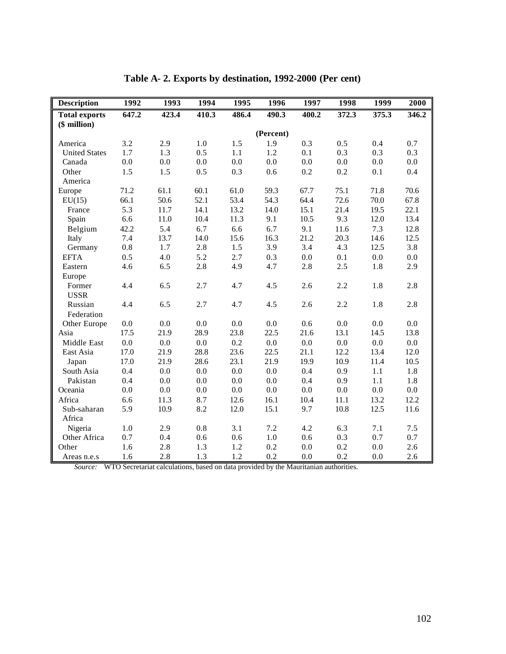| <b>Description</b>   | 1992    | 1993    | 1994    | 1995    | 1996      | 1997    | 1998    | 1999    | 2000    |
|----------------------|---------|---------|---------|---------|-----------|---------|---------|---------|---------|
| <b>Total exports</b> | 647.2   | 423.4   | 410.3   | 486.4   | 490.3     | 400.2   | 372.3   | 375.3   | 346.2   |
| $($$ million $)$     |         |         |         |         |           |         |         |         |         |
|                      |         |         |         |         | (Percent) |         |         |         |         |
| America              | 3.2     | 2.9     | 1.0     | 1.5     | 1.9       | 0.3     | 0.5     | 0.4     | 0.7     |
| <b>United States</b> | 1.7     | 1.3     | 0.5     | 1.1     | 1.2       | 0.1     | 0.3     | 0.3     | 0.3     |
| Canada               | 0.0     | $0.0\,$ | $0.0\,$ | $0.0\,$ | $0.0\,$   | $0.0\,$ | $0.0\,$ | 0.0     | 0.0     |
| Other                | 1.5     | 1.5     | 0.5     | 0.3     | 0.6       | 0.2     | 0.2     | 0.1     | 0.4     |
| America              |         |         |         |         |           |         |         |         |         |
| Europe               | 71.2    | 61.1    | 60.1    | 61.0    | 59.3      | 67.7    | 75.1    | 71.8    | 70.6    |
| EU(15)               | 66.1    | 50.6    | 52.1    | 53.4    | 54.3      | 64.4    | 72.6    | 70.0    | 67.8    |
| France               | 5.3     | 11.7    | 14.1    | 13.2    | 14.0      | 15.1    | 21.4    | 19.5    | 22.1    |
| Spain                | 6.6     | 11.0    | 10.4    | 11.3    | 9.1       | 10.5    | 9.3     | 12.0    | 13.4    |
| Belgium              | 42.2    | 5.4     | 6.7     | 6.6     | 6.7       | 9.1     | 11.6    | 7.3     | 12.8    |
| Italy                | 7.4     | 13.7    | 14.0    | 15.6    | 16.3      | 21.2    | 20.3    | 14.6    | 12.5    |
| Germany              | 0.8     | 1.7     | 2.8     | 1.5     | 3.9       | 3.4     | 4.3     | 12.5    | 3.8     |
| <b>EFTA</b>          | 0.5     | 4.0     | 5.2     | 2.7     | 0.3       | 0.0     | 0.1     | $0.0\,$ | 0.0     |
| Eastern              | 4.6     | 6.5     | 2.8     | 4.9     | 4.7       | 2.8     | 2.5     | 1.8     | 2.9     |
| Europe               |         |         |         |         |           |         |         |         |         |
| Former               | 4.4     | 6.5     | 2.7     | 4.7     | 4.5       | 2.6     | 2.2     | 1.8     | 2.8     |
| <b>USSR</b>          |         |         |         |         |           |         |         |         |         |
| Russian              | 4.4     | 6.5     | 2.7     | 4.7     | 4.5       | 2.6     | 2.2     | 1.8     | 2.8     |
| Federation           |         |         |         |         |           |         |         |         |         |
| Other Europe         | $0.0\,$ | $0.0\,$ | $0.0\,$ | $0.0\,$ | $0.0\,$   | 0.6     | 0.0     | 0.0     | $0.0\,$ |
| Asia                 | 17.5    | 21.9    | 28.9    | 23.8    | 22.5      | 21.6    | 13.1    | 14.5    | 13.8    |
| Middle East          | 0.0     | 0.0     | 0.0     | 0.2     | $0.0\,$   | 0.0     | 0.0     | 0.0     | 0.0     |
| East Asia            | 17.0    | 21.9    | 28.8    | 23.6    | 22.5      | 21.1    | 12.2    | 13.4    | 12.0    |
| Japan                | 17.0    | 21.9    | 28.6    | 23.1    | 21.9      | 19.9    | 10.9    | 11.4    | 10.5    |
| South Asia           | 0.4     | 0.0     | $0.0\,$ | $0.0\,$ | 0.0       | 0.4     | 0.9     | 1.1     | 1.8     |
| Pakistan             | 0.4     | 0.0     | 0.0     | 0.0     | 0.0       | 0.4     | 0.9     | 1.1     | 1.8     |
| Oceania              | 0.0     | 0.0     | $0.0\,$ | $0.0\,$ | $0.0\,$   | $0.0\,$ | $0.0\,$ | 0.0     | 0.0     |
| Africa               | 6.6     | 11.3    | 8.7     | 12.6    | 16.1      | 10.4    | 11.1    | 13.2    | 12.2    |
| Sub-saharan          | 5.9     | 10.9    | 8.2     | 12.0    | 15.1      | 9.7     | 10.8    | 12.5    | 11.6    |
| Africa               |         |         |         |         |           |         |         |         |         |
| Nigeria              | $1.0\,$ | 2.9     | $0.8\,$ | 3.1     | 7.2       | 4.2     | 6.3     | 7.1     | 7.5     |
| Other Africa         | 0.7     | 0.4     | 0.6     | 0.6     | 1.0       | 0.6     | 0.3     | 0.7     | 0.7     |
| Other                | 1.6     | 2.8     | 1.3     | 1.2     | 0.2       | 0.0     | 0.2     | 0.0     | 2.6     |
| Areas n.e.s          | 1.6     | 2.8     | 1.3     | 1.2     | 0.2       | 0.0     | 0.2     | 0.0     | 2.6     |

**Table A- 2. Exports by destination, 1992-2000 (Per cent)**

*Source:* WTO Secretariat calculations, based on data provided by the Mauritanian authorities.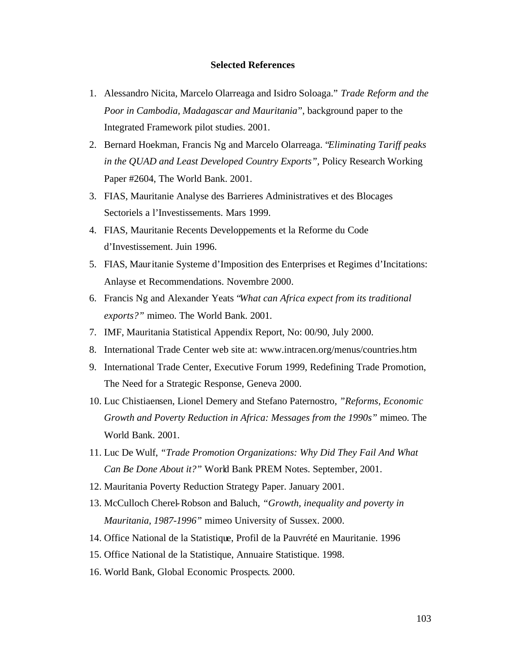#### **Selected References**

- 1. Alessandro Nicita, Marcelo Olarreaga and Isidro Soloaga." *Trade Reform and the Poor in Cambodia, Madagascar and Mauritania*", background paper to the Integrated Framework pilot studies. 2001.
- 2. Bernard Hoekman, Francis Ng and Marcelo Olarreaga. "*Eliminating Tariff peaks in the QUAD and Least Developed Country Exports",* Policy Research Working Paper #2604, The World Bank. 2001.
- 3. FIAS, Mauritanie Analyse des Barrieres Administratives et des Blocages Sectoriels a l'Investissements. Mars 1999.
- 4. FIAS, Mauritanie Recents Developpements et la Reforme du Code d'Investissement. Juin 1996.
- 5. FIAS, Mauritanie Systeme d'Imposition des Enterprises et Regimes d'Incitations: Anlayse et Recommendations. Novembre 2000.
- 6. Francis Ng and Alexander Yeats "*What can Africa expect from its traditional exports?"* mimeo. The World Bank. 2001.
- 7. IMF, Mauritania Statistical Appendix Report, No: 00/90, July 2000.
- 8. International Trade Center web site at: www.intracen.org/menus/countries.htm
- 9. International Trade Center, Executive Forum 1999, Redefining Trade Promotion, The Need for a Strategic Response, Geneva 2000.
- 10. Luc Chistiaensen, Lionel Demery and Stefano Paternostro*, "Reforms, Economic Growth and Poverty Reduction in Africa: Messages from the 1990s"* mimeo. The World Bank. 2001.
- 11. Luc De Wulf, *"Trade Promotion Organizations: Why Did They Fail And What Can Be Done About it?"* World Bank PREM Notes. September, 2001.
- 12. Mauritania Poverty Reduction Strategy Paper. January 2001.
- 13. McCulloch Cherel-Robson and Baluch, *"Growth, inequality and poverty in Mauritania, 1987-1996"* mimeo University of Sussex. 2000.
- 14. Office National de la Statistique, Profil de la Pauvrété en Mauritanie. 1996
- 15. Office National de la Statistique, Annuaire Statistique. 1998.
- 16. World Bank, Global Economic Prospects. 2000.